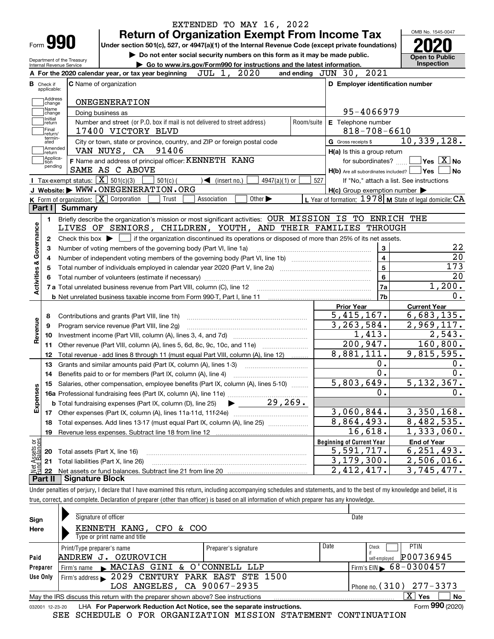|                                                                                                                                                                                                                 | EXTENDED TO MAY 16, 2022                                                                                                                                         |            |                                                             | OMB No. 1545-0047                                      |  |  |  |  |
|-----------------------------------------------------------------------------------------------------------------------------------------------------------------------------------------------------------------|------------------------------------------------------------------------------------------------------------------------------------------------------------------|------------|-------------------------------------------------------------|--------------------------------------------------------|--|--|--|--|
| Form <b>990</b>                                                                                                                                                                                                 | <b>Return of Organization Exempt From Income Tax</b>                                                                                                             |            |                                                             |                                                        |  |  |  |  |
|                                                                                                                                                                                                                 | Under section 501(c), 527, or 4947(a)(1) of the Internal Revenue Code (except private foundations)                                                               |            |                                                             |                                                        |  |  |  |  |
| Do not enter social security numbers on this form as it may be made public.<br>Department of the Treasury<br>Go to www.irs.gov/Form990 for instructions and the latest information.<br>Internal Revenue Service |                                                                                                                                                                  |            |                                                             |                                                        |  |  |  |  |
|                                                                                                                                                                                                                 | and ending $JUN$ 30, $2021$                                                                                                                                      | Inspection |                                                             |                                                        |  |  |  |  |
| в.<br>Check if                                                                                                                                                                                                  | JUL 1, 2020<br>A For the 2020 calendar year, or tax year beginning<br><b>C</b> Name of organization                                                              |            | D Employer identification number                            |                                                        |  |  |  |  |
| applicable:                                                                                                                                                                                                     |                                                                                                                                                                  |            |                                                             |                                                        |  |  |  |  |
| Address<br>change                                                                                                                                                                                               | <b>ONEGENERATION</b>                                                                                                                                             |            |                                                             |                                                        |  |  |  |  |
| Name<br>change                                                                                                                                                                                                  | Doing business as                                                                                                                                                |            | 95-4066979                                                  |                                                        |  |  |  |  |
| Initial<br>return                                                                                                                                                                                               | Number and street (or P.O. box if mail is not delivered to street address)                                                                                       | Room/suite | E Telephone number                                          |                                                        |  |  |  |  |
| Final<br>return/                                                                                                                                                                                                | 17400 VICTORY BLVD                                                                                                                                               |            | $818 - 708 - 6610$                                          |                                                        |  |  |  |  |
| termin-<br>ated                                                                                                                                                                                                 | City or town, state or province, country, and ZIP or foreign postal code                                                                                         |            | G Gross receipts \$                                         | 10,339,128.                                            |  |  |  |  |
| Amended<br> return<br>Applica-                                                                                                                                                                                  | VAN NUYS, CA 91406                                                                                                                                               |            | H(a) Is this a group return                                 |                                                        |  |  |  |  |
| tion<br>pending                                                                                                                                                                                                 | F Name and address of principal officer: KENNETH KANG                                                                                                            |            | for subordinates?                                           | $\overline{\mathsf{Yes}}$ $\overline{\mathsf{X}}$ No   |  |  |  |  |
|                                                                                                                                                                                                                 | SAME AS C ABOVE                                                                                                                                                  |            | $H(b)$ Are all subordinates included? $\Box$ Yes            | <b>No</b>                                              |  |  |  |  |
|                                                                                                                                                                                                                 | <b>I</b> Tax-exempt status: $\boxed{\mathbf{X}}$ 501(c)(3)<br>$501(c)$ (<br>$\sqrt{\bullet}$ (insert no.)<br>$4947(a)(1)$ or<br>J Website: WWW.ONEGENERATION.ORG | 527        | If "No," attach a list. See instructions                    |                                                        |  |  |  |  |
|                                                                                                                                                                                                                 | K Form of organization: $\boxed{\mathbf{X}}$ Corporation<br>Trust<br>Association<br>Other $\blacktriangleright$                                                  |            | $H(c)$ Group exemption number $\blacktriangleright$         |                                                        |  |  |  |  |
| Part I                                                                                                                                                                                                          | Summary                                                                                                                                                          |            | L Year of formation: $1978$ M State of legal domicile: $CA$ |                                                        |  |  |  |  |
| 1.                                                                                                                                                                                                              | Briefly describe the organization's mission or most significant activities: OUR MISSION IS TO ENRICH THE                                                         |            |                                                             |                                                        |  |  |  |  |
|                                                                                                                                                                                                                 | LIVES OF SENIORS, CHILDREN, YOUTH, AND THEIR FAMILIES THROUGH                                                                                                    |            |                                                             |                                                        |  |  |  |  |
| 2                                                                                                                                                                                                               | Check this box $\blacktriangleright \Box$ if the organization discontinued its operations or disposed of more than 25% of its net assets.                        |            |                                                             | 22                                                     |  |  |  |  |
| Activities & Governance                                                                                                                                                                                         | Number of voting members of the governing body (Part VI, line 1a)                                                                                                |            | 3<br>$\overline{4}$                                         | $\overline{20}$                                        |  |  |  |  |
|                                                                                                                                                                                                                 | Total number of individuals employed in calendar year 2020 (Part V, line 2a) manufacture of individuals employed in calendar year 2020 (Part V, line 2a)         |            | $\overline{5}$                                              | 173                                                    |  |  |  |  |
|                                                                                                                                                                                                                 |                                                                                                                                                                  |            | $6\phantom{a}$                                              | $\overline{20}$                                        |  |  |  |  |
|                                                                                                                                                                                                                 |                                                                                                                                                                  |            | 7a                                                          | 1,200.                                                 |  |  |  |  |
|                                                                                                                                                                                                                 |                                                                                                                                                                  |            | 7b                                                          | 0.                                                     |  |  |  |  |
|                                                                                                                                                                                                                 |                                                                                                                                                                  |            | <b>Prior Year</b>                                           | <b>Current Year</b>                                    |  |  |  |  |
| 8                                                                                                                                                                                                               | Contributions and grants (Part VIII, line 1h)                                                                                                                    |            | 5,415,167.                                                  | 6,683,135.                                             |  |  |  |  |
| Revenue<br>9                                                                                                                                                                                                    | Program service revenue (Part VIII, line 2g)                                                                                                                     |            | 3, 263, 584.                                                | 2,969,117.                                             |  |  |  |  |
| 10                                                                                                                                                                                                              |                                                                                                                                                                  |            | 1,413.                                                      | $\overline{2}$ , 543.                                  |  |  |  |  |
| 11                                                                                                                                                                                                              | Other revenue (Part VIII, column (A), lines 5, 6d, 8c, 9c, 10c, and 11e) <i>mummumm</i>                                                                          |            | 200, 947.                                                   | 160,800.                                               |  |  |  |  |
| 12                                                                                                                                                                                                              | Total revenue - add lines 8 through 11 (must equal Part VIII, column (A), line 12)                                                                               |            | 8,881,111.                                                  | 9,815,595.                                             |  |  |  |  |
| 13                                                                                                                                                                                                              | Grants and similar amounts paid (Part IX, column (A), lines 1-3)<br><u> 1986 - Januar Start, martin a</u>                                                        |            | 0.                                                          | 0.                                                     |  |  |  |  |
| 14                                                                                                                                                                                                              | Benefits paid to or for members (Part IX, column (A), line 4)                                                                                                    |            | $\overline{0}$ .                                            | 0.                                                     |  |  |  |  |
|                                                                                                                                                                                                                 | 15 Salaries, other compensation, employee benefits (Part IX, column (A), lines 5-10)                                                                             |            | 5,803,649.                                                  | 5,132,367.                                             |  |  |  |  |
| Expenses                                                                                                                                                                                                        |                                                                                                                                                                  |            | 0.                                                          | 0.                                                     |  |  |  |  |
|                                                                                                                                                                                                                 |                                                                                                                                                                  |            |                                                             |                                                        |  |  |  |  |
|                                                                                                                                                                                                                 |                                                                                                                                                                  |            | 3,060,844.                                                  |                                                        |  |  |  |  |
|                                                                                                                                                                                                                 |                                                                                                                                                                  |            |                                                             |                                                        |  |  |  |  |
| 18                                                                                                                                                                                                              | Total expenses. Add lines 13-17 (must equal Part IX, column (A), line 25)                                                                                        |            | 8,864,493.                                                  |                                                        |  |  |  |  |
| 19                                                                                                                                                                                                              |                                                                                                                                                                  |            | 16,618.                                                     |                                                        |  |  |  |  |
|                                                                                                                                                                                                                 |                                                                                                                                                                  |            | <b>Beginning of Current Year</b>                            | <b>End of Year</b>                                     |  |  |  |  |
| 20                                                                                                                                                                                                              | Total assets (Part X, line 16)                                                                                                                                   |            | 5,591,717.                                                  | 3,350,168.<br>8,482,535.<br>1,333,060.<br>6, 251, 493. |  |  |  |  |
| Net Assets or<br>Eund Balances<br>21<br>22                                                                                                                                                                      | Total liabilities (Part X, line 26)                                                                                                                              |            | $\overline{3}$ , 179, 300.<br>2,412,417.                    | 2,506,016.<br>$\overline{3}$ , 745, 477.               |  |  |  |  |

true, correct, and complete. Declaration of preparer (other than officer) is based on all information of which preparer has any knowledge.

| Sign            | Signature of officer                                                                                         |                      |      | Date                                         |  |  |  |  |  |  |
|-----------------|--------------------------------------------------------------------------------------------------------------|----------------------|------|----------------------------------------------|--|--|--|--|--|--|
| Here            | KENNETH KANG, CFO & COO                                                                                      |                      |      |                                              |  |  |  |  |  |  |
|                 | Type or print name and title                                                                                 |                      |      |                                              |  |  |  |  |  |  |
|                 | Print/Type preparer's name                                                                                   | Preparer's signature | Date | <b>PTIN</b><br>Check                         |  |  |  |  |  |  |
| Paid            | ANDREW J. OZUROVICH                                                                                          |                      |      | P00736945<br>self-employed                   |  |  |  |  |  |  |
| Preparer        | Firm's name MACIAS GINI & O'CONNELL LLP                                                                      |                      |      | $I$ Firm's EIN $\triangleright$ 68 - 0300457 |  |  |  |  |  |  |
| Use Only        | Firm's address > 2029 CENTURY PARK EAST STE 1500                                                             |                      |      |                                              |  |  |  |  |  |  |
|                 | LOS ANGELES, CA 90067-2935<br>Phone no. $(310)$ $277 - 3373$                                                 |                      |      |                                              |  |  |  |  |  |  |
|                 | $\mathbf{X}$<br>No<br>Yes<br>May the IRS discuss this return with the preparer shown above? See instructions |                      |      |                                              |  |  |  |  |  |  |
| 032001 12-23-20 | LHA For Paperwork Reduction Act Notice, see the separate instructions.                                       |                      |      | Form 990 (2020)                              |  |  |  |  |  |  |

SEE SCHEDULE O FOR ORGANIZATION MISSION STATEMENT CONTINUATION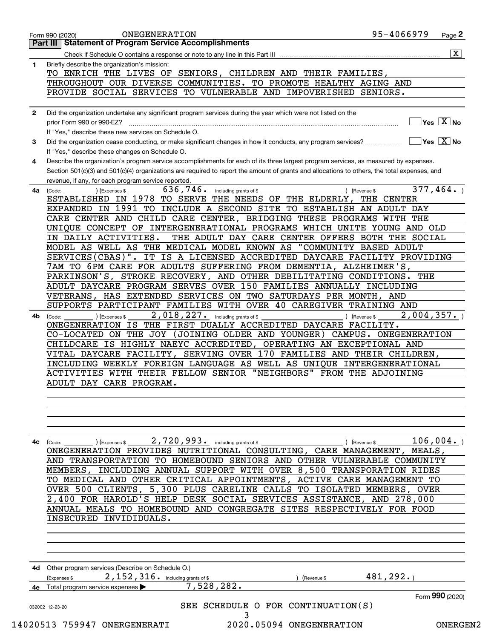|    | Page 2<br><b>Statement of Program Service Accomplishments</b><br>Part III                                                                                    |
|----|--------------------------------------------------------------------------------------------------------------------------------------------------------------|
|    | $\overline{\mathbf{X}}$                                                                                                                                      |
| 1  | Briefly describe the organization's mission:                                                                                                                 |
|    | TO ENRICH THE LIVES OF SENIORS, CHILDREN AND THEIR FAMILIES,                                                                                                 |
|    | THROUGHOUT OUR DIVERSE COMMUNITIES. TO PROMOTE HEALTHY AGING AND                                                                                             |
|    |                                                                                                                                                              |
|    | PROVIDE SOCIAL SERVICES TO VULNERABLE AND IMPOVERISHED SENIORS.                                                                                              |
|    |                                                                                                                                                              |
| 2  | Did the organization undertake any significant program services during the year which were not listed on the                                                 |
|    | Yes $X$ No<br>prior Form 990 or 990-EZ?                                                                                                                      |
|    | If "Yes," describe these new services on Schedule O.                                                                                                         |
| 3  | $\sqrt{\mathsf{Yes}\ \boxed{\mathrm{X}}}$ No<br>Did the organization cease conducting, or make significant changes in how it conducts, any program services? |
|    | If "Yes," describe these changes on Schedule O.                                                                                                              |
| 4  | Describe the organization's program service accomplishments for each of its three largest program services, as measured by expenses.                         |
|    | Section 501(c)(3) and 501(c)(4) organizations are required to report the amount of grants and allocations to others, the total expenses, and                 |
|    | revenue, if any, for each program service reported.                                                                                                          |
| 4a | 377,464.<br>636,746.<br>(Expenses \$<br>including grants of \$<br>) (Revenue \$<br>(Code:                                                                    |
|    | ESTABLISHED IN 1978 TO SERVE THE NEEDS OF THE ELDERLY,<br>THE CENTER                                                                                         |
|    |                                                                                                                                                              |
|    | EXPANDED IN 1991 TO INCLUDE A SECOND SITE TO ESTABLISH AN ADULT DAY                                                                                          |
|    | CARE CENTER AND CHILD CARE CENTER, BRIDGING THESE PROGRAMS WITH THE                                                                                          |
|    | UNIQUE CONCEPT OF INTERGENERATIONAL PROGRAMS WHICH UNITE YOUNG AND OLD                                                                                       |
|    | IN DAILY ACTIVITIES.<br>THE ADULT DAY CARE CENTER OFFERS BOTH THE SOCIAL                                                                                     |
|    | MODEL AS WELL AS THE MEDICAL MODEL KNOWN AS "COMMUNITY BASED ADULT                                                                                           |
|    | SERVICES(CBAS)". IT IS A LICENSED ACCREDITED DAYCARE FACILITY PROVIDING                                                                                      |
|    | 7AM TO 6PM CARE FOR ADULTS SUFFERING FROM DEMENTIA, ALZHEIMER'S,                                                                                             |
|    | PARKINSON'S, STROKE RECOVERY, AND OTHER DEBILITATING CONDITIONS.<br>THE                                                                                      |
|    | ADULT DAYCARE PROGRAM SERVES OVER 150 FAMILIES ANNUALLY INCLUDING                                                                                            |
|    | VETERANS, HAS EXTENDED SERVICES ON TWO SATURDAYS PER MONTH, AND                                                                                              |
|    | SUPPORTS PARTICIPANT FAMILIES WITH OVER 40 CAREGIVER TRAINING AND                                                                                            |
|    | 2,018,227. including grants of \$<br>2,004,357.                                                                                                              |
| 4b | ) (Expenses \$<br>) (Revenue \$<br>(Code:<br>ONEGENERATION IS THE FIRST DUALLY ACCREDITED DAYCARE FACILITY.                                                  |
|    |                                                                                                                                                              |
|    | CO-LOCATED ON THE JOY (JOINING OLDER AND YOUNGER)<br>CAMPUS. ONEGENERATION                                                                                   |
|    | CHILDCARE IS HIGHLY NAEYC ACCREDITED, OPERATING AN EXCEPTIONAL AND                                                                                           |
|    | VITAL DAYCARE FACILITY, SERVING OVER 170 FAMILIES AND THEIR CHILDREN,                                                                                        |
|    | INCLUDING WEEKLY FOREIGN LANGUAGE AS WELL AS UNIQUE INTERGENERATIONAL                                                                                        |
|    | ACTIVITIES WITH THEIR FELLOW SENIOR "NEIGHBORS" FROM THE ADJOINING                                                                                           |
|    | ADULT DAY CARE PROGRAM.                                                                                                                                      |
|    |                                                                                                                                                              |
|    |                                                                                                                                                              |
|    |                                                                                                                                                              |
|    |                                                                                                                                                              |
|    |                                                                                                                                                              |
| 4с | 2,720,993. including grants of \$<br>106,004.<br>(Expenses \$<br>) (Revenue \$<br>(Code:                                                                     |
|    | ONEGENERATION PROVIDES NUTRITIONAL CONSULTING, CARE MANAGEMENT,<br>MEALS .                                                                                   |
|    | TRANSPORTATION TO HOMEBOUND SENIORS AND OTHER VULNERABLE<br>AND.<br>COMMUNITY                                                                                |
|    | INCLUDING ANNUAL SUPPORT WITH OVER 8,500 TRANSPORATION RIDES<br>MEMBERS ,                                                                                    |
|    | TO MEDICAL AND OTHER CRITICAL APPOINTMENTS, ACTIVE CARE MANAGEMENT<br>TО                                                                                     |
|    | CLIENTS,<br>5,300 PLUS CARELINE CALLS TO ISOLATED MEMBERS, OVER<br>OVER 500                                                                                  |
|    |                                                                                                                                                              |
|    | 2,400 FOR HAROLD'S HELP DESK SOCIAL SERVICES ASSISTANCE, AND 278,000                                                                                         |
|    | ANNUAL MEALS TO HOMEBOUND AND CONGREGATE SITES RESPECTIVELY FOR FOOD                                                                                         |
|    | INSECURED INVIDIDUALS.                                                                                                                                       |
|    |                                                                                                                                                              |
|    |                                                                                                                                                              |
|    |                                                                                                                                                              |
|    |                                                                                                                                                              |
|    | 4d Other program services (Describe on Schedule O.)                                                                                                          |
|    | 481, 292.<br>2, 152, 316. including grants of \$<br>(Expenses \$<br>(Revenue \$                                                                              |
|    |                                                                                                                                                              |
| 4е | 7,528,282.<br>Total program service expenses                                                                                                                 |
|    |                                                                                                                                                              |
|    | Form 990 (2020)<br>SEE SCHEDULE O FOR CONTINUATION(S)<br>032002 12-23-20                                                                                     |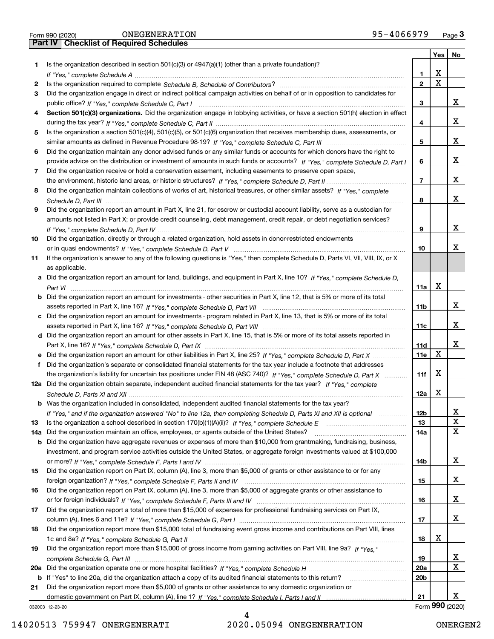|  | Form 990 (2020) |
|--|-----------------|

|    |                                                                                                                                       |                 | Yes | No              |
|----|---------------------------------------------------------------------------------------------------------------------------------------|-----------------|-----|-----------------|
| 1. | Is the organization described in section $501(c)(3)$ or $4947(a)(1)$ (other than a private foundation)?                               |                 |     |                 |
|    |                                                                                                                                       | 1.              | X   |                 |
| 2  |                                                                                                                                       | $\mathbf{2}$    | x   |                 |
| 3  | Did the organization engage in direct or indirect political campaign activities on behalf of or in opposition to candidates for       |                 |     |                 |
|    |                                                                                                                                       | 3               |     | x               |
| 4  | Section 501(c)(3) organizations. Did the organization engage in lobbying activities, or have a section 501(h) election in effect      |                 |     |                 |
|    |                                                                                                                                       | 4               |     | x               |
| 5  | Is the organization a section 501(c)(4), 501(c)(5), or 501(c)(6) organization that receives membership dues, assessments, or          |                 |     | x               |
|    |                                                                                                                                       | 5               |     |                 |
| 6  | Did the organization maintain any donor advised funds or any similar funds or accounts for which donors have the right to             |                 |     | x               |
|    | provide advice on the distribution or investment of amounts in such funds or accounts? If "Yes," complete Schedule D, Part I          | 6               |     |                 |
| 7  | Did the organization receive or hold a conservation easement, including easements to preserve open space,                             | 7               |     | х               |
| 8  | Did the organization maintain collections of works of art, historical treasures, or other similar assets? If "Yes," complete          |                 |     |                 |
|    |                                                                                                                                       | 8               |     | x               |
| 9  | Did the organization report an amount in Part X, line 21, for escrow or custodial account liability, serve as a custodian for         |                 |     |                 |
|    | amounts not listed in Part X; or provide credit counseling, debt management, credit repair, or debt negotiation services?             |                 |     |                 |
|    |                                                                                                                                       | 9               |     | x               |
| 10 | Did the organization, directly or through a related organization, hold assets in donor-restricted endowments                          |                 |     |                 |
|    |                                                                                                                                       | 10              |     | x               |
| 11 | If the organization's answer to any of the following questions is "Yes," then complete Schedule D, Parts VI, VII, VIII, IX, or X      |                 |     |                 |
|    | as applicable.                                                                                                                        |                 |     |                 |
|    | a Did the organization report an amount for land, buildings, and equipment in Part X, line 10? If "Yes," complete Schedule D,         |                 |     |                 |
|    |                                                                                                                                       | 11a             | X   |                 |
|    | <b>b</b> Did the organization report an amount for investments - other securities in Part X, line 12, that is 5% or more of its total |                 |     |                 |
|    |                                                                                                                                       | 11b             |     | x               |
|    | c Did the organization report an amount for investments - program related in Part X, line 13, that is 5% or more of its total         |                 |     |                 |
|    |                                                                                                                                       | 11c             |     | x               |
|    | d Did the organization report an amount for other assets in Part X, line 15, that is 5% or more of its total assets reported in       |                 |     |                 |
|    |                                                                                                                                       | 11d             |     | x               |
|    | e Did the organization report an amount for other liabilities in Part X, line 25? If "Yes," complete Schedule D, Part X               | <b>11e</b>      | x   |                 |
| f  | Did the organization's separate or consolidated financial statements for the tax year include a footnote that addresses               |                 |     |                 |
|    | the organization's liability for uncertain tax positions under FIN 48 (ASC 740)? If "Yes," complete Schedule D, Part X                | 11f             | X   |                 |
|    | 12a Did the organization obtain separate, independent audited financial statements for the tax year? If "Yes," complete               |                 |     |                 |
|    |                                                                                                                                       | 12a             | X   |                 |
|    | <b>b</b> Was the organization included in consolidated, independent audited financial statements for the tax year?                    |                 |     |                 |
|    | If "Yes," and if the organization answered "No" to line 12a, then completing Schedule D, Parts XI and XII is optional                 | 12 <sub>b</sub> |     | х               |
| 13 |                                                                                                                                       | 13              |     | X               |
|    | 14a Did the organization maintain an office, employees, or agents outside of the United States?                                       | 14a             |     | X               |
|    | <b>b</b> Did the organization have aggregate revenues or expenses of more than \$10,000 from grantmaking, fundraising, business,      |                 |     |                 |
|    | investment, and program service activities outside the United States, or aggregate foreign investments valued at \$100,000            |                 |     |                 |
|    |                                                                                                                                       | 14b             |     | x               |
| 15 | Did the organization report on Part IX, column (A), line 3, more than \$5,000 of grants or other assistance to or for any             |                 |     |                 |
|    |                                                                                                                                       | 15              |     | x               |
| 16 | Did the organization report on Part IX, column (A), line 3, more than \$5,000 of aggregate grants or other assistance to              | 16              |     | x               |
|    | Did the organization report a total of more than \$15,000 of expenses for professional fundraising services on Part IX,               |                 |     |                 |
| 17 |                                                                                                                                       | 17              |     | x               |
| 18 | Did the organization report more than \$15,000 total of fundraising event gross income and contributions on Part VIII, lines          |                 |     |                 |
|    |                                                                                                                                       | 18              | х   |                 |
| 19 | Did the organization report more than \$15,000 of gross income from gaming activities on Part VIII, line 9a? If "Yes."                |                 |     |                 |
|    |                                                                                                                                       | 19              |     | x               |
|    |                                                                                                                                       | 20a             |     | X               |
|    | <b>b</b> If "Yes" to line 20a, did the organization attach a copy of its audited financial statements to this return?                 | 20 <sub>b</sub> |     |                 |
| 21 | Did the organization report more than \$5,000 of grants or other assistance to any domestic organization or                           |                 |     |                 |
|    |                                                                                                                                       | 21              |     | x               |
|    | 032003 12-23-20                                                                                                                       |                 |     | Form 990 (2020) |

032003 12-23-20

4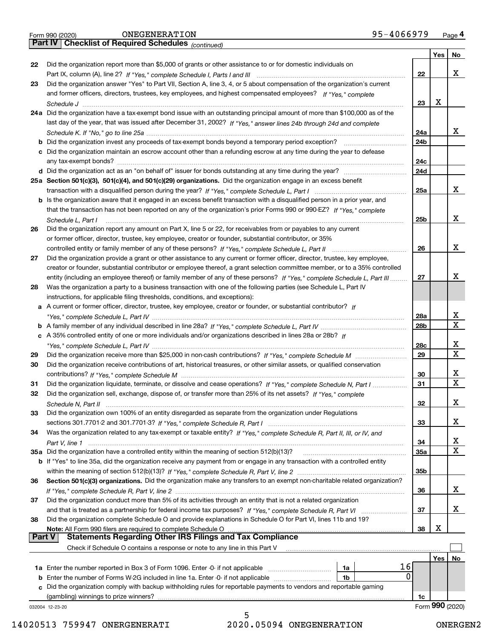|  | Form 990 (2020) |
|--|-----------------|
|  |                 |

*(continued)*

|               |                                                                                                                                                                                                                                              |                 | Yes        | <b>No</b>               |
|---------------|----------------------------------------------------------------------------------------------------------------------------------------------------------------------------------------------------------------------------------------------|-----------------|------------|-------------------------|
| 22            | Did the organization report more than \$5,000 of grants or other assistance to or for domestic individuals on                                                                                                                                |                 |            |                         |
|               |                                                                                                                                                                                                                                              | 22              |            | x                       |
| 23            | Did the organization answer "Yes" to Part VII, Section A, line 3, 4, or 5 about compensation of the organization's current<br>and former officers, directors, trustees, key employees, and highest compensated employees? If "Yes," complete |                 |            |                         |
|               |                                                                                                                                                                                                                                              | 23              | X          |                         |
|               | 24a Did the organization have a tax-exempt bond issue with an outstanding principal amount of more than \$100,000 as of the                                                                                                                  |                 |            |                         |
|               | last day of the year, that was issued after December 31, 2002? If "Yes," answer lines 24b through 24d and complete                                                                                                                           |                 |            |                         |
|               |                                                                                                                                                                                                                                              | 24a             |            | x                       |
|               | b Did the organization invest any proceeds of tax-exempt bonds beyond a temporary period exception?                                                                                                                                          | 24b             |            |                         |
|               | c Did the organization maintain an escrow account other than a refunding escrow at any time during the year to defease                                                                                                                       |                 |            |                         |
|               |                                                                                                                                                                                                                                              | 24c             |            |                         |
|               |                                                                                                                                                                                                                                              | 24d             |            |                         |
|               | 25a Section 501(c)(3), 501(c)(4), and 501(c)(29) organizations. Did the organization engage in an excess benefit                                                                                                                             |                 |            | x                       |
|               | b Is the organization aware that it engaged in an excess benefit transaction with a disqualified person in a prior year, and                                                                                                                 | 25a             |            |                         |
|               | that the transaction has not been reported on any of the organization's prior Forms 990 or 990-EZ? If "Yes," complete                                                                                                                        |                 |            |                         |
|               | Schedule L, Part I                                                                                                                                                                                                                           | 25b             |            | x                       |
| 26            | Did the organization report any amount on Part X, line 5 or 22, for receivables from or payables to any current                                                                                                                              |                 |            |                         |
|               | or former officer, director, trustee, key employee, creator or founder, substantial contributor, or 35%                                                                                                                                      |                 |            |                         |
|               |                                                                                                                                                                                                                                              | 26              |            | x                       |
| 27            | Did the organization provide a grant or other assistance to any current or former officer, director, trustee, key employee,                                                                                                                  |                 |            |                         |
|               | creator or founder, substantial contributor or employee thereof, a grant selection committee member, or to a 35% controlled                                                                                                                  |                 |            |                         |
|               | entity (including an employee thereof) or family member of any of these persons? If "Yes," complete Schedule L, Part III                                                                                                                     | 27              |            | х                       |
| 28            | Was the organization a party to a business transaction with one of the following parties (see Schedule L, Part IV                                                                                                                            |                 |            |                         |
|               | instructions, for applicable filing thresholds, conditions, and exceptions):<br>a A current or former officer, director, trustee, key employee, creator or founder, or substantial contributor? If                                           |                 |            |                         |
|               |                                                                                                                                                                                                                                              | 28a             |            | x                       |
|               |                                                                                                                                                                                                                                              | 28 <sub>b</sub> |            | $\mathbf X$             |
|               | c A 35% controlled entity of one or more individuals and/or organizations described in lines 28a or 28b? If                                                                                                                                  |                 |            |                         |
|               |                                                                                                                                                                                                                                              | 28c             |            | x                       |
| 29            |                                                                                                                                                                                                                                              | 29              |            | $\overline{\mathbf{x}}$ |
| 30            | Did the organization receive contributions of art, historical treasures, or other similar assets, or qualified conservation                                                                                                                  |                 |            |                         |
|               |                                                                                                                                                                                                                                              | 30              |            | x                       |
| 31            | Did the organization liquidate, terminate, or dissolve and cease operations? If "Yes," complete Schedule N, Part I                                                                                                                           | 31              |            | $\mathbf X$             |
| 32            | Did the organization sell, exchange, dispose of, or transfer more than 25% of its net assets? If "Yes," complete                                                                                                                             |                 |            |                         |
|               |                                                                                                                                                                                                                                              | 32              |            | х                       |
| 33            | Did the organization own 100% of an entity disregarded as separate from the organization under Regulations                                                                                                                                   | 33              |            | х                       |
| 34            | Was the organization related to any tax-exempt or taxable entity? If "Yes," complete Schedule R, Part II, III, or IV, and                                                                                                                    |                 |            |                         |
|               |                                                                                                                                                                                                                                              | 34              |            | X                       |
|               | 35a Did the organization have a controlled entity within the meaning of section 512(b)(13)?                                                                                                                                                  | 35a             |            | $\mathbf X$             |
|               | b If "Yes" to line 35a, did the organization receive any payment from or engage in any transaction with a controlled entity                                                                                                                  |                 |            |                         |
|               |                                                                                                                                                                                                                                              | 35b             |            |                         |
| 36            | Section 501(c)(3) organizations. Did the organization make any transfers to an exempt non-charitable related organization?                                                                                                                   |                 |            |                         |
|               |                                                                                                                                                                                                                                              | 36              |            | x                       |
| 37            | Did the organization conduct more than 5% of its activities through an entity that is not a related organization                                                                                                                             |                 |            |                         |
|               | and that is treated as a partnership for federal income tax purposes? If "Yes," complete Schedule R, Part VI                                                                                                                                 | 37              |            | x                       |
| 38            | Did the organization complete Schedule O and provide explanations in Schedule O for Part VI, lines 11b and 19?                                                                                                                               | 38              | х          |                         |
| <b>Part V</b> | Note: All Form 990 filers are required to complete Schedule O<br><b>Statements Regarding Other IRS Filings and Tax Compliance</b>                                                                                                            |                 |            |                         |
|               | Check if Schedule O contains a response or note to any line in this Part V                                                                                                                                                                   |                 |            |                         |
|               |                                                                                                                                                                                                                                              |                 | <b>Yes</b> | No                      |
|               | 16<br><b>1a</b> Enter the number reported in Box 3 of Form 1096. Enter -0- if not applicable <i>manumumumum</i><br>1a                                                                                                                        |                 |            |                         |
|               | 0<br>1b                                                                                                                                                                                                                                      |                 |            |                         |
|               | c Did the organization comply with backup withholding rules for reportable payments to vendors and reportable gaming                                                                                                                         |                 |            |                         |
|               | (gambling) winnings to prize winners?                                                                                                                                                                                                        | 1c              |            |                         |
|               | 032004 12-23-20                                                                                                                                                                                                                              |                 |            | Form 990 (2020)         |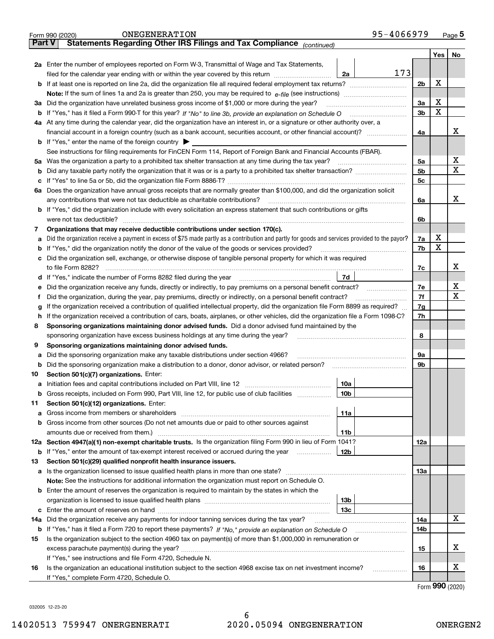|               | 95-4066979<br>ONEGENERATION<br>Form 990 (2020)                                                                                                                                             |                |         | $Page$ 5 |  |  |  |
|---------------|--------------------------------------------------------------------------------------------------------------------------------------------------------------------------------------------|----------------|---------|----------|--|--|--|
| <b>Part V</b> | Statements Regarding Other IRS Filings and Tax Compliance (continued)                                                                                                                      |                |         |          |  |  |  |
|               |                                                                                                                                                                                            |                | Yes $ $ | No       |  |  |  |
|               | 2a Enter the number of employees reported on Form W-3, Transmittal of Wage and Tax Statements,                                                                                             |                |         |          |  |  |  |
|               | 173<br>filed for the calendar year ending with or within the year covered by this return [11] [11] filed for the calendar year ending with or within the year covered by this return<br>2a |                |         |          |  |  |  |
|               |                                                                                                                                                                                            | 2 <sub>b</sub> | Х       |          |  |  |  |
|               |                                                                                                                                                                                            |                |         |          |  |  |  |
| За            | Did the organization have unrelated business gross income of \$1,000 or more during the year?                                                                                              | 3a             | х       |          |  |  |  |
|               |                                                                                                                                                                                            | 3b             | X       |          |  |  |  |
|               | 4a At any time during the calendar year, did the organization have an interest in, or a signature or other authority over, a                                                               |                |         |          |  |  |  |
|               | financial account in a foreign country (such as a bank account, securities account, or other financial account)?                                                                           | 4a             |         | х        |  |  |  |
|               | <b>b</b> If "Yes," enter the name of the foreign country $\blacktriangleright$                                                                                                             |                |         |          |  |  |  |
|               | See instructions for filing requirements for FinCEN Form 114, Report of Foreign Bank and Financial Accounts (FBAR).                                                                        |                |         |          |  |  |  |
|               |                                                                                                                                                                                            | 5a             |         | х        |  |  |  |
| b             |                                                                                                                                                                                            | 5b             |         | х        |  |  |  |
| с             |                                                                                                                                                                                            | 5c             |         |          |  |  |  |
| ба            | Does the organization have annual gross receipts that are normally greater than \$100,000, and did the organization solicit                                                                |                |         |          |  |  |  |
|               | any contributions that were not tax deductible as charitable contributions?                                                                                                                | 6a             |         | х        |  |  |  |
|               | b If "Yes," did the organization include with every solicitation an express statement that such contributions or gifts                                                                     |                |         |          |  |  |  |
|               | were not tax deductible?                                                                                                                                                                   | 6b             |         |          |  |  |  |
| 7             | Organizations that may receive deductible contributions under section 170(c).                                                                                                              |                |         |          |  |  |  |
| а             | Did the organization receive a payment in excess of \$75 made partly as a contribution and partly for goods and services provided to the payor?                                            | 7a             | х       |          |  |  |  |
| b             | If "Yes," did the organization notify the donor of the value of the goods or services provided?                                                                                            | 7b             | Х       |          |  |  |  |
|               | c Did the organization sell, exchange, or otherwise dispose of tangible personal property for which it was required                                                                        |                |         |          |  |  |  |
|               |                                                                                                                                                                                            | 7c             |         | х        |  |  |  |
|               | 7d                                                                                                                                                                                         |                |         |          |  |  |  |
| е             | Did the organization receive any funds, directly or indirectly, to pay premiums on a personal benefit contract?                                                                            | 7е             |         | х        |  |  |  |
|               | Did the organization, during the year, pay premiums, directly or indirectly, on a personal benefit contract?                                                                               | 7f             |         | х        |  |  |  |
| g             | If the organization received a contribution of qualified intellectual property, did the organization file Form 8899 as required?                                                           | 7g             |         |          |  |  |  |
| h             | If the organization received a contribution of cars, boats, airplanes, or other vehicles, did the organization file a Form 1098-C?                                                         |                |         |          |  |  |  |
| 8             | Sponsoring organizations maintaining donor advised funds. Did a donor advised fund maintained by the                                                                                       |                |         |          |  |  |  |
|               | sponsoring organization have excess business holdings at any time during the year?                                                                                                         | 8              |         |          |  |  |  |
| 9             | Sponsoring organizations maintaining donor advised funds.                                                                                                                                  |                |         |          |  |  |  |
| а             | Did the sponsoring organization make any taxable distributions under section 4966?                                                                                                         | 9a             |         |          |  |  |  |
| b             | Did the sponsoring organization make a distribution to a donor, donor advisor, or related person?                                                                                          | 9b             |         |          |  |  |  |
| 10            | Section 501(c)(7) organizations. Enter:                                                                                                                                                    |                |         |          |  |  |  |
| а             | 10a<br>Initiation fees and capital contributions included on Part VIII, line 12 [100] [100] [100] [100] [100] [100] [                                                                      |                |         |          |  |  |  |
| b             | Gross receipts, included on Form 990, Part VIII, line 12, for public use of club facilities<br>10 <sub>b</sub>                                                                             |                |         |          |  |  |  |
| 11            | Section 501(c)(12) organizations. Enter:                                                                                                                                                   |                |         |          |  |  |  |
| а             | 11a<br>Gross income from members or shareholders                                                                                                                                           |                |         |          |  |  |  |
|               | b Gross income from other sources (Do not net amounts due or paid to other sources against                                                                                                 |                |         |          |  |  |  |
|               | amounts due or received from them.)<br>11b                                                                                                                                                 |                |         |          |  |  |  |
|               | 12a Section 4947(a)(1) non-exempt charitable trusts. Is the organization filing Form 990 in lieu of Form 1041?                                                                             | 12a            |         |          |  |  |  |
|               | 12b<br><b>b</b> If "Yes," enter the amount of tax-exempt interest received or accrued during the year                                                                                      |                |         |          |  |  |  |
| 13            | Section 501(c)(29) qualified nonprofit health insurance issuers.                                                                                                                           |                |         |          |  |  |  |
|               | <b>a</b> Is the organization licensed to issue qualified health plans in more than one state?                                                                                              | 13а            |         |          |  |  |  |
|               | Note: See the instructions for additional information the organization must report on Schedule O.                                                                                          |                |         |          |  |  |  |
|               | <b>b</b> Enter the amount of reserves the organization is required to maintain by the states in which the                                                                                  |                |         |          |  |  |  |
|               | 13 <sub>b</sub>                                                                                                                                                                            |                |         |          |  |  |  |
|               | 13с                                                                                                                                                                                        |                |         |          |  |  |  |
| 14a           | Did the organization receive any payments for indoor tanning services during the tax year?                                                                                                 | 14a            |         | х        |  |  |  |
|               | <b>b</b> If "Yes," has it filed a Form 720 to report these payments? If "No," provide an explanation on Schedule O                                                                         | 14b            |         |          |  |  |  |
| 15            | Is the organization subject to the section 4960 tax on payment(s) of more than \$1,000,000 in remuneration or                                                                              |                |         |          |  |  |  |
|               |                                                                                                                                                                                            | 15             |         | х        |  |  |  |
|               | If "Yes," see instructions and file Form 4720, Schedule N.                                                                                                                                 |                |         |          |  |  |  |
| 16            | Is the organization an educational institution subject to the section 4968 excise tax on net investment income?                                                                            | 16             |         | x        |  |  |  |
|               | If "Yes," complete Form 4720, Schedule O.                                                                                                                                                  |                |         |          |  |  |  |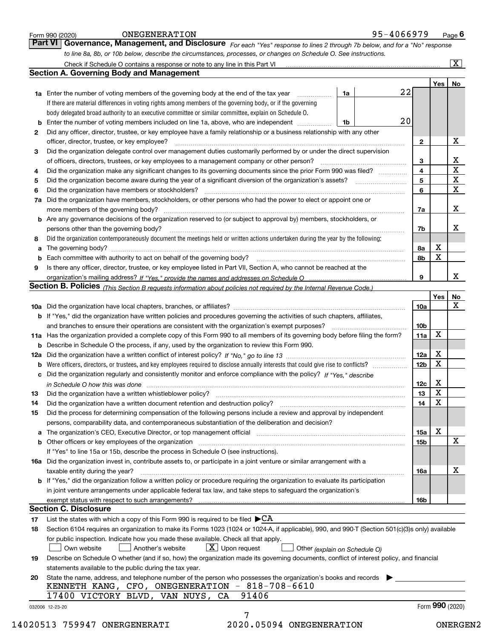|    | Part VI   Governance, Management, and Disclosure For each "Yes" response to lines 2 through 7b below, and for a "No" response<br>to line 8a, 8b, or 10b below, describe the circumstances, processes, or changes on Schedule O. See instructions. |    |                              |                 |                         |
|----|---------------------------------------------------------------------------------------------------------------------------------------------------------------------------------------------------------------------------------------------------|----|------------------------------|-----------------|-------------------------|
|    |                                                                                                                                                                                                                                                   |    |                              |                 | $\overline{\mathbf{x}}$ |
|    | <b>Section A. Governing Body and Management</b>                                                                                                                                                                                                   |    |                              |                 |                         |
|    |                                                                                                                                                                                                                                                   |    |                              | Yes             | No                      |
|    | 1a<br><b>1a</b> Enter the number of voting members of the governing body at the end of the tax year <i>manumum</i>                                                                                                                                | 22 |                              |                 |                         |
|    | If there are material differences in voting rights among members of the governing body, or if the governing                                                                                                                                       |    |                              |                 |                         |
|    | body delegated broad authority to an executive committee or similar committee, explain on Schedule O.                                                                                                                                             |    |                              |                 |                         |
|    | Enter the number of voting members included on line 1a, above, who are independent<br>1b                                                                                                                                                          | 20 |                              |                 |                         |
| 2  | Did any officer, director, trustee, or key employee have a family relationship or a business relationship with any other                                                                                                                          |    |                              |                 |                         |
|    | officer, director, trustee, or key employee?                                                                                                                                                                                                      |    | $\mathbf{2}$                 |                 | х                       |
|    | Did the organization delegate control over management duties customarily performed by or under the direct supervision                                                                                                                             |    |                              |                 |                         |
| 3  |                                                                                                                                                                                                                                                   |    |                              |                 | X                       |
|    | Did the organization make any significant changes to its governing documents since the prior Form 990 was filed?                                                                                                                                  |    | 3<br>$\overline{\mathbf{4}}$ |                 | $\overline{\textbf{x}}$ |
| 4  |                                                                                                                                                                                                                                                   |    | 5                            |                 | $\mathbf X$             |
| 5  |                                                                                                                                                                                                                                                   |    | 6                            |                 | X                       |
| 6  | Did the organization have members or stockholders?                                                                                                                                                                                                |    |                              |                 |                         |
| 7a | Did the organization have members, stockholders, or other persons who had the power to elect or appoint one or                                                                                                                                    |    |                              |                 | х                       |
|    | <b>b</b> Are any governance decisions of the organization reserved to (or subject to approval by) members, stockholders, or                                                                                                                       |    | 7a                           |                 |                         |
|    |                                                                                                                                                                                                                                                   |    |                              |                 | х                       |
|    | persons other than the governing body?                                                                                                                                                                                                            |    | 7b                           |                 |                         |
| 8  | Did the organization contemporaneously document the meetings held or written actions undertaken during the year by the following:                                                                                                                 |    |                              |                 |                         |
| a  |                                                                                                                                                                                                                                                   |    | 8a                           | х               |                         |
| b  |                                                                                                                                                                                                                                                   |    | 8b                           | X               |                         |
| 9  | Is there any officer, director, trustee, or key employee listed in Part VII, Section A, who cannot be reached at the                                                                                                                              |    |                              |                 |                         |
|    |                                                                                                                                                                                                                                                   |    | 9                            |                 | x                       |
|    | Section B. Policies (This Section B requests information about policies not required by the Internal Revenue Code.)                                                                                                                               |    |                              |                 |                         |
|    |                                                                                                                                                                                                                                                   |    |                              | <b>Yes</b>      | No                      |
|    |                                                                                                                                                                                                                                                   |    | 10a                          |                 | X                       |
|    | <b>b</b> If "Yes," did the organization have written policies and procedures governing the activities of such chapters, affiliates,                                                                                                               |    |                              |                 |                         |
|    | and branches to ensure their operations are consistent with the organization's exempt purposes?                                                                                                                                                   |    | 10b                          |                 |                         |
|    | 11a Has the organization provided a complete copy of this Form 990 to all members of its governing body before filing the form?                                                                                                                   |    | 11a                          | x               |                         |
|    | <b>b</b> Describe in Schedule O the process, if any, used by the organization to review this Form 990.                                                                                                                                            |    |                              |                 |                         |
|    |                                                                                                                                                                                                                                                   |    | 12a                          | Х               |                         |
| b  | Were officers, directors, or trustees, and key employees required to disclose annually interests that could give rise to conflicts?                                                                                                               |    | 12 <sub>b</sub>              | х               |                         |
| c  | Did the organization regularly and consistently monitor and enforce compliance with the policy? If "Yes," describe                                                                                                                                |    |                              |                 |                         |
|    | in Schedule O how this was done <i>maching and a content of the series</i> and the series of the series of the series o                                                                                                                           |    | 12c                          | х               |                         |
|    |                                                                                                                                                                                                                                                   |    | 13 <sup>13</sup>             | $\mathbf X$     |                         |
| 14 | Did the organization have a written document retention and destruction policy? [11] manufaction policy? [11] manufaction policy? [11] manufaction policy? [11] manufaction policy? [11] manufaction policy? [11] manufaction p                    |    | 14                           | х               |                         |
| 15 | Did the process for determining compensation of the following persons include a review and approval by independent                                                                                                                                |    |                              |                 |                         |
|    | persons, comparability data, and contemporaneous substantiation of the deliberation and decision?                                                                                                                                                 |    |                              |                 |                         |
|    | a The organization's CEO, Executive Director, or top management official [11] [12] The organization's CEO, Executive Director, or top management official [12] [12] [12] [12] The organization's CEO, Executive Director, or t                    |    | 15a                          | х               |                         |
|    |                                                                                                                                                                                                                                                   |    | 15b                          |                 | X                       |
|    | If "Yes" to line 15a or 15b, describe the process in Schedule O (see instructions).                                                                                                                                                               |    |                              |                 |                         |
|    | 16a Did the organization invest in, contribute assets to, or participate in a joint venture or similar arrangement with a                                                                                                                         |    |                              |                 |                         |
|    | taxable entity during the year?                                                                                                                                                                                                                   |    | 16a                          |                 | х                       |
|    | b If "Yes," did the organization follow a written policy or procedure requiring the organization to evaluate its participation                                                                                                                    |    |                              |                 |                         |
|    | in joint venture arrangements under applicable federal tax law, and take steps to safeguard the organization's                                                                                                                                    |    |                              |                 |                         |
|    |                                                                                                                                                                                                                                                   |    | 16b                          |                 |                         |
|    | <b>Section C. Disclosure</b>                                                                                                                                                                                                                      |    |                              |                 |                         |
| 17 | List the states with which a copy of this Form 990 is required to be filed $\blacktriangleright$ CA                                                                                                                                               |    |                              |                 |                         |
| 18 | Section 6104 requires an organization to make its Forms 1023 (1024 or 1024-A, if applicable), 990, and 990-T (Section 501(c)(3)s only) available                                                                                                  |    |                              |                 |                         |
|    | for public inspection. Indicate how you made these available. Check all that apply.                                                                                                                                                               |    |                              |                 |                         |
|    | $\lfloor x \rfloor$ Upon request<br>  Another's website<br>Own website<br>Other (explain on Schedule O)                                                                                                                                           |    |                              |                 |                         |
| 19 | Describe on Schedule O whether (and if so, how) the organization made its governing documents, conflict of interest policy, and financial                                                                                                         |    |                              |                 |                         |
|    | statements available to the public during the tax year.                                                                                                                                                                                           |    |                              |                 |                         |
| 20 | State the name, address, and telephone number of the person who possesses the organization's books and records                                                                                                                                    |    |                              |                 |                         |
|    | KENNETH KANG, CFO, ONEGENERATION - 818-708-6610                                                                                                                                                                                                   |    |                              |                 |                         |
|    | 91406<br>17400 VICTORY BLVD, VAN NUYS, CA                                                                                                                                                                                                         |    |                              |                 |                         |
|    | 032006 12-23-20                                                                                                                                                                                                                                   |    |                              | Form 990 (2020) |                         |
|    | 7                                                                                                                                                                                                                                                 |    |                              |                 |                         |
|    | 14020513 759947 ONERGENERATI<br>2020.05094 ONEGENERATION                                                                                                                                                                                          |    |                              |                 | ONERGEN2                |
|    |                                                                                                                                                                                                                                                   |    |                              |                 |                         |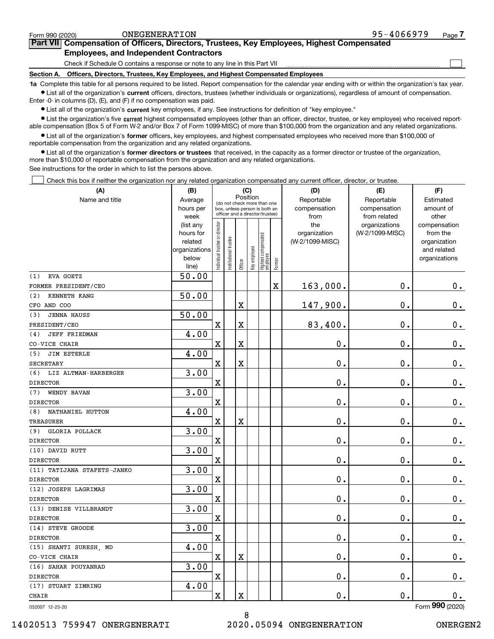| ONEGENERATION<br>Form 990 (2020)                                                                     | 95-4066979 | Page. |
|------------------------------------------------------------------------------------------------------|------------|-------|
| Part VII Compensation of Officers, Directors, Trustees, Key Employees, Highest Compensated           |            |       |
| <b>Employees, and Independent Contractors</b>                                                        |            |       |
| Check if Schedule O contains a response or note to any line in this Part VII                         |            |       |
| Officers, Directors, Trustees, Key Employees, and Highest Compensated Employees<br><b>Section A.</b> |            |       |

**1a**  Complete this table for all persons required to be listed. Report compensation for the calendar year ending with or within the organization's tax year. **•** List all of the organization's current officers, directors, trustees (whether individuals or organizations), regardless of amount of compensation. Enter -0- in columns (D), (E), and (F) if no compensation was paid.

 $\bullet$  List all of the organization's  $\,$ current key employees, if any. See instructions for definition of "key employee."

**•** List the organization's five current highest compensated employees (other than an officer, director, trustee, or key employee) who received reportable compensation (Box 5 of Form W-2 and/or Box 7 of Form 1099-MISC) of more than \$100,000 from the organization and any related organizations.

**•** List all of the organization's former officers, key employees, and highest compensated employees who received more than \$100,000 of reportable compensation from the organization and any related organizations.

**former directors or trustees**  ¥ List all of the organization's that received, in the capacity as a former director or trustee of the organization, more than \$10,000 of reportable compensation from the organization and any related organizations.

See instructions for the order in which to list the persons above.

Check this box if neither the organization nor any related organization compensated any current officer, director, or trustee.  $\mathcal{L}^{\text{max}}$ 

| (A)                          | (B)                    | (C)                                     |                                 |                         |              |                                 |             | (D)             | (E)                              | (F)                      |
|------------------------------|------------------------|-----------------------------------------|---------------------------------|-------------------------|--------------|---------------------------------|-------------|-----------------|----------------------------------|--------------------------|
| Name and title               | Average                | Position<br>(do not check more than one |                                 |                         |              |                                 |             | Reportable      | Reportable                       | Estimated                |
|                              | hours per              |                                         | box, unless person is both an   |                         |              |                                 |             | compensation    | compensation                     | amount of                |
|                              | week                   |                                         | officer and a director/trustee) |                         |              |                                 |             | from<br>the     | from related                     | other                    |
|                              | (list any<br>hours for |                                         |                                 |                         |              |                                 |             | organization    | organizations<br>(W-2/1099-MISC) | compensation<br>from the |
|                              | related                |                                         |                                 |                         |              |                                 |             | (W-2/1099-MISC) |                                  | organization             |
|                              | organizations          |                                         |                                 |                         |              |                                 |             |                 |                                  | and related              |
|                              | below                  | ndividual trustee or director           | Institutional trustee           |                         | Key employee | Highest compensated<br>employee |             |                 |                                  | organizations            |
|                              | line)                  |                                         |                                 | Officer                 |              |                                 | Former      |                 |                                  |                          |
| EVA GOETZ<br>(1)             | 50.00                  |                                         |                                 |                         |              |                                 |             |                 |                                  |                          |
| FORMER PRESIDENT/CEO         |                        |                                         |                                 |                         |              |                                 | $\mathbf x$ | 163,000.        | 0.                               | $\mathbf 0$ .            |
| KENNETH KANG<br>(2)          | 50.00                  |                                         |                                 |                         |              |                                 |             |                 |                                  |                          |
| CFO AND COO                  |                        |                                         |                                 | X                       |              |                                 |             | 147,900.        | $\mathbf 0$ .                    | $0_{.}$                  |
| <b>JENNA HAUSS</b><br>(3)    | 50.00                  |                                         |                                 |                         |              |                                 |             |                 |                                  |                          |
| PRESIDENT/CEO                |                        | X                                       |                                 | $\mathbf X$             |              |                                 |             | 83,400.         | $\mathbf 0$ .                    | $\mathbf 0$ .            |
| <b>JEFF FRIEDMAN</b><br>(4)  | 4.00                   |                                         |                                 |                         |              |                                 |             |                 |                                  |                          |
| CO-VICE CHAIR                |                        | $\mathbf X$                             |                                 | X                       |              |                                 |             | $\mathbf 0$ .   | 0.                               | $\mathbf 0$ .            |
| JIM ESTERLE<br>(5)           | 4.00                   |                                         |                                 |                         |              |                                 |             |                 |                                  |                          |
| <b>SECRETARY</b>             |                        | $\mathbf X$                             |                                 | $\overline{\textbf{X}}$ |              |                                 |             | 0.              | 0.                               | $0_{\cdot}$              |
| (6)<br>LIZ ALTMAN-HARBERGER  | 3.00                   |                                         |                                 |                         |              |                                 |             |                 |                                  |                          |
| <b>DIRECTOR</b>              |                        | $\mathbf X$                             |                                 |                         |              |                                 |             | 0.              | 0.                               | $0_{.}$                  |
| (7)<br>WENDY BAVAN           | 3.00                   |                                         |                                 |                         |              |                                 |             |                 |                                  |                          |
| <b>DIRECTOR</b>              |                        | $\mathbf X$                             |                                 |                         |              |                                 |             | 0.              | 0.                               | $\mathbf 0$ .            |
| NATHANIEL HUTTON<br>(8)      | 4.00                   |                                         |                                 |                         |              |                                 |             |                 |                                  |                          |
| <b>TREASURER</b>             |                        | $\mathbf x$                             |                                 | $\overline{\textbf{X}}$ |              |                                 |             | 0.              | $\mathbf 0$ .                    | $\mathbf 0$ .            |
| <b>GLORIA POLLACK</b><br>(9) | 3.00                   |                                         |                                 |                         |              |                                 |             |                 |                                  |                          |
| <b>DIRECTOR</b>              |                        | $\mathbf X$                             |                                 |                         |              |                                 |             | $0$ .           | $\mathbf 0$ .                    | $0_{.}$                  |
| (10) DAVID RUTT              | 3.00                   |                                         |                                 |                         |              |                                 |             |                 |                                  |                          |
| <b>DIRECTOR</b>              |                        | $\mathbf X$                             |                                 |                         |              |                                 |             | 0.              | 0.                               | $\mathbf 0$ .            |
| (11) TATIJANA STAFETS-JANKO  | 3.00                   |                                         |                                 |                         |              |                                 |             |                 |                                  |                          |
| <b>DIRECTOR</b>              |                        | $\mathbf X$                             |                                 |                         |              |                                 |             | 0.              | $\mathbf 0$ .                    | $0_{.}$                  |
| (12) JOSEPH LAGRIMAS         | 3.00                   |                                         |                                 |                         |              |                                 |             |                 |                                  |                          |
| <b>DIRECTOR</b>              |                        | $\overline{\mathbf{X}}$                 |                                 |                         |              |                                 |             | 0.              | 0.                               | $\mathbf 0$ .            |
| (13) DENISE VILLBRANDT       | 3.00                   |                                         |                                 |                         |              |                                 |             |                 |                                  |                          |
| <b>DIRECTOR</b>              |                        | $\mathbf x$                             |                                 |                         |              |                                 |             | 0.              | 0.                               | $0_{.}$                  |
| (14) STEVE GROODE            | 3.00                   |                                         |                                 |                         |              |                                 |             |                 |                                  |                          |
| <b>DIRECTOR</b>              |                        | $\overline{\mathbf{X}}$                 |                                 |                         |              |                                 |             | 0.              | $\mathbf 0$ .                    | $\mathbf 0$ .            |
| (15) SHANTI SURESH, MD       | 4.00                   |                                         |                                 |                         |              |                                 |             |                 |                                  |                          |
| CO-VICE CHAIR                |                        | $\mathbf x$                             |                                 | $\overline{\text{X}}$   |              |                                 |             | 0.              | $\mathbf 0$ .                    | $\mathbf 0$ .            |
| (16) SAHAR POUYANRAD         | 3.00                   |                                         |                                 |                         |              |                                 |             |                 |                                  |                          |
| <b>DIRECTOR</b>              |                        | $\mathbf X$                             |                                 |                         |              |                                 |             | 0.              | $\mathbf 0$ .                    | $0_{.}$                  |
| (17) STUART ZIMRING          | 4.00                   |                                         |                                 |                         |              |                                 |             |                 |                                  |                          |
| <b>CHAIR</b>                 |                        | $\mathbf x$                             |                                 | $\mathbf X$             |              |                                 |             | 0.              | 0.                               | $0_{.}$                  |
|                              |                        |                                         |                                 |                         |              |                                 |             |                 |                                  |                          |

8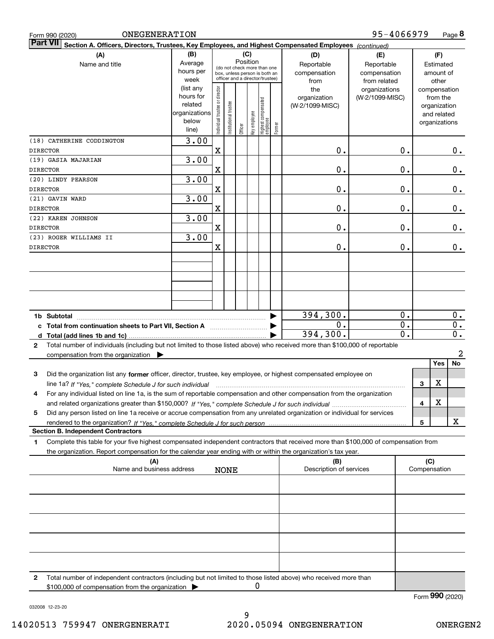| ONEGENERATION<br>Form 990 (2020)                                                                                                             |               |                                                                               |                      |         |              |                                   |              |                         | 95-4066979                       |                             |              |                          | Page 8           |
|----------------------------------------------------------------------------------------------------------------------------------------------|---------------|-------------------------------------------------------------------------------|----------------------|---------|--------------|-----------------------------------|--------------|-------------------------|----------------------------------|-----------------------------|--------------|--------------------------|------------------|
| <b>Part VII</b><br>Section A. Officers, Directors, Trustees, Key Employees, and Highest Compensated Employees (continued)                    |               |                                                                               |                      |         |              |                                   |              |                         |                                  |                             |              |                          |                  |
| (A)                                                                                                                                          | (B)           |                                                                               |                      |         | (C)          |                                   |              | (D)                     | (E)                              |                             |              | (F)                      |                  |
| Name and title                                                                                                                               | Average       |                                                                               |                      |         | Position     | (do not check more than one       |              | Reportable              | Reportable                       |                             |              | Estimated                |                  |
|                                                                                                                                              | week          | hours per<br>box, unless person is both an<br>officer and a director/trustee) |                      |         |              | compensation                      | compensation |                         |                                  | amount of                   |              |                          |                  |
|                                                                                                                                              | (list any     |                                                                               |                      |         |              |                                   |              | from<br>the             | from related                     |                             |              | other                    |                  |
|                                                                                                                                              | hours for     |                                                                               |                      |         |              |                                   |              | organization            | organizations<br>(W-2/1099-MISC) |                             |              | compensation<br>from the |                  |
|                                                                                                                                              | related       |                                                                               |                      |         |              |                                   |              | (W-2/1099-MISC)         |                                  |                             |              | organization             |                  |
|                                                                                                                                              | organizations |                                                                               |                      |         |              |                                   |              |                         |                                  |                             |              | and related              |                  |
|                                                                                                                                              | below         | Individual trustee or director                                                | nstitutional trustee |         | key employee | Highest compensated<br>  employee |              |                         |                                  |                             |              | organizations            |                  |
|                                                                                                                                              | line)         |                                                                               |                      | Officer |              |                                   | Former       |                         |                                  |                             |              |                          |                  |
| (18) CATHERINE CODDINGTON                                                                                                                    | 3.00          |                                                                               |                      |         |              |                                   |              |                         |                                  |                             |              |                          |                  |
| <b>DIRECTOR</b>                                                                                                                              |               | Χ                                                                             |                      |         |              |                                   |              | 0.                      |                                  | 0.                          |              |                          | 0.               |
| (19) GASIA MAJARIAN<br><b>DIRECTOR</b>                                                                                                       | 3.00          | Χ                                                                             |                      |         |              |                                   |              | 0.                      |                                  | 0.                          |              |                          | 0.               |
| (20) LINDY PEARSON                                                                                                                           | 3.00          |                                                                               |                      |         |              |                                   |              |                         |                                  |                             |              |                          |                  |
| <b>DIRECTOR</b>                                                                                                                              |               | $\mathbf X$                                                                   |                      |         |              |                                   |              | 0.                      |                                  | 0.                          |              |                          | 0.               |
| (21) GAVIN WARD                                                                                                                              | 3.00          |                                                                               |                      |         |              |                                   |              |                         |                                  |                             |              |                          |                  |
| <b>DIRECTOR</b>                                                                                                                              |               | $\mathbf X$                                                                   |                      |         |              |                                   |              | 0.                      |                                  | 0.                          |              |                          | 0.               |
| (22) KAREN JOHNSON                                                                                                                           | 3.00          |                                                                               |                      |         |              |                                   |              |                         |                                  |                             |              |                          |                  |
| <b>DIRECTOR</b>                                                                                                                              |               | $\mathbf X$                                                                   |                      |         |              |                                   |              | 0.                      |                                  | 0.                          |              |                          | 0.               |
| (23) ROGER WILLIAMS II                                                                                                                       | 3.00          |                                                                               |                      |         |              |                                   |              |                         |                                  |                             |              |                          |                  |
| <b>DIRECTOR</b>                                                                                                                              |               | $\mathbf X$                                                                   |                      |         |              |                                   |              | 0.                      |                                  | 0.                          |              |                          | 0.               |
|                                                                                                                                              |               |                                                                               |                      |         |              |                                   |              |                         |                                  |                             |              |                          |                  |
|                                                                                                                                              |               |                                                                               |                      |         |              |                                   |              |                         |                                  |                             |              |                          |                  |
|                                                                                                                                              |               |                                                                               |                      |         |              |                                   |              |                         |                                  |                             |              |                          |                  |
|                                                                                                                                              |               |                                                                               |                      |         |              |                                   |              |                         |                                  |                             |              |                          |                  |
|                                                                                                                                              |               |                                                                               |                      |         |              |                                   |              |                         |                                  |                             |              |                          |                  |
| 1b Subtotal                                                                                                                                  |               |                                                                               |                      |         |              |                                   |              | 394,300.                |                                  | 0.                          |              |                          | 0.               |
| c Total from continuation sheets to Part VII, Section A <b>manufarity</b> contains the Total Section A                                       |               |                                                                               |                      |         |              |                                   |              | 0.                      |                                  | $\overline{0}$ .            |              |                          | 0.               |
|                                                                                                                                              |               |                                                                               |                      |         |              |                                   |              | 394,300.                |                                  | $\overline{\mathfrak{o}}$ . |              |                          | $\overline{0}$ . |
| Total number of individuals (including but not limited to those listed above) who received more than \$100,000 of reportable<br>$\mathbf{2}$ |               |                                                                               |                      |         |              |                                   |              |                         |                                  |                             |              |                          |                  |
| compensation from the organization $\blacktriangleright$                                                                                     |               |                                                                               |                      |         |              |                                   |              |                         |                                  |                             |              |                          | $\overline{a}$   |
|                                                                                                                                              |               |                                                                               |                      |         |              |                                   |              |                         |                                  |                             |              | Yes                      | No               |
| Did the organization list any former officer, director, trustee, key employee, or highest compensated employee on<br>3                       |               |                                                                               |                      |         |              |                                   |              |                         |                                  |                             |              |                          |                  |
| line 1a? If "Yes," complete Schedule J for such individual manufactured contained and the Yes," complete Schedule J for such individual      |               |                                                                               |                      |         |              |                                   |              |                         |                                  |                             | 3            | X                        |                  |
| For any individual listed on line 1a, is the sum of reportable compensation and other compensation from the organization<br>4                |               |                                                                               |                      |         |              |                                   |              |                         |                                  |                             |              |                          |                  |
|                                                                                                                                              |               |                                                                               |                      |         |              |                                   |              |                         |                                  |                             | 4            | X                        |                  |
| Did any person listed on line 1a receive or accrue compensation from any unrelated organization or individual for services<br>5              |               |                                                                               |                      |         |              |                                   |              |                         |                                  |                             |              |                          |                  |
| <b>Section B. Independent Contractors</b>                                                                                                    |               |                                                                               |                      |         |              |                                   |              |                         |                                  |                             | 5            |                          | х                |
| Complete this table for your five highest compensated independent contractors that received more than \$100,000 of compensation from<br>1    |               |                                                                               |                      |         |              |                                   |              |                         |                                  |                             |              |                          |                  |
| the organization. Report compensation for the calendar year ending with or within the organization's tax year.                               |               |                                                                               |                      |         |              |                                   |              |                         |                                  |                             |              |                          |                  |
| (A)                                                                                                                                          |               |                                                                               |                      |         |              |                                   |              | (B)                     |                                  |                             | (C)          |                          |                  |
| Name and business address                                                                                                                    |               |                                                                               | <b>NONE</b>          |         |              |                                   |              | Description of services |                                  |                             | Compensation |                          |                  |
|                                                                                                                                              |               |                                                                               |                      |         |              |                                   |              |                         |                                  |                             |              |                          |                  |
|                                                                                                                                              |               |                                                                               |                      |         |              |                                   |              |                         |                                  |                             |              |                          |                  |
|                                                                                                                                              |               |                                                                               |                      |         |              |                                   |              |                         |                                  |                             |              |                          |                  |
|                                                                                                                                              |               |                                                                               |                      |         |              |                                   |              |                         |                                  |                             |              |                          |                  |
|                                                                                                                                              |               |                                                                               |                      |         |              |                                   |              |                         |                                  |                             |              |                          |                  |
|                                                                                                                                              |               |                                                                               |                      |         |              |                                   |              |                         |                                  |                             |              |                          |                  |
|                                                                                                                                              |               |                                                                               |                      |         |              |                                   |              |                         |                                  |                             |              |                          |                  |
|                                                                                                                                              |               |                                                                               |                      |         |              |                                   |              |                         |                                  |                             |              |                          |                  |
| Total number of independent contractors (including but not limited to those listed above) who received more than<br>2                        |               |                                                                               |                      |         |              |                                   |              |                         |                                  |                             |              |                          |                  |
| \$100,000 of compensation from the organization                                                                                              |               |                                                                               |                      |         | U            |                                   |              |                         |                                  |                             |              |                          |                  |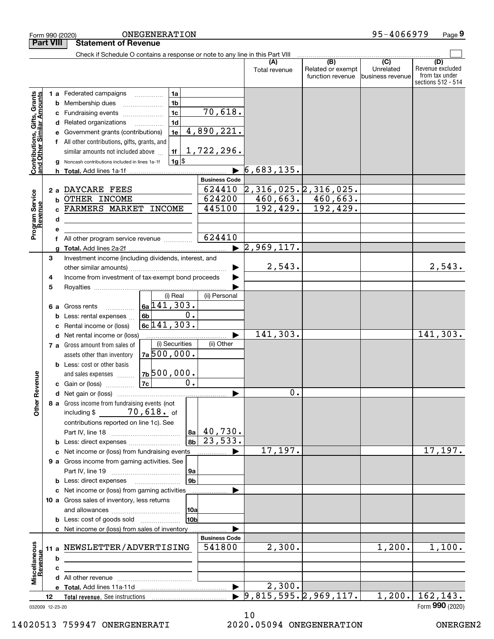|                                                                                         | <b>Part VIII</b> |                                  | <b>Statement of Revenue</b>                                                                                                                                                                                                                                                                                                       |                                                                                 |                      |                                                                                           |                                                 |                                              |                                                 |                                                                 |
|-----------------------------------------------------------------------------------------|------------------|----------------------------------|-----------------------------------------------------------------------------------------------------------------------------------------------------------------------------------------------------------------------------------------------------------------------------------------------------------------------------------|---------------------------------------------------------------------------------|----------------------|-------------------------------------------------------------------------------------------|-------------------------------------------------|----------------------------------------------|-------------------------------------------------|-----------------------------------------------------------------|
|                                                                                         |                  |                                  | Check if Schedule O contains a response or note to any line in this Part VIII                                                                                                                                                                                                                                                     |                                                                                 |                      |                                                                                           |                                                 |                                              |                                                 |                                                                 |
|                                                                                         |                  |                                  |                                                                                                                                                                                                                                                                                                                                   |                                                                                 |                      |                                                                                           | (A)<br>Total revenue                            | (B)<br>Related or exempt<br>function revenue | $\overline{C}$<br>Unrelated<br>business revenue | (D)<br>Revenue excluded<br>from tax under<br>sections 512 - 514 |
| Contributions, Gifts, Grants<br>and Other Similar Amounts<br>Program Service<br>Revenue |                  | b<br>с<br>d<br>f<br>h.<br>b<br>d | 1 a Federated campaigns<br>Membership dues<br>Fundraising events<br>Related organizations<br>Government grants (contributions)<br>All other contributions, gifts, grants, and<br>similar amounts not included above<br>Noncash contributions included in lines 1a-1f<br>2 a DAYCARE FEES<br>OTHER INCOME<br>FARMERS MARKET INCOME | 1a<br>1 <sub>b</sub><br>1 <sub>c</sub><br>1 <sub>d</sub><br>1e<br>1f<br>$1g$ \$ |                      | 70,618.<br>4,890,221.<br>1,722,296.<br><b>Business Code</b><br>624410<br>624200<br>445100 | 6,683,135.<br>2,316,025.2,316,025.<br>192, 429. | $460,663.$ $460,663.$<br>192,429.            |                                                 |                                                                 |
|                                                                                         |                  | f                                | All other program service revenue                                                                                                                                                                                                                                                                                                 |                                                                                 |                      | 624410                                                                                    |                                                 |                                              |                                                 |                                                                 |
|                                                                                         |                  |                                  |                                                                                                                                                                                                                                                                                                                                   |                                                                                 |                      |                                                                                           | $\blacktriangleright$ 2,969,117.                |                                              |                                                 |                                                                 |
|                                                                                         | 3<br>4<br>5      |                                  | Investment income (including dividends, interest, and<br>Income from investment of tax-exempt bond proceeds                                                                                                                                                                                                                       |                                                                                 |                      |                                                                                           | 2,543.                                          |                                              |                                                 | 2,543.                                                          |
|                                                                                         |                  |                                  |                                                                                                                                                                                                                                                                                                                                   | (i) Real                                                                        |                      | (ii) Personal                                                                             |                                                 |                                              |                                                 |                                                                 |
| Revenue                                                                                 |                  | 6а<br>b<br>c                     | Gross rents<br>Less: rental expenses<br>Rental income or (loss)                                                                                                                                                                                                                                                                   | $6a$ 141, 303.<br>6b<br>$6c$ 141, 303.                                          | 0.                   |                                                                                           |                                                 |                                              |                                                 |                                                                 |
|                                                                                         |                  | d                                | Net rental income or (loss)                                                                                                                                                                                                                                                                                                       |                                                                                 |                      |                                                                                           | 141,303.                                        |                                              |                                                 | 141,303.                                                        |
|                                                                                         |                  |                                  | 7 a Gross amount from sales of<br>assets other than inventory<br><b>b</b> Less: cost or other basis<br>and sales expenses<br>c Gain or (loss)                                                                                                                                                                                     | (i) Securities<br>7a500,000.<br>7b500,000.<br> 7c                               | $\overline{0}$ .     | (ii) Other                                                                                |                                                 |                                              |                                                 |                                                                 |
|                                                                                         |                  |                                  |                                                                                                                                                                                                                                                                                                                                   |                                                                                 |                      | ▶                                                                                         | 0.                                              |                                              |                                                 |                                                                 |
| <b>Other</b>                                                                            |                  |                                  | 8 a Gross income from fundraising events (not<br>including $$70,618.$ of<br>contributions reported on line 1c). See<br><b>b</b> Less: direct expenses                                                                                                                                                                             |                                                                                 | 8b                   | $ a_1 $ 40,730.<br>$\sqrt{23,533}$ .                                                      |                                                 |                                              |                                                 |                                                                 |
|                                                                                         |                  |                                  | c Net income or (loss) from fundraising events                                                                                                                                                                                                                                                                                    |                                                                                 |                      | $\ldots \ldots \ldots$                                                                    | 17, 197.                                        |                                              |                                                 | 17,197.                                                         |
|                                                                                         |                  |                                  | 9 a Gross income from gaming activities. See<br><b>b</b> Less: direct expenses <b>manually</b>                                                                                                                                                                                                                                    |                                                                                 | 9a<br>9 <sub>b</sub> |                                                                                           |                                                 |                                              |                                                 |                                                                 |
|                                                                                         |                  |                                  | c Net income or (loss) from gaming activities                                                                                                                                                                                                                                                                                     |                                                                                 |                      |                                                                                           |                                                 |                                              |                                                 |                                                                 |
|                                                                                         |                  |                                  | 10 a Gross sales of inventory, less returns<br><b>b</b> Less: cost of goods sold                                                                                                                                                                                                                                                  |                                                                                 | 10a<br>l10b          |                                                                                           |                                                 |                                              |                                                 |                                                                 |
|                                                                                         |                  |                                  | c Net income or (loss) from sales of inventory                                                                                                                                                                                                                                                                                    |                                                                                 |                      |                                                                                           |                                                 |                                              |                                                 |                                                                 |
| Miscellaneous                                                                           |                  | b                                | 11 a NEWSLETTER/ADVERTISING                                                                                                                                                                                                                                                                                                       |                                                                                 |                      | <b>Business Code</b><br>541800                                                            | 2,300.                                          |                                              | 1,200.                                          | 1,100.                                                          |
| Revenue                                                                                 |                  | с                                |                                                                                                                                                                                                                                                                                                                                   |                                                                                 |                      |                                                                                           |                                                 |                                              |                                                 |                                                                 |
|                                                                                         |                  |                                  |                                                                                                                                                                                                                                                                                                                                   |                                                                                 |                      |                                                                                           |                                                 |                                              |                                                 |                                                                 |
|                                                                                         |                  |                                  |                                                                                                                                                                                                                                                                                                                                   |                                                                                 |                      | $\blacktriangleright$                                                                     | 2,300.                                          |                                              |                                                 |                                                                 |
| 032009 12-23-20                                                                         | 12               |                                  |                                                                                                                                                                                                                                                                                                                                   |                                                                                 |                      |                                                                                           |                                                 | $\triangleright$ 9,815,595.2,969,117.        | 1,200.                                          | 162, 143.<br>Form 990 (2020)                                    |

Form 990 (2020) ONEGENERA'I'LON 9 5~4 U 6 6 9 7 9 Page

ONEGENERATION 95-4066979

**9**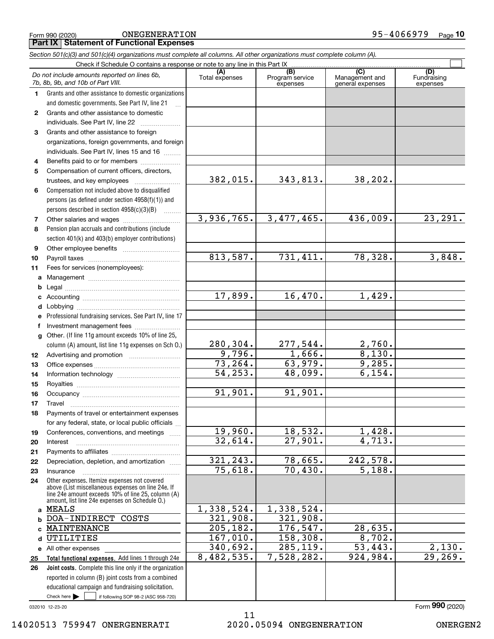**Part IX Statement of Functional Expenses**

|              | Section 501(c)(3) and 501(c)(4) organizations must complete all columns. All other organizations must complete column (A).                                                                                 |                       |                                    |                                           |                                |  |  |  |  |  |  |  |
|--------------|------------------------------------------------------------------------------------------------------------------------------------------------------------------------------------------------------------|-----------------------|------------------------------------|-------------------------------------------|--------------------------------|--|--|--|--|--|--|--|
|              | Check if Schedule O contains a response or note to any line in this Part IX                                                                                                                                |                       |                                    |                                           |                                |  |  |  |  |  |  |  |
|              | Do not include amounts reported on lines 6b,<br>7b, 8b, 9b, and 10b of Part VIII.                                                                                                                          | (A)<br>Total expenses | (B)<br>Program service<br>expenses | (C)<br>Management and<br>general expenses | (D)<br>Fundraising<br>expenses |  |  |  |  |  |  |  |
| 1.           | Grants and other assistance to domestic organizations                                                                                                                                                      |                       |                                    |                                           |                                |  |  |  |  |  |  |  |
|              | and domestic governments. See Part IV, line 21                                                                                                                                                             |                       |                                    |                                           |                                |  |  |  |  |  |  |  |
| $\mathbf{2}$ | Grants and other assistance to domestic                                                                                                                                                                    |                       |                                    |                                           |                                |  |  |  |  |  |  |  |
|              | individuals. See Part IV, line 22                                                                                                                                                                          |                       |                                    |                                           |                                |  |  |  |  |  |  |  |
| 3            | Grants and other assistance to foreign                                                                                                                                                                     |                       |                                    |                                           |                                |  |  |  |  |  |  |  |
|              | organizations, foreign governments, and foreign                                                                                                                                                            |                       |                                    |                                           |                                |  |  |  |  |  |  |  |
|              | individuals. See Part IV, lines 15 and 16                                                                                                                                                                  |                       |                                    |                                           |                                |  |  |  |  |  |  |  |
| 4            | Benefits paid to or for members                                                                                                                                                                            |                       |                                    |                                           |                                |  |  |  |  |  |  |  |
| 5            | Compensation of current officers, directors,                                                                                                                                                               |                       |                                    |                                           |                                |  |  |  |  |  |  |  |
|              | trustees, and key employees                                                                                                                                                                                | 382,015.              | 343,813.                           | 38,202.                                   |                                |  |  |  |  |  |  |  |
| 6            | Compensation not included above to disqualified                                                                                                                                                            |                       |                                    |                                           |                                |  |  |  |  |  |  |  |
|              | persons (as defined under section 4958(f)(1)) and                                                                                                                                                          |                       |                                    |                                           |                                |  |  |  |  |  |  |  |
|              | persons described in section 4958(c)(3)(B)                                                                                                                                                                 |                       |                                    |                                           |                                |  |  |  |  |  |  |  |
| 7            |                                                                                                                                                                                                            | 3,936,765.            | 3,477,465.                         | 436,009.                                  | 23, 291.                       |  |  |  |  |  |  |  |
| 8            | Pension plan accruals and contributions (include                                                                                                                                                           |                       |                                    |                                           |                                |  |  |  |  |  |  |  |
|              | section 401(k) and 403(b) employer contributions)                                                                                                                                                          |                       |                                    |                                           |                                |  |  |  |  |  |  |  |
| 9            |                                                                                                                                                                                                            |                       |                                    |                                           |                                |  |  |  |  |  |  |  |
| 10           |                                                                                                                                                                                                            | 813,587.              | 731,411.                           | 78,328.                                   | 3,848.                         |  |  |  |  |  |  |  |
| 11           | Fees for services (nonemployees):                                                                                                                                                                          |                       |                                    |                                           |                                |  |  |  |  |  |  |  |
| a            |                                                                                                                                                                                                            |                       |                                    |                                           |                                |  |  |  |  |  |  |  |
| b            |                                                                                                                                                                                                            |                       |                                    |                                           |                                |  |  |  |  |  |  |  |
| c            |                                                                                                                                                                                                            | 17,899.               | 16,470.                            | 1,429.                                    |                                |  |  |  |  |  |  |  |
| d            |                                                                                                                                                                                                            |                       |                                    |                                           |                                |  |  |  |  |  |  |  |
| е            | Professional fundraising services. See Part IV, line 17                                                                                                                                                    |                       |                                    |                                           |                                |  |  |  |  |  |  |  |
| f            | Investment management fees                                                                                                                                                                                 |                       |                                    |                                           |                                |  |  |  |  |  |  |  |
| g            | Other. (If line 11g amount exceeds 10% of line 25,                                                                                                                                                         |                       |                                    |                                           |                                |  |  |  |  |  |  |  |
|              | column (A) amount, list line 11g expenses on Sch O.)                                                                                                                                                       | 280,304.              | 277,544.                           | 2,760.                                    |                                |  |  |  |  |  |  |  |
| 12           |                                                                                                                                                                                                            | 9,796.                | 1,666.                             | 8,130.                                    |                                |  |  |  |  |  |  |  |
| 13           |                                                                                                                                                                                                            | 73, 264.              | 63,979.                            | 9,285.                                    |                                |  |  |  |  |  |  |  |
| 14           |                                                                                                                                                                                                            | $\overline{54,253}$ . | 48,099.                            | 6,154.                                    |                                |  |  |  |  |  |  |  |
| 15           |                                                                                                                                                                                                            |                       |                                    |                                           |                                |  |  |  |  |  |  |  |
| 16           |                                                                                                                                                                                                            | 91,901.               | 91,901.                            |                                           |                                |  |  |  |  |  |  |  |
| 17           |                                                                                                                                                                                                            |                       |                                    |                                           |                                |  |  |  |  |  |  |  |
| 18           | Payments of travel or entertainment expenses                                                                                                                                                               |                       |                                    |                                           |                                |  |  |  |  |  |  |  |
|              | for any federal, state, or local public officials                                                                                                                                                          |                       |                                    |                                           |                                |  |  |  |  |  |  |  |
| 19           | Conferences, conventions, and meetings                                                                                                                                                                     | 19,960.               | 18,532.                            | 1,428.                                    |                                |  |  |  |  |  |  |  |
| 20           | Interest                                                                                                                                                                                                   | 32,614.               | 27,901.                            | 4,713.                                    |                                |  |  |  |  |  |  |  |
| 21           |                                                                                                                                                                                                            |                       |                                    |                                           |                                |  |  |  |  |  |  |  |
| 22           | Depreciation, depletion, and amortization                                                                                                                                                                  | 321, 243.             | 78,665.                            | 242,578.                                  |                                |  |  |  |  |  |  |  |
| 23           | Insurance                                                                                                                                                                                                  | 75,618.               | 70,430.                            | $\overline{5,188}$ .                      |                                |  |  |  |  |  |  |  |
| 24           | Other expenses. Itemize expenses not covered<br>above (List miscellaneous expenses on line 24e. If<br>line 24e amount exceeds 10% of line 25, column (A)<br>amount, list line 24e expenses on Schedule O.) |                       |                                    |                                           |                                |  |  |  |  |  |  |  |
|              | a MEALS                                                                                                                                                                                                    | 1,338,524.            | 1,338,524.                         |                                           |                                |  |  |  |  |  |  |  |
| b            | DOA-INDIRECT COSTS                                                                                                                                                                                         | 321,908.              | 321,908.                           |                                           |                                |  |  |  |  |  |  |  |
| c            | MAINTENANCE                                                                                                                                                                                                | 205, 182.             | 176, 547.                          | 28,635.                                   |                                |  |  |  |  |  |  |  |
| d            | UTILITIES                                                                                                                                                                                                  | 167,010.              | 158,308.                           | 8,702.                                    |                                |  |  |  |  |  |  |  |
|              | e All other expenses                                                                                                                                                                                       | 340,692.              | 285, 119.                          | $\overline{53,443.}$                      | 2,130.                         |  |  |  |  |  |  |  |
| 25           | Total functional expenses. Add lines 1 through 24e                                                                                                                                                         | 8,482,535.            | 7,528,282.                         | 924,984.                                  | 29,269.                        |  |  |  |  |  |  |  |
| 26           | Joint costs. Complete this line only if the organization                                                                                                                                                   |                       |                                    |                                           |                                |  |  |  |  |  |  |  |
|              | reported in column (B) joint costs from a combined                                                                                                                                                         |                       |                                    |                                           |                                |  |  |  |  |  |  |  |
|              | educational campaign and fundraising solicitation.                                                                                                                                                         |                       |                                    |                                           |                                |  |  |  |  |  |  |  |
|              | Check here $\blacktriangleright$<br>if following SOP 98-2 (ASC 958-720)                                                                                                                                    |                       |                                    |                                           |                                |  |  |  |  |  |  |  |

032010 12-23-20

Form (2020) **990**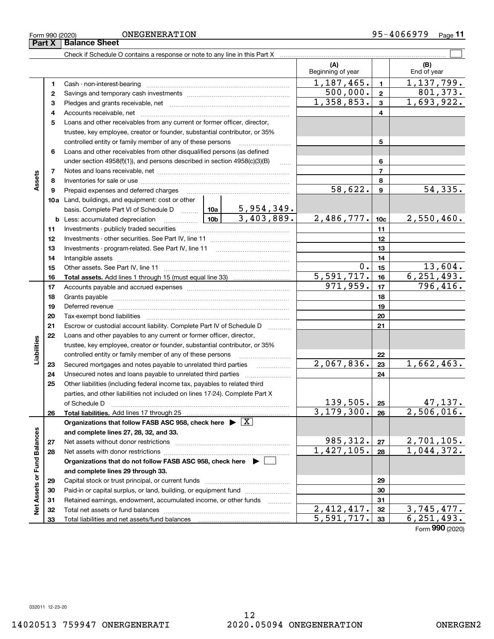Ē.

Form 990 (2020) ONEGENERA'I'LON 9 5-4 0 6 6 9 7 9 Page ONEGENERATION

|                             | Part X   | <b>Balance Sheet</b>                                                                                                                                        |  |            |                          |                  |                    |
|-----------------------------|----------|-------------------------------------------------------------------------------------------------------------------------------------------------------------|--|------------|--------------------------|------------------|--------------------|
|                             |          | Check if Schedule O contains a response or note to any line in this Part X [111] Check if Schedule O contains a response or note to any line in this Part X |  |            |                          |                  |                    |
|                             |          |                                                                                                                                                             |  |            | (A)<br>Beginning of year |                  | (B)<br>End of year |
|                             | 1        |                                                                                                                                                             |  |            | 1,187,465.               | $\mathbf{1}$     | 1,137,799.         |
|                             | 2        |                                                                                                                                                             |  |            | 500,000.                 | $\overline{2}$   | 801, 373.          |
|                             | з        |                                                                                                                                                             |  |            | 1,358,853.               | 3                | 1,693,922.         |
|                             | 4        |                                                                                                                                                             |  |            | 4                        |                  |                    |
|                             | 5        | Loans and other receivables from any current or former officer, director,                                                                                   |  |            |                          |                  |                    |
|                             |          | trustee, key employee, creator or founder, substantial contributor, or 35%                                                                                  |  |            |                          |                  |                    |
|                             |          | controlled entity or family member of any of these persons                                                                                                  |  |            |                          | 5                |                    |
|                             | 6        | Loans and other receivables from other disqualified persons (as defined                                                                                     |  |            |                          |                  |                    |
|                             |          | under section $4958(f)(1)$ , and persons described in section $4958(c)(3)(B)$                                                                               |  | $\ldots$   |                          | 6                |                    |
|                             | 7        |                                                                                                                                                             |  |            |                          | $\overline{7}$   |                    |
| Assets                      | 8        |                                                                                                                                                             |  |            | 8                        |                  |                    |
|                             | 9        | Prepaid expenses and deferred charges                                                                                                                       |  |            | 58,622.                  | $\boldsymbol{9}$ | 54, 335.           |
|                             |          | <b>10a</b> Land, buildings, and equipment: cost or other                                                                                                    |  |            |                          |                  |                    |
|                             |          |                                                                                                                                                             |  |            |                          |                  |                    |
|                             | b        | <u>  1</u> 0b<br>Less: accumulated depreciation                                                                                                             |  | 2,486,777. | 10 <sub>c</sub>          | 2,550,460.       |                    |
|                             | 11       |                                                                                                                                                             |  |            | 11                       |                  |                    |
|                             | 12       |                                                                                                                                                             |  | 12         |                          |                  |                    |
|                             | 13       |                                                                                                                                                             |  | 13         |                          |                  |                    |
|                             | 14       |                                                                                                                                                             |  | 14         |                          |                  |                    |
|                             | 15       |                                                                                                                                                             |  |            | 0.                       | 15               | 13,604.            |
|                             | 16       |                                                                                                                                                             |  |            | 5,591,717.               | 16               | 6, 251, 493.       |
|                             | 17       |                                                                                                                                                             |  |            | 971,959.                 | 17               | 796,416.           |
|                             | 18       |                                                                                                                                                             |  | 18         |                          |                  |                    |
|                             | 19       | Deferred revenue manual contracts and contracts are all the manual contracts and contracts are the contracts of                                             |  | 19         |                          |                  |                    |
|                             | 20       |                                                                                                                                                             |  |            |                          | 20               |                    |
|                             | 21       | Escrow or custodial account liability. Complete Part IV of Schedule D                                                                                       |  | .          |                          | 21               |                    |
|                             | 22       | Loans and other payables to any current or former officer, director,                                                                                        |  |            |                          |                  |                    |
|                             |          | trustee, key employee, creator or founder, substantial contributor, or 35%                                                                                  |  |            |                          |                  |                    |
| Liabilities                 |          | controlled entity or family member of any of these persons                                                                                                  |  |            | 2,067,836.               | 22<br>23         | 1,662,463.         |
|                             | 23<br>24 | Secured mortgages and notes payable to unrelated third parties<br>Unsecured notes and loans payable to unrelated third parties                              |  |            |                          | 24               |                    |
|                             | 25       | Other liabilities (including federal income tax, payables to related third                                                                                  |  |            |                          |                  |                    |
|                             |          | parties, and other liabilities not included on lines 17-24). Complete Part X                                                                                |  |            |                          |                  |                    |
|                             |          | of Schedule D                                                                                                                                               |  |            | 139,505.                 | 25               | 47, 137.           |
|                             | 26       | Total liabilities. Add lines 17 through 25                                                                                                                  |  |            | 3, 179, 300.             | 26               | 2,506,016.         |
|                             |          | Organizations that follow FASB ASC 958, check here $\blacktriangleright \boxed{X}$                                                                          |  |            |                          |                  |                    |
|                             |          | and complete lines 27, 28, 32, and 33.                                                                                                                      |  |            |                          |                  |                    |
|                             | 27       | Net assets without donor restrictions                                                                                                                       |  |            | 985, 312.                | 27               | 2,701,105.         |
|                             | 28       | Net assets with donor restrictions                                                                                                                          |  |            | 1,427,105.               | 28               | 1,044,372.         |
|                             |          | Organizations that do not follow FASB ASC 958, check here $\blacktriangleright$                                                                             |  |            |                          |                  |                    |
|                             |          | and complete lines 29 through 33.                                                                                                                           |  |            |                          |                  |                    |
| Net Assets or Fund Balances | 29       |                                                                                                                                                             |  |            |                          | 29               |                    |
|                             | 30       | Paid-in or capital surplus, or land, building, or equipment fund                                                                                            |  |            |                          | 30               |                    |
|                             | 31       | Retained earnings, endowment, accumulated income, or other funds                                                                                            |  | .          |                          | 31               |                    |
|                             | 32       |                                                                                                                                                             |  |            | $\overline{2,412,417}$ . | 32               | 3,745,477.         |
|                             | 33       |                                                                                                                                                             |  |            | 5,591,717.               | 33               | 6, 251, 493.       |

Form (2020) **990**

 $\overline{a}$ 

 $\overline{\phantom{a}}$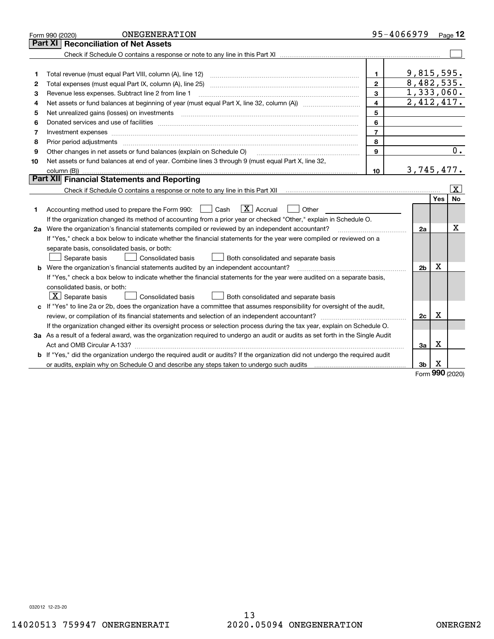|    | ONEGENERATION<br>Form 990 (2020)                                                                                                |                         | 95-4066979     |                 | Page 12   |
|----|---------------------------------------------------------------------------------------------------------------------------------|-------------------------|----------------|-----------------|-----------|
|    | Part XI<br><b>Reconciliation of Net Assets</b>                                                                                  |                         |                |                 |           |
|    |                                                                                                                                 |                         |                |                 |           |
|    |                                                                                                                                 |                         |                |                 |           |
| 1  | Total revenue (must equal Part VIII, column (A), line 12)                                                                       | $\mathbf{1}$            | 9,815,595.     |                 |           |
| 2  | Total expenses (must equal Part IX, column (A), line 25)                                                                        | $\overline{2}$          | 8,482,535.     |                 |           |
| з  | Revenue less expenses. Subtract line 2 from line 1                                                                              | 3                       | 1,333,060.     |                 |           |
| 4  |                                                                                                                                 | $\overline{\mathbf{4}}$ | 2,412,417.     |                 |           |
| 5  |                                                                                                                                 | 5                       |                |                 |           |
| 6  |                                                                                                                                 | 6                       |                |                 |           |
| 7  | Investment expenses www.communication.com/www.communication.com/www.communication.com/www.com                                   | $\overline{7}$          |                |                 |           |
| 8  | Prior period adjustments                                                                                                        | 8                       |                |                 |           |
| 9  | Other changes in net assets or fund balances (explain on Schedule O)                                                            | 9                       |                |                 | 0.        |
| 10 | Net assets or fund balances at end of year. Combine lines 3 through 9 (must equal Part X, line 32,                              |                         |                |                 |           |
|    |                                                                                                                                 | 10                      | 3,745,477.     |                 |           |
|    | Part XII Financial Statements and Reporting                                                                                     |                         |                |                 |           |
|    |                                                                                                                                 |                         |                |                 | x         |
|    |                                                                                                                                 |                         |                | <b>Yes</b>      | <b>No</b> |
| 1  | $\boxed{\mathbf{X}}$ Accrual<br>Accounting method used to prepare the Form 990: <u>[</u> Cash<br>Other                          |                         |                |                 |           |
|    | If the organization changed its method of accounting from a prior year or checked "Other," explain in Schedule O.               |                         |                |                 |           |
|    | 2a Were the organization's financial statements compiled or reviewed by an independent accountant?                              |                         | 2a             |                 | х         |
|    | If "Yes," check a box below to indicate whether the financial statements for the year were compiled or reviewed on a            |                         |                |                 |           |
|    | separate basis, consolidated basis, or both:                                                                                    |                         |                |                 |           |
|    | Both consolidated and separate basis<br>Separate basis<br>Consolidated basis                                                    |                         |                |                 |           |
|    | <b>b</b> Were the organization's financial statements audited by an independent accountant?                                     |                         | 2 <sub>b</sub> | х               |           |
|    | If "Yes," check a box below to indicate whether the financial statements for the year were audited on a separate basis,         |                         |                |                 |           |
|    | consolidated basis, or both:                                                                                                    |                         |                |                 |           |
|    | $\vert$ X $\vert$ Separate basis<br>Consolidated basis<br>Both consolidated and separate basis                                  |                         |                |                 |           |
|    | c If "Yes" to line 2a or 2b, does the organization have a committee that assumes responsibility for oversight of the audit,     |                         |                |                 |           |
|    |                                                                                                                                 |                         | 2c             | Х               |           |
|    | If the organization changed either its oversight process or selection process during the tax year, explain on Schedule O.       |                         |                |                 |           |
|    | 3a As a result of a federal award, was the organization required to undergo an audit or audits as set forth in the Single Audit |                         |                |                 |           |
|    |                                                                                                                                 |                         | Зa             | х               |           |
|    | b If "Yes," did the organization undergo the required audit or audits? If the organization did not undergo the required audit   |                         |                |                 |           |
|    |                                                                                                                                 |                         | 3b             | х<br><b>nnn</b> |           |

Form (2020) **990**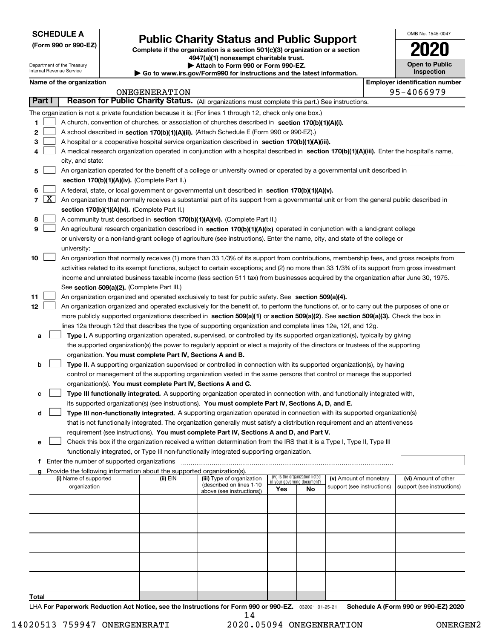**(Form 990 or 990-EZ)**

# **Public Charity Status and Public Support**

**Complete if the organization is a section 501(c)(3) organization or a section 4947(a)(1) nonexempt charitable trust. | Attach to Form 990 or Form 990-EZ.** 

| OMB No. 1545-0047                   |
|-------------------------------------|
| 112                                 |
| <b>Open to Public</b><br>Inspection |

| Department of the Treasury<br>Internal Revenue Service |                                                      |  |                                                                        | Attach to Form 990 or Form 990-EZ.<br>$\blacktriangleright$ Go to www.irs.gov/Form990 for instructions and the latest information.           |     |                                                                |                            |  |                                       |  |
|--------------------------------------------------------|------------------------------------------------------|--|------------------------------------------------------------------------|----------------------------------------------------------------------------------------------------------------------------------------------|-----|----------------------------------------------------------------|----------------------------|--|---------------------------------------|--|
|                                                        | Name of the organization                             |  |                                                                        |                                                                                                                                              |     |                                                                |                            |  | <b>Employer identification number</b> |  |
|                                                        |                                                      |  | ONEGENERATION                                                          |                                                                                                                                              |     |                                                                |                            |  | 95-4066979                            |  |
| Part I                                                 |                                                      |  |                                                                        | Reason for Public Charity Status. (All organizations must complete this part.) See instructions.                                             |     |                                                                |                            |  |                                       |  |
|                                                        |                                                      |  |                                                                        | The organization is not a private foundation because it is: (For lines 1 through 12, check only one box.)                                    |     |                                                                |                            |  |                                       |  |
| 1                                                      |                                                      |  |                                                                        | A church, convention of churches, or association of churches described in section 170(b)(1)(A)(i).                                           |     |                                                                |                            |  |                                       |  |
| 2                                                      |                                                      |  |                                                                        | A school described in section 170(b)(1)(A)(ii). (Attach Schedule E (Form 990 or 990-EZ).)                                                    |     |                                                                |                            |  |                                       |  |
| з                                                      |                                                      |  |                                                                        | A hospital or a cooperative hospital service organization described in section 170(b)(1)(A)(iii).                                            |     |                                                                |                            |  |                                       |  |
| 4                                                      |                                                      |  |                                                                        | A medical research organization operated in conjunction with a hospital described in section 170(b)(1)(A)(iii). Enter the hospital's name,   |     |                                                                |                            |  |                                       |  |
|                                                        | city, and state:                                     |  |                                                                        |                                                                                                                                              |     |                                                                |                            |  |                                       |  |
| 5                                                      |                                                      |  |                                                                        | An organization operated for the benefit of a college or university owned or operated by a governmental unit described in                    |     |                                                                |                            |  |                                       |  |
|                                                        | section 170(b)(1)(A)(iv). (Complete Part II.)        |  |                                                                        |                                                                                                                                              |     |                                                                |                            |  |                                       |  |
| 6                                                      |                                                      |  |                                                                        | A federal, state, or local government or governmental unit described in section 170(b)(1)(A)(v).                                             |     |                                                                |                            |  |                                       |  |
| 7   X                                                  |                                                      |  |                                                                        | An organization that normally receives a substantial part of its support from a governmental unit or from the general public described in    |     |                                                                |                            |  |                                       |  |
|                                                        |                                                      |  | section 170(b)(1)(A)(vi). (Complete Part II.)                          |                                                                                                                                              |     |                                                                |                            |  |                                       |  |
| 8                                                      |                                                      |  |                                                                        | A community trust described in section 170(b)(1)(A)(vi). (Complete Part II.)                                                                 |     |                                                                |                            |  |                                       |  |
| 9                                                      |                                                      |  |                                                                        | An agricultural research organization described in section 170(b)(1)(A)(ix) operated in conjunction with a land-grant college                |     |                                                                |                            |  |                                       |  |
|                                                        |                                                      |  |                                                                        | or university or a non-land-grant college of agriculture (see instructions). Enter the name, city, and state of the college or               |     |                                                                |                            |  |                                       |  |
|                                                        | university:                                          |  |                                                                        |                                                                                                                                              |     |                                                                |                            |  |                                       |  |
| 10                                                     |                                                      |  |                                                                        | An organization that normally receives (1) more than 33 1/3% of its support from contributions, membership fees, and gross receipts from     |     |                                                                |                            |  |                                       |  |
|                                                        |                                                      |  |                                                                        | activities related to its exempt functions, subject to certain exceptions; and (2) no more than 33 1/3% of its support from gross investment |     |                                                                |                            |  |                                       |  |
|                                                        |                                                      |  |                                                                        | income and unrelated business taxable income (less section 511 tax) from businesses acquired by the organization after June 30, 1975.        |     |                                                                |                            |  |                                       |  |
|                                                        |                                                      |  | See section 509(a)(2). (Complete Part III.)                            |                                                                                                                                              |     |                                                                |                            |  |                                       |  |
| 11                                                     |                                                      |  |                                                                        | An organization organized and operated exclusively to test for public safety. See section 509(a)(4).                                         |     |                                                                |                            |  |                                       |  |
| 12                                                     |                                                      |  |                                                                        | An organization organized and operated exclusively for the benefit of, to perform the functions of, or to carry out the purposes of one or   |     |                                                                |                            |  |                                       |  |
|                                                        |                                                      |  |                                                                        | more publicly supported organizations described in section 509(a)(1) or section 509(a)(2). See section 509(a)(3). Check the box in           |     |                                                                |                            |  |                                       |  |
|                                                        |                                                      |  |                                                                        | lines 12a through 12d that describes the type of supporting organization and complete lines 12e, 12f, and 12g.                               |     |                                                                |                            |  |                                       |  |
| а                                                      |                                                      |  |                                                                        | Type I. A supporting organization operated, supervised, or controlled by its supported organization(s), typically by giving                  |     |                                                                |                            |  |                                       |  |
|                                                        |                                                      |  |                                                                        | the supported organization(s) the power to regularly appoint or elect a majority of the directors or trustees of the supporting              |     |                                                                |                            |  |                                       |  |
|                                                        |                                                      |  | organization. You must complete Part IV, Sections A and B.             |                                                                                                                                              |     |                                                                |                            |  |                                       |  |
| b                                                      |                                                      |  |                                                                        | Type II. A supporting organization supervised or controlled in connection with its supported organization(s), by having                      |     |                                                                |                            |  |                                       |  |
|                                                        |                                                      |  |                                                                        | control or management of the supporting organization vested in the same persons that control or manage the supported                         |     |                                                                |                            |  |                                       |  |
|                                                        |                                                      |  | organization(s). You must complete Part IV, Sections A and C.          |                                                                                                                                              |     |                                                                |                            |  |                                       |  |
| с                                                      |                                                      |  |                                                                        | Type III functionally integrated. A supporting organization operated in connection with, and functionally integrated with,                   |     |                                                                |                            |  |                                       |  |
|                                                        |                                                      |  |                                                                        | its supported organization(s) (see instructions). You must complete Part IV, Sections A, D, and E.                                           |     |                                                                |                            |  |                                       |  |
| d                                                      |                                                      |  |                                                                        | Type III non-functionally integrated. A supporting organization operated in connection with its supported organization(s)                    |     |                                                                |                            |  |                                       |  |
|                                                        |                                                      |  |                                                                        | that is not functionally integrated. The organization generally must satisfy a distribution requirement and an attentiveness                 |     |                                                                |                            |  |                                       |  |
|                                                        |                                                      |  |                                                                        | requirement (see instructions). You must complete Part IV, Sections A and D, and Part V.                                                     |     |                                                                |                            |  |                                       |  |
| е                                                      |                                                      |  |                                                                        | Check this box if the organization received a written determination from the IRS that it is a Type I, Type II, Type III                      |     |                                                                |                            |  |                                       |  |
|                                                        |                                                      |  |                                                                        | functionally integrated, or Type III non-functionally integrated supporting organization.                                                    |     |                                                                |                            |  |                                       |  |
|                                                        | <b>f</b> Enter the number of supported organizations |  |                                                                        |                                                                                                                                              |     |                                                                |                            |  |                                       |  |
| g                                                      |                                                      |  | Provide the following information about the supported organization(s). |                                                                                                                                              |     |                                                                |                            |  |                                       |  |
|                                                        | (i) Name of supported                                |  | (ii) EIN                                                               | (iii) Type of organization<br>(described on lines 1-10                                                                                       |     | (iv) Is the organization listed<br>in your governing document? | (v) Amount of monetary     |  | (vi) Amount of other                  |  |
|                                                        | organization                                         |  |                                                                        | above (see instructions))                                                                                                                    | Yes | No                                                             | support (see instructions) |  | support (see instructions)            |  |
|                                                        |                                                      |  |                                                                        |                                                                                                                                              |     |                                                                |                            |  |                                       |  |
|                                                        |                                                      |  |                                                                        |                                                                                                                                              |     |                                                                |                            |  |                                       |  |
|                                                        |                                                      |  |                                                                        |                                                                                                                                              |     |                                                                |                            |  |                                       |  |
|                                                        |                                                      |  |                                                                        |                                                                                                                                              |     |                                                                |                            |  |                                       |  |
|                                                        |                                                      |  |                                                                        |                                                                                                                                              |     |                                                                |                            |  |                                       |  |
|                                                        |                                                      |  |                                                                        |                                                                                                                                              |     |                                                                |                            |  |                                       |  |
|                                                        |                                                      |  |                                                                        |                                                                                                                                              |     |                                                                |                            |  |                                       |  |
|                                                        |                                                      |  |                                                                        |                                                                                                                                              |     |                                                                |                            |  |                                       |  |
|                                                        |                                                      |  |                                                                        |                                                                                                                                              |     |                                                                |                            |  |                                       |  |
|                                                        |                                                      |  |                                                                        |                                                                                                                                              |     |                                                                |                            |  |                                       |  |

**Total**

LHA For Paperwork Reduction Act Notice, see the Instructions for Form 990 or 990-EZ. <sub>032021</sub> o1-25-21 Schedule A (Form 990 or 990-EZ) 2020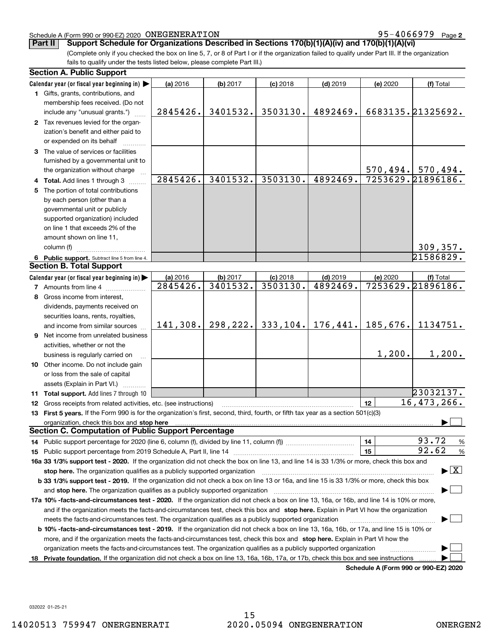#### Schedule A (Form 990 or 990-EZ) 2020 Page ONEGENERATION 95-4066979

**2**

**Part II** Support Schedule for Organizations Described in Sections 170(b)(1)(A)(iv) and 170(b)(1)(A)(vi)

(Complete only if you checked the box on line 5, 7, or 8 of Part I or if the organization failed to qualify under Part III. If the organization fails to qualify under the tests listed below, please complete Part III.)

| Calendar year (or fiscal year beginning in) $\blacktriangleright$<br>(a) 2016<br>(b) 2017<br>$(c)$ 2018<br>$(d)$ 2019<br>(e) 2020<br>(f) Total<br>1 Gifts, grants, contributions, and<br>membership fees received. (Do not<br>6683135.21325692.<br>3401532.<br>3503130.<br>4892469.<br>2845426.<br>include any "unusual grants.")<br>2 Tax revenues levied for the organ-<br>ization's benefit and either paid to<br>or expended on its behalf<br>3 The value of services or facilities<br>furnished by a governmental unit to<br>$570, 494.$ 570, 494.<br>the organization without charge<br>7253629.21896186.<br>2845426.<br>3401532.<br>3503130.<br>4892469.<br>4 Total. Add lines 1 through 3<br>5 The portion of total contributions<br>by each person (other than a<br>governmental unit or publicly<br>supported organization) included<br>on line 1 that exceeds 2% of the<br>amount shown on line 11,<br>309, 357.<br>column (f)<br>21586829.<br>6 Public support. Subtract line 5 from line 4.<br><b>Section B. Total Support</b><br>Calendar year (or fiscal year beginning in)<br>(a) 2016<br>(b) 2017<br>$(d)$ 2019<br>$(c)$ 2018<br>(e) 2020<br>(f) Total<br>7253629.21896186.<br>3401532.<br>3503130.<br>4892469.<br>2845426.<br><b>7</b> Amounts from line 4<br>8 Gross income from interest,<br>dividends, payments received on<br>securities loans, rents, royalties,<br>298, 222.<br>333,104.<br>176,441.<br>185,676.<br>141,308.<br>1134751.<br>and income from similar sources<br><b>9</b> Net income from unrelated business<br>activities, whether or not the<br>1,200.<br>1,200.<br>business is regularly carried on<br>10 Other income. Do not include gain<br>or loss from the sale of capital<br>assets (Explain in Part VI.)<br>23032137.<br>11 Total support. Add lines 7 through 10<br>16,473,266.<br>12<br><b>12</b> Gross receipts from related activities, etc. (see instructions)<br>13 First 5 years. If the Form 990 is for the organization's first, second, third, fourth, or fifth tax year as a section 501(c)(3)<br>organization, check this box and stop here manufactured and stop here and stop here are all the control of the state of the state of the state of the state of the state of the state of the state of the state of the state o<br><b>Section C. Computation of Public Support Percentage</b><br>93.72<br>14<br>%<br>92.62<br>15<br>$\%$<br>16a 33 1/3% support test - 2020. If the organization did not check the box on line 13, and line 14 is 33 1/3% or more, check this box and<br>$\blacktriangleright$ $\boxed{\text{X}}$<br>stop here. The organization qualifies as a publicly supported organization<br>b 33 1/3% support test - 2019. If the organization did not check a box on line 13 or 16a, and line 15 is 33 1/3% or more, check this box<br>and stop here. The organization qualifies as a publicly supported organization<br>17a 10% -facts-and-circumstances test - 2020. If the organization did not check a box on line 13, 16a, or 16b, and line 14 is 10% or more,<br>and if the organization meets the facts-and-circumstances test, check this box and stop here. Explain in Part VI how the organization<br>meets the facts-and-circumstances test. The organization qualifies as a publicly supported organization<br><b>b 10% -facts-and-circumstances test - 2019.</b> If the organization did not check a box on line 13, 16a, 16b, or 17a, and line 15 is 10% or<br>more, and if the organization meets the facts-and-circumstances test, check this box and stop here. Explain in Part VI how the<br>organization meets the facts-and-circumstances test. The organization qualifies as a publicly supported organization | <b>Section A. Public Support</b> |  |  |  |
|-------------------------------------------------------------------------------------------------------------------------------------------------------------------------------------------------------------------------------------------------------------------------------------------------------------------------------------------------------------------------------------------------------------------------------------------------------------------------------------------------------------------------------------------------------------------------------------------------------------------------------------------------------------------------------------------------------------------------------------------------------------------------------------------------------------------------------------------------------------------------------------------------------------------------------------------------------------------------------------------------------------------------------------------------------------------------------------------------------------------------------------------------------------------------------------------------------------------------------------------------------------------------------------------------------------------------------------------------------------------------------------------------------------------------------------------------------------------------------------------------------------------------------------------------------------------------------------------------------------------------------------------------------------------------------------------------------------------------------------------------------------------------------------------------------------------------------------------------------------------------------------------------------------------------------------------------------------------------------------------------------------------------------------------------------------------------------------------------------------------------------------------------------------------------------------------------------------------------------------------------------------------------------------------------------------------------------------------------------------------------------------------------------------------------------------------------------------------------------------------------------------------------------------------------------------------------------------------------------------------------------------------------------------------------------------------------------------------------------------------------------------------------------------------------------------------------------------------------------------------------------------------------------------------------------------------------------------------------------------------------------------------------------------------------------------------------------------------------------------------------------------------------------------------------------------------------------------------------------------------------------------------------------------------------------------------------------------------------------------------------------------------------------------------------------------------------------------------------------------------------------------------------------------------------------------------------------------------------------------------------------------------------------------------------------------------------------------------------|----------------------------------|--|--|--|
|                                                                                                                                                                                                                                                                                                                                                                                                                                                                                                                                                                                                                                                                                                                                                                                                                                                                                                                                                                                                                                                                                                                                                                                                                                                                                                                                                                                                                                                                                                                                                                                                                                                                                                                                                                                                                                                                                                                                                                                                                                                                                                                                                                                                                                                                                                                                                                                                                                                                                                                                                                                                                                                                                                                                                                                                                                                                                                                                                                                                                                                                                                                                                                                                                                                                                                                                                                                                                                                                                                                                                                                                                                                                                                                         |                                  |  |  |  |
|                                                                                                                                                                                                                                                                                                                                                                                                                                                                                                                                                                                                                                                                                                                                                                                                                                                                                                                                                                                                                                                                                                                                                                                                                                                                                                                                                                                                                                                                                                                                                                                                                                                                                                                                                                                                                                                                                                                                                                                                                                                                                                                                                                                                                                                                                                                                                                                                                                                                                                                                                                                                                                                                                                                                                                                                                                                                                                                                                                                                                                                                                                                                                                                                                                                                                                                                                                                                                                                                                                                                                                                                                                                                                                                         |                                  |  |  |  |
|                                                                                                                                                                                                                                                                                                                                                                                                                                                                                                                                                                                                                                                                                                                                                                                                                                                                                                                                                                                                                                                                                                                                                                                                                                                                                                                                                                                                                                                                                                                                                                                                                                                                                                                                                                                                                                                                                                                                                                                                                                                                                                                                                                                                                                                                                                                                                                                                                                                                                                                                                                                                                                                                                                                                                                                                                                                                                                                                                                                                                                                                                                                                                                                                                                                                                                                                                                                                                                                                                                                                                                                                                                                                                                                         |                                  |  |  |  |
|                                                                                                                                                                                                                                                                                                                                                                                                                                                                                                                                                                                                                                                                                                                                                                                                                                                                                                                                                                                                                                                                                                                                                                                                                                                                                                                                                                                                                                                                                                                                                                                                                                                                                                                                                                                                                                                                                                                                                                                                                                                                                                                                                                                                                                                                                                                                                                                                                                                                                                                                                                                                                                                                                                                                                                                                                                                                                                                                                                                                                                                                                                                                                                                                                                                                                                                                                                                                                                                                                                                                                                                                                                                                                                                         |                                  |  |  |  |
|                                                                                                                                                                                                                                                                                                                                                                                                                                                                                                                                                                                                                                                                                                                                                                                                                                                                                                                                                                                                                                                                                                                                                                                                                                                                                                                                                                                                                                                                                                                                                                                                                                                                                                                                                                                                                                                                                                                                                                                                                                                                                                                                                                                                                                                                                                                                                                                                                                                                                                                                                                                                                                                                                                                                                                                                                                                                                                                                                                                                                                                                                                                                                                                                                                                                                                                                                                                                                                                                                                                                                                                                                                                                                                                         |                                  |  |  |  |
|                                                                                                                                                                                                                                                                                                                                                                                                                                                                                                                                                                                                                                                                                                                                                                                                                                                                                                                                                                                                                                                                                                                                                                                                                                                                                                                                                                                                                                                                                                                                                                                                                                                                                                                                                                                                                                                                                                                                                                                                                                                                                                                                                                                                                                                                                                                                                                                                                                                                                                                                                                                                                                                                                                                                                                                                                                                                                                                                                                                                                                                                                                                                                                                                                                                                                                                                                                                                                                                                                                                                                                                                                                                                                                                         |                                  |  |  |  |
|                                                                                                                                                                                                                                                                                                                                                                                                                                                                                                                                                                                                                                                                                                                                                                                                                                                                                                                                                                                                                                                                                                                                                                                                                                                                                                                                                                                                                                                                                                                                                                                                                                                                                                                                                                                                                                                                                                                                                                                                                                                                                                                                                                                                                                                                                                                                                                                                                                                                                                                                                                                                                                                                                                                                                                                                                                                                                                                                                                                                                                                                                                                                                                                                                                                                                                                                                                                                                                                                                                                                                                                                                                                                                                                         |                                  |  |  |  |
|                                                                                                                                                                                                                                                                                                                                                                                                                                                                                                                                                                                                                                                                                                                                                                                                                                                                                                                                                                                                                                                                                                                                                                                                                                                                                                                                                                                                                                                                                                                                                                                                                                                                                                                                                                                                                                                                                                                                                                                                                                                                                                                                                                                                                                                                                                                                                                                                                                                                                                                                                                                                                                                                                                                                                                                                                                                                                                                                                                                                                                                                                                                                                                                                                                                                                                                                                                                                                                                                                                                                                                                                                                                                                                                         |                                  |  |  |  |
|                                                                                                                                                                                                                                                                                                                                                                                                                                                                                                                                                                                                                                                                                                                                                                                                                                                                                                                                                                                                                                                                                                                                                                                                                                                                                                                                                                                                                                                                                                                                                                                                                                                                                                                                                                                                                                                                                                                                                                                                                                                                                                                                                                                                                                                                                                                                                                                                                                                                                                                                                                                                                                                                                                                                                                                                                                                                                                                                                                                                                                                                                                                                                                                                                                                                                                                                                                                                                                                                                                                                                                                                                                                                                                                         |                                  |  |  |  |
|                                                                                                                                                                                                                                                                                                                                                                                                                                                                                                                                                                                                                                                                                                                                                                                                                                                                                                                                                                                                                                                                                                                                                                                                                                                                                                                                                                                                                                                                                                                                                                                                                                                                                                                                                                                                                                                                                                                                                                                                                                                                                                                                                                                                                                                                                                                                                                                                                                                                                                                                                                                                                                                                                                                                                                                                                                                                                                                                                                                                                                                                                                                                                                                                                                                                                                                                                                                                                                                                                                                                                                                                                                                                                                                         |                                  |  |  |  |
|                                                                                                                                                                                                                                                                                                                                                                                                                                                                                                                                                                                                                                                                                                                                                                                                                                                                                                                                                                                                                                                                                                                                                                                                                                                                                                                                                                                                                                                                                                                                                                                                                                                                                                                                                                                                                                                                                                                                                                                                                                                                                                                                                                                                                                                                                                                                                                                                                                                                                                                                                                                                                                                                                                                                                                                                                                                                                                                                                                                                                                                                                                                                                                                                                                                                                                                                                                                                                                                                                                                                                                                                                                                                                                                         |                                  |  |  |  |
|                                                                                                                                                                                                                                                                                                                                                                                                                                                                                                                                                                                                                                                                                                                                                                                                                                                                                                                                                                                                                                                                                                                                                                                                                                                                                                                                                                                                                                                                                                                                                                                                                                                                                                                                                                                                                                                                                                                                                                                                                                                                                                                                                                                                                                                                                                                                                                                                                                                                                                                                                                                                                                                                                                                                                                                                                                                                                                                                                                                                                                                                                                                                                                                                                                                                                                                                                                                                                                                                                                                                                                                                                                                                                                                         |                                  |  |  |  |
|                                                                                                                                                                                                                                                                                                                                                                                                                                                                                                                                                                                                                                                                                                                                                                                                                                                                                                                                                                                                                                                                                                                                                                                                                                                                                                                                                                                                                                                                                                                                                                                                                                                                                                                                                                                                                                                                                                                                                                                                                                                                                                                                                                                                                                                                                                                                                                                                                                                                                                                                                                                                                                                                                                                                                                                                                                                                                                                                                                                                                                                                                                                                                                                                                                                                                                                                                                                                                                                                                                                                                                                                                                                                                                                         |                                  |  |  |  |
|                                                                                                                                                                                                                                                                                                                                                                                                                                                                                                                                                                                                                                                                                                                                                                                                                                                                                                                                                                                                                                                                                                                                                                                                                                                                                                                                                                                                                                                                                                                                                                                                                                                                                                                                                                                                                                                                                                                                                                                                                                                                                                                                                                                                                                                                                                                                                                                                                                                                                                                                                                                                                                                                                                                                                                                                                                                                                                                                                                                                                                                                                                                                                                                                                                                                                                                                                                                                                                                                                                                                                                                                                                                                                                                         |                                  |  |  |  |
|                                                                                                                                                                                                                                                                                                                                                                                                                                                                                                                                                                                                                                                                                                                                                                                                                                                                                                                                                                                                                                                                                                                                                                                                                                                                                                                                                                                                                                                                                                                                                                                                                                                                                                                                                                                                                                                                                                                                                                                                                                                                                                                                                                                                                                                                                                                                                                                                                                                                                                                                                                                                                                                                                                                                                                                                                                                                                                                                                                                                                                                                                                                                                                                                                                                                                                                                                                                                                                                                                                                                                                                                                                                                                                                         |                                  |  |  |  |
|                                                                                                                                                                                                                                                                                                                                                                                                                                                                                                                                                                                                                                                                                                                                                                                                                                                                                                                                                                                                                                                                                                                                                                                                                                                                                                                                                                                                                                                                                                                                                                                                                                                                                                                                                                                                                                                                                                                                                                                                                                                                                                                                                                                                                                                                                                                                                                                                                                                                                                                                                                                                                                                                                                                                                                                                                                                                                                                                                                                                                                                                                                                                                                                                                                                                                                                                                                                                                                                                                                                                                                                                                                                                                                                         |                                  |  |  |  |
|                                                                                                                                                                                                                                                                                                                                                                                                                                                                                                                                                                                                                                                                                                                                                                                                                                                                                                                                                                                                                                                                                                                                                                                                                                                                                                                                                                                                                                                                                                                                                                                                                                                                                                                                                                                                                                                                                                                                                                                                                                                                                                                                                                                                                                                                                                                                                                                                                                                                                                                                                                                                                                                                                                                                                                                                                                                                                                                                                                                                                                                                                                                                                                                                                                                                                                                                                                                                                                                                                                                                                                                                                                                                                                                         |                                  |  |  |  |
|                                                                                                                                                                                                                                                                                                                                                                                                                                                                                                                                                                                                                                                                                                                                                                                                                                                                                                                                                                                                                                                                                                                                                                                                                                                                                                                                                                                                                                                                                                                                                                                                                                                                                                                                                                                                                                                                                                                                                                                                                                                                                                                                                                                                                                                                                                                                                                                                                                                                                                                                                                                                                                                                                                                                                                                                                                                                                                                                                                                                                                                                                                                                                                                                                                                                                                                                                                                                                                                                                                                                                                                                                                                                                                                         |                                  |  |  |  |
|                                                                                                                                                                                                                                                                                                                                                                                                                                                                                                                                                                                                                                                                                                                                                                                                                                                                                                                                                                                                                                                                                                                                                                                                                                                                                                                                                                                                                                                                                                                                                                                                                                                                                                                                                                                                                                                                                                                                                                                                                                                                                                                                                                                                                                                                                                                                                                                                                                                                                                                                                                                                                                                                                                                                                                                                                                                                                                                                                                                                                                                                                                                                                                                                                                                                                                                                                                                                                                                                                                                                                                                                                                                                                                                         |                                  |  |  |  |
|                                                                                                                                                                                                                                                                                                                                                                                                                                                                                                                                                                                                                                                                                                                                                                                                                                                                                                                                                                                                                                                                                                                                                                                                                                                                                                                                                                                                                                                                                                                                                                                                                                                                                                                                                                                                                                                                                                                                                                                                                                                                                                                                                                                                                                                                                                                                                                                                                                                                                                                                                                                                                                                                                                                                                                                                                                                                                                                                                                                                                                                                                                                                                                                                                                                                                                                                                                                                                                                                                                                                                                                                                                                                                                                         |                                  |  |  |  |
|                                                                                                                                                                                                                                                                                                                                                                                                                                                                                                                                                                                                                                                                                                                                                                                                                                                                                                                                                                                                                                                                                                                                                                                                                                                                                                                                                                                                                                                                                                                                                                                                                                                                                                                                                                                                                                                                                                                                                                                                                                                                                                                                                                                                                                                                                                                                                                                                                                                                                                                                                                                                                                                                                                                                                                                                                                                                                                                                                                                                                                                                                                                                                                                                                                                                                                                                                                                                                                                                                                                                                                                                                                                                                                                         |                                  |  |  |  |
|                                                                                                                                                                                                                                                                                                                                                                                                                                                                                                                                                                                                                                                                                                                                                                                                                                                                                                                                                                                                                                                                                                                                                                                                                                                                                                                                                                                                                                                                                                                                                                                                                                                                                                                                                                                                                                                                                                                                                                                                                                                                                                                                                                                                                                                                                                                                                                                                                                                                                                                                                                                                                                                                                                                                                                                                                                                                                                                                                                                                                                                                                                                                                                                                                                                                                                                                                                                                                                                                                                                                                                                                                                                                                                                         |                                  |  |  |  |
|                                                                                                                                                                                                                                                                                                                                                                                                                                                                                                                                                                                                                                                                                                                                                                                                                                                                                                                                                                                                                                                                                                                                                                                                                                                                                                                                                                                                                                                                                                                                                                                                                                                                                                                                                                                                                                                                                                                                                                                                                                                                                                                                                                                                                                                                                                                                                                                                                                                                                                                                                                                                                                                                                                                                                                                                                                                                                                                                                                                                                                                                                                                                                                                                                                                                                                                                                                                                                                                                                                                                                                                                                                                                                                                         |                                  |  |  |  |
|                                                                                                                                                                                                                                                                                                                                                                                                                                                                                                                                                                                                                                                                                                                                                                                                                                                                                                                                                                                                                                                                                                                                                                                                                                                                                                                                                                                                                                                                                                                                                                                                                                                                                                                                                                                                                                                                                                                                                                                                                                                                                                                                                                                                                                                                                                                                                                                                                                                                                                                                                                                                                                                                                                                                                                                                                                                                                                                                                                                                                                                                                                                                                                                                                                                                                                                                                                                                                                                                                                                                                                                                                                                                                                                         |                                  |  |  |  |
|                                                                                                                                                                                                                                                                                                                                                                                                                                                                                                                                                                                                                                                                                                                                                                                                                                                                                                                                                                                                                                                                                                                                                                                                                                                                                                                                                                                                                                                                                                                                                                                                                                                                                                                                                                                                                                                                                                                                                                                                                                                                                                                                                                                                                                                                                                                                                                                                                                                                                                                                                                                                                                                                                                                                                                                                                                                                                                                                                                                                                                                                                                                                                                                                                                                                                                                                                                                                                                                                                                                                                                                                                                                                                                                         |                                  |  |  |  |
|                                                                                                                                                                                                                                                                                                                                                                                                                                                                                                                                                                                                                                                                                                                                                                                                                                                                                                                                                                                                                                                                                                                                                                                                                                                                                                                                                                                                                                                                                                                                                                                                                                                                                                                                                                                                                                                                                                                                                                                                                                                                                                                                                                                                                                                                                                                                                                                                                                                                                                                                                                                                                                                                                                                                                                                                                                                                                                                                                                                                                                                                                                                                                                                                                                                                                                                                                                                                                                                                                                                                                                                                                                                                                                                         |                                  |  |  |  |
|                                                                                                                                                                                                                                                                                                                                                                                                                                                                                                                                                                                                                                                                                                                                                                                                                                                                                                                                                                                                                                                                                                                                                                                                                                                                                                                                                                                                                                                                                                                                                                                                                                                                                                                                                                                                                                                                                                                                                                                                                                                                                                                                                                                                                                                                                                                                                                                                                                                                                                                                                                                                                                                                                                                                                                                                                                                                                                                                                                                                                                                                                                                                                                                                                                                                                                                                                                                                                                                                                                                                                                                                                                                                                                                         |                                  |  |  |  |
|                                                                                                                                                                                                                                                                                                                                                                                                                                                                                                                                                                                                                                                                                                                                                                                                                                                                                                                                                                                                                                                                                                                                                                                                                                                                                                                                                                                                                                                                                                                                                                                                                                                                                                                                                                                                                                                                                                                                                                                                                                                                                                                                                                                                                                                                                                                                                                                                                                                                                                                                                                                                                                                                                                                                                                                                                                                                                                                                                                                                                                                                                                                                                                                                                                                                                                                                                                                                                                                                                                                                                                                                                                                                                                                         |                                  |  |  |  |
|                                                                                                                                                                                                                                                                                                                                                                                                                                                                                                                                                                                                                                                                                                                                                                                                                                                                                                                                                                                                                                                                                                                                                                                                                                                                                                                                                                                                                                                                                                                                                                                                                                                                                                                                                                                                                                                                                                                                                                                                                                                                                                                                                                                                                                                                                                                                                                                                                                                                                                                                                                                                                                                                                                                                                                                                                                                                                                                                                                                                                                                                                                                                                                                                                                                                                                                                                                                                                                                                                                                                                                                                                                                                                                                         |                                  |  |  |  |
|                                                                                                                                                                                                                                                                                                                                                                                                                                                                                                                                                                                                                                                                                                                                                                                                                                                                                                                                                                                                                                                                                                                                                                                                                                                                                                                                                                                                                                                                                                                                                                                                                                                                                                                                                                                                                                                                                                                                                                                                                                                                                                                                                                                                                                                                                                                                                                                                                                                                                                                                                                                                                                                                                                                                                                                                                                                                                                                                                                                                                                                                                                                                                                                                                                                                                                                                                                                                                                                                                                                                                                                                                                                                                                                         |                                  |  |  |  |
|                                                                                                                                                                                                                                                                                                                                                                                                                                                                                                                                                                                                                                                                                                                                                                                                                                                                                                                                                                                                                                                                                                                                                                                                                                                                                                                                                                                                                                                                                                                                                                                                                                                                                                                                                                                                                                                                                                                                                                                                                                                                                                                                                                                                                                                                                                                                                                                                                                                                                                                                                                                                                                                                                                                                                                                                                                                                                                                                                                                                                                                                                                                                                                                                                                                                                                                                                                                                                                                                                                                                                                                                                                                                                                                         |                                  |  |  |  |
|                                                                                                                                                                                                                                                                                                                                                                                                                                                                                                                                                                                                                                                                                                                                                                                                                                                                                                                                                                                                                                                                                                                                                                                                                                                                                                                                                                                                                                                                                                                                                                                                                                                                                                                                                                                                                                                                                                                                                                                                                                                                                                                                                                                                                                                                                                                                                                                                                                                                                                                                                                                                                                                                                                                                                                                                                                                                                                                                                                                                                                                                                                                                                                                                                                                                                                                                                                                                                                                                                                                                                                                                                                                                                                                         |                                  |  |  |  |
|                                                                                                                                                                                                                                                                                                                                                                                                                                                                                                                                                                                                                                                                                                                                                                                                                                                                                                                                                                                                                                                                                                                                                                                                                                                                                                                                                                                                                                                                                                                                                                                                                                                                                                                                                                                                                                                                                                                                                                                                                                                                                                                                                                                                                                                                                                                                                                                                                                                                                                                                                                                                                                                                                                                                                                                                                                                                                                                                                                                                                                                                                                                                                                                                                                                                                                                                                                                                                                                                                                                                                                                                                                                                                                                         |                                  |  |  |  |
|                                                                                                                                                                                                                                                                                                                                                                                                                                                                                                                                                                                                                                                                                                                                                                                                                                                                                                                                                                                                                                                                                                                                                                                                                                                                                                                                                                                                                                                                                                                                                                                                                                                                                                                                                                                                                                                                                                                                                                                                                                                                                                                                                                                                                                                                                                                                                                                                                                                                                                                                                                                                                                                                                                                                                                                                                                                                                                                                                                                                                                                                                                                                                                                                                                                                                                                                                                                                                                                                                                                                                                                                                                                                                                                         |                                  |  |  |  |
|                                                                                                                                                                                                                                                                                                                                                                                                                                                                                                                                                                                                                                                                                                                                                                                                                                                                                                                                                                                                                                                                                                                                                                                                                                                                                                                                                                                                                                                                                                                                                                                                                                                                                                                                                                                                                                                                                                                                                                                                                                                                                                                                                                                                                                                                                                                                                                                                                                                                                                                                                                                                                                                                                                                                                                                                                                                                                                                                                                                                                                                                                                                                                                                                                                                                                                                                                                                                                                                                                                                                                                                                                                                                                                                         |                                  |  |  |  |
|                                                                                                                                                                                                                                                                                                                                                                                                                                                                                                                                                                                                                                                                                                                                                                                                                                                                                                                                                                                                                                                                                                                                                                                                                                                                                                                                                                                                                                                                                                                                                                                                                                                                                                                                                                                                                                                                                                                                                                                                                                                                                                                                                                                                                                                                                                                                                                                                                                                                                                                                                                                                                                                                                                                                                                                                                                                                                                                                                                                                                                                                                                                                                                                                                                                                                                                                                                                                                                                                                                                                                                                                                                                                                                                         |                                  |  |  |  |
|                                                                                                                                                                                                                                                                                                                                                                                                                                                                                                                                                                                                                                                                                                                                                                                                                                                                                                                                                                                                                                                                                                                                                                                                                                                                                                                                                                                                                                                                                                                                                                                                                                                                                                                                                                                                                                                                                                                                                                                                                                                                                                                                                                                                                                                                                                                                                                                                                                                                                                                                                                                                                                                                                                                                                                                                                                                                                                                                                                                                                                                                                                                                                                                                                                                                                                                                                                                                                                                                                                                                                                                                                                                                                                                         |                                  |  |  |  |
|                                                                                                                                                                                                                                                                                                                                                                                                                                                                                                                                                                                                                                                                                                                                                                                                                                                                                                                                                                                                                                                                                                                                                                                                                                                                                                                                                                                                                                                                                                                                                                                                                                                                                                                                                                                                                                                                                                                                                                                                                                                                                                                                                                                                                                                                                                                                                                                                                                                                                                                                                                                                                                                                                                                                                                                                                                                                                                                                                                                                                                                                                                                                                                                                                                                                                                                                                                                                                                                                                                                                                                                                                                                                                                                         |                                  |  |  |  |
|                                                                                                                                                                                                                                                                                                                                                                                                                                                                                                                                                                                                                                                                                                                                                                                                                                                                                                                                                                                                                                                                                                                                                                                                                                                                                                                                                                                                                                                                                                                                                                                                                                                                                                                                                                                                                                                                                                                                                                                                                                                                                                                                                                                                                                                                                                                                                                                                                                                                                                                                                                                                                                                                                                                                                                                                                                                                                                                                                                                                                                                                                                                                                                                                                                                                                                                                                                                                                                                                                                                                                                                                                                                                                                                         |                                  |  |  |  |
|                                                                                                                                                                                                                                                                                                                                                                                                                                                                                                                                                                                                                                                                                                                                                                                                                                                                                                                                                                                                                                                                                                                                                                                                                                                                                                                                                                                                                                                                                                                                                                                                                                                                                                                                                                                                                                                                                                                                                                                                                                                                                                                                                                                                                                                                                                                                                                                                                                                                                                                                                                                                                                                                                                                                                                                                                                                                                                                                                                                                                                                                                                                                                                                                                                                                                                                                                                                                                                                                                                                                                                                                                                                                                                                         |                                  |  |  |  |
|                                                                                                                                                                                                                                                                                                                                                                                                                                                                                                                                                                                                                                                                                                                                                                                                                                                                                                                                                                                                                                                                                                                                                                                                                                                                                                                                                                                                                                                                                                                                                                                                                                                                                                                                                                                                                                                                                                                                                                                                                                                                                                                                                                                                                                                                                                                                                                                                                                                                                                                                                                                                                                                                                                                                                                                                                                                                                                                                                                                                                                                                                                                                                                                                                                                                                                                                                                                                                                                                                                                                                                                                                                                                                                                         |                                  |  |  |  |
|                                                                                                                                                                                                                                                                                                                                                                                                                                                                                                                                                                                                                                                                                                                                                                                                                                                                                                                                                                                                                                                                                                                                                                                                                                                                                                                                                                                                                                                                                                                                                                                                                                                                                                                                                                                                                                                                                                                                                                                                                                                                                                                                                                                                                                                                                                                                                                                                                                                                                                                                                                                                                                                                                                                                                                                                                                                                                                                                                                                                                                                                                                                                                                                                                                                                                                                                                                                                                                                                                                                                                                                                                                                                                                                         |                                  |  |  |  |
|                                                                                                                                                                                                                                                                                                                                                                                                                                                                                                                                                                                                                                                                                                                                                                                                                                                                                                                                                                                                                                                                                                                                                                                                                                                                                                                                                                                                                                                                                                                                                                                                                                                                                                                                                                                                                                                                                                                                                                                                                                                                                                                                                                                                                                                                                                                                                                                                                                                                                                                                                                                                                                                                                                                                                                                                                                                                                                                                                                                                                                                                                                                                                                                                                                                                                                                                                                                                                                                                                                                                                                                                                                                                                                                         |                                  |  |  |  |
|                                                                                                                                                                                                                                                                                                                                                                                                                                                                                                                                                                                                                                                                                                                                                                                                                                                                                                                                                                                                                                                                                                                                                                                                                                                                                                                                                                                                                                                                                                                                                                                                                                                                                                                                                                                                                                                                                                                                                                                                                                                                                                                                                                                                                                                                                                                                                                                                                                                                                                                                                                                                                                                                                                                                                                                                                                                                                                                                                                                                                                                                                                                                                                                                                                                                                                                                                                                                                                                                                                                                                                                                                                                                                                                         |                                  |  |  |  |
|                                                                                                                                                                                                                                                                                                                                                                                                                                                                                                                                                                                                                                                                                                                                                                                                                                                                                                                                                                                                                                                                                                                                                                                                                                                                                                                                                                                                                                                                                                                                                                                                                                                                                                                                                                                                                                                                                                                                                                                                                                                                                                                                                                                                                                                                                                                                                                                                                                                                                                                                                                                                                                                                                                                                                                                                                                                                                                                                                                                                                                                                                                                                                                                                                                                                                                                                                                                                                                                                                                                                                                                                                                                                                                                         |                                  |  |  |  |
|                                                                                                                                                                                                                                                                                                                                                                                                                                                                                                                                                                                                                                                                                                                                                                                                                                                                                                                                                                                                                                                                                                                                                                                                                                                                                                                                                                                                                                                                                                                                                                                                                                                                                                                                                                                                                                                                                                                                                                                                                                                                                                                                                                                                                                                                                                                                                                                                                                                                                                                                                                                                                                                                                                                                                                                                                                                                                                                                                                                                                                                                                                                                                                                                                                                                                                                                                                                                                                                                                                                                                                                                                                                                                                                         |                                  |  |  |  |
|                                                                                                                                                                                                                                                                                                                                                                                                                                                                                                                                                                                                                                                                                                                                                                                                                                                                                                                                                                                                                                                                                                                                                                                                                                                                                                                                                                                                                                                                                                                                                                                                                                                                                                                                                                                                                                                                                                                                                                                                                                                                                                                                                                                                                                                                                                                                                                                                                                                                                                                                                                                                                                                                                                                                                                                                                                                                                                                                                                                                                                                                                                                                                                                                                                                                                                                                                                                                                                                                                                                                                                                                                                                                                                                         |                                  |  |  |  |
|                                                                                                                                                                                                                                                                                                                                                                                                                                                                                                                                                                                                                                                                                                                                                                                                                                                                                                                                                                                                                                                                                                                                                                                                                                                                                                                                                                                                                                                                                                                                                                                                                                                                                                                                                                                                                                                                                                                                                                                                                                                                                                                                                                                                                                                                                                                                                                                                                                                                                                                                                                                                                                                                                                                                                                                                                                                                                                                                                                                                                                                                                                                                                                                                                                                                                                                                                                                                                                                                                                                                                                                                                                                                                                                         |                                  |  |  |  |
|                                                                                                                                                                                                                                                                                                                                                                                                                                                                                                                                                                                                                                                                                                                                                                                                                                                                                                                                                                                                                                                                                                                                                                                                                                                                                                                                                                                                                                                                                                                                                                                                                                                                                                                                                                                                                                                                                                                                                                                                                                                                                                                                                                                                                                                                                                                                                                                                                                                                                                                                                                                                                                                                                                                                                                                                                                                                                                                                                                                                                                                                                                                                                                                                                                                                                                                                                                                                                                                                                                                                                                                                                                                                                                                         |                                  |  |  |  |
| Private foundation. If the organization did not check a box on line 13, 16a, 16b, 17a, or 17b, check this box and see instructions<br>18<br>Schodule A (Form 000 or 000 F7) 2020                                                                                                                                                                                                                                                                                                                                                                                                                                                                                                                                                                                                                                                                                                                                                                                                                                                                                                                                                                                                                                                                                                                                                                                                                                                                                                                                                                                                                                                                                                                                                                                                                                                                                                                                                                                                                                                                                                                                                                                                                                                                                                                                                                                                                                                                                                                                                                                                                                                                                                                                                                                                                                                                                                                                                                                                                                                                                                                                                                                                                                                                                                                                                                                                                                                                                                                                                                                                                                                                                                                                        |                                  |  |  |  |

**Schedule A (Form 990 or 990-EZ) 2020**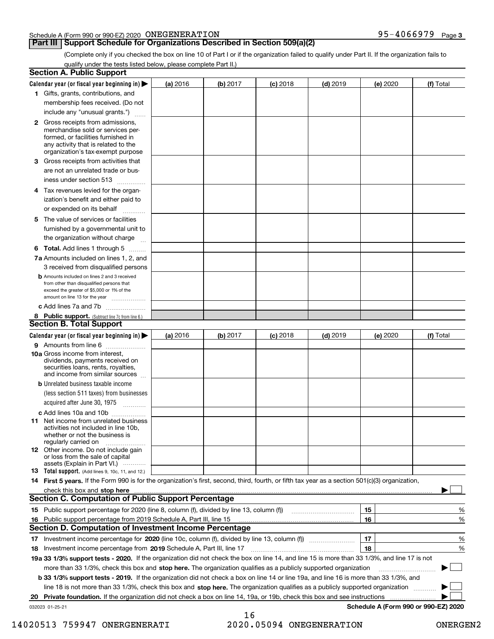|  | Schedule A (Form 990 or 990-EZ) 2020 $\,$ ONEGENERATION | 95-4066979 | Page 3 |
|--|---------------------------------------------------------|------------|--------|
|  |                                                         |            |        |

## **Part III Support Schedule for Organizations Described in Section 509(a)(2)**

(Complete only if you checked the box on line 10 of Part I or if the organization failed to qualify under Part II. If the organization fails to qualify under the tests listed below, please complete Part II.)

| <b>Section A. Public Support</b>                                                                                                                                                                                                                                                             |          |          |            |            |                 |                                      |
|----------------------------------------------------------------------------------------------------------------------------------------------------------------------------------------------------------------------------------------------------------------------------------------------|----------|----------|------------|------------|-----------------|--------------------------------------|
| Calendar year (or fiscal year beginning in) $\blacktriangleright$                                                                                                                                                                                                                            | (a) 2016 | (b) 2017 | $(c)$ 2018 | $(d)$ 2019 | <b>(e)</b> 2020 | (f) Total                            |
| 1 Gifts, grants, contributions, and                                                                                                                                                                                                                                                          |          |          |            |            |                 |                                      |
| membership fees received. (Do not                                                                                                                                                                                                                                                            |          |          |            |            |                 |                                      |
| include any "unusual grants.")                                                                                                                                                                                                                                                               |          |          |            |            |                 |                                      |
| <b>2</b> Gross receipts from admissions,<br>merchandise sold or services per-<br>formed, or facilities furnished in<br>any activity that is related to the<br>organization's tax-exempt purpose                                                                                              |          |          |            |            |                 |                                      |
| 3 Gross receipts from activities that<br>are not an unrelated trade or bus-<br>iness under section 513                                                                                                                                                                                       |          |          |            |            |                 |                                      |
| 4 Tax revenues levied for the organ-<br>ization's benefit and either paid to<br>or expended on its behalf                                                                                                                                                                                    |          |          |            |            |                 |                                      |
| 5 The value of services or facilities<br>furnished by a governmental unit to<br>the organization without charge                                                                                                                                                                              |          |          |            |            |                 |                                      |
| <b>6 Total.</b> Add lines 1 through 5                                                                                                                                                                                                                                                        |          |          |            |            |                 |                                      |
| 7a Amounts included on lines 1, 2, and<br>3 received from disqualified persons                                                                                                                                                                                                               |          |          |            |            |                 |                                      |
| <b>b</b> Amounts included on lines 2 and 3 received<br>from other than disqualified persons that<br>exceed the greater of \$5,000 or 1% of the<br>amount on line 13 for the year                                                                                                             |          |          |            |            |                 |                                      |
| c Add lines 7a and 7b                                                                                                                                                                                                                                                                        |          |          |            |            |                 |                                      |
| 8 Public support. (Subtract line 7c from line 6.)<br><b>Section B. Total Support</b>                                                                                                                                                                                                         |          |          |            |            |                 |                                      |
| Calendar year (or fiscal year beginning in) $\blacktriangleright$                                                                                                                                                                                                                            | (a) 2016 | (b) 2017 | $(c)$ 2018 | $(d)$ 2019 | (e) 2020        | (f) Total                            |
| 9 Amounts from line 6                                                                                                                                                                                                                                                                        |          |          |            |            |                 |                                      |
| <b>10a</b> Gross income from interest,<br>dividends, payments received on<br>securities loans, rents, royalties,<br>and income from similar sources                                                                                                                                          |          |          |            |            |                 |                                      |
| <b>b</b> Unrelated business taxable income<br>(less section 511 taxes) from businesses<br>acquired after June 30, 1975                                                                                                                                                                       |          |          |            |            |                 |                                      |
| c Add lines 10a and 10b                                                                                                                                                                                                                                                                      |          |          |            |            |                 |                                      |
| 11 Net income from unrelated business<br>activities not included in line 10b,<br>whether or not the business is<br>regularly carried on                                                                                                                                                      |          |          |            |            |                 |                                      |
| <b>12</b> Other income. Do not include gain<br>or loss from the sale of capital<br>assets (Explain in Part VI.)                                                                                                                                                                              |          |          |            |            |                 |                                      |
| <b>13</b> Total support. (Add lines 9, 10c, 11, and 12.)                                                                                                                                                                                                                                     |          |          |            |            |                 |                                      |
| 14 First 5 years. If the Form 990 is for the organization's first, second, third, fourth, or fifth tax year as a section 501(c)(3) organization,                                                                                                                                             |          |          |            |            |                 |                                      |
| check this box and stop here contain and contain and contain and stop here contains and stop here contained and stop here contained and stop here contained and stop here contained and stop here contains and stop here conta<br><b>Section C. Computation of Public Support Percentage</b> |          |          |            |            |                 |                                      |
| 15 Public support percentage for 2020 (line 8, column (f), divided by line 13, column (f))                                                                                                                                                                                                   |          |          |            |            | 15              |                                      |
| 16 Public support percentage from 2019 Schedule A, Part III, line 15                                                                                                                                                                                                                         |          |          |            |            | 16              | %<br>%                               |
| <b>Section D. Computation of Investment Income Percentage</b>                                                                                                                                                                                                                                |          |          |            |            |                 |                                      |
|                                                                                                                                                                                                                                                                                              |          |          |            |            | 17              | %                                    |
| 18 Investment income percentage from 2019 Schedule A, Part III, line 17                                                                                                                                                                                                                      |          |          |            |            | 18              | %                                    |
| 19a 33 1/3% support tests - 2020. If the organization did not check the box on line 14, and line 15 is more than 33 1/3%, and line 17 is not                                                                                                                                                 |          |          |            |            |                 |                                      |
| more than 33 1/3%, check this box and stop here. The organization qualifies as a publicly supported organization                                                                                                                                                                             |          |          |            |            |                 | $\sim$                               |
| b 33 1/3% support tests - 2019. If the organization did not check a box on line 14 or line 19a, and line 16 is more than 33 1/3%, and                                                                                                                                                        |          |          |            |            |                 |                                      |
| line 18 is not more than 33 1/3%, check this box and stop here. The organization qualifies as a publicly supported organization                                                                                                                                                              |          |          |            |            |                 |                                      |
| 20 Private foundation. If the organization did not check a box on line 14, 19a, or 19b, check this box and see instructions                                                                                                                                                                  |          |          |            |            |                 |                                      |
| 032023 01-25-21                                                                                                                                                                                                                                                                              |          |          |            |            |                 | Schedule A (Form 990 or 990-EZ) 2020 |
|                                                                                                                                                                                                                                                                                              |          | 16       |            |            |                 |                                      |

## 14020513 759947 ONERGENERATI 2020.05094 ONEGENERATION ONERGEN2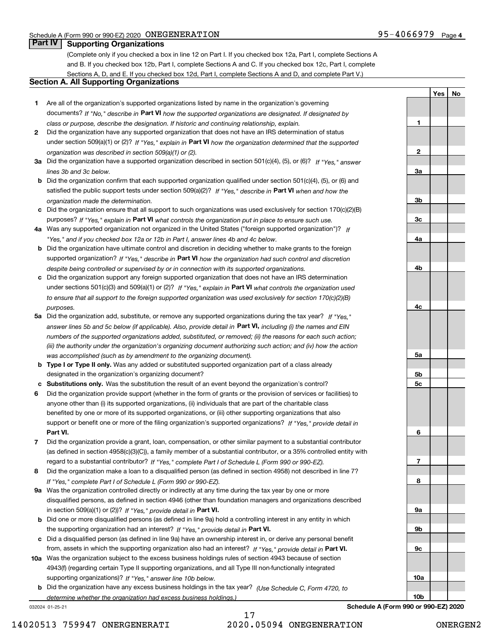**1**

**2**

**YesNo**

# **Part IV Supporting Organizations**

(Complete only if you checked a box in line 12 on Part I. If you checked box 12a, Part I, complete Sections A and B. If you checked box 12b, Part I, complete Sections A and C. If you checked box 12c, Part I, complete Sections A, D, and E. If you checked box 12d, Part I, complete Sections A and D, and complete Part V.)

## **Section A. All Supporting Organizations**

- **1** Are all of the organization's supported organizations listed by name in the organization's governing documents? If "No," describe in **Part VI** how the supported organizations are designated. If designated by *class or purpose, describe the designation. If historic and continuing relationship, explain.*
- **2** Did the organization have any supported organization that does not have an IRS determination of status under section 509(a)(1) or (2)? If "Yes," explain in Part VI how the organization determined that the supported *organization was described in section 509(a)(1) or (2).*
- **3a** Did the organization have a supported organization described in section 501(c)(4), (5), or (6)? If "Yes," answer *lines 3b and 3c below.*
- **b** Did the organization confirm that each supported organization qualified under section 501(c)(4), (5), or (6) and satisfied the public support tests under section 509(a)(2)? If "Yes," describe in **Part VI** when and how the *organization made the determination.*
- **c**Did the organization ensure that all support to such organizations was used exclusively for section 170(c)(2)(B) purposes? If "Yes," explain in **Part VI** what controls the organization put in place to ensure such use.
- **4a***If* Was any supported organization not organized in the United States ("foreign supported organization")? *"Yes," and if you checked box 12a or 12b in Part I, answer lines 4b and 4c below.*
- **b** Did the organization have ultimate control and discretion in deciding whether to make grants to the foreign supported organization? If "Yes," describe in **Part VI** how the organization had such control and discretion *despite being controlled or supervised by or in connection with its supported organizations.*
- **c** Did the organization support any foreign supported organization that does not have an IRS determination under sections 501(c)(3) and 509(a)(1) or (2)? If "Yes," explain in **Part VI** what controls the organization used *to ensure that all support to the foreign supported organization was used exclusively for section 170(c)(2)(B) purposes.*
- **5a** Did the organization add, substitute, or remove any supported organizations during the tax year? If "Yes," answer lines 5b and 5c below (if applicable). Also, provide detail in **Part VI,** including (i) the names and EIN *numbers of the supported organizations added, substituted, or removed; (ii) the reasons for each such action; (iii) the authority under the organization's organizing document authorizing such action; and (iv) how the action was accomplished (such as by amendment to the organizing document).*
- **b** Type I or Type II only. Was any added or substituted supported organization part of a class already designated in the organization's organizing document?
- **cSubstitutions only.**  Was the substitution the result of an event beyond the organization's control?
- **6** Did the organization provide support (whether in the form of grants or the provision of services or facilities) to **Part VI.** *If "Yes," provide detail in* support or benefit one or more of the filing organization's supported organizations? anyone other than (i) its supported organizations, (ii) individuals that are part of the charitable class benefited by one or more of its supported organizations, or (iii) other supporting organizations that also
- **7**Did the organization provide a grant, loan, compensation, or other similar payment to a substantial contributor *If "Yes," complete Part I of Schedule L (Form 990 or 990-EZ).* regard to a substantial contributor? (as defined in section 4958(c)(3)(C)), a family member of a substantial contributor, or a 35% controlled entity with
- **8** Did the organization make a loan to a disqualified person (as defined in section 4958) not described in line 7? *If "Yes," complete Part I of Schedule L (Form 990 or 990-EZ).*
- **9a** Was the organization controlled directly or indirectly at any time during the tax year by one or more in section 509(a)(1) or (2))? If "Yes," *provide detail in* <code>Part VI.</code> disqualified persons, as defined in section 4946 (other than foundation managers and organizations described
- **b** Did one or more disqualified persons (as defined in line 9a) hold a controlling interest in any entity in which the supporting organization had an interest? If "Yes," provide detail in P**art VI**.
- **c**Did a disqualified person (as defined in line 9a) have an ownership interest in, or derive any personal benefit from, assets in which the supporting organization also had an interest? If "Yes," provide detail in P**art VI.**
- **10a** Was the organization subject to the excess business holdings rules of section 4943 because of section supporting organizations)? If "Yes," answer line 10b below. 4943(f) (regarding certain Type II supporting organizations, and all Type III non-functionally integrated
- **b** Did the organization have any excess business holdings in the tax year? (Use Schedule C, Form 4720, to *determine whether the organization had excess business holdings.)*

032024 01-25-21

17 14020513 759947 ONERGENERATI 2020.05094 ONEGENERATION ONERGEN2

**3a3b3c4a4b4c5a 5b5c6789a 9b9c10a10bSchedule A (Form 990 or 990-EZ) 2020**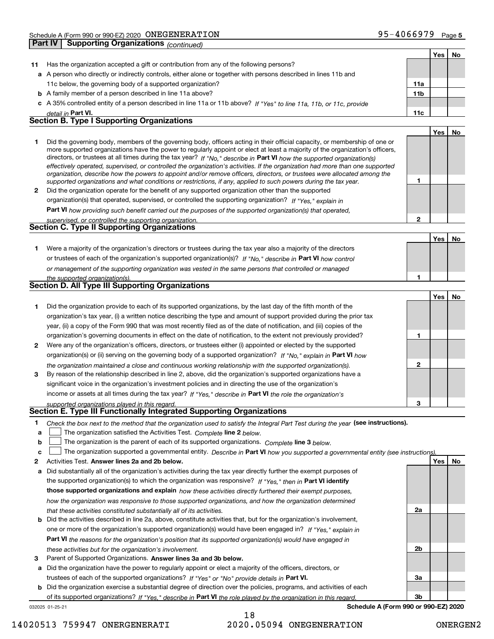|    |                                                                                                                                                                                                                                                            |                | Yes | No |
|----|------------------------------------------------------------------------------------------------------------------------------------------------------------------------------------------------------------------------------------------------------------|----------------|-----|----|
| 11 | Has the organization accepted a gift or contribution from any of the following persons?                                                                                                                                                                    |                |     |    |
|    | a A person who directly or indirectly controls, either alone or together with persons described in lines 11b and                                                                                                                                           |                |     |    |
|    | 11c below, the governing body of a supported organization?                                                                                                                                                                                                 | 11a            |     |    |
|    | <b>b</b> A family member of a person described in line 11a above?                                                                                                                                                                                          | 11b            |     |    |
|    | c A 35% controlled entity of a person described in line 11a or 11b above? If "Yes" to line 11a, 11b, or 11c, provide                                                                                                                                       |                |     |    |
|    | detail in Part VI.                                                                                                                                                                                                                                         | 11c            |     |    |
|    | <b>Section B. Type I Supporting Organizations</b>                                                                                                                                                                                                          |                |     |    |
|    |                                                                                                                                                                                                                                                            |                | Yes | No |
| 1  | Did the governing body, members of the governing body, officers acting in their official capacity, or membership of one or                                                                                                                                 |                |     |    |
|    | more supported organizations have the power to regularly appoint or elect at least a majority of the organization's officers,                                                                                                                              |                |     |    |
|    | directors, or trustees at all times during the tax year? If "No," describe in Part VI how the supported organization(s)                                                                                                                                    |                |     |    |
|    | effectively operated, supervised, or controlled the organization's activities. If the organization had more than one supported<br>organization, describe how the powers to appoint and/or remove officers, directors, or trustees were allocated among the |                |     |    |
|    | supported organizations and what conditions or restrictions, if any, applied to such powers during the tax year.                                                                                                                                           | 1              |     |    |
| 2  | Did the organization operate for the benefit of any supported organization other than the supported                                                                                                                                                        |                |     |    |
|    | organization(s) that operated, supervised, or controlled the supporting organization? If "Yes," explain in                                                                                                                                                 |                |     |    |
|    | Part VI how providing such benefit carried out the purposes of the supported organization(s) that operated,                                                                                                                                                |                |     |    |
|    | supervised, or controlled the supporting organization.                                                                                                                                                                                                     | $\mathbf{2}$   |     |    |
|    | <b>Section C. Type II Supporting Organizations</b>                                                                                                                                                                                                         |                |     |    |
|    |                                                                                                                                                                                                                                                            |                | Yes | No |
| 1  | Were a majority of the organization's directors or trustees during the tax year also a majority of the directors                                                                                                                                           |                |     |    |
|    | or trustees of each of the organization's supported organization(s)? If "No," describe in Part VI how control                                                                                                                                              |                |     |    |
|    | or management of the supporting organization was vested in the same persons that controlled or managed                                                                                                                                                     |                |     |    |
|    | the supported organization(s).                                                                                                                                                                                                                             | 1              |     |    |
|    | <b>Section D. All Type III Supporting Organizations</b>                                                                                                                                                                                                    |                |     |    |
|    |                                                                                                                                                                                                                                                            |                | Yes | No |
| 1  | Did the organization provide to each of its supported organizations, by the last day of the fifth month of the                                                                                                                                             |                |     |    |
|    | organization's tax year, (i) a written notice describing the type and amount of support provided during the prior tax                                                                                                                                      |                |     |    |
|    | year, (ii) a copy of the Form 990 that was most recently filed as of the date of notification, and (iii) copies of the                                                                                                                                     |                |     |    |
|    | organization's governing documents in effect on the date of notification, to the extent not previously provided?                                                                                                                                           | 1              |     |    |
| 2  | Were any of the organization's officers, directors, or trustees either (i) appointed or elected by the supported                                                                                                                                           |                |     |    |
|    | organization(s) or (ii) serving on the governing body of a supported organization? If "No," explain in Part VI how                                                                                                                                         |                |     |    |
|    | the organization maintained a close and continuous working relationship with the supported organization(s).                                                                                                                                                | $\mathbf{2}$   |     |    |
| 3  | By reason of the relationship described in line 2, above, did the organization's supported organizations have a                                                                                                                                            |                |     |    |
|    | significant voice in the organization's investment policies and in directing the use of the organization's                                                                                                                                                 |                |     |    |
|    | income or assets at all times during the tax year? If "Yes," describe in Part VI the role the organization's                                                                                                                                               |                |     |    |
|    | supported organizations played in this regard.                                                                                                                                                                                                             | 3              |     |    |
|    | Section E. Type III Functionally Integrated Supporting Organizations                                                                                                                                                                                       |                |     |    |
| 1  | Check the box next to the method that the organization used to satisfy the Integral Part Test during the year (see instructions).                                                                                                                          |                |     |    |
| a  | The organization satisfied the Activities Test. Complete line 2 below.                                                                                                                                                                                     |                |     |    |
| b  | The organization is the parent of each of its supported organizations. Complete line 3 below.                                                                                                                                                              |                |     |    |
| c  | The organization supported a governmental entity. Describe in Part VI how you supported a governmental entity (see instructions).                                                                                                                          |                |     |    |
| 2  | Activities Test. Answer lines 2a and 2b below.                                                                                                                                                                                                             |                | Yes | No |
| а  | Did substantially all of the organization's activities during the tax year directly further the exempt purposes of                                                                                                                                         |                |     |    |
|    | the supported organization(s) to which the organization was responsive? If "Yes," then in Part VI identify                                                                                                                                                 |                |     |    |
|    | those supported organizations and explain how these activities directly furthered their exempt purposes,                                                                                                                                                   |                |     |    |
|    | how the organization was responsive to those supported organizations, and how the organization determined                                                                                                                                                  |                |     |    |
|    | that these activities constituted substantially all of its activities.                                                                                                                                                                                     | 2a             |     |    |
| b  | Did the activities described in line 2a, above, constitute activities that, but for the organization's involvement,                                                                                                                                        |                |     |    |
|    | one or more of the organization's supported organization(s) would have been engaged in? If "Yes," explain in                                                                                                                                               |                |     |    |
|    | Part VI the reasons for the organization's position that its supported organization(s) would have engaged in                                                                                                                                               |                |     |    |
|    | these activities but for the organization's involvement.                                                                                                                                                                                                   | 2 <sub>b</sub> |     |    |
| з  | Parent of Supported Organizations. Answer lines 3a and 3b below.                                                                                                                                                                                           |                |     |    |
| а  | Did the organization have the power to regularly appoint or elect a majority of the officers, directors, or                                                                                                                                                |                |     |    |
|    | trustees of each of the supported organizations? If "Yes" or "No" provide details in Part VI.                                                                                                                                                              | 3a             |     |    |

trustees of each of the supported organizations? If "Yes" or "No" provide details in **Part VI.** 

**b** Did the organization exercise a substantial degree of direction over the policies, programs, and activities of each of its supported organizations? If "Yes," describe in Part VI the role played by the organization in this regard.

032025 01-25-21

**Schedule A (Form 990 or 990-EZ) 2020**

**3b**

18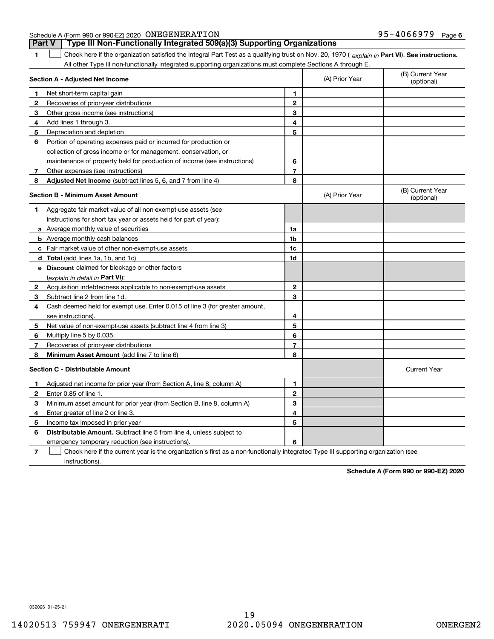| <b>Part V</b> Type III Non-Functionally Integrated 509(a)(3) Supporting Organizations |                              |  |
|---------------------------------------------------------------------------------------|------------------------------|--|
| Schedule A (Form 990 or 990-EZ) 2020 ONEGENERATION                                    | 95-4066979 <sub>Раде б</sub> |  |

**1**

**Part VI** Check here if the organization satisfied the Integral Part Test as a qualifying trust on Nov. 20, 1970 ( explain in Part **VI**). See instructions. All other Type III non-functionally integrated supporting organizations must complete Sections A through E. ×.

|              | Section A - Adjusted Net Income                                             |                | (A) Prior Year | (B) Current Year<br>(optional) |
|--------------|-----------------------------------------------------------------------------|----------------|----------------|--------------------------------|
| 1.           | Net short-term capital gain                                                 | 1              |                |                                |
| $\mathbf{2}$ | Recoveries of prior-year distributions                                      | $\overline{2}$ |                |                                |
| З            | Other gross income (see instructions)                                       | 3              |                |                                |
| 4            | Add lines 1 through 3.                                                      | 4              |                |                                |
| 5            | Depreciation and depletion                                                  | 5              |                |                                |
| 6            | Portion of operating expenses paid or incurred for production or            |                |                |                                |
|              | collection of gross income or for management, conservation, or              |                |                |                                |
|              | maintenance of property held for production of income (see instructions)    | 6              |                |                                |
| 7            | Other expenses (see instructions)                                           | $\overline{7}$ |                |                                |
| 8            | Adjusted Net Income (subtract lines 5, 6, and 7 from line 4)                | 8              |                |                                |
|              | <b>Section B - Minimum Asset Amount</b>                                     |                | (A) Prior Year | (B) Current Year<br>(optional) |
| 1            | Aggregate fair market value of all non-exempt-use assets (see               |                |                |                                |
|              | instructions for short tax year or assets held for part of year):           |                |                |                                |
|              | <b>a</b> Average monthly value of securities                                | 1a             |                |                                |
|              | <b>b</b> Average monthly cash balances                                      | 1b             |                |                                |
|              | c Fair market value of other non-exempt-use assets                          | 1c             |                |                                |
|              | d Total (add lines 1a, 1b, and 1c)                                          | 1d             |                |                                |
|              | e Discount claimed for blockage or other factors                            |                |                |                                |
|              | (explain in detail in Part VI):                                             |                |                |                                |
| 2            | Acquisition indebtedness applicable to non-exempt-use assets                | $\mathbf{2}$   |                |                                |
| 3            | Subtract line 2 from line 1d.                                               | 3              |                |                                |
| 4            | Cash deemed held for exempt use. Enter 0.015 of line 3 (for greater amount, |                |                |                                |
|              | see instructions).                                                          | 4              |                |                                |
| 5            | Net value of non-exempt-use assets (subtract line 4 from line 3)            | 5              |                |                                |
| 6            | Multiply line 5 by 0.035.                                                   | 6              |                |                                |
| 7            | Recoveries of prior-year distributions                                      | $\overline{7}$ |                |                                |
| 8            | <b>Minimum Asset Amount</b> (add line 7 to line 6)                          | 8              |                |                                |
|              | <b>Section C - Distributable Amount</b>                                     |                |                | <b>Current Year</b>            |
| 1            | Adjusted net income for prior year (from Section A, line 8, column A)       | 1              |                |                                |
| $\mathbf{2}$ | Enter 0.85 of line 1.                                                       | $\overline{2}$ |                |                                |
| 3            | Minimum asset amount for prior year (from Section B, line 8, column A)      | 3              |                |                                |
| 4            | Enter greater of line 2 or line 3.                                          | 4              |                |                                |
| 5            | Income tax imposed in prior year                                            | 5              |                |                                |
| 6            | <b>Distributable Amount.</b> Subtract line 5 from line 4, unless subject to |                |                |                                |
|              | emergency temporary reduction (see instructions).                           | 6              |                |                                |
|              |                                                                             |                |                |                                |

**7**Check here if the current year is the organization's first as a non-functionally integrated Type III supporting organization (see instructions).

**Schedule A (Form 990 or 990-EZ) 2020**

032026 01-25-21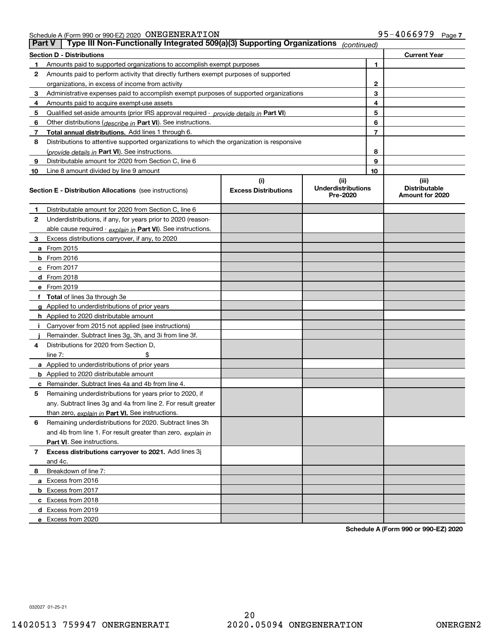Schedule A (Form 990 or 990-EZ) 2020 Page ONEGENERATION 95-4066979

|    | Type III Non-Functionally Integrated 509(a)(3) Supporting Organizations<br><b>Part V</b><br>(continued) |                             |                                       |    |                                         |  |  |
|----|---------------------------------------------------------------------------------------------------------|-----------------------------|---------------------------------------|----|-----------------------------------------|--|--|
|    | <b>Section D - Distributions</b>                                                                        |                             |                                       |    | <b>Current Year</b>                     |  |  |
| 1  | Amounts paid to supported organizations to accomplish exempt purposes                                   |                             |                                       | 1  |                                         |  |  |
| 2  | Amounts paid to perform activity that directly furthers exempt purposes of supported                    |                             |                                       |    |                                         |  |  |
|    | organizations, in excess of income from activity                                                        |                             |                                       | 2  |                                         |  |  |
| 3  | Administrative expenses paid to accomplish exempt purposes of supported organizations                   |                             |                                       | 3  |                                         |  |  |
| 4  | Amounts paid to acquire exempt-use assets                                                               |                             |                                       | 4  |                                         |  |  |
| 5  | Qualified set-aside amounts (prior IRS approval required - provide details in Part VI)                  |                             |                                       | 5  |                                         |  |  |
| 6  | Other distributions (describe in Part VI). See instructions.                                            |                             |                                       | 6  |                                         |  |  |
| 7  | Total annual distributions. Add lines 1 through 6.                                                      |                             |                                       | 7  |                                         |  |  |
| 8  | Distributions to attentive supported organizations to which the organization is responsive              |                             |                                       |    |                                         |  |  |
|    | (provide details in Part VI). See instructions.                                                         |                             |                                       | 8  |                                         |  |  |
| 9  | Distributable amount for 2020 from Section C, line 6                                                    |                             |                                       | 9  |                                         |  |  |
| 10 | Line 8 amount divided by line 9 amount                                                                  |                             |                                       | 10 |                                         |  |  |
|    |                                                                                                         | (i)                         | (ii)                                  |    | (iii)                                   |  |  |
|    | <b>Section E - Distribution Allocations</b> (see instructions)                                          | <b>Excess Distributions</b> | <b>Underdistributions</b><br>Pre-2020 |    | <b>Distributable</b><br>Amount for 2020 |  |  |
| 1  | Distributable amount for 2020 from Section C, line 6                                                    |                             |                                       |    |                                         |  |  |
| 2  | Underdistributions, if any, for years prior to 2020 (reason-                                            |                             |                                       |    |                                         |  |  |
|    | able cause required - explain in Part VI). See instructions.                                            |                             |                                       |    |                                         |  |  |
| 3  | Excess distributions carryover, if any, to 2020                                                         |                             |                                       |    |                                         |  |  |
|    | <b>a</b> From 2015                                                                                      |                             |                                       |    |                                         |  |  |
|    | <b>b</b> From 2016                                                                                      |                             |                                       |    |                                         |  |  |
|    | c From 2017                                                                                             |                             |                                       |    |                                         |  |  |
|    | <b>d</b> From 2018                                                                                      |                             |                                       |    |                                         |  |  |
|    | e From 2019                                                                                             |                             |                                       |    |                                         |  |  |
|    | f Total of lines 3a through 3e                                                                          |                             |                                       |    |                                         |  |  |
|    | g Applied to underdistributions of prior years                                                          |                             |                                       |    |                                         |  |  |
|    | <b>h</b> Applied to 2020 distributable amount                                                           |                             |                                       |    |                                         |  |  |
|    | Carryover from 2015 not applied (see instructions)                                                      |                             |                                       |    |                                         |  |  |
|    | Remainder. Subtract lines 3g, 3h, and 3i from line 3f.                                                  |                             |                                       |    |                                         |  |  |
| 4  | Distributions for 2020 from Section D,                                                                  |                             |                                       |    |                                         |  |  |
|    | line $7:$                                                                                               |                             |                                       |    |                                         |  |  |
|    | a Applied to underdistributions of prior years                                                          |                             |                                       |    |                                         |  |  |
|    | <b>b</b> Applied to 2020 distributable amount                                                           |                             |                                       |    |                                         |  |  |
|    | c Remainder. Subtract lines 4a and 4b from line 4.                                                      |                             |                                       |    |                                         |  |  |
| 5  | Remaining underdistributions for years prior to 2020, if                                                |                             |                                       |    |                                         |  |  |
|    | any. Subtract lines 3g and 4a from line 2. For result greater                                           |                             |                                       |    |                                         |  |  |
|    | than zero, explain in Part VI. See instructions.                                                        |                             |                                       |    |                                         |  |  |
| 6  | Remaining underdistributions for 2020. Subtract lines 3h                                                |                             |                                       |    |                                         |  |  |
|    | and 4b from line 1. For result greater than zero, explain in                                            |                             |                                       |    |                                         |  |  |
|    | Part VI. See instructions.                                                                              |                             |                                       |    |                                         |  |  |
| 7  | Excess distributions carryover to 2021. Add lines 3j                                                    |                             |                                       |    |                                         |  |  |
|    | and 4c.                                                                                                 |                             |                                       |    |                                         |  |  |
| 8  | Breakdown of line 7:                                                                                    |                             |                                       |    |                                         |  |  |
|    | a Excess from 2016                                                                                      |                             |                                       |    |                                         |  |  |
|    | <b>b</b> Excess from 2017                                                                               |                             |                                       |    |                                         |  |  |
|    | c Excess from 2018                                                                                      |                             |                                       |    |                                         |  |  |
|    | d Excess from 2019                                                                                      |                             |                                       |    |                                         |  |  |
|    | e Excess from 2020                                                                                      |                             |                                       |    |                                         |  |  |

**Schedule A (Form 990 or 990-EZ) 2020**

032027 01-25-21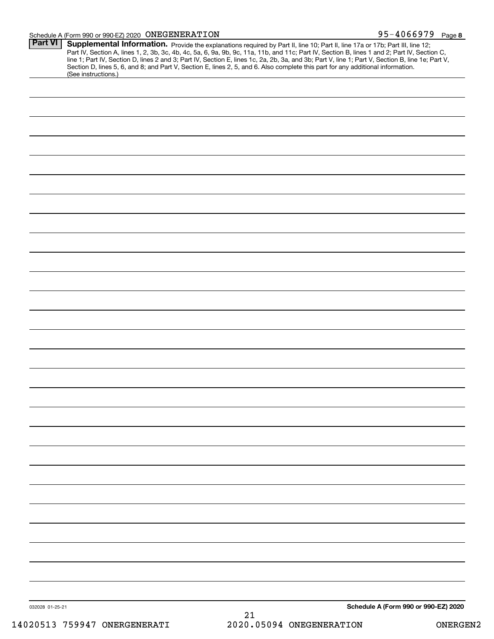#### Schedule A (Form 990 or 990-EZ) 2020 Page ONEGENERATION 95-4066979

| Part VI         | Supplemental Information. Provide the explanations required by Part II, line 10; Part II, line 17a or 17b; Part III, line 12;<br>Part IV, Section A, lines 1, 2, 3b, 3c, 4b, 4c, 5a, 6, 9a, 9b, 9c, 11a, 11b, and 11c; Part IV, Section B, lines 1 and 2; Part IV, Section C,<br>line 1; Part IV, Section D, lines 2 and 3; Part IV, Section E, lines 1c, 2a, 2b, 3a, and 3b; Part V, line 1; Part V, Section B, line 1e; Part V,<br>Section D, lines 5, 6, and 8; and Part V, Section E, lines 2, 5, and 6. Also complete this part for any additional information.<br>(See instructions.) |
|-----------------|---------------------------------------------------------------------------------------------------------------------------------------------------------------------------------------------------------------------------------------------------------------------------------------------------------------------------------------------------------------------------------------------------------------------------------------------------------------------------------------------------------------------------------------------------------------------------------------------|
|                 |                                                                                                                                                                                                                                                                                                                                                                                                                                                                                                                                                                                             |
|                 |                                                                                                                                                                                                                                                                                                                                                                                                                                                                                                                                                                                             |
|                 |                                                                                                                                                                                                                                                                                                                                                                                                                                                                                                                                                                                             |
|                 |                                                                                                                                                                                                                                                                                                                                                                                                                                                                                                                                                                                             |
|                 |                                                                                                                                                                                                                                                                                                                                                                                                                                                                                                                                                                                             |
|                 |                                                                                                                                                                                                                                                                                                                                                                                                                                                                                                                                                                                             |
|                 |                                                                                                                                                                                                                                                                                                                                                                                                                                                                                                                                                                                             |
|                 |                                                                                                                                                                                                                                                                                                                                                                                                                                                                                                                                                                                             |
|                 |                                                                                                                                                                                                                                                                                                                                                                                                                                                                                                                                                                                             |
|                 |                                                                                                                                                                                                                                                                                                                                                                                                                                                                                                                                                                                             |
|                 |                                                                                                                                                                                                                                                                                                                                                                                                                                                                                                                                                                                             |
|                 |                                                                                                                                                                                                                                                                                                                                                                                                                                                                                                                                                                                             |
|                 |                                                                                                                                                                                                                                                                                                                                                                                                                                                                                                                                                                                             |
|                 |                                                                                                                                                                                                                                                                                                                                                                                                                                                                                                                                                                                             |
|                 |                                                                                                                                                                                                                                                                                                                                                                                                                                                                                                                                                                                             |
|                 |                                                                                                                                                                                                                                                                                                                                                                                                                                                                                                                                                                                             |
|                 |                                                                                                                                                                                                                                                                                                                                                                                                                                                                                                                                                                                             |
|                 |                                                                                                                                                                                                                                                                                                                                                                                                                                                                                                                                                                                             |
|                 |                                                                                                                                                                                                                                                                                                                                                                                                                                                                                                                                                                                             |
|                 |                                                                                                                                                                                                                                                                                                                                                                                                                                                                                                                                                                                             |
|                 |                                                                                                                                                                                                                                                                                                                                                                                                                                                                                                                                                                                             |
|                 |                                                                                                                                                                                                                                                                                                                                                                                                                                                                                                                                                                                             |
|                 |                                                                                                                                                                                                                                                                                                                                                                                                                                                                                                                                                                                             |
|                 |                                                                                                                                                                                                                                                                                                                                                                                                                                                                                                                                                                                             |
|                 |                                                                                                                                                                                                                                                                                                                                                                                                                                                                                                                                                                                             |
|                 |                                                                                                                                                                                                                                                                                                                                                                                                                                                                                                                                                                                             |
|                 |                                                                                                                                                                                                                                                                                                                                                                                                                                                                                                                                                                                             |
|                 |                                                                                                                                                                                                                                                                                                                                                                                                                                                                                                                                                                                             |
|                 |                                                                                                                                                                                                                                                                                                                                                                                                                                                                                                                                                                                             |
|                 |                                                                                                                                                                                                                                                                                                                                                                                                                                                                                                                                                                                             |
|                 |                                                                                                                                                                                                                                                                                                                                                                                                                                                                                                                                                                                             |
|                 |                                                                                                                                                                                                                                                                                                                                                                                                                                                                                                                                                                                             |
| 032028 01-25-21 | Schedule A (Form 990 or 990-EZ) 2020<br>21                                                                                                                                                                                                                                                                                                                                                                                                                                                                                                                                                  |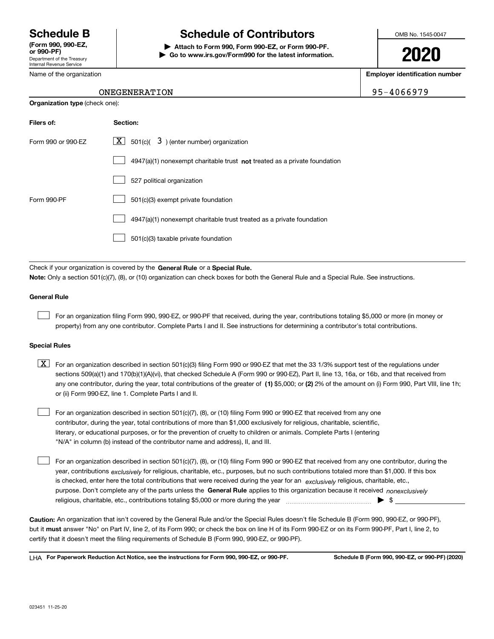Department of the Treasury Internal Revenue Service **(Form 990, 990-EZ, or 990-PF)**

Name of the organization

# **Schedule B Schedule of Contributors**

**| Attach to Form 990, Form 990-EZ, or Form 990-PF. | Go to www.irs.gov/Form990 for the latest information.** OMB No. 1545-0047

**2020**

**Employer identification number**

## ONEGENERATION 95-4066979

| <b>Organization type (check one):</b> |                                                                                    |  |  |  |  |
|---------------------------------------|------------------------------------------------------------------------------------|--|--|--|--|
| Filers of:                            | Section:                                                                           |  |  |  |  |
| Form 990 or 990-EZ                    | $\underline{X}$ 501(c)( 3) (enter number) organization                             |  |  |  |  |
|                                       | $4947(a)(1)$ nonexempt charitable trust <b>not</b> treated as a private foundation |  |  |  |  |
|                                       | 527 political organization                                                         |  |  |  |  |
| Form 990-PF                           | 501(c)(3) exempt private foundation                                                |  |  |  |  |
|                                       | 4947(a)(1) nonexempt charitable trust treated as a private foundation              |  |  |  |  |
|                                       | 501(c)(3) taxable private foundation                                               |  |  |  |  |

Check if your organization is covered by the **General Rule** or a **Special Rule. Note:**  Only a section 501(c)(7), (8), or (10) organization can check boxes for both the General Rule and a Special Rule. See instructions.

### **General Rule**

 $\mathcal{L}^{\text{max}}$ 

For an organization filing Form 990, 990-EZ, or 990-PF that received, during the year, contributions totaling \$5,000 or more (in money or property) from any one contributor. Complete Parts I and II. See instructions for determining a contributor's total contributions.

#### **Special Rules**

any one contributor, during the year, total contributions of the greater of  $\,$  (1) \$5,000; or **(2)** 2% of the amount on (i) Form 990, Part VIII, line 1h;  $\boxed{\textbf{X}}$  For an organization described in section 501(c)(3) filing Form 990 or 990-EZ that met the 33 1/3% support test of the regulations under sections 509(a)(1) and 170(b)(1)(A)(vi), that checked Schedule A (Form 990 or 990-EZ), Part II, line 13, 16a, or 16b, and that received from or (ii) Form 990-EZ, line 1. Complete Parts I and II.

For an organization described in section 501(c)(7), (8), or (10) filing Form 990 or 990-EZ that received from any one contributor, during the year, total contributions of more than \$1,000 exclusively for religious, charitable, scientific, literary, or educational purposes, or for the prevention of cruelty to children or animals. Complete Parts I (entering "N/A" in column (b) instead of the contributor name and address), II, and III.  $\mathcal{L}^{\text{max}}$ 

purpose. Don't complete any of the parts unless the **General Rule** applies to this organization because it received *nonexclusively* year, contributions <sub>exclusively</sub> for religious, charitable, etc., purposes, but no such contributions totaled more than \$1,000. If this box is checked, enter here the total contributions that were received during the year for an  $\;$ exclusively religious, charitable, etc., For an organization described in section 501(c)(7), (8), or (10) filing Form 990 or 990-EZ that received from any one contributor, during the religious, charitable, etc., contributions totaling \$5,000 or more during the year  $\Box$ — $\Box$   $\Box$  $\mathcal{L}^{\text{max}}$ 

**Caution:**  An organization that isn't covered by the General Rule and/or the Special Rules doesn't file Schedule B (Form 990, 990-EZ, or 990-PF),  **must** but it answer "No" on Part IV, line 2, of its Form 990; or check the box on line H of its Form 990-EZ or on its Form 990-PF, Part I, line 2, to certify that it doesn't meet the filing requirements of Schedule B (Form 990, 990-EZ, or 990-PF).

**For Paperwork Reduction Act Notice, see the instructions for Form 990, 990-EZ, or 990-PF. Schedule B (Form 990, 990-EZ, or 990-PF) (2020)** LHA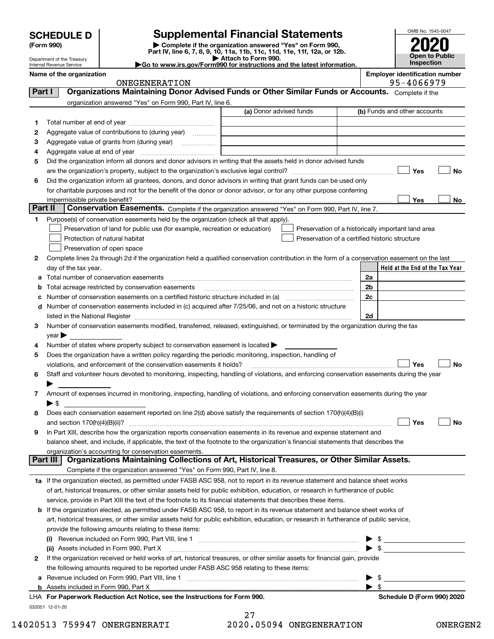| <b>SCHEDULE D</b> |  |
|-------------------|--|
|-------------------|--|

Department of the Treasury Internal Revenue Service

| (Form 990) |  |
|------------|--|
|------------|--|

# **SCHEDULE D Supplemental Financial Statements**

(Form 990)<br>
Pepartment of the Treasury<br>
Department of the Treasury<br>
Department of the Treasury<br>
Department of the Treasury<br> **Co to www.irs.gov/Form990 for instructions and the latest information.**<br> **Co to www.irs.gov/Form9** 



|  | Name of the organization |
|--|--------------------------|

# ONEGENERATION 95-4066979

**Name of the organization Employer identification number**

| Part I  | UNLGLNLKAIIUN<br>Organizations Maintaining Donor Advised Funds or Other Similar Funds or Accounts. Complete if the                                                                                                             |                         |                                                    |
|---------|--------------------------------------------------------------------------------------------------------------------------------------------------------------------------------------------------------------------------------|-------------------------|----------------------------------------------------|
|         |                                                                                                                                                                                                                                |                         |                                                    |
|         | organization answered "Yes" on Form 990, Part IV, line 6.                                                                                                                                                                      |                         |                                                    |
|         |                                                                                                                                                                                                                                | (a) Donor advised funds | (b) Funds and other accounts                       |
| 1       |                                                                                                                                                                                                                                |                         |                                                    |
| 2       | Aggregate value of contributions to (during year)                                                                                                                                                                              |                         |                                                    |
| 3       | Aggregate value of grants from (during year)                                                                                                                                                                                   |                         |                                                    |
| 4       |                                                                                                                                                                                                                                |                         |                                                    |
| 5       | Did the organization inform all donors and donor advisors in writing that the assets held in donor advised funds                                                                                                               |                         |                                                    |
|         |                                                                                                                                                                                                                                |                         | Yes<br>No                                          |
| 6       | Did the organization inform all grantees, donors, and donor advisors in writing that grant funds can be used only                                                                                                              |                         |                                                    |
|         | for charitable purposes and not for the benefit of the donor or donor advisor, or for any other purpose conferring                                                                                                             |                         |                                                    |
|         | impermissible private benefit?                                                                                                                                                                                                 |                         | Yes<br>No                                          |
| Part II | Conservation Easements. Complete if the organization answered "Yes" on Form 990, Part IV, line 7.                                                                                                                              |                         |                                                    |
| 1       | Purpose(s) of conservation easements held by the organization (check all that apply).                                                                                                                                          |                         |                                                    |
|         | Preservation of land for public use (for example, recreation or education)                                                                                                                                                     |                         | Preservation of a historically important land area |
|         | Protection of natural habitat                                                                                                                                                                                                  |                         | Preservation of a certified historic structure     |
|         | Preservation of open space                                                                                                                                                                                                     |                         |                                                    |
| 2       | Complete lines 2a through 2d if the organization held a qualified conservation contribution in the form of a conservation easement on the last                                                                                 |                         |                                                    |
|         | day of the tax year.                                                                                                                                                                                                           |                         | Held at the End of the Tax Year                    |
|         | Total number of conservation easements                                                                                                                                                                                         |                         | 2a                                                 |
| b       | Total acreage restricted by conservation easements                                                                                                                                                                             |                         | 2b                                                 |
|         | Number of conservation easements on a certified historic structure included in (a) manufacture included in (a)                                                                                                                 |                         | 2 <sub>c</sub>                                     |
| d       | Number of conservation easements included in (c) acquired after 7/25/06, and not on a historic structure                                                                                                                       |                         |                                                    |
|         | listed in the National Register [111] [12] The Mational Register [11] Matter Lie and Matter Lie and Matter Lie and Matter Lie and Matter Lie and Matter Lie and Matter Lie and Matter Lie and Matter Lie and Matter Lie and Ma |                         | 2d                                                 |
| 3       | Number of conservation easements modified, transferred, released, extinguished, or terminated by the organization during the tax                                                                                               |                         |                                                    |
|         | year                                                                                                                                                                                                                           |                         |                                                    |
| 4       | Number of states where property subject to conservation easement is located                                                                                                                                                    |                         |                                                    |
| 5       | Does the organization have a written policy regarding the periodic monitoring, inspection, handling of                                                                                                                         |                         |                                                    |
|         | violations, and enforcement of the conservation easements it holds?                                                                                                                                                            |                         | Yes<br>No                                          |
| 6       | Staff and volunteer hours devoted to monitoring, inspecting, handling of violations, and enforcing conservation easements during the year                                                                                      |                         |                                                    |
|         |                                                                                                                                                                                                                                |                         |                                                    |
| 7.      | Amount of expenses incurred in monitoring, inspecting, handling of violations, and enforcing conservation easements during the year                                                                                            |                         |                                                    |
|         | $\blacktriangleright$ \$                                                                                                                                                                                                       |                         |                                                    |
| 8       | Does each conservation easement reported on line 2(d) above satisfy the requirements of section 170(h)(4)(B)(i)                                                                                                                |                         |                                                    |
|         |                                                                                                                                                                                                                                |                         | Yes<br>No                                          |
| 9       | In Part XIII, describe how the organization reports conservation easements in its revenue and expense statement and                                                                                                            |                         |                                                    |
|         | balance sheet, and include, if applicable, the text of the footnote to the organization's financial statements that describes the                                                                                              |                         |                                                    |
|         | organization's accounting for conservation easements.                                                                                                                                                                          |                         |                                                    |
|         | Organizations Maintaining Collections of Art, Historical Treasures, or Other Similar Assets.<br><b>Part III</b>                                                                                                                |                         |                                                    |
|         | Complete if the organization answered "Yes" on Form 990, Part IV, line 8.                                                                                                                                                      |                         |                                                    |
|         | 1a If the organization elected, as permitted under FASB ASC 958, not to report in its revenue statement and balance sheet works                                                                                                |                         |                                                    |
|         | of art, historical treasures, or other similar assets held for public exhibition, education, or research in furtherance of public                                                                                              |                         |                                                    |
|         | service, provide in Part XIII the text of the footnote to its financial statements that describes these items.                                                                                                                 |                         |                                                    |
|         |                                                                                                                                                                                                                                |                         |                                                    |
| b       | If the organization elected, as permitted under FASB ASC 958, to report in its revenue statement and balance sheet works of                                                                                                    |                         |                                                    |
|         | art, historical treasures, or other similar assets held for public exhibition, education, or research in furtherance of public service,                                                                                        |                         |                                                    |
|         | provide the following amounts relating to these items:                                                                                                                                                                         |                         |                                                    |
|         |                                                                                                                                                                                                                                |                         | $\blacktriangleright$ \$                           |
|         | (ii) Assets included in Form 990, Part X                                                                                                                                                                                       |                         | $\bullet$ \$                                       |
| 2       | If the organization received or held works of art, historical treasures, or other similar assets for financial gain, provide                                                                                                   |                         |                                                    |
|         | the following amounts required to be reported under FASB ASC 958 relating to these items:                                                                                                                                      |                         |                                                    |
| а       |                                                                                                                                                                                                                                |                         | \$                                                 |
| b       | Assets included in Form 990, Part X                                                                                                                                                                                            |                         | $\blacktriangleright$ \$                           |
|         | LHA For Paperwork Reduction Act Notice, see the Instructions for Form 990.                                                                                                                                                     |                         | Schedule D (Form 990) 2020                         |

032051 12-01-20

27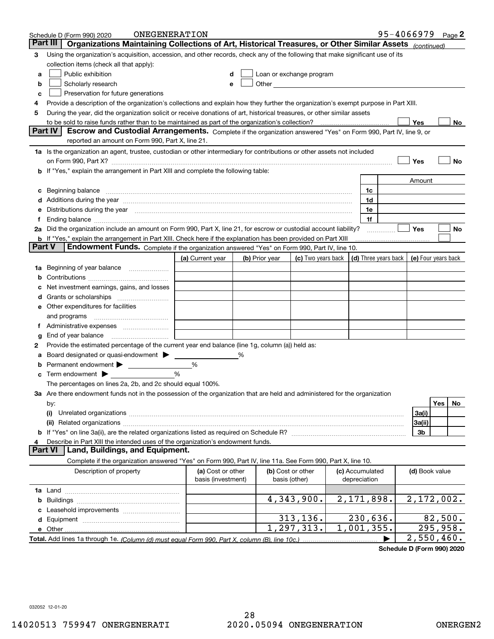|        | ONEGENERATION<br>Schedule D (Form 990) 2020                                                                                                                                                                                    |                                         |   |                |                                                                                                                                                                                                                                |  |                                 | 95-4066979 |                            |           | Page 2 |
|--------|--------------------------------------------------------------------------------------------------------------------------------------------------------------------------------------------------------------------------------|-----------------------------------------|---|----------------|--------------------------------------------------------------------------------------------------------------------------------------------------------------------------------------------------------------------------------|--|---------------------------------|------------|----------------------------|-----------|--------|
|        | Organizations Maintaining Collections of Art, Historical Treasures, or Other Similar Assets (continued)<br>Part III                                                                                                            |                                         |   |                |                                                                                                                                                                                                                                |  |                                 |            |                            |           |        |
| 3      | Using the organization's acquisition, accession, and other records, check any of the following that make significant use of its                                                                                                |                                         |   |                |                                                                                                                                                                                                                                |  |                                 |            |                            |           |        |
|        | collection items (check all that apply):                                                                                                                                                                                       |                                         |   |                |                                                                                                                                                                                                                                |  |                                 |            |                            |           |        |
| a      | Public exhibition                                                                                                                                                                                                              |                                         |   |                | Loan or exchange program                                                                                                                                                                                                       |  |                                 |            |                            |           |        |
| b      | Scholarly research                                                                                                                                                                                                             | е                                       |   |                | Other and the control of the control of the control of the control of the control of the control of the control of the control of the control of the control of the control of the control of the control of the control of th |  |                                 |            |                            |           |        |
| c      | Preservation for future generations                                                                                                                                                                                            |                                         |   |                |                                                                                                                                                                                                                                |  |                                 |            |                            |           |        |
| 4      | Provide a description of the organization's collections and explain how they further the organization's exempt purpose in Part XIII.                                                                                           |                                         |   |                |                                                                                                                                                                                                                                |  |                                 |            |                            |           |        |
| 5      | During the year, did the organization solicit or receive donations of art, historical treasures, or other similar assets                                                                                                       |                                         |   |                |                                                                                                                                                                                                                                |  |                                 |            |                            |           |        |
|        | to be sold to raise funds rather than to be maintained as part of the organization's collection?<br>Yes<br>No                                                                                                                  |                                         |   |                |                                                                                                                                                                                                                                |  |                                 |            |                            |           |        |
|        | <b>Part IV</b><br>Escrow and Custodial Arrangements. Complete if the organization answered "Yes" on Form 990, Part IV, line 9, or                                                                                              |                                         |   |                |                                                                                                                                                                                                                                |  |                                 |            |                            |           |        |
|        | reported an amount on Form 990, Part X, line 21.                                                                                                                                                                               |                                         |   |                |                                                                                                                                                                                                                                |  |                                 |            |                            |           |        |
|        | 1a Is the organization an agent, trustee, custodian or other intermediary for contributions or other assets not included                                                                                                       |                                         |   |                |                                                                                                                                                                                                                                |  |                                 |            |                            |           |        |
|        |                                                                                                                                                                                                                                |                                         |   |                |                                                                                                                                                                                                                                |  |                                 |            | Yes                        |           | No     |
|        | b If "Yes," explain the arrangement in Part XIII and complete the following table:                                                                                                                                             |                                         |   |                |                                                                                                                                                                                                                                |  |                                 |            |                            |           |        |
|        |                                                                                                                                                                                                                                |                                         |   |                |                                                                                                                                                                                                                                |  |                                 |            | Amount                     |           |        |
|        | Beginning balance                                                                                                                                                                                                              |                                         |   |                |                                                                                                                                                                                                                                |  | 1c                              |            |                            |           |        |
|        | Additions during the year manufactured and an annual contract of the year manufactured and a set of the year manufactured and a set of the year manufactured and a set of the year manufactured and a set of the year manufact |                                         |   |                |                                                                                                                                                                                                                                |  | 1d                              |            |                            |           |        |
|        | Distributions during the year manufactured and continuum and contact the year manufactured and contact the year                                                                                                                |                                         |   |                |                                                                                                                                                                                                                                |  | 1e                              |            |                            |           |        |
|        |                                                                                                                                                                                                                                |                                         |   |                |                                                                                                                                                                                                                                |  | 1f                              |            |                            |           |        |
|        | 2a Did the organization include an amount on Form 990, Part X, line 21, for escrow or custodial account liability?                                                                                                             |                                         |   |                |                                                                                                                                                                                                                                |  |                                 |            | Yes                        |           | No     |
| Part V | <b>b</b> If "Yes," explain the arrangement in Part XIII. Check here if the explanation has been provided on Part XIII<br><b>Endowment Funds.</b> Complete if the organization answered "Yes" on Form 990, Part IV, line 10.    |                                         |   |                |                                                                                                                                                                                                                                |  |                                 |            |                            |           |        |
|        |                                                                                                                                                                                                                                |                                         |   |                |                                                                                                                                                                                                                                |  |                                 |            |                            |           |        |
|        |                                                                                                                                                                                                                                | (a) Current year                        |   | (b) Prior year | (c) Two years back                                                                                                                                                                                                             |  | (d) Three years back            |            | (e) Four years back        |           |        |
| 1a     | Beginning of year balance                                                                                                                                                                                                      |                                         |   |                |                                                                                                                                                                                                                                |  |                                 |            |                            |           |        |
|        |                                                                                                                                                                                                                                |                                         |   |                |                                                                                                                                                                                                                                |  |                                 |            |                            |           |        |
|        | Net investment earnings, gains, and losses                                                                                                                                                                                     |                                         |   |                |                                                                                                                                                                                                                                |  |                                 |            |                            |           |        |
|        |                                                                                                                                                                                                                                |                                         |   |                |                                                                                                                                                                                                                                |  |                                 |            |                            |           |        |
| е      | Other expenditures for facilities                                                                                                                                                                                              |                                         |   |                |                                                                                                                                                                                                                                |  |                                 |            |                            |           |        |
|        | and programs                                                                                                                                                                                                                   |                                         |   |                |                                                                                                                                                                                                                                |  |                                 |            |                            |           |        |
|        |                                                                                                                                                                                                                                |                                         |   |                |                                                                                                                                                                                                                                |  |                                 |            |                            |           |        |
| g      | End of year balance<br>Provide the estimated percentage of the current year end balance (line 1g, column (a)) held as:                                                                                                         |                                         |   |                |                                                                                                                                                                                                                                |  |                                 |            |                            |           |        |
| 2      | Board designated or quasi-endowment                                                                                                                                                                                            |                                         | % |                |                                                                                                                                                                                                                                |  |                                 |            |                            |           |        |
|        | Permanent endowment                                                                                                                                                                                                            | %                                       |   |                |                                                                                                                                                                                                                                |  |                                 |            |                            |           |        |
| с      | Term endowment >                                                                                                                                                                                                               | %                                       |   |                |                                                                                                                                                                                                                                |  |                                 |            |                            |           |        |
|        | The percentages on lines 2a, 2b, and 2c should equal 100%.                                                                                                                                                                     |                                         |   |                |                                                                                                                                                                                                                                |  |                                 |            |                            |           |        |
|        | 3a Are there endowment funds not in the possession of the organization that are held and administered for the organization                                                                                                     |                                         |   |                |                                                                                                                                                                                                                                |  |                                 |            |                            |           |        |
|        | by:                                                                                                                                                                                                                            |                                         |   |                |                                                                                                                                                                                                                                |  |                                 |            |                            | Yes       | No     |
|        | (i)                                                                                                                                                                                                                            |                                         |   |                |                                                                                                                                                                                                                                |  |                                 |            | 3a(i)                      |           |        |
|        |                                                                                                                                                                                                                                |                                         |   |                |                                                                                                                                                                                                                                |  |                                 |            | 3a(ii)                     |           |        |
|        |                                                                                                                                                                                                                                |                                         |   |                |                                                                                                                                                                                                                                |  |                                 |            | 3b                         |           |        |
|        | Describe in Part XIII the intended uses of the organization's endowment funds.                                                                                                                                                 |                                         |   |                |                                                                                                                                                                                                                                |  |                                 |            |                            |           |        |
|        | Land, Buildings, and Equipment.<br>Part VI                                                                                                                                                                                     |                                         |   |                |                                                                                                                                                                                                                                |  |                                 |            |                            |           |        |
|        | Complete if the organization answered "Yes" on Form 990, Part IV, line 11a. See Form 990, Part X, line 10.                                                                                                                     |                                         |   |                |                                                                                                                                                                                                                                |  |                                 |            |                            |           |        |
|        | Description of property                                                                                                                                                                                                        | (a) Cost or other<br>basis (investment) |   |                | (b) Cost or other<br>basis (other)                                                                                                                                                                                             |  | (c) Accumulated<br>depreciation |            | (d) Book value             |           |        |
|        |                                                                                                                                                                                                                                |                                         |   |                |                                                                                                                                                                                                                                |  |                                 |            |                            |           |        |
|        |                                                                                                                                                                                                                                |                                         |   |                | 4,343,900.                                                                                                                                                                                                                     |  | 2,171,898.                      |            | 2,172,002.                 |           |        |
| b      | Leasehold improvements                                                                                                                                                                                                         |                                         |   |                |                                                                                                                                                                                                                                |  |                                 |            |                            |           |        |
|        |                                                                                                                                                                                                                                |                                         |   |                | 313,136.                                                                                                                                                                                                                       |  | 230,636.                        |            |                            | 82,500.   |        |
| d      | e Other                                                                                                                                                                                                                        |                                         |   |                | 1,297,313.                                                                                                                                                                                                                     |  | 1,001,355.                      |            |                            | 295, 958. |        |
|        |                                                                                                                                                                                                                                |                                         |   |                |                                                                                                                                                                                                                                |  |                                 |            | $\overline{2}$ , 550, 460. |           |        |
|        |                                                                                                                                                                                                                                |                                         |   |                |                                                                                                                                                                                                                                |  |                                 |            |                            |           |        |

**Schedule D (Form 990) 2020**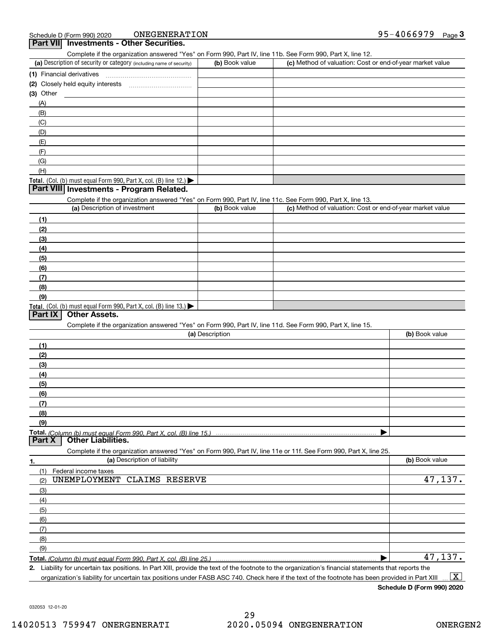ONEGENERATION

| ONEGENERATION<br>Schedule D (Form 990) 2020                                                                       |                 |                                                           | 95-4066979<br>$_{\text{Page}}$ 3 |
|-------------------------------------------------------------------------------------------------------------------|-----------------|-----------------------------------------------------------|----------------------------------|
| Part VII Investments - Other Securities.                                                                          |                 |                                                           |                                  |
| Complete if the organization answered "Yes" on Form 990, Part IV, line 11b. See Form 990, Part X, line 12.        |                 |                                                           |                                  |
| (a) Description of security or category (including name of security)                                              | (b) Book value  | (c) Method of valuation: Cost or end-of-year market value |                                  |
|                                                                                                                   |                 |                                                           |                                  |
| (2) Closely held equity interests [11] [12] Closely held equity interests                                         |                 |                                                           |                                  |
| $(3)$ Other                                                                                                       |                 |                                                           |                                  |
| (A)                                                                                                               |                 |                                                           |                                  |
| (B)                                                                                                               |                 |                                                           |                                  |
| (C)                                                                                                               |                 |                                                           |                                  |
| (D)                                                                                                               |                 |                                                           |                                  |
| (E)                                                                                                               |                 |                                                           |                                  |
| (F)<br>(G)                                                                                                        |                 |                                                           |                                  |
| (H)                                                                                                               |                 |                                                           |                                  |
| Total. (Col. (b) must equal Form 990, Part X, col. (B) line 12.)                                                  |                 |                                                           |                                  |
| Part VIII Investments - Program Related.                                                                          |                 |                                                           |                                  |
| Complete if the organization answered "Yes" on Form 990, Part IV, line 11c. See Form 990, Part X, line 13.        |                 |                                                           |                                  |
| (a) Description of investment                                                                                     | (b) Book value  | (c) Method of valuation: Cost or end-of-year market value |                                  |
| (1)                                                                                                               |                 |                                                           |                                  |
| (2)                                                                                                               |                 |                                                           |                                  |
| (3)                                                                                                               |                 |                                                           |                                  |
| (4)                                                                                                               |                 |                                                           |                                  |
| (5)                                                                                                               |                 |                                                           |                                  |
| (6)                                                                                                               |                 |                                                           |                                  |
| (7)                                                                                                               |                 |                                                           |                                  |
| (8)                                                                                                               |                 |                                                           |                                  |
| (9)                                                                                                               |                 |                                                           |                                  |
| Total. (Col. (b) must equal Form 990, Part X, col. (B) line 13.)                                                  |                 |                                                           |                                  |
| <b>Other Assets.</b><br>Part IX                                                                                   |                 |                                                           |                                  |
| Complete if the organization answered "Yes" on Form 990, Part IV, line 11d. See Form 990, Part X, line 15.        |                 |                                                           |                                  |
|                                                                                                                   | (a) Description |                                                           | (b) Book value                   |
| (1)                                                                                                               |                 |                                                           |                                  |
| (2)                                                                                                               |                 |                                                           |                                  |
| (3)                                                                                                               |                 |                                                           |                                  |
| (4)                                                                                                               |                 |                                                           |                                  |
| (5)                                                                                                               |                 |                                                           |                                  |
| (6)                                                                                                               |                 |                                                           |                                  |
| (7)                                                                                                               |                 |                                                           |                                  |
| (8)                                                                                                               |                 |                                                           |                                  |
| (9)                                                                                                               |                 |                                                           |                                  |
| Part X<br><b>Other Liabilities.</b>                                                                               |                 |                                                           |                                  |
| Complete if the organization answered "Yes" on Form 990, Part IV, line 11e or 11f. See Form 990, Part X, line 25. |                 |                                                           |                                  |
| (a) Description of liability<br>1.                                                                                |                 |                                                           | (b) Book value                   |
| (1)<br>Federal income taxes                                                                                       |                 |                                                           |                                  |
| UNEMPLOYMENT CLAIMS RESERVE<br>(2)                                                                                |                 |                                                           | 47,137.                          |
| (3)                                                                                                               |                 |                                                           |                                  |
| (4)                                                                                                               |                 |                                                           |                                  |
| (5)                                                                                                               |                 |                                                           |                                  |
| (6)                                                                                                               |                 |                                                           |                                  |
| (7)                                                                                                               |                 |                                                           |                                  |
| (8)                                                                                                               |                 |                                                           |                                  |
| (9)                                                                                                               |                 |                                                           |                                  |
| Total. (Column (b) must equal Form 990. Part X, col. (B) line 25.)                                                |                 |                                                           | 47,137.                          |
| In Dort VIII, provide the                                                                                         |                 |                                                           |                                  |

**2.** Liability for uncertain tax positions. In Part XIII, provide the text of the footnote to the organization's financial statements that reports the organization's liability for uncertain tax positions under FASB ASC 740. Check here if the text of the footnote has been provided in Part XIII  $\boxed{\text{X}}$ 

**Schedule D (Form 990) 2020**

032053 12-01-20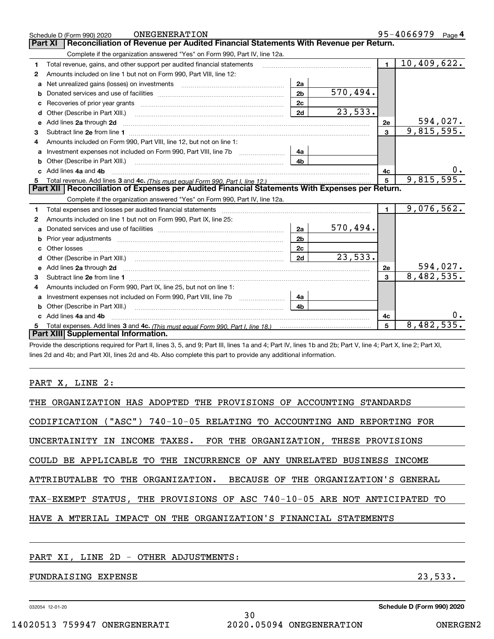|   | ONEGENERATION<br>Schedule D (Form 990) 2020                                                                                                                                                                                         |                |                         |                | 95-4066979<br>Page 4 |
|---|-------------------------------------------------------------------------------------------------------------------------------------------------------------------------------------------------------------------------------------|----------------|-------------------------|----------------|----------------------|
|   | Reconciliation of Revenue per Audited Financial Statements With Revenue per Return.<br>Part XI                                                                                                                                      |                |                         |                |                      |
|   | Complete if the organization answered "Yes" on Form 990, Part IV, line 12a.                                                                                                                                                         |                |                         |                |                      |
| 1 | Total revenue, gains, and other support per audited financial statements                                                                                                                                                            |                |                         | $\blacksquare$ | 10,409,622.          |
| 2 | Amounts included on line 1 but not on Form 990, Part VIII, line 12:                                                                                                                                                                 |                |                         |                |                      |
| a | Net unrealized gains (losses) on investments [11] matter contracts and the unrealized gains (losses) on investments                                                                                                                 | 2a             |                         |                |                      |
| b |                                                                                                                                                                                                                                     | 2 <sub>b</sub> | $\overline{570}$ , 494. |                |                      |
|   |                                                                                                                                                                                                                                     | 2c             |                         |                |                      |
| d | Other (Describe in Part XIII.) <b>2006</b> 2007 2010 2010 2010 2010 2011 2012 2013 2014 2014 2015 2016 2017 2018 2019 2016 2017 2018 2019 2016 2017 2018 2019 2016 2017 2018 2019 2018 2019 2019 2016 2017 2018 2019 2018 2019 2019 | 2d             | 23,533.                 |                |                      |
| e | Add lines 2a through 2d                                                                                                                                                                                                             |                |                         | 2e             | 594,027.             |
| 3 |                                                                                                                                                                                                                                     |                |                         | $\overline{3}$ | 9,815,595.           |
| 4 | Amounts included on Form 990, Part VIII, line 12, but not on line 1:                                                                                                                                                                |                |                         |                |                      |
| a |                                                                                                                                                                                                                                     | - 4а           |                         |                |                      |
|   | Other (Describe in Part XIII.) <b>Construction Construction</b> Chern Construction Chern Chern Chern Chern Chern Chern                                                                                                              | 4b             |                         |                |                      |
|   | c Add lines 4a and 4b                                                                                                                                                                                                               |                |                         | 4с             |                      |
| 5 |                                                                                                                                                                                                                                     |                |                         | 5              | 9,815,595.           |
|   | Part XII   Reconciliation of Expenses per Audited Financial Statements With Expenses per Return.                                                                                                                                    |                |                         |                |                      |
|   | Complete if the organization answered "Yes" on Form 990, Part IV, line 12a.                                                                                                                                                         |                |                         |                |                      |
| 1 | Total expenses and losses per audited financial statements [11] [11] Total expenses and losses per audited financial statements [11] [11] Total expenses and losses per audited financial statements                                |                |                         | $\mathbf{1}$   | 9,076,562.           |
| 2 | Amounts included on line 1 but not on Form 990, Part IX, line 25:                                                                                                                                                                   |                |                         |                |                      |
| a |                                                                                                                                                                                                                                     | 2a             | 570,494.                |                |                      |
| b | Prior year adjustments immunicant contracts and all the material contracts and the material contracts and the                                                                                                                       | 2 <sub>b</sub> |                         |                |                      |
|   |                                                                                                                                                                                                                                     | 2c             |                         |                |                      |
| d |                                                                                                                                                                                                                                     | 2d             | 23,533.                 |                |                      |
| е | Add lines 2a through 2d <b>contract and a contract and a contract a</b> contract a contract and a contract a contract a                                                                                                             |                |                         | 2e             | <u>594,027.</u>      |
| з |                                                                                                                                                                                                                                     |                |                         | 3              | 8,482,535.           |
| 4 | Amounts included on Form 990, Part IX, line 25, but not on line 1:                                                                                                                                                                  |                |                         |                |                      |
| a | Investment expenses not included on Form 990, Part VIII, line 7b [11, 111, 111, 111]                                                                                                                                                | 4a             |                         |                |                      |
| b | Other (Describe in Part XIII.)                                                                                                                                                                                                      | 4 <sub>b</sub> |                         |                |                      |
|   | c Add lines 4a and 4b                                                                                                                                                                                                               |                |                         | 4c             |                      |
|   |                                                                                                                                                                                                                                     |                |                         | 5              | 8,482,535.           |
|   | Part XIII Supplemental Information.                                                                                                                                                                                                 |                |                         |                |                      |
|   |                                                                                                                                                                                                                                     |                |                         |                |                      |

Provide the descriptions required for Part II, lines 3, 5, and 9; Part III, lines 1a and 4; Part IV, lines 1b and 2b; Part V, line 4; Part X, line 2; Part XI, lines 2d and 4b; and Part XII, lines 2d and 4b. Also complete this part to provide any additional information.

PART X, LINE 2:

| THE ORGANIZATION HAS ADOPTED THE PROVISIONS OF ACCOUNTING STANDARDS       |
|---------------------------------------------------------------------------|
| CODIFICATION ("ASC") 740-10-05 RELATING TO ACCOUNTING AND REPORTING FOR   |
| INCOME TAXES. FOR THE ORGANIZATION, THESE PROVISIONS<br>UNCERTAINITY IN   |
| COULD BE APPLICABLE TO THE INCURRENCE OF ANY UNRELATED BUSINESS INCOME    |
| ATTRIBUTALBE TO THE ORGANIZATION. BECAUSE OF THE ORGANIZATION'S GENERAL   |
| TAX-EXEMPT STATUS, THE PROVISIONS OF ASC 740-10-05 ARE NOT ANTICIPATED TO |
| HAVE A MTERIAL IMPACT ON THE ORGANIZATION'S FINANCIAL STATEMENTS          |
|                                                                           |
|                                                                           |

# PART XI, LINE 2D - OTHER ADJUSTMENTS:

# FUNDRAISING EXPENSE 23,533.

032054 12-01-20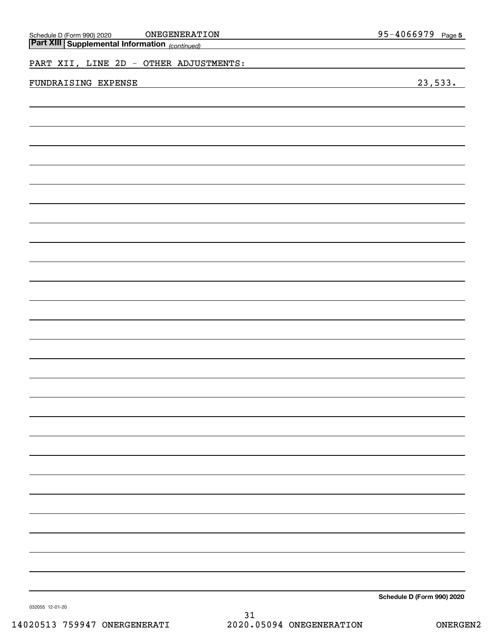| ONEGENERATION                                                                                           | 95-4066979 Page 5 |
|---------------------------------------------------------------------------------------------------------|-------------------|
| Schedule D (Form 990) 2020 <b>ONEGENERAT</b> :<br><b>Part XIII Supplemental Information</b> (continued) |                   |
|                                                                                                         |                   |
| PART XII, LINE 2D - OTHER ADJUSTMENTS:                                                                  |                   |
|                                                                                                         |                   |
| FUNDRAISING EXPENSE                                                                                     | 23,533.           |
|                                                                                                         |                   |
|                                                                                                         |                   |
|                                                                                                         |                   |
|                                                                                                         |                   |
|                                                                                                         |                   |
|                                                                                                         |                   |
|                                                                                                         |                   |
|                                                                                                         |                   |
|                                                                                                         |                   |
|                                                                                                         |                   |
|                                                                                                         |                   |
|                                                                                                         |                   |
|                                                                                                         |                   |
|                                                                                                         |                   |
|                                                                                                         |                   |
|                                                                                                         |                   |
|                                                                                                         |                   |
|                                                                                                         |                   |
|                                                                                                         |                   |
|                                                                                                         |                   |
|                                                                                                         |                   |
|                                                                                                         |                   |
|                                                                                                         |                   |
|                                                                                                         |                   |
|                                                                                                         |                   |
|                                                                                                         |                   |
|                                                                                                         |                   |
|                                                                                                         |                   |
|                                                                                                         |                   |
|                                                                                                         |                   |
|                                                                                                         |                   |
|                                                                                                         |                   |
|                                                                                                         |                   |
|                                                                                                         |                   |
|                                                                                                         |                   |
|                                                                                                         |                   |
|                                                                                                         |                   |
|                                                                                                         |                   |
|                                                                                                         |                   |
|                                                                                                         |                   |
|                                                                                                         |                   |
|                                                                                                         |                   |
|                                                                                                         |                   |
|                                                                                                         |                   |
|                                                                                                         |                   |
|                                                                                                         |                   |
|                                                                                                         |                   |
|                                                                                                         |                   |
|                                                                                                         |                   |

**Schedule D (Form 990) 2020**

032055 12-01-20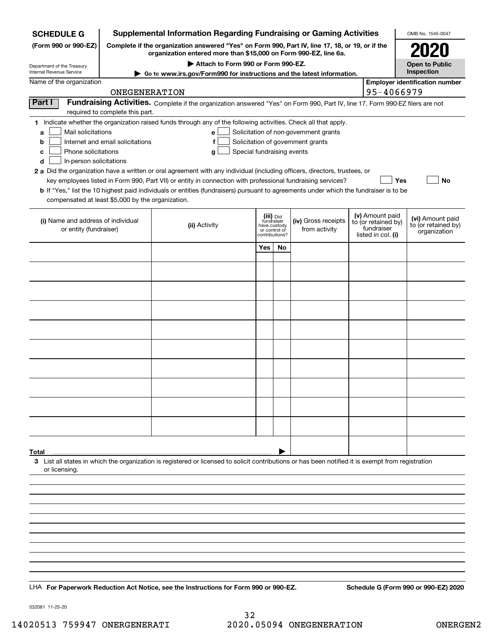| <b>Supplemental Information Regarding Fundraising or Gaming Activities</b><br><b>SCHEDULE G</b>                                                                              |                                                                                                                                                                     |                                                                                                                                                                                                                                                                                                                                                                                                                                                                                                                                                           |                                                     |                     |                                                                            |                                                                            | OMB No. 1545-0047                                       |                                      |
|------------------------------------------------------------------------------------------------------------------------------------------------------------------------------|---------------------------------------------------------------------------------------------------------------------------------------------------------------------|-----------------------------------------------------------------------------------------------------------------------------------------------------------------------------------------------------------------------------------------------------------------------------------------------------------------------------------------------------------------------------------------------------------------------------------------------------------------------------------------------------------------------------------------------------------|-----------------------------------------------------|---------------------|----------------------------------------------------------------------------|----------------------------------------------------------------------------|---------------------------------------------------------|--------------------------------------|
| (Form 990 or 990-EZ)                                                                                                                                                         | Complete if the organization answered "Yes" on Form 990, Part IV, line 17, 18, or 19, or if the<br>organization entered more than \$15,000 on Form 990-EZ, line 6a. |                                                                                                                                                                                                                                                                                                                                                                                                                                                                                                                                                           |                                                     |                     |                                                                            |                                                                            |                                                         |                                      |
| Department of the Treasury                                                                                                                                                   |                                                                                                                                                                     | Attach to Form 990 or Form 990-EZ.                                                                                                                                                                                                                                                                                                                                                                                                                                                                                                                        |                                                     |                     |                                                                            |                                                                            |                                                         | <b>Open to Public</b>                |
| Internal Revenue Service                                                                                                                                                     | ► Go to www.irs.gov/Form990 for instructions and the latest information.                                                                                            |                                                                                                                                                                                                                                                                                                                                                                                                                                                                                                                                                           | Inspection<br><b>Employer identification number</b> |                     |                                                                            |                                                                            |                                                         |                                      |
| Name of the organization                                                                                                                                                     | ONEGENERATION                                                                                                                                                       |                                                                                                                                                                                                                                                                                                                                                                                                                                                                                                                                                           |                                                     |                     |                                                                            |                                                                            | 95-4066979                                              |                                      |
| Part I                                                                                                                                                                       | required to complete this part.                                                                                                                                     | Fundraising Activities. Complete if the organization answered "Yes" on Form 990, Part IV, line 17. Form 990-EZ filers are not                                                                                                                                                                                                                                                                                                                                                                                                                             |                                                     |                     |                                                                            |                                                                            |                                                         |                                      |
| Mail solicitations<br>a<br>b<br>Phone solicitations<br>c<br>In-person solicitations<br>d<br>compensated at least \$5,000 by the organization.                                | Internet and email solicitations                                                                                                                                    | 1 Indicate whether the organization raised funds through any of the following activities. Check all that apply.<br>е<br>f<br>Special fundraising events<br>g<br>2 a Did the organization have a written or oral agreement with any individual (including officers, directors, trustees, or<br>key employees listed in Form 990, Part VII) or entity in connection with professional fundraising services?<br><b>b</b> If "Yes," list the 10 highest paid individuals or entities (fundraisers) pursuant to agreements under which the fundraiser is to be |                                                     |                     | Solicitation of non-government grants<br>Solicitation of government grants |                                                                            | Yes                                                     | No                                   |
| (iii) Did<br>fundraiser<br>(i) Name and address of individual<br>(ii) Activity<br>have custody<br>from activity<br>or entity (fundraiser)<br>or control of<br>contributions? |                                                                                                                                                                     |                                                                                                                                                                                                                                                                                                                                                                                                                                                                                                                                                           |                                                     | (iv) Gross receipts |                                                                            | (v) Amount paid<br>to (or retained by)<br>fundraiser<br>listed in col. (i) | (vi) Amount paid<br>to (or retained by)<br>organization |                                      |
|                                                                                                                                                                              |                                                                                                                                                                     |                                                                                                                                                                                                                                                                                                                                                                                                                                                                                                                                                           | Yes                                                 | No                  |                                                                            |                                                                            |                                                         |                                      |
|                                                                                                                                                                              |                                                                                                                                                                     |                                                                                                                                                                                                                                                                                                                                                                                                                                                                                                                                                           |                                                     |                     |                                                                            |                                                                            |                                                         |                                      |
|                                                                                                                                                                              |                                                                                                                                                                     |                                                                                                                                                                                                                                                                                                                                                                                                                                                                                                                                                           |                                                     |                     |                                                                            |                                                                            |                                                         |                                      |
|                                                                                                                                                                              |                                                                                                                                                                     |                                                                                                                                                                                                                                                                                                                                                                                                                                                                                                                                                           |                                                     |                     |                                                                            |                                                                            |                                                         |                                      |
|                                                                                                                                                                              |                                                                                                                                                                     |                                                                                                                                                                                                                                                                                                                                                                                                                                                                                                                                                           |                                                     |                     |                                                                            |                                                                            |                                                         |                                      |
|                                                                                                                                                                              |                                                                                                                                                                     |                                                                                                                                                                                                                                                                                                                                                                                                                                                                                                                                                           |                                                     |                     |                                                                            |                                                                            |                                                         |                                      |
|                                                                                                                                                                              |                                                                                                                                                                     |                                                                                                                                                                                                                                                                                                                                                                                                                                                                                                                                                           |                                                     |                     |                                                                            |                                                                            |                                                         |                                      |
|                                                                                                                                                                              |                                                                                                                                                                     |                                                                                                                                                                                                                                                                                                                                                                                                                                                                                                                                                           |                                                     |                     |                                                                            |                                                                            |                                                         |                                      |
|                                                                                                                                                                              |                                                                                                                                                                     |                                                                                                                                                                                                                                                                                                                                                                                                                                                                                                                                                           |                                                     |                     |                                                                            |                                                                            |                                                         |                                      |
|                                                                                                                                                                              |                                                                                                                                                                     |                                                                                                                                                                                                                                                                                                                                                                                                                                                                                                                                                           |                                                     |                     |                                                                            |                                                                            |                                                         |                                      |
|                                                                                                                                                                              |                                                                                                                                                                     |                                                                                                                                                                                                                                                                                                                                                                                                                                                                                                                                                           |                                                     |                     |                                                                            |                                                                            |                                                         |                                      |
| Total<br>or licensing.                                                                                                                                                       |                                                                                                                                                                     | 3 List all states in which the organization is registered or licensed to solicit contributions or has been notified it is exempt from registration                                                                                                                                                                                                                                                                                                                                                                                                        |                                                     |                     |                                                                            |                                                                            |                                                         |                                      |
|                                                                                                                                                                              |                                                                                                                                                                     |                                                                                                                                                                                                                                                                                                                                                                                                                                                                                                                                                           |                                                     |                     |                                                                            |                                                                            |                                                         |                                      |
|                                                                                                                                                                              |                                                                                                                                                                     |                                                                                                                                                                                                                                                                                                                                                                                                                                                                                                                                                           |                                                     |                     |                                                                            |                                                                            |                                                         |                                      |
|                                                                                                                                                                              |                                                                                                                                                                     |                                                                                                                                                                                                                                                                                                                                                                                                                                                                                                                                                           |                                                     |                     |                                                                            |                                                                            |                                                         |                                      |
|                                                                                                                                                                              |                                                                                                                                                                     |                                                                                                                                                                                                                                                                                                                                                                                                                                                                                                                                                           |                                                     |                     |                                                                            |                                                                            |                                                         |                                      |
|                                                                                                                                                                              |                                                                                                                                                                     |                                                                                                                                                                                                                                                                                                                                                                                                                                                                                                                                                           |                                                     |                     |                                                                            |                                                                            |                                                         |                                      |
|                                                                                                                                                                              |                                                                                                                                                                     |                                                                                                                                                                                                                                                                                                                                                                                                                                                                                                                                                           |                                                     |                     |                                                                            |                                                                            |                                                         |                                      |
|                                                                                                                                                                              |                                                                                                                                                                     | LHA For Paperwork Reduction Act Notice, see the Instructions for Form 990 or 990-EZ.                                                                                                                                                                                                                                                                                                                                                                                                                                                                      |                                                     |                     |                                                                            |                                                                            |                                                         | Schedule G (Form 990 or 990-EZ) 2020 |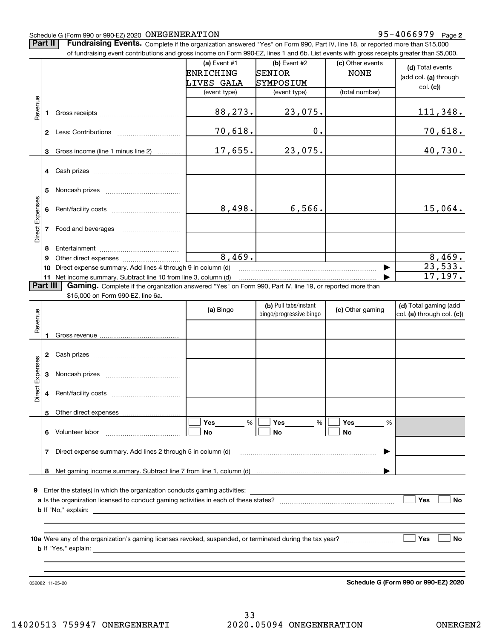#### Schedule G (Form 990 or 990-EZ) 2020 Page ONEGENERATION 95-4066979

**Part II** | Fundraising Events. Complete if the organization answered "Yes" on Form 990, Part IV, line 18, or reported more than \$15,000

|                 |                 | of fundraising event contributions and gross income on Form 990-EZ, lines 1 and 6b. List events with gross receipts greater than \$5,000. |              |                                                  |                  |                                                     |
|-----------------|-----------------|-------------------------------------------------------------------------------------------------------------------------------------------|--------------|--------------------------------------------------|------------------|-----------------------------------------------------|
|                 |                 |                                                                                                                                           | (a) Event #1 | $(b)$ Event #2                                   | (c) Other events | (d) Total events                                    |
|                 |                 |                                                                                                                                           | ENRICHING    | SENIOR                                           | <b>NONE</b>      | (add col. (a) through                               |
|                 |                 |                                                                                                                                           | LIVES GALA   | SYMPOSIUM                                        |                  | col. (c)                                            |
|                 |                 |                                                                                                                                           | (event type) | (event type)                                     | (total number)   |                                                     |
| Revenue         |                 |                                                                                                                                           |              |                                                  |                  |                                                     |
|                 | 1.              |                                                                                                                                           | 88,273.      | 23,075.                                          |                  | 111,348.                                            |
|                 |                 |                                                                                                                                           | 70,618.      | 0.                                               |                  | 70,618.                                             |
|                 |                 |                                                                                                                                           |              |                                                  |                  |                                                     |
|                 | 3               | Gross income (line 1 minus line 2)                                                                                                        | 17,655.      | 23,075.                                          |                  | 40,730.                                             |
|                 |                 |                                                                                                                                           |              |                                                  |                  |                                                     |
|                 |                 |                                                                                                                                           |              |                                                  |                  |                                                     |
|                 |                 |                                                                                                                                           |              |                                                  |                  |                                                     |
|                 | 5.              |                                                                                                                                           |              |                                                  |                  |                                                     |
|                 |                 |                                                                                                                                           |              |                                                  |                  |                                                     |
|                 | 6               |                                                                                                                                           | 8,498.       | 6,566.                                           |                  | 15,064.                                             |
| Direct Expenses |                 |                                                                                                                                           |              |                                                  |                  |                                                     |
|                 |                 | 7 Food and beverages                                                                                                                      |              |                                                  |                  |                                                     |
|                 | 8               |                                                                                                                                           |              |                                                  |                  |                                                     |
|                 | 9               |                                                                                                                                           | 8,469.       |                                                  |                  | 8,469.                                              |
|                 | 10              | Direct expense summary. Add lines 4 through 9 in column (d)                                                                               |              |                                                  |                  | 23,533.                                             |
|                 |                 | 11 Net income summary. Subtract line 10 from line 3, column (d)                                                                           |              |                                                  |                  | 17, 197.                                            |
|                 | <b>Part III</b> | Gaming. Complete if the organization answered "Yes" on Form 990, Part IV, line 19, or reported more than                                  |              |                                                  |                  |                                                     |
|                 |                 | \$15,000 on Form 990-EZ, line 6a.                                                                                                         |              |                                                  |                  |                                                     |
|                 |                 |                                                                                                                                           | (a) Bingo    | (b) Pull tabs/instant<br>bingo/progressive bingo | (c) Other gaming | (d) Total gaming (add<br>col. (a) through col. (c)) |
| Revenue         |                 |                                                                                                                                           |              |                                                  |                  |                                                     |
|                 | 1               |                                                                                                                                           |              |                                                  |                  |                                                     |
|                 |                 |                                                                                                                                           |              |                                                  |                  |                                                     |
|                 |                 |                                                                                                                                           |              |                                                  |                  |                                                     |
|                 |                 |                                                                                                                                           |              |                                                  |                  |                                                     |
| Expenses        | 3               |                                                                                                                                           |              |                                                  |                  |                                                     |
|                 |                 |                                                                                                                                           |              |                                                  |                  |                                                     |
| Direct          | 4               |                                                                                                                                           |              |                                                  |                  |                                                     |
|                 |                 |                                                                                                                                           |              |                                                  |                  |                                                     |
|                 | 5               | Other direct expenses                                                                                                                     | Yes<br>%     | Yes<br>%                                         | <b>Yes</b><br>%  |                                                     |
|                 |                 | 6 Volunteer labor                                                                                                                         | No           | No                                               | No               |                                                     |
|                 |                 |                                                                                                                                           |              |                                                  |                  |                                                     |
|                 |                 | 7 Direct expense summary. Add lines 2 through 5 in column (d)                                                                             |              |                                                  |                  |                                                     |
|                 |                 |                                                                                                                                           |              |                                                  |                  |                                                     |
|                 |                 |                                                                                                                                           |              |                                                  |                  |                                                     |
|                 |                 |                                                                                                                                           |              |                                                  |                  |                                                     |
|                 |                 |                                                                                                                                           |              |                                                  |                  |                                                     |
|                 |                 |                                                                                                                                           |              |                                                  |                  | Yes<br><b>No</b>                                    |
|                 |                 |                                                                                                                                           |              |                                                  |                  |                                                     |
|                 |                 |                                                                                                                                           |              |                                                  |                  |                                                     |
|                 |                 |                                                                                                                                           |              |                                                  |                  | Yes<br>No                                           |
|                 |                 |                                                                                                                                           |              |                                                  |                  |                                                     |
|                 |                 |                                                                                                                                           |              |                                                  |                  |                                                     |
|                 |                 |                                                                                                                                           |              |                                                  |                  |                                                     |
|                 |                 |                                                                                                                                           |              |                                                  |                  |                                                     |

032082 11-25-20

**Schedule G (Form 990 or 990-EZ) 2020**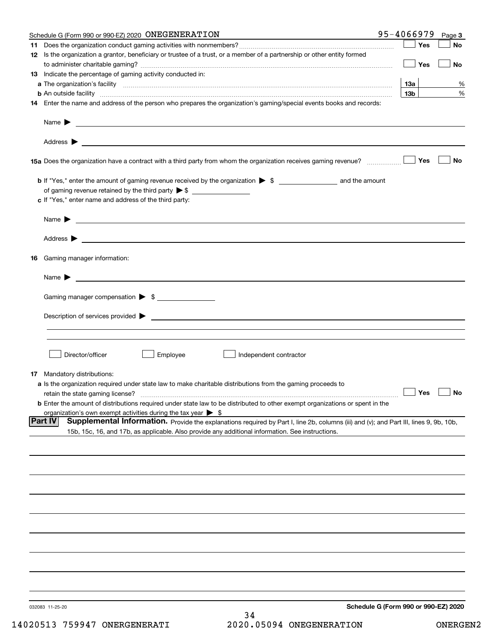|    | Schedule G (Form 990 or 990-EZ) 2020 ONEGENERATION                                                                                                                                                                                                           | 95-4066979                   | Page 3    |
|----|--------------------------------------------------------------------------------------------------------------------------------------------------------------------------------------------------------------------------------------------------------------|------------------------------|-----------|
|    |                                                                                                                                                                                                                                                              | Yes                          | No        |
|    | 12 Is the organization a grantor, beneficiary or trustee of a trust, or a member of a partnership or other entity formed                                                                                                                                     | Yes                          | No        |
|    | 13 Indicate the percentage of gaming activity conducted in:                                                                                                                                                                                                  |                              |           |
|    |                                                                                                                                                                                                                                                              | 13а                          | %         |
|    | <b>b</b> An outside facility <i>www.communicality www.communicality.communicality www.communicality www.communicality.communicality</i>                                                                                                                      | 13 <sub>b</sub>              | %         |
|    | 14 Enter the name and address of the person who prepares the organization's gaming/special events books and records:                                                                                                                                         |                              |           |
|    | Name $\blacktriangleright$<br><u> 1989 - Johann Barbara, martin amerikan basar dan berasal dan berasal dan berasal dari berasal dan berasal dan</u>                                                                                                          |                              |           |
|    |                                                                                                                                                                                                                                                              |                              |           |
|    |                                                                                                                                                                                                                                                              | Yes                          | <b>No</b> |
|    |                                                                                                                                                                                                                                                              |                              |           |
|    | of gaming revenue retained by the third party $\triangleright$ \$                                                                                                                                                                                            |                              |           |
|    | c If "Yes," enter name and address of the third party:                                                                                                                                                                                                       |                              |           |
|    | Name $\blacktriangleright$ $\bot$                                                                                                                                                                                                                            |                              |           |
|    |                                                                                                                                                                                                                                                              |                              |           |
| 16 | Gaming manager information:                                                                                                                                                                                                                                  |                              |           |
|    |                                                                                                                                                                                                                                                              |                              |           |
|    | $Name \rightarrow$                                                                                                                                                                                                                                           |                              |           |
|    | Gaming manager compensation > \$                                                                                                                                                                                                                             |                              |           |
|    | $Description of services provided$ $\triangleright$                                                                                                                                                                                                          |                              |           |
|    |                                                                                                                                                                                                                                                              |                              |           |
|    | Director/officer<br>Employee<br>Independent contractor                                                                                                                                                                                                       |                              |           |
|    |                                                                                                                                                                                                                                                              |                              |           |
|    | <b>17</b> Mandatory distributions:<br>a Is the organization required under state law to make charitable distributions from the gaming proceeds to                                                                                                            |                              |           |
|    | retain the state gaming license?                                                                                                                                                                                                                             | $\overline{\phantom{a}}$ Yes | $\Box$ No |
|    | <b>b</b> Enter the amount of distributions required under state law to be distributed to other exempt organizations or spent in the                                                                                                                          |                              |           |
|    | organization's own exempt activities during the tax year $\triangleright$ \$                                                                                                                                                                                 |                              |           |
|    | <b>Part IV</b><br>Supplemental Information. Provide the explanations required by Part I, line 2b, columns (iii) and (v); and Part III, lines 9, 9b, 10b,<br>15b, 15c, 16, and 17b, as applicable. Also provide any additional information. See instructions. |                              |           |
|    |                                                                                                                                                                                                                                                              |                              |           |
|    |                                                                                                                                                                                                                                                              |                              |           |
|    |                                                                                                                                                                                                                                                              |                              |           |
|    |                                                                                                                                                                                                                                                              |                              |           |
|    |                                                                                                                                                                                                                                                              |                              |           |
|    |                                                                                                                                                                                                                                                              |                              |           |
|    |                                                                                                                                                                                                                                                              |                              |           |
|    |                                                                                                                                                                                                                                                              |                              |           |
|    |                                                                                                                                                                                                                                                              |                              |           |
|    |                                                                                                                                                                                                                                                              |                              |           |
|    | Schedule G (Form 990 or 990-EZ) 2020<br>032083 11-25-20<br>34                                                                                                                                                                                                |                              |           |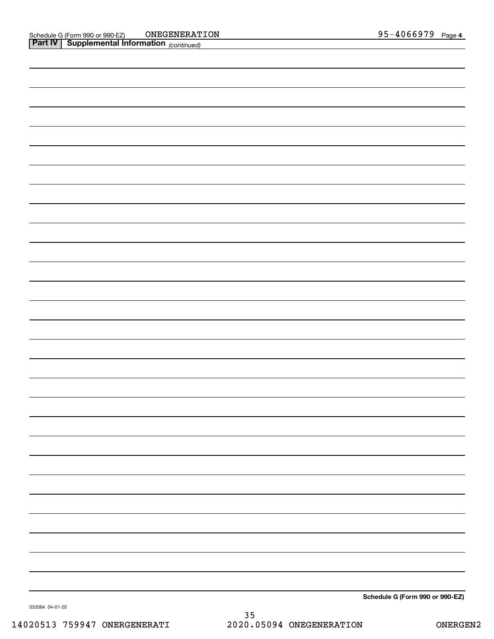| Schedule G (Form 990 or 990-EZ) |
|---------------------------------|
|                                 |

032084 04-01-20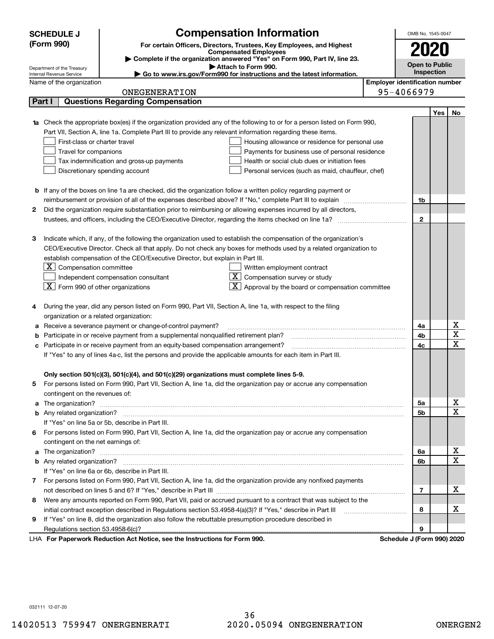|   | <b>SCHEDULE J</b>                                                                          | <b>Compensation Information</b>                                                                                                                                                                                                      |                                       | OMB No. 1545-0047          |     |                              |  |  |
|---|--------------------------------------------------------------------------------------------|--------------------------------------------------------------------------------------------------------------------------------------------------------------------------------------------------------------------------------------|---------------------------------------|----------------------------|-----|------------------------------|--|--|
|   | (Form 990)                                                                                 | For certain Officers, Directors, Trustees, Key Employees, and Highest                                                                                                                                                                |                                       |                            |     |                              |  |  |
|   |                                                                                            | <b>Compensated Employees</b>                                                                                                                                                                                                         |                                       | 2020                       |     |                              |  |  |
|   |                                                                                            | Complete if the organization answered "Yes" on Form 990, Part IV, line 23.<br>Attach to Form 990.                                                                                                                                    |                                       | <b>Open to Public</b>      |     |                              |  |  |
|   | Department of the Treasury<br>Internal Revenue Service                                     | Go to www.irs.gov/Form990 for instructions and the latest information.                                                                                                                                                               |                                       | Inspection                 |     |                              |  |  |
|   | Name of the organization                                                                   |                                                                                                                                                                                                                                      | <b>Employer identification number</b> |                            |     |                              |  |  |
|   |                                                                                            | ONEGENERATION                                                                                                                                                                                                                        |                                       | 95-4066979                 |     |                              |  |  |
|   | Part I                                                                                     | <b>Questions Regarding Compensation</b>                                                                                                                                                                                              |                                       |                            |     |                              |  |  |
|   |                                                                                            |                                                                                                                                                                                                                                      |                                       |                            | Yes | No                           |  |  |
|   |                                                                                            | Check the appropriate box(es) if the organization provided any of the following to or for a person listed on Form 990,                                                                                                               |                                       |                            |     |                              |  |  |
|   |                                                                                            | Part VII, Section A, line 1a. Complete Part III to provide any relevant information regarding these items.                                                                                                                           |                                       |                            |     |                              |  |  |
|   | First-class or charter travel                                                              | Housing allowance or residence for personal use                                                                                                                                                                                      |                                       |                            |     |                              |  |  |
|   | Travel for companions                                                                      | Payments for business use of personal residence                                                                                                                                                                                      |                                       |                            |     |                              |  |  |
|   | Health or social club dues or initiation fees<br>Tax indemnification and gross-up payments |                                                                                                                                                                                                                                      |                                       |                            |     |                              |  |  |
|   |                                                                                            | Discretionary spending account<br>Personal services (such as maid, chauffeur, chef)                                                                                                                                                  |                                       |                            |     |                              |  |  |
|   |                                                                                            |                                                                                                                                                                                                                                      |                                       |                            |     |                              |  |  |
|   |                                                                                            | <b>b</b> If any of the boxes on line 1a are checked, did the organization follow a written policy regarding payment or                                                                                                               |                                       |                            |     |                              |  |  |
|   |                                                                                            |                                                                                                                                                                                                                                      |                                       | 1b                         |     |                              |  |  |
| 2 |                                                                                            | Did the organization require substantiation prior to reimbursing or allowing expenses incurred by all directors,                                                                                                                     |                                       | $\mathbf{2}$               |     |                              |  |  |
|   |                                                                                            |                                                                                                                                                                                                                                      |                                       |                            |     |                              |  |  |
| З |                                                                                            | Indicate which, if any, of the following the organization used to establish the compensation of the organization's                                                                                                                   |                                       |                            |     |                              |  |  |
|   |                                                                                            | CEO/Executive Director. Check all that apply. Do not check any boxes for methods used by a related organization to                                                                                                                   |                                       |                            |     |                              |  |  |
|   |                                                                                            | establish compensation of the CEO/Executive Director, but explain in Part III.                                                                                                                                                       |                                       |                            |     |                              |  |  |
|   | $ \mathbf{X} $ Compensation committee                                                      | Written employment contract                                                                                                                                                                                                          |                                       |                            |     |                              |  |  |
|   |                                                                                            | $\overline{X}$ Compensation survey or study<br>Independent compensation consultant                                                                                                                                                   |                                       |                            |     |                              |  |  |
|   | $\boxed{\textbf{X}}$ Form 990 of other organizations                                       | $\boxed{\textbf{X}}$ Approval by the board or compensation committee                                                                                                                                                                 |                                       |                            |     |                              |  |  |
|   |                                                                                            |                                                                                                                                                                                                                                      |                                       |                            |     |                              |  |  |
| 4 |                                                                                            | During the year, did any person listed on Form 990, Part VII, Section A, line 1a, with respect to the filing                                                                                                                         |                                       |                            |     |                              |  |  |
|   | organization or a related organization:                                                    |                                                                                                                                                                                                                                      |                                       |                            |     |                              |  |  |
| а |                                                                                            | Receive a severance payment or change-of-control payment?                                                                                                                                                                            |                                       | 4a                         |     | Χ                            |  |  |
|   |                                                                                            | Participate in or receive payment from a supplemental nonqualified retirement plan?                                                                                                                                                  |                                       | 4b                         |     | $\overline{\textbf{X}}$      |  |  |
|   |                                                                                            | Participate in or receive payment from an equity-based compensation arrangement?                                                                                                                                                     |                                       | 4c                         |     | $\mathbf X$                  |  |  |
|   |                                                                                            | If "Yes" to any of lines 4a-c, list the persons and provide the applicable amounts for each item in Part III.                                                                                                                        |                                       |                            |     |                              |  |  |
|   |                                                                                            |                                                                                                                                                                                                                                      |                                       |                            |     |                              |  |  |
|   |                                                                                            | Only section 501(c)(3), 501(c)(4), and 501(c)(29) organizations must complete lines 5-9.                                                                                                                                             |                                       |                            |     |                              |  |  |
|   |                                                                                            | For persons listed on Form 990, Part VII, Section A, line 1a, did the organization pay or accrue any compensation                                                                                                                    |                                       |                            |     |                              |  |  |
|   | contingent on the revenues of:                                                             |                                                                                                                                                                                                                                      |                                       |                            |     |                              |  |  |
| a |                                                                                            |                                                                                                                                                                                                                                      |                                       | 5a                         |     | x<br>$\overline{\mathbf{x}}$ |  |  |
|   |                                                                                            |                                                                                                                                                                                                                                      |                                       | 5b                         |     |                              |  |  |
|   |                                                                                            | If "Yes" on line 5a or 5b, describe in Part III.                                                                                                                                                                                     |                                       |                            |     |                              |  |  |
|   |                                                                                            | 6 For persons listed on Form 990, Part VII, Section A, line 1a, did the organization pay or accrue any compensation                                                                                                                  |                                       |                            |     |                              |  |  |
|   | contingent on the net earnings of:                                                         |                                                                                                                                                                                                                                      |                                       |                            |     | х                            |  |  |
| a |                                                                                            | The organization? <b>With the contract of the contract of the contract of the contract of the contract of the contract of the contract of the contract of the contract of the contract of the contract of the contract of the co</b> |                                       | 6a                         |     | $\overline{\mathbf{x}}$      |  |  |
|   |                                                                                            | If "Yes" on line 6a or 6b, describe in Part III.                                                                                                                                                                                     |                                       | 6b                         |     |                              |  |  |
|   |                                                                                            | 7 For persons listed on Form 990, Part VII, Section A, line 1a, did the organization provide any nonfixed payments                                                                                                                   |                                       |                            |     |                              |  |  |
|   |                                                                                            |                                                                                                                                                                                                                                      |                                       | 7                          |     | х                            |  |  |
| 8 |                                                                                            | Were any amounts reported on Form 990, Part VII, paid or accrued pursuant to a contract that was subject to the                                                                                                                      |                                       |                            |     |                              |  |  |
|   |                                                                                            | initial contract exception described in Regulations section 53.4958-4(a)(3)? If "Yes," describe in Part III                                                                                                                          |                                       | 8                          |     | х                            |  |  |
| 9 |                                                                                            | If "Yes" on line 8, did the organization also follow the rebuttable presumption procedure described in                                                                                                                               |                                       |                            |     |                              |  |  |
|   |                                                                                            |                                                                                                                                                                                                                                      |                                       | 9                          |     |                              |  |  |
|   |                                                                                            | LHA For Paperwork Reduction Act Notice, see the Instructions for Form 990.                                                                                                                                                           |                                       | Schedule J (Form 990) 2020 |     |                              |  |  |

032111 12-07-20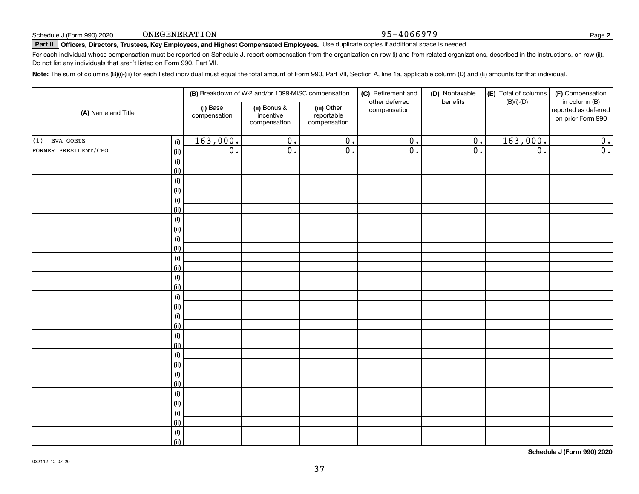#### 95-4066979

**2**

# **Part II Officers, Directors, Trustees, Key Employees, and Highest Compensated Employees.**  Schedule J (Form 990) 2020 Page Use duplicate copies if additional space is needed.

For each individual whose compensation must be reported on Schedule J, report compensation from the organization on row (i) and from related organizations, described in the instructions, on row (ii). Do not list any individuals that aren't listed on Form 990, Part VII.

**Note:**  The sum of columns (B)(i)-(iii) for each listed individual must equal the total amount of Form 990, Part VII, Section A, line 1a, applicable column (D) and (E) amounts for that individual.

| (A) Name and Title   |                |                          | (B) Breakdown of W-2 and/or 1099-MISC compensation |                                           | (C) Retirement and<br>other deferred | (D) Nontaxable<br>benefits | (E) Total of columns<br>$(B)(i)-(D)$ | (F) Compensation<br>in column (B)         |
|----------------------|----------------|--------------------------|----------------------------------------------------|-------------------------------------------|--------------------------------------|----------------------------|--------------------------------------|-------------------------------------------|
|                      |                | (i) Base<br>compensation | (ii) Bonus &<br>incentive<br>compensation          | (iii) Other<br>reportable<br>compensation | compensation                         |                            |                                      | reported as deferred<br>on prior Form 990 |
| EVA GOETZ<br>(1)     | (i)            | 163,000.                 | $\overline{0}$ .                                   | $\overline{0}$ .                          | $\overline{0}$ .                     | $\overline{0}$ .           | 163,000.                             | 0.                                        |
| FORMER PRESIDENT/CEO | (ii)           | $\overline{0}$ .         | $\overline{0}$ .                                   | $\overline{0}$ .                          | $\overline{0}$ .                     | $\overline{0}$ .           | $\overline{0}$ .                     | $\overline{0}$ .                          |
|                      | (i)            |                          |                                                    |                                           |                                      |                            |                                      |                                           |
|                      | <u>(ii)</u>    |                          |                                                    |                                           |                                      |                            |                                      |                                           |
|                      | (i)            |                          |                                                    |                                           |                                      |                            |                                      |                                           |
|                      | <u>(ii)</u>    |                          |                                                    |                                           |                                      |                            |                                      |                                           |
|                      | (i)            |                          |                                                    |                                           |                                      |                            |                                      |                                           |
|                      | <u>(ii)</u>    |                          |                                                    |                                           |                                      |                            |                                      |                                           |
|                      | (i)            |                          |                                                    |                                           |                                      |                            |                                      |                                           |
|                      | <u>(ii)</u>    |                          |                                                    |                                           |                                      |                            |                                      |                                           |
|                      | (i)            |                          |                                                    |                                           |                                      |                            |                                      |                                           |
|                      | <u>(ii)</u>    |                          |                                                    |                                           |                                      |                            |                                      |                                           |
|                      | $(\sf{i})$     |                          |                                                    |                                           |                                      |                            |                                      |                                           |
|                      | (ii)           |                          |                                                    |                                           |                                      |                            |                                      |                                           |
|                      | (i)            |                          |                                                    |                                           |                                      |                            |                                      |                                           |
|                      | (ii)           |                          |                                                    |                                           |                                      |                            |                                      |                                           |
|                      | (i)            |                          |                                                    |                                           |                                      |                            |                                      |                                           |
|                      | (ii)           |                          |                                                    |                                           |                                      |                            |                                      |                                           |
|                      | (i)<br>(ii)    |                          |                                                    |                                           |                                      |                            |                                      |                                           |
|                      | (i)            |                          |                                                    |                                           |                                      |                            |                                      |                                           |
|                      | <u>(ii)</u>    |                          |                                                    |                                           |                                      |                            |                                      |                                           |
|                      | (i)            |                          |                                                    |                                           |                                      |                            |                                      |                                           |
|                      | <u>(ii)</u>    |                          |                                                    |                                           |                                      |                            |                                      |                                           |
|                      | (i)            |                          |                                                    |                                           |                                      |                            |                                      |                                           |
|                      | <u>(ii)</u>    |                          |                                                    |                                           |                                      |                            |                                      |                                           |
|                      | (i)            |                          |                                                    |                                           |                                      |                            |                                      |                                           |
|                      | <u>(ii)</u>    |                          |                                                    |                                           |                                      |                            |                                      |                                           |
|                      | (i)            |                          |                                                    |                                           |                                      |                            |                                      |                                           |
|                      | <u>(ii)</u>    |                          |                                                    |                                           |                                      |                            |                                      |                                           |
|                      | (i)            |                          |                                                    |                                           |                                      |                            |                                      |                                           |
|                      | $\overline{}}$ |                          |                                                    |                                           |                                      |                            |                                      |                                           |

**Schedule J (Form 990) 2020**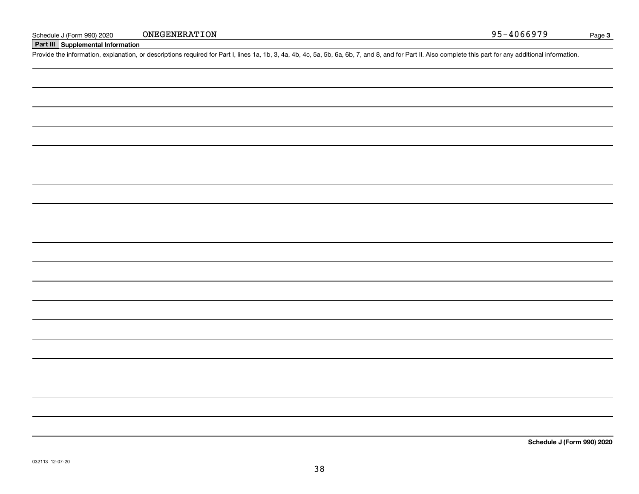## **Part III Supplemental Information**

Schedule J (Form 990) 2020 ONEGENERATION<br>Part III Supplemental Information<br>Provide the information, explanation, or descriptions required for Part I, lines 1a, 1b, 3, 4a, 4b, 4c, 5a, 5b, 6a, 6b, 7, and 8, and for Part II.

**Schedule J (Form 990) 2020**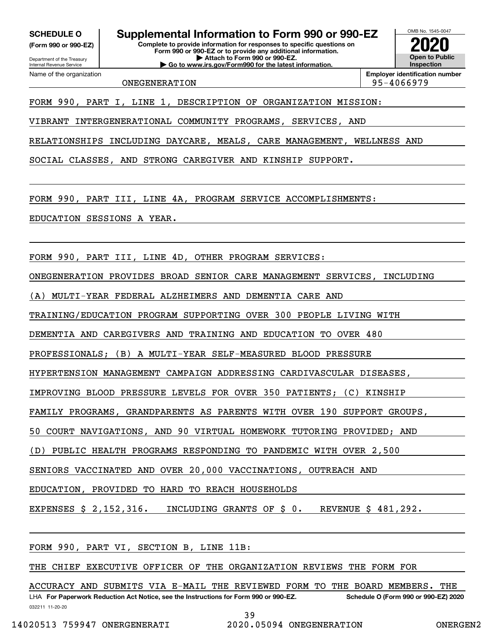**(Form 990 or 990-EZ)**

Department of the Treasury Internal Revenue Service Name of the organization

**SCHEDULE O Supplemental Information to Form 990 or 990-EZ**

**Complete to provide information for responses to specific questions on Form 990 or 990-EZ or to provide any additional information. | Attach to Form 990 or 990-EZ. | Go to www.irs.gov/Form990 for the latest information.**

OMB No. 1545-0047 **Open to Public Inspection2020**

ONEGENERATION 95-4066979

**Employer identification number**

FORM 990, PART I, LINE 1, DESCRIPTION OF ORGANIZATION MISSION:

VIBRANT INTERGENERATIONAL COMMUNITY PROGRAMS, SERVICES, AND

RELATIONSHIPS INCLUDING DAYCARE, MEALS, CARE MANAGEMENT, WELLNESS AND

SOCIAL CLASSES, AND STRONG CAREGIVER AND KINSHIP SUPPORT.

FORM 990, PART III, LINE 4A, PROGRAM SERVICE ACCOMPLISHMENTS:

EDUCATION SESSIONS A YEAR.

FORM 990, PART III, LINE 4D, OTHER PROGRAM SERVICES:

ONEGENERATION PROVIDES BROAD SENIOR CARE MANAGEMENT SERVICES, INCLUDING

(A) MULTI-YEAR FEDERAL ALZHEIMERS AND DEMENTIA CARE AND

TRAINING/EDUCATION PROGRAM SUPPORTING OVER 300 PEOPLE LIVING WITH

DEMENTIA AND CAREGIVERS AND TRAINING AND EDUCATION TO OVER 480

PROFESSIONALS; (B) A MULTI-YEAR SELF-MEASURED BLOOD PRESSURE

HYPERTENSION MANAGEMENT CAMPAIGN ADDRESSING CARDIVASCULAR DISEASES,

IMPROVING BLOOD PRESSURE LEVELS FOR OVER 350 PATIENTS; (C) KINSHIP

FAMILY PROGRAMS, GRANDPARENTS AS PARENTS WITH OVER 190 SUPPORT GROUPS,

50 COURT NAVIGATIONS, AND 90 VIRTUAL HOMEWORK TUTORING PROVIDED; AND

PUBLIC HEALTH PROGRAMS RESPONDING TO PANDEMIC WITH OVER 2,500

SENIORS VACCINATED AND OVER 20,000 VACCINATIONS, OUTREACH AND

EDUCATION, PROVIDED TO HARD TO REACH HOUSEHOLDS

EXPENSES \$ 2,152,316. INCLUDING GRANTS OF \$ 0. REVENUE \$ 481,292.

FORM 990, PART VI, SECTION B, LINE 11B:

THE CHIEF EXECUTIVE OFFICER OF THE ORGANIZATION REVIEWS THE FORM FOR

032211 11-20-20 LHA For Paperwork Reduction Act Notice, see the Instructions for Form 990 or 990-EZ. Schedule O (Form 990 or 990-EZ) 2020 ACCURACY AND SUBMITS VIA E-MAIL THE REVIEWED FORM TO THE BOARD MEMBERS. THE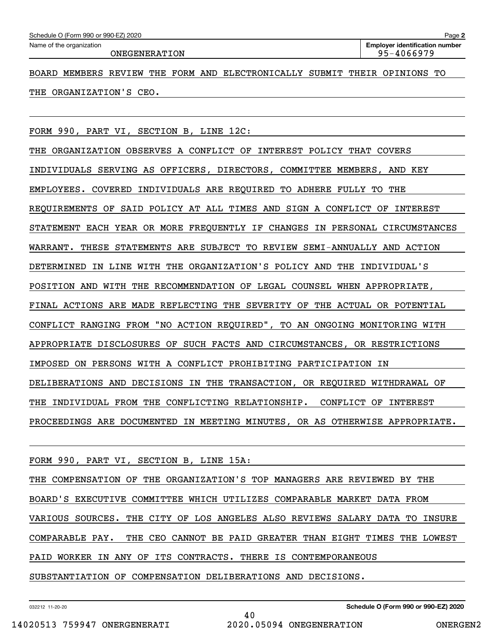ONEGENERATION 195-4066979

BOARD MEMBERS REVIEW THE FORM AND ELECTRONICALLY SUBMIT THEIR OPINIONS TO THE ORGANIZATION'S CEO.

FORM 990, PART VI, SECTION B, LINE 12C:

THE ORGANIZATION OBSERVES A CONFLICT OF INTEREST POLICY THAT COVERS INDIVIDUALS SERVING AS OFFICERS, DIRECTORS, COMMITTEE MEMBERS, AND KEY EMPLOYEES. COVERED INDIVIDUALS ARE REQUIRED TO ADHERE FULLY TO THE REQUIREMENTS OF SAID POLICY AT ALL TIMES AND SIGN A CONFLICT OF INTEREST STATEMENT EACH YEAR OR MORE FREQUENTLY IF CHANGES IN PERSONAL CIRCUMSTANCES WARRANT. THESE STATEMENTS ARE SUBJECT TO REVIEW SEMI-ANNUALLY AND ACTION DETERMINED IN LINE WITH THE ORGANIZATION'S POLICY AND THE INDIVIDUAL'S POSITION AND WITH THE RECOMMENDATION OF LEGAL COUNSEL WHEN APPROPRIATE, FINAL ACTIONS ARE MADE REFLECTING THE SEVERITY OF THE ACTUAL OR POTENTIAL CONFLICT RANGING FROM "NO ACTION REQUIRED", TO AN ONGOING MONITORING WITH APPROPRIATE DISCLOSURES OF SUCH FACTS AND CIRCUMSTANCES, OR RESTRICTIONS IMPOSED ON PERSONS WITH A CONFLICT PROHIBITING PARTICIPATION IN DELIBERATIONS AND DECISIONS IN THE TRANSACTION, OR REQUIRED WITHDRAWAL OF THE INDIVIDUAL FROM THE CONFLICTING RELATIONSHIP. CONFLICT OF INTEREST PROCEEDINGS ARE DOCUMENTED IN MEETING MINUTES, OR AS OTHERWISE APPROPRIATE.

FORM 990, PART VI, SECTION B, LINE 15A:

THE COMPENSATION OF THE ORGANIZATION'S TOP MANAGERS ARE REVIEWED BY THE BOARD'S EXECUTIVE COMMITTEE WHICH UTILIZES COMPARABLE MARKET DATA FROM VARIOUS SOURCES. THE CITY OF LOS ANGELES ALSO REVIEWS SALARY DATA TO INSURE COMPARABLE PAY. THE CEO CANNOT BE PAID GREATER THAN EIGHT TIMES THE LOWEST PAID WORKER IN ANY OF ITS CONTRACTS. THERE IS CONTEMPORANEOUS SUBSTANTIATION OF COMPENSATION DELIBERATIONS AND DECISIONS.

40

032212 11-20-20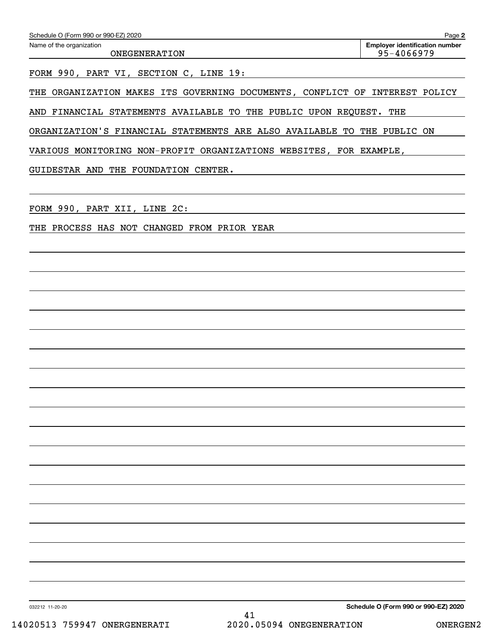| Schedule O (Form 990 or 990-EZ) 2020 | Page 2                                |
|--------------------------------------|---------------------------------------|
| Name of the organization             | <b>Employer identification number</b> |
| ONEGENERATION                        | 95-4066979                            |
|                                      |                                       |

FORM 990, PART VI, SECTION C, LINE 19:

THE ORGANIZATION MAKES ITS GOVERNING DOCUMENTS, CONFLICT OF INTEREST POLICY

AND FINANCIAL STATEMENTS AVAILABLE TO THE PUBLIC UPON REQUEST. THE

ORGANIZATION'S FINANCIAL STATEMENTS ARE ALSO AVAILABLE TO THE PUBLIC ON

VARIOUS MONITORING NON-PROFIT ORGANIZATIONS WEBSITES, FOR EXAMPLE,

GUIDESTAR AND THE FOUNDATION CENTER.

FORM 990, PART XII, LINE 2C:

THE PROCESS HAS NOT CHANGED FROM PRIOR YEAR

032212 11-20-20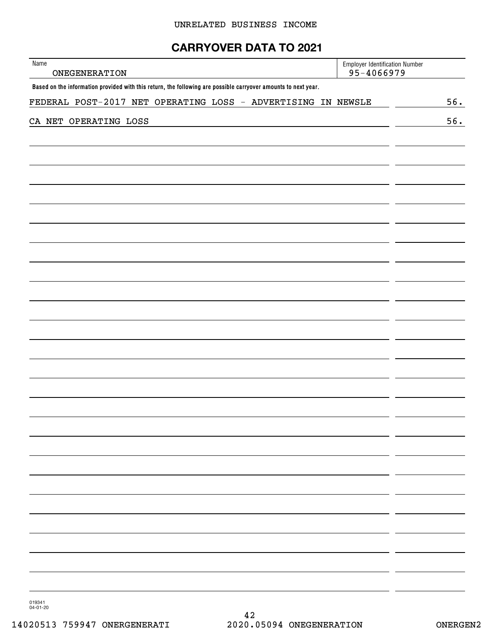# **CARRYOVER DATA TO 2021**

| Name<br>ONEGENERATION                                                                                          | <b>Employer Identification Number</b><br>95-4066979 |     |
|----------------------------------------------------------------------------------------------------------------|-----------------------------------------------------|-----|
| Based on the information provided with this return, the following are possible carryover amounts to next year. |                                                     |     |
| FEDERAL POST-2017 NET OPERATING LOSS - ADVERTISING IN NEWSLE                                                   |                                                     | 56. |
| CA NET OPERATING LOSS                                                                                          |                                                     | 56. |
|                                                                                                                |                                                     |     |
|                                                                                                                |                                                     |     |
|                                                                                                                |                                                     |     |
|                                                                                                                |                                                     |     |
|                                                                                                                |                                                     |     |
|                                                                                                                |                                                     |     |
|                                                                                                                |                                                     |     |
|                                                                                                                |                                                     |     |
|                                                                                                                |                                                     |     |
|                                                                                                                |                                                     |     |
|                                                                                                                |                                                     |     |
|                                                                                                                |                                                     |     |
|                                                                                                                |                                                     |     |
|                                                                                                                |                                                     |     |
|                                                                                                                |                                                     |     |
|                                                                                                                |                                                     |     |
|                                                                                                                |                                                     |     |
|                                                                                                                |                                                     |     |
|                                                                                                                |                                                     |     |
|                                                                                                                |                                                     |     |
|                                                                                                                |                                                     |     |
|                                                                                                                |                                                     |     |
|                                                                                                                |                                                     |     |
|                                                                                                                |                                                     |     |
|                                                                                                                |                                                     |     |
|                                                                                                                |                                                     |     |
|                                                                                                                |                                                     |     |
|                                                                                                                |                                                     |     |
|                                                                                                                |                                                     |     |

019341 04-01-20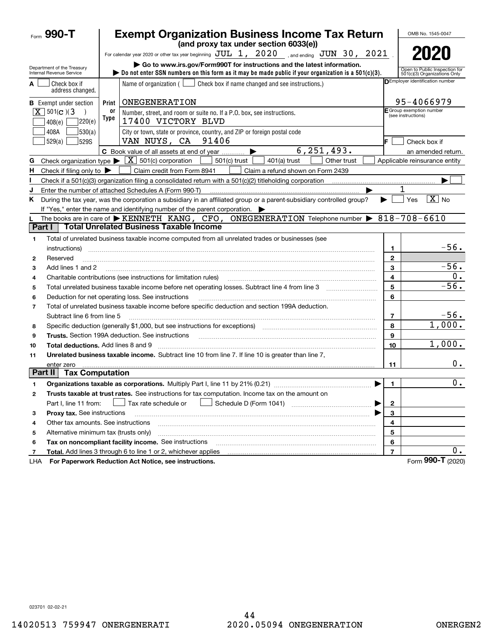|                | Form 990-T                                             |            | <b>Exempt Organization Business Income Tax Return</b>                                                                                                                                                                           |                         | OMB No. 1545-0047                                             |
|----------------|--------------------------------------------------------|------------|---------------------------------------------------------------------------------------------------------------------------------------------------------------------------------------------------------------------------------|-------------------------|---------------------------------------------------------------|
|                |                                                        |            | (and proxy tax under section 6033(e))                                                                                                                                                                                           |                         |                                                               |
|                |                                                        |            | For calendar year 2020 or other tax year beginning $JUL$ 1, $2020$ , and ending $JUN$ 30, $2021$ .                                                                                                                              |                         | 2020                                                          |
|                | Department of the Treasury<br>Internal Revenue Service |            | Go to www.irs.gov/Form990T for instructions and the latest information.<br>bo not enter SSN numbers on this form as it may be made public if your organization is a $501(c)(3)$ .                                               |                         | Open to Public Inspection for<br>501(c)(3) Organizations Only |
| A              | Check box if<br>address changed.                       |            | Name of organization $($ $\Box$ Check box if name changed and see instructions.)                                                                                                                                                |                         | DEmployer identification number                               |
|                | <b>B</b> Exempt under section                          | Print      | ONEGENERATION                                                                                                                                                                                                                   |                         | 95-4066979                                                    |
|                | $\overline{X}$ 501(c)(3)<br>7220(e)<br>408(e)          | 0r<br>Type | Number, street, and room or suite no. If a P.O. box, see instructions.<br>17400 VICTORY BLVD                                                                                                                                    |                         | E Group exemption number<br>(see instructions)                |
|                | 530(a) <br>408A<br>529S<br>529(a)                      |            | City or town, state or province, country, and ZIP or foreign postal code<br>VAN NUYS, CA 91406                                                                                                                                  |                         | Check box if                                                  |
|                |                                                        |            | 6, 251, 493.<br>C Book value of all assets at end of year<br>▶                                                                                                                                                                  |                         | an amended return.                                            |
| G              |                                                        |            | Check organization type $\blacktriangleright \lfloor \underline{X} \rfloor$ 501(c) corporation<br>$501(c)$ trust<br>$401(a)$ trust<br>Other trust                                                                               |                         | Applicable reinsurance entity                                 |
| н.             | Check if filing only to $\blacktriangleright$          |            | Claim credit from Form 8941<br>Claim a refund shown on Form 2439                                                                                                                                                                |                         |                                                               |
|                |                                                        |            |                                                                                                                                                                                                                                 |                         |                                                               |
| J              |                                                        |            | Enter the number of attached Schedules A (Form 990-T)                                                                                                                                                                           |                         |                                                               |
| K.             |                                                        |            | During the tax year, was the corporation a subsidiary in an affiliated group or a parent-subsidiary controlled group?                                                                                                           |                         | $\overline{X}$ No<br>Yes                                      |
|                |                                                        |            | If "Yes," enter the name and identifying number of the parent corporation.                                                                                                                                                      |                         |                                                               |
|                |                                                        |            | The books are in care of $\triangleright$ KENNETH KANG, CFO, ONEGENERATION Telephone number $\triangleright$ 818-708-6610                                                                                                       |                         |                                                               |
| Part I         |                                                        |            | <b>Total Unrelated Business Taxable Income</b>                                                                                                                                                                                  |                         |                                                               |
| 1              |                                                        |            | Total of unrelated business taxable income computed from all unrelated trades or businesses (see                                                                                                                                |                         |                                                               |
|                | instructions)                                          |            |                                                                                                                                                                                                                                 | 1                       | $-56.$                                                        |
| 2              | Reserved                                               |            |                                                                                                                                                                                                                                 | $\mathbf{2}$            |                                                               |
| 3              | Add lines 1 and 2                                      |            |                                                                                                                                                                                                                                 | 3                       | $-56.$                                                        |
| 4              |                                                        |            | Charitable contributions (see instructions for limitation rules)                                                                                                                                                                | 4                       | 0.                                                            |
| 5              |                                                        |            |                                                                                                                                                                                                                                 | 5                       | $-56.$                                                        |
| 6              |                                                        |            | Deduction for net operating loss. See instructions                                                                                                                                                                              | 6                       |                                                               |
| $\overline{7}$ |                                                        |            | Total of unrelated business taxable income before specific deduction and section 199A deduction.                                                                                                                                |                         |                                                               |
|                | Subtract line 6 from line 5                            |            |                                                                                                                                                                                                                                 | 7                       | $-56.$                                                        |
| 8              |                                                        |            | Specific deduction (generally \$1,000, but see instructions for exceptions) manufactured contains an exception successful and successful and successful and successful and successful and successful and successful and success | 8                       | 1,000.                                                        |
| 9              |                                                        |            | Trusts. Section 199A deduction. See instructions [11] material content in the section 199A deduction. See instructions [11] material content in the section of the section of the section of the section of the section of the  | 9                       |                                                               |
| 10             | Total deductions. Add lines 8 and 9                    |            |                                                                                                                                                                                                                                 | 10                      | 1,000.                                                        |
| 11             |                                                        |            | Unrelated business taxable income. Subtract line 10 from line 7. If line 10 is greater than line 7.                                                                                                                             |                         |                                                               |
|                | enter zero                                             |            |                                                                                                                                                                                                                                 | 11                      | 0.                                                            |
| Part II        | <b>Tax Computation</b>                                 |            |                                                                                                                                                                                                                                 |                         |                                                               |
|                |                                                        |            | Organizations taxable as corporations. Multiply Part I, line 11 by 21% (0.21)                                                                                                                                                   | 1                       | 0.                                                            |
| 2              |                                                        |            | Trusts taxable at trust rates. See instructions for tax computation. Income tax on the amount on                                                                                                                                |                         |                                                               |
|                | Part I, line 11 from:                                  |            | Schedule D (Form 1041)<br>Tax rate schedule or                                                                                                                                                                                  | $\mathbf{2}$            |                                                               |
| з              | Proxy tax. See instructions                            |            |                                                                                                                                                                                                                                 | 3                       |                                                               |
| 4              | Other tax amounts. See instructions                    |            |                                                                                                                                                                                                                                 | 4                       |                                                               |
| 5              | Alternative minimum tax (trusts only)                  |            |                                                                                                                                                                                                                                 | 5                       |                                                               |
| 6              |                                                        |            | Tax on noncompliant facility income. See instructions                                                                                                                                                                           | 6                       |                                                               |
| 7              |                                                        |            | Total. Add lines 3 through 6 to line 1 or 2, whichever applies                                                                                                                                                                  | $\overline{\mathbf{r}}$ | $0 \cdot$                                                     |
| LHA            |                                                        |            | For Paperwork Reduction Act Notice, see instructions.                                                                                                                                                                           |                         | Form 990-T (2020)                                             |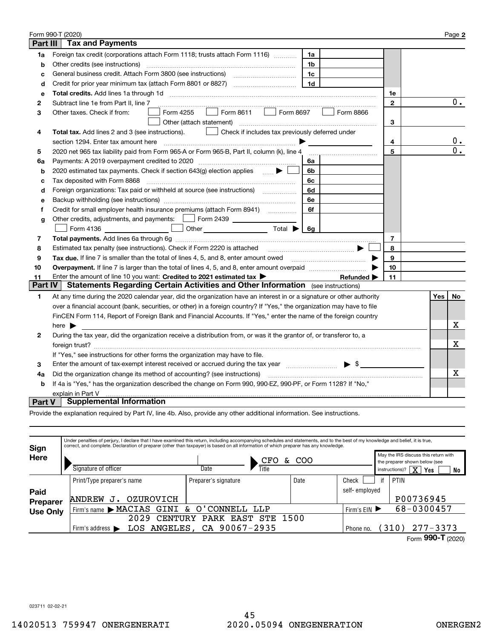|                 | Form 990-T (2020)                                                                                                                     |             |     | Page 2           |
|-----------------|---------------------------------------------------------------------------------------------------------------------------------------|-------------|-----|------------------|
| <b>Part III</b> | <b>Tax and Payments</b>                                                                                                               |             |     |                  |
| 1a              | Foreign tax credit (corporations attach Form 1118; trusts attach Form 1116)<br>1a                                                     |             |     |                  |
| b               | Other credits (see instructions)<br>1b                                                                                                |             |     |                  |
| C               | 1c                                                                                                                                    |             |     |                  |
| d               | 1 <sub>d</sub>                                                                                                                        |             |     |                  |
| e               |                                                                                                                                       | 1e          |     |                  |
| 2               | Subtract line 1e from Part II, line 7                                                                                                 | $\mathbf 2$ |     | $0$ .            |
| 3               | Form 8611<br>Form 8697<br>Form 4255<br>Form 8866<br>Other taxes. Check if from:<br>$\mathbf{1}$                                       |             |     |                  |
|                 | Other (attach statement)                                                                                                              | 3           |     |                  |
| 4               | Check if includes tax previously deferred under<br><b>Total tax.</b> Add lines 2 and 3 (see instructions).                            |             |     |                  |
|                 | section 1294. Enter tax amount here                                                                                                   | 4           |     | $0$ .            |
| 5               | 2020 net 965 tax liability paid from Form 965-A or Form 965-B, Part II, column (k), line 4                                            | 5           |     | $\overline{0}$ . |
| 6a              | Payments: A 2019 overpayment credited to 2020 [11] [11] maximum materials: A 2019 overpayment credited to 2020<br>6a                  |             |     |                  |
| b               | 2020 estimated tax payments. Check if section 643(g) election applies<br>6b                                                           |             |     |                  |
| c               | Tax deposited with Form 8868<br>6c                                                                                                    |             |     |                  |
| d               | Foreign organizations: Tax paid or withheld at source (see instructions) [<br>6d                                                      |             |     |                  |
| е               | 6e                                                                                                                                    |             |     |                  |
| f               | Credit for small employer health insurance premiums (attach Form 8941) [<br>6f                                                        |             |     |                  |
| g               | Other credits, adjustments, and payments:   Form 2439                                                                                 |             |     |                  |
|                 | Other $\overline{\hspace{1cm}}$ Total $\blacktriangleright$ $\begin{array}{ c c c c }\hline \hspace{1.2cm}6g\end{array}$<br>Form 4136 |             |     |                  |
| 7               |                                                                                                                                       | 7           |     |                  |
| 8               | Estimated tax penalty (see instructions). Check if Form 2220 is attached                                                              | 8           |     |                  |
| 9               | Tax due. If line 7 is smaller than the total of lines 4, 5, and 8, enter amount owed <i>manumenon containers</i>                      | 9           |     |                  |
| 10              |                                                                                                                                       | 10          |     |                  |
| 11              | Enter the amount of line 10 you want: Credited to 2021 estimated tax ><br>Refunded $\blacktriangleright$                              | 11          |     |                  |
| <b>Part IV</b>  | Statements Regarding Certain Activities and Other Information (see instructions)                                                      |             |     |                  |
| 1               | At any time during the 2020 calendar year, did the organization have an interest in or a signature or other authority                 |             | Yes | No               |
|                 | over a financial account (bank, securities, or other) in a foreign country? If "Yes," the organization may have to file               |             |     |                  |
|                 | FinCEN Form 114, Report of Foreign Bank and Financial Accounts. If "Yes," enter the name of the foreign country                       |             |     |                  |
|                 | here $\blacktriangleright$                                                                                                            |             |     | х                |
| 2               | During the tax year, did the organization receive a distribution from, or was it the grantor of, or transferor to, a                  |             |     |                  |
|                 |                                                                                                                                       |             |     | Х                |
|                 | If "Yes," see instructions for other forms the organization may have to file.                                                         |             |     |                  |
| 3               | Enter the amount of tax-exempt interest received or accrued during the tax year manufactured $\blacktriangleright$ \$                 |             |     |                  |
| 4a              | Did the organization change its method of accounting? (see instructions)                                                              |             |     | x                |
| b               | If 4a is "Yes," has the organization described the change on Form 990, 990-EZ, 990-PF, or Form 1128? If "No,"                         |             |     |                  |
|                 | explain in Part V                                                                                                                     |             |     |                  |
| <b>Part V</b>   | <b>Supplemental Information</b>                                                                                                       |             |     |                  |

Provide the explanation required by Part IV, line 4b. Also, provide any other additional information. See instructions.

| Sign            | Under penalties of perjury, I declare that I have examined this return, including accompanying schedules and statements, and to the best of my knowledge and belief, it is true,<br>correct, and complete. Declaration of preparer (other than taxpayer) is based on all information of which preparer has any knowledge. |                                                          |       |            |               |                                                                       |                                |          |  |
|-----------------|---------------------------------------------------------------------------------------------------------------------------------------------------------------------------------------------------------------------------------------------------------------------------------------------------------------------------|----------------------------------------------------------|-------|------------|---------------|-----------------------------------------------------------------------|--------------------------------|----------|--|
| Here            |                                                                                                                                                                                                                                                                                                                           | CFO<br>&.                                                |       | COO        |               | May the IRS discuss this return with<br>the preparer shown below (see |                                |          |  |
|                 | Signature of officer                                                                                                                                                                                                                                                                                                      | Date                                                     | Title |            |               | instructions)?                                                        | $\overline{\mathbf{x}}$<br>Yes | No       |  |
|                 | Print/Type preparer's name                                                                                                                                                                                                                                                                                                | Preparer's signature                                     |       | Date       | Check         | if                                                                    | PTIN                           |          |  |
| Paid            |                                                                                                                                                                                                                                                                                                                           |                                                          |       |            | self-employed |                                                                       |                                |          |  |
| <b>Preparer</b> | OZUROVICH<br><b>ANDREW</b>                                                                                                                                                                                                                                                                                                |                                                          |       |            |               |                                                                       | P00736945                      |          |  |
| <b>Use Only</b> | GINI & O'CONNELL<br>Firm's name MACIAS                                                                                                                                                                                                                                                                                    | Firm's $EIN$                                             |       | 68-0300457 |               |                                                                       |                                |          |  |
|                 | 2029<br>CENTURY                                                                                                                                                                                                                                                                                                           |                                                          |       |            |               |                                                                       |                                |          |  |
|                 | Firm's address $\blacktriangleright$                                                                                                                                                                                                                                                                                      | EAST STE 1500<br>LOS ANGELES, CA 90067-2935<br>Phone no. |       |            |               |                                                                       |                                | 277-3373 |  |
|                 |                                                                                                                                                                                                                                                                                                                           |                                                          |       |            |               |                                                                       | 000T                           |          |  |

Form (2020)  **990-T**

023711 02-02-21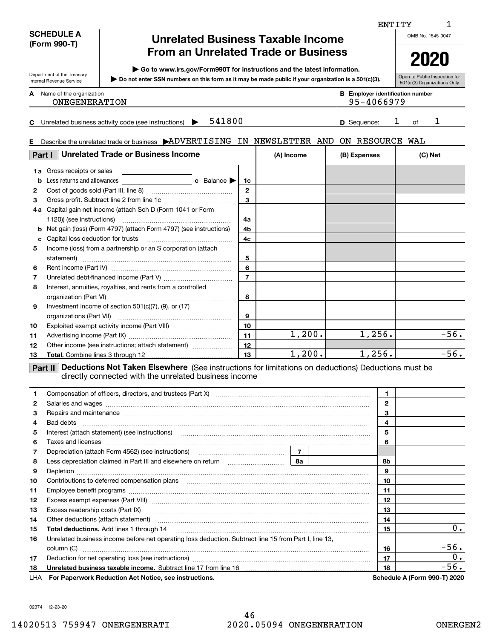### **SCHEDULE A (Form 990-T)**

Department of the Treasury Internal Revenue Service

**E**

# **Unrelated Business Taxable Income From an Unrelated Trade or Business**

**| Go to www.irs.gov/Form990T for instructions and the latest information.**

**Do not enter SSN numbers on this form as it may be made public if your organization is a 501(c)(3). |** 

Open to Public Inspection for 501(c)(3) Organizations Only

|   |                          |  |                                       | $\cdots$ |
|---|--------------------------|--|---------------------------------------|----------|
| A | Name of the organization |  | <b>Employer identification number</b> |          |
|   | <b>ONEGENERATION</b>     |  | 95-4066979                            |          |

**C541800 1 1 D** Sequence: 1 of 1 Unrelated business activity code (see instructions)  $\blacktriangleright$  541800 **D** Sequence: 1 of

95-4066979

# Describe the unrelated trade or business  $\blacktriangleright$ ADVERTISING IN NEWSLETTER AND ON RESOURCE WAL

| Part I       | <b>Unrelated Trade or Business Income</b>                                                                                                                              | (A) Income       | (B) Expenses | (C) Net |        |  |  |  |  |
|--------------|------------------------------------------------------------------------------------------------------------------------------------------------------------------------|------------------|--------------|---------|--------|--|--|--|--|
|              | <b>1a</b> Gross receipts or sales                                                                                                                                      |                  |              |         |        |  |  |  |  |
| b            | Less returns and allowances $\qquad \qquad$ c Balance $\blacktriangleright$                                                                                            | 1c               |              |         |        |  |  |  |  |
| $\mathbf{2}$ |                                                                                                                                                                        | $\overline{2}$   |              |         |        |  |  |  |  |
| 3            |                                                                                                                                                                        | $\overline{3}$   |              |         |        |  |  |  |  |
| 4а           | Capital gain net income (attach Sch D (Form 1041 or Form                                                                                                               |                  |              |         |        |  |  |  |  |
|              |                                                                                                                                                                        | 4a               |              |         |        |  |  |  |  |
| b            | Net gain (loss) (Form 4797) (attach Form 4797) (see instructions)                                                                                                      | 4b               |              |         |        |  |  |  |  |
| c            | Capital loss deduction for trusts                                                                                                                                      | 4c               |              |         |        |  |  |  |  |
| 5            | Income (loss) from a partnership or an S corporation (attach                                                                                                           |                  |              |         |        |  |  |  |  |
|              | statement)                                                                                                                                                             | 5                |              |         |        |  |  |  |  |
| 6            |                                                                                                                                                                        | 6                |              |         |        |  |  |  |  |
| 7            |                                                                                                                                                                        |                  |              |         |        |  |  |  |  |
| 8            | Interest, annuities, royalties, and rents from a controlled                                                                                                            |                  |              |         |        |  |  |  |  |
|              | organization (Part VI)                                                                                                                                                 | 8                |              |         |        |  |  |  |  |
| 9            | Investment income of section $501(c)(7)$ , $(9)$ , or $(17)$                                                                                                           |                  |              |         |        |  |  |  |  |
|              | organizations (Part VII)                                                                                                                                               | 9                |              |         |        |  |  |  |  |
| 10           |                                                                                                                                                                        | 10               |              |         |        |  |  |  |  |
| 11           |                                                                                                                                                                        | 11               | 1,200.       | 1, 256. | $-56.$ |  |  |  |  |
| 12           | Other income (see instructions; attach statement)                                                                                                                      | 12               |              |         |        |  |  |  |  |
| 13           |                                                                                                                                                                        | 13 <sup>13</sup> | 1,200.       | 1,256.  | $-56.$ |  |  |  |  |
|              | Deductions Not Taken Elsewhere (See instructions for limitations on deductions) Deductions must be<br>Part II<br>directly connected with the unrelated business income |                  |              |         |        |  |  |  |  |

|    | Compensation of officers, directors, and trustees (Part X) [11] [2000] [2000] [2000] [2000] [2000] [2000] [2000] [3000] [2000] [2000] [3000] [3000] [3000] [3000] [3000] [3000] [3000] [3000] [3000] [3000] [3000] [3000] [300     |              |       | 1  |                              |
|----|------------------------------------------------------------------------------------------------------------------------------------------------------------------------------------------------------------------------------------|--------------|-------|----|------------------------------|
| 2  |                                                                                                                                                                                                                                    | $\mathbf{2}$ |       |    |                              |
| 3  | Repairs and maintenance material content and content and material content and maintenance material content and                                                                                                                     | 3            |       |    |                              |
| 4  |                                                                                                                                                                                                                                    |              |       | 4  |                              |
| 5  | Interest (attach statement) (see instructions) [11] material content in the content of the statement of the statement of the statement of the statement of the statement of the statement of the statement of the statement of     |              |       | 5  |                              |
| 6  | Taxes and licenses <b>contracts</b> and international contracts of the contract of the contract of the contract of the contract of the contract of the contract of the contract of the contract of the contract of the contract of |              |       | 6  |                              |
| 7  |                                                                                                                                                                                                                                    |              |       |    |                              |
| 8  |                                                                                                                                                                                                                                    | 8а           |       | 8b |                              |
| 9  |                                                                                                                                                                                                                                    |              |       | 9  |                              |
| 10 | Contributions to deferred compensation plans                                                                                                                                                                                       |              |       | 10 |                              |
| 11 |                                                                                                                                                                                                                                    | 11           |       |    |                              |
| 12 |                                                                                                                                                                                                                                    | 12           |       |    |                              |
| 13 | Excess readership costs (Part IX) [11] [2000] [2000] [2010] [3000] [3000] [3000] [3000] [3000] [3000] [3000] [                                                                                                                     | 13           |       |    |                              |
| 14 | Other deductions (attach statement) manufactured and continuum control of the deductions (attach statement)                                                                                                                        | 14           |       |    |                              |
| 15 |                                                                                                                                                                                                                                    | 15           | $0$ . |    |                              |
| 16 | Unrelated business income before net operating loss deduction. Subtract line 15 from Part I, line 13,                                                                                                                              |              |       |    |                              |
|    | column (C)                                                                                                                                                                                                                         |              |       | 16 | $-56.$                       |
| 17 |                                                                                                                                                                                                                                    |              |       | 17 | 0.                           |
| 18 | Unrelated business taxable income. Subtract line 17 from line 16 [11] manuscriptions in the university of the                                                                                                                      |              |       | 18 | $-56.$                       |
|    | LHA For Paperwork Reduction Act Notice, see instructions.                                                                                                                                                                          |              |       |    | Schedule A (Form 990-T) 2020 |

023741 12-23-20

# ENTITY

OMB No. 1545-0047

1

|--|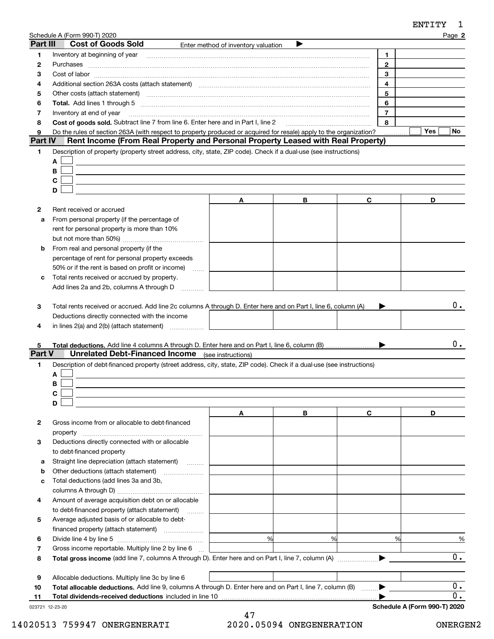| Part III     | Schedule A (Form 990-T) 2020<br><b>Cost of Goods Sold</b>                                                                                                                                                                      |                                     |   |                | Page 2    |
|--------------|--------------------------------------------------------------------------------------------------------------------------------------------------------------------------------------------------------------------------------|-------------------------------------|---|----------------|-----------|
|              |                                                                                                                                                                                                                                | Enter method of inventory valuation |   |                |           |
| 1            | Inventory at beginning of year                                                                                                                                                                                                 |                                     |   | 1.             |           |
| 2            |                                                                                                                                                                                                                                |                                     |   | $\overline{2}$ |           |
| 3            |                                                                                                                                                                                                                                |                                     |   | 3              |           |
| 4            | Additional section 263A costs (attach statement) material content and according to the Additional section 263A                                                                                                                 |                                     |   | 4              |           |
| 5            | Other costs (attach statement) material contracts and a statement of the statement of the statement of the statement of the statement of the statement of the statement of the statement of the statement of the statement of  |                                     |   | 5              |           |
| 6            | Total. Add lines 1 through 5 [111] [12] manuscription of the state of the state of the state of the state of the state of the state of the state of the state of the state of the state of the state of the state of the state |                                     |   | 6              |           |
| 7            | Inventory at end of year                                                                                                                                                                                                       |                                     |   | $\overline{7}$ |           |
| 8            | Cost of goods sold. Subtract line 7 from line 6. Enter here and in Part I, line 2                                                                                                                                              |                                     |   | 8              |           |
| 9<br>Part IV | Do the rules of section 263A (with respect to property produced or acquired for resale) apply to the organization?                                                                                                             |                                     |   |                | Yes<br>No |
|              | Rent Income (From Real Property and Personal Property Leased with Real Property)                                                                                                                                               |                                     |   |                |           |
| 1            | Description of property (property street address, city, state, ZIP code). Check if a dual-use (see instructions)                                                                                                               |                                     |   |                |           |
|              | A                                                                                                                                                                                                                              |                                     |   |                |           |
|              | В                                                                                                                                                                                                                              |                                     |   |                |           |
|              | С                                                                                                                                                                                                                              |                                     |   |                |           |
|              | D                                                                                                                                                                                                                              |                                     |   |                |           |
|              |                                                                                                                                                                                                                                | Α                                   | В | C              | D         |
| 2            | Rent received or accrued                                                                                                                                                                                                       |                                     |   |                |           |
| a            | From personal property (if the percentage of                                                                                                                                                                                   |                                     |   |                |           |
|              | rent for personal property is more than 10%                                                                                                                                                                                    |                                     |   |                |           |
|              |                                                                                                                                                                                                                                |                                     |   |                |           |
| b            | From real and personal property (if the                                                                                                                                                                                        |                                     |   |                |           |
|              | percentage of rent for personal property exceeds                                                                                                                                                                               |                                     |   |                |           |
|              | 50% or if the rent is based on profit or income)<br>$\ldots$                                                                                                                                                                   |                                     |   |                |           |
| c            | Total rents received or accrued by property.                                                                                                                                                                                   |                                     |   |                |           |
|              | Add lines 2a and 2b, columns A through D                                                                                                                                                                                       |                                     |   |                |           |
| 4<br>5       | in lines 2(a) and 2(b) (attach statement)                                                                                                                                                                                      |                                     |   |                | 0.        |
| Part V       | <b>Unrelated Debt-Financed Income</b>                                                                                                                                                                                          | (see instructions)                  |   |                |           |
| 1.           | Description of debt-financed property (street address, city, state, ZIP code). Check if a dual-use (see instructions)<br>A                                                                                                     |                                     |   |                |           |
|              | В                                                                                                                                                                                                                              |                                     |   |                |           |
|              | C                                                                                                                                                                                                                              |                                     |   |                |           |
|              | D                                                                                                                                                                                                                              |                                     |   |                |           |
|              |                                                                                                                                                                                                                                | Α                                   | В | C              | D         |
| 2            | Gross income from or allocable to debt-financed                                                                                                                                                                                |                                     |   |                |           |
|              | property                                                                                                                                                                                                                       |                                     |   |                |           |
| з            | Deductions directly connected with or allocable                                                                                                                                                                                |                                     |   |                |           |
|              | to debt-financed property                                                                                                                                                                                                      |                                     |   |                |           |
| а            | Straight line depreciation (attach statement)                                                                                                                                                                                  |                                     |   |                |           |
| b            | Other deductions (attach statement)                                                                                                                                                                                            |                                     |   |                |           |
|              |                                                                                                                                                                                                                                |                                     |   |                |           |
| с            | Total deductions (add lines 3a and 3b,                                                                                                                                                                                         |                                     |   |                |           |
| 4            | Amount of average acquisition debt on or allocable                                                                                                                                                                             |                                     |   |                |           |
|              | to debt-financed property (attach statement)<br>1.1.1.1.1.1.1                                                                                                                                                                  |                                     |   |                |           |
| 5            | Average adjusted basis of or allocable to debt-                                                                                                                                                                                |                                     |   |                |           |
|              | financed property (attach statement)                                                                                                                                                                                           |                                     |   |                |           |
| 6            |                                                                                                                                                                                                                                | %                                   | % | %              | $\%$      |
| 7            | Gross income reportable. Multiply line 2 by line 6                                                                                                                                                                             |                                     |   |                |           |
| 8            |                                                                                                                                                                                                                                |                                     |   |                | 0.        |
|              |                                                                                                                                                                                                                                |                                     |   |                |           |
| 9            | Allocable deductions. Multiply line 3c by line 6                                                                                                                                                                               |                                     |   |                |           |
| 10           | Total allocable deductions. Add line 9, columns A through D. Enter here and on Part I, line 7, column (B)                                                                                                                      |                                     |   |                | 0.        |

|  | Total dividends-received deductions included in line 1 |  |
|--|--------------------------------------------------------|--|
|  |                                                        |  |

023721 12-23-20

 $\overline{0}$ .

**Schedule A (Form 990-T) 2020**

 $\blacktriangleright$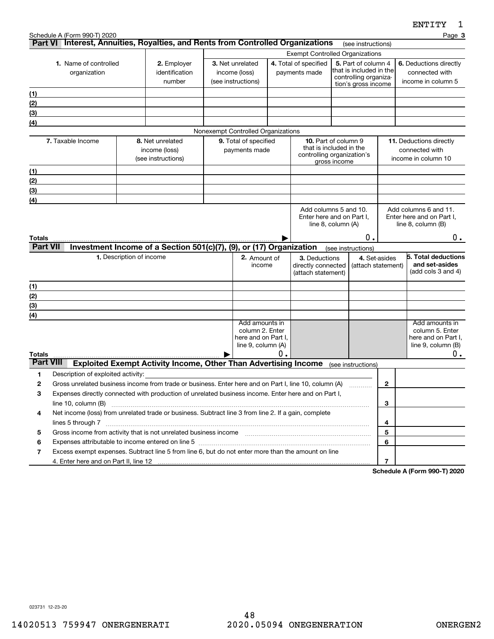|                                   | Schedule A (Form 990-T) 2020<br>Part VI Interest, Annuities, Royalties, and Rents from Controlled Organizations                                                                                              |                          |                                                                        |                                                         |                                                                                |    |                                                           |                                                                                                                                          |                                     |                  |                                                                | Page 3                                                                              |
|-----------------------------------|--------------------------------------------------------------------------------------------------------------------------------------------------------------------------------------------------------------|--------------------------|------------------------------------------------------------------------|---------------------------------------------------------|--------------------------------------------------------------------------------|----|-----------------------------------------------------------|------------------------------------------------------------------------------------------------------------------------------------------|-------------------------------------|------------------|----------------------------------------------------------------|-------------------------------------------------------------------------------------|
|                                   |                                                                                                                                                                                                              |                          |                                                                        |                                                         |                                                                                |    |                                                           |                                                                                                                                          | (see instructions)                  |                  |                                                                |                                                                                     |
|                                   | 1. Name of controlled<br>organization                                                                                                                                                                        |                          | 2. Employer<br>identification<br>number                                | 3. Net unrelated<br>income (loss)<br>(see instructions) |                                                                                |    | 4. Total of specified<br>payments made                    | <b>Exempt Controlled Organizations</b><br>5. Part of column 4<br>that is included in the<br>controlling organiza-<br>tion's gross income |                                     |                  | 6. Deductions directly<br>connected with<br>income in column 5 |                                                                                     |
| (1)                               |                                                                                                                                                                                                              |                          |                                                                        |                                                         |                                                                                |    |                                                           |                                                                                                                                          |                                     |                  |                                                                |                                                                                     |
| (2)                               |                                                                                                                                                                                                              |                          |                                                                        |                                                         |                                                                                |    |                                                           |                                                                                                                                          |                                     |                  |                                                                |                                                                                     |
| (3)                               |                                                                                                                                                                                                              |                          |                                                                        |                                                         |                                                                                |    |                                                           |                                                                                                                                          |                                     |                  |                                                                |                                                                                     |
| (4)                               |                                                                                                                                                                                                              |                          |                                                                        |                                                         |                                                                                |    |                                                           |                                                                                                                                          |                                     |                  |                                                                |                                                                                     |
|                                   |                                                                                                                                                                                                              |                          |                                                                        |                                                         | Nonexempt Controlled Organizations                                             |    |                                                           |                                                                                                                                          |                                     |                  |                                                                |                                                                                     |
|                                   | 7. Taxable Income                                                                                                                                                                                            |                          | 8. Net unrelated<br>income (loss)<br>(see instructions)                |                                                         | 9. Total of specified<br>payments made                                         |    | that is included in the<br>controlling organization's     | <b>10.</b> Part of column 9<br>gross income                                                                                              |                                     |                  | connected with                                                 | 11. Deductions directly<br>income in column 10                                      |
| (1)                               |                                                                                                                                                                                                              |                          |                                                                        |                                                         |                                                                                |    |                                                           |                                                                                                                                          |                                     |                  |                                                                |                                                                                     |
| (2)                               |                                                                                                                                                                                                              |                          |                                                                        |                                                         |                                                                                |    |                                                           |                                                                                                                                          |                                     |                  |                                                                |                                                                                     |
| (3)                               |                                                                                                                                                                                                              |                          |                                                                        |                                                         |                                                                                |    |                                                           |                                                                                                                                          |                                     |                  |                                                                |                                                                                     |
| (4)                               |                                                                                                                                                                                                              |                          |                                                                        |                                                         |                                                                                |    |                                                           |                                                                                                                                          |                                     |                  |                                                                |                                                                                     |
|                                   |                                                                                                                                                                                                              |                          |                                                                        |                                                         |                                                                                |    | Add columns 5 and 10.<br>Enter here and on Part I,        | line 8, column (A)                                                                                                                       |                                     |                  | line 8, column (B)                                             | Add columns 6 and 11.<br>Enter here and on Part I.                                  |
| Totals                            |                                                                                                                                                                                                              |                          |                                                                        |                                                         |                                                                                |    |                                                           |                                                                                                                                          | 0.                                  |                  |                                                                | 0.                                                                                  |
| <b>Part VII</b>                   |                                                                                                                                                                                                              |                          | Investment Income of a Section 501(c)(7), (9), or (17) Organization    |                                                         |                                                                                |    |                                                           | (see instructions)                                                                                                                       |                                     |                  |                                                                |                                                                                     |
|                                   |                                                                                                                                                                                                              | 1. Description of income |                                                                        |                                                         | 2. Amount of<br>income                                                         |    | 3. Deductions<br>directly connected<br>(attach statement) |                                                                                                                                          | 4. Set-asides<br>(attach statement) |                  |                                                                | 5. Total deductions<br>and set-asides<br>(add cols $3$ and $4$ )                    |
| (1)                               |                                                                                                                                                                                                              |                          |                                                                        |                                                         |                                                                                |    |                                                           |                                                                                                                                          |                                     |                  |                                                                |                                                                                     |
| (2)                               |                                                                                                                                                                                                              |                          |                                                                        |                                                         |                                                                                |    |                                                           |                                                                                                                                          |                                     |                  |                                                                |                                                                                     |
| (3)                               |                                                                                                                                                                                                              |                          |                                                                        |                                                         |                                                                                |    |                                                           |                                                                                                                                          |                                     |                  |                                                                |                                                                                     |
| (4)                               |                                                                                                                                                                                                              |                          |                                                                        |                                                         |                                                                                |    |                                                           |                                                                                                                                          |                                     |                  |                                                                |                                                                                     |
|                                   |                                                                                                                                                                                                              |                          |                                                                        |                                                         | Add amounts in<br>column 2. Enter<br>here and on Part I,<br>line 9, column (A) |    |                                                           |                                                                                                                                          |                                     |                  |                                                                | Add amounts in<br>column 5. Enter<br>here and on Part I,<br>line $9$ , column $(B)$ |
| <b>Totals</b><br><b>Part VIII</b> |                                                                                                                                                                                                              |                          |                                                                        |                                                         |                                                                                | О. |                                                           |                                                                                                                                          |                                     |                  |                                                                | 0.                                                                                  |
|                                   |                                                                                                                                                                                                              |                          | <b>Exploited Exempt Activity Income, Other Than Advertising Income</b> |                                                         |                                                                                |    |                                                           | (see instructions)                                                                                                                       |                                     |                  |                                                                |                                                                                     |
| 1                                 | Description of exploited activity:                                                                                                                                                                           |                          |                                                                        |                                                         |                                                                                |    |                                                           |                                                                                                                                          |                                     |                  |                                                                |                                                                                     |
| 2<br>З                            | Gross unrelated business income from trade or business. Enter here and on Part I, line 10, column (A)<br>Expenses directly connected with production of unrelated business income. Enter here and on Part I, |                          |                                                                        |                                                         |                                                                                |    |                                                           |                                                                                                                                          |                                     | 2                |                                                                |                                                                                     |
|                                   |                                                                                                                                                                                                              |                          |                                                                        |                                                         |                                                                                |    |                                                           |                                                                                                                                          |                                     | 3                |                                                                |                                                                                     |
| 4                                 |                                                                                                                                                                                                              |                          |                                                                        |                                                         |                                                                                |    |                                                           |                                                                                                                                          |                                     |                  |                                                                |                                                                                     |
|                                   | Net income (loss) from unrelated trade or business. Subtract line 3 from line 2. If a gain, complete                                                                                                         |                          |                                                                        |                                                         |                                                                                |    |                                                           |                                                                                                                                          |                                     | 4                |                                                                |                                                                                     |
| 5                                 | Gross income from activity that is not unrelated business income [11] [11] content material content from activity that is not unrelated business income [11] [11] $\ldots$                                   |                          |                                                                        |                                                         |                                                                                |    |                                                           |                                                                                                                                          |                                     | 5                |                                                                |                                                                                     |
| 6                                 |                                                                                                                                                                                                              |                          |                                                                        |                                                         |                                                                                |    |                                                           |                                                                                                                                          |                                     | 6                |                                                                |                                                                                     |
| 7                                 | Excess exempt expenses. Subtract line 5 from line 6, but do not enter more than the amount on line                                                                                                           |                          |                                                                        |                                                         |                                                                                |    |                                                           |                                                                                                                                          |                                     |                  |                                                                |                                                                                     |
|                                   | 4. Enter here and on Part II, line 12                                                                                                                                                                        |                          |                                                                        |                                                         |                                                                                |    |                                                           |                                                                                                                                          |                                     | $\overline{7}$   |                                                                |                                                                                     |
|                                   |                                                                                                                                                                                                              |                          |                                                                        |                                                         |                                                                                |    |                                                           |                                                                                                                                          |                                     | <b>Calcadola</b> |                                                                | $\lambda$ (Ferm 000 T) 0000                                                         |

**Schedule A (Form 990-T) 2020**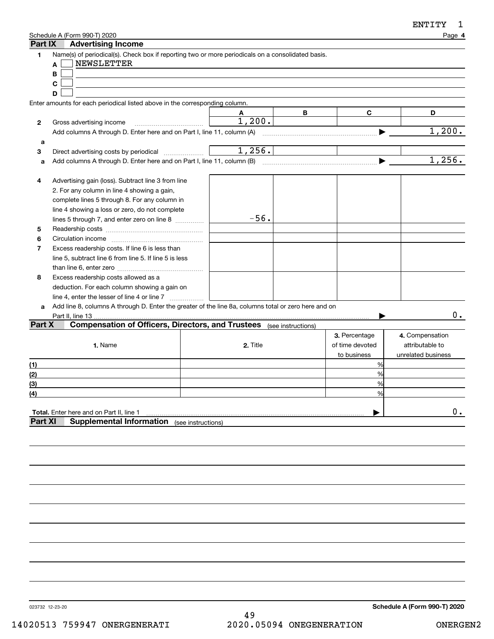| ENTITY |  |
|--------|--|
|--------|--|

| Part IX               | Schedule A (Form 990-T) 2020<br><b>Advertising Income</b>                                                                                                                                                                                                                                                                                                                                                |          |   |                                                 | Page 4                                                   |
|-----------------------|----------------------------------------------------------------------------------------------------------------------------------------------------------------------------------------------------------------------------------------------------------------------------------------------------------------------------------------------------------------------------------------------------------|----------|---|-------------------------------------------------|----------------------------------------------------------|
| 1                     | Name(s) of periodical(s). Check box if reporting two or more periodicals on a consolidated basis.<br><b>NEWSLETTER</b><br>A<br>В<br>С<br>D                                                                                                                                                                                                                                                               |          |   |                                                 |                                                          |
|                       | Enter amounts for each periodical listed above in the corresponding column.                                                                                                                                                                                                                                                                                                                              |          |   |                                                 |                                                          |
|                       |                                                                                                                                                                                                                                                                                                                                                                                                          |          | В | C                                               | D                                                        |
| 2                     | Gross advertising income                                                                                                                                                                                                                                                                                                                                                                                 | 1,200.   |   |                                                 |                                                          |
|                       |                                                                                                                                                                                                                                                                                                                                                                                                          |          |   |                                                 | 1,200.                                                   |
| а                     |                                                                                                                                                                                                                                                                                                                                                                                                          | 1,256.   |   |                                                 |                                                          |
| 3                     | Direct advertising costs by periodical                                                                                                                                                                                                                                                                                                                                                                   |          |   |                                                 | 1,256.                                                   |
| a                     |                                                                                                                                                                                                                                                                                                                                                                                                          |          |   |                                                 |                                                          |
| 4<br>5<br>6<br>7<br>8 | Advertising gain (loss). Subtract line 3 from line<br>2. For any column in line 4 showing a gain,<br>complete lines 5 through 8. For any column in<br>line 4 showing a loss or zero, do not complete<br>lines 5 through 7, and enter zero on line 8<br>Excess readership costs. If line 6 is less than<br>line 5, subtract line 6 from line 5. If line 5 is less<br>Excess readership costs allowed as a | $-56.$   |   |                                                 |                                                          |
|                       | deduction. For each column showing a gain on                                                                                                                                                                                                                                                                                                                                                             |          |   |                                                 |                                                          |
|                       | line 4, enter the lesser of line 4 or line 7                                                                                                                                                                                                                                                                                                                                                             |          |   |                                                 |                                                          |
| a                     | Add line 8, columns A through D. Enter the greater of the line 8a, columns total or zero here and on                                                                                                                                                                                                                                                                                                     |          |   |                                                 |                                                          |
|                       | Part II, line 13                                                                                                                                                                                                                                                                                                                                                                                         |          |   |                                                 | 0.                                                       |
| Part X                | <b>Compensation of Officers, Directors, and Trustees</b> (see instructions)                                                                                                                                                                                                                                                                                                                              |          |   |                                                 |                                                          |
|                       | 1. Name                                                                                                                                                                                                                                                                                                                                                                                                  | 2. Title |   | 3. Percentage<br>of time devoted<br>to business | 4. Compensation<br>attributable to<br>unrelated business |
| (1)                   |                                                                                                                                                                                                                                                                                                                                                                                                          |          |   | %                                               |                                                          |
| (2)                   |                                                                                                                                                                                                                                                                                                                                                                                                          |          |   | %                                               |                                                          |
| $\overline{3}$        |                                                                                                                                                                                                                                                                                                                                                                                                          |          |   | %                                               |                                                          |
| <u>(4)</u>            |                                                                                                                                                                                                                                                                                                                                                                                                          |          |   | ℅                                               |                                                          |
| <b>Part XI</b>        | Total. Enter here and on Part II, line 1<br><b>Supplemental Information</b> (see instructions)                                                                                                                                                                                                                                                                                                           |          |   |                                                 | $0$ .                                                    |
|                       |                                                                                                                                                                                                                                                                                                                                                                                                          |          |   |                                                 |                                                          |

023732 12-23-20

**Schedule A (Form 990-T) 2020**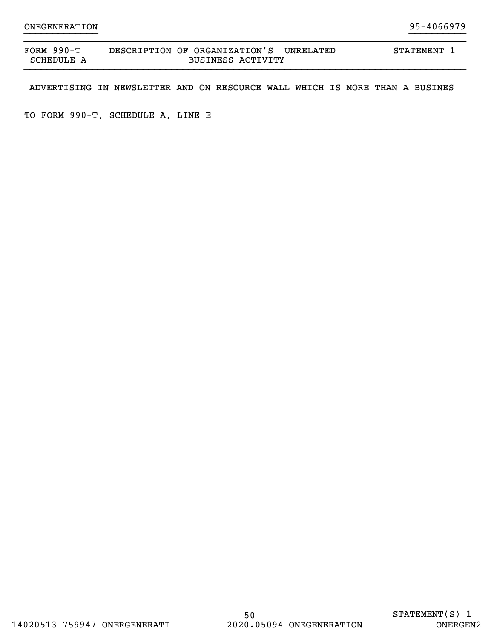| FORM<br>990–ጥ | DESCRIPTION OF ORGANIZATION'S<br>UNRELATED | STATEMENT |
|---------------|--------------------------------------------|-----------|
| SCHEDULE      | <b>BUSINESS ACTIVITY</b>                   |           |

}}}}}}}}}}}}} }}}}}}}}}}

ADVERTISING IN NEWSLETTER AND ON RESOURCE WALL WHICH IS MORE THAN A BUSINES

TO FORM 990-T, SCHEDULE A, LINE E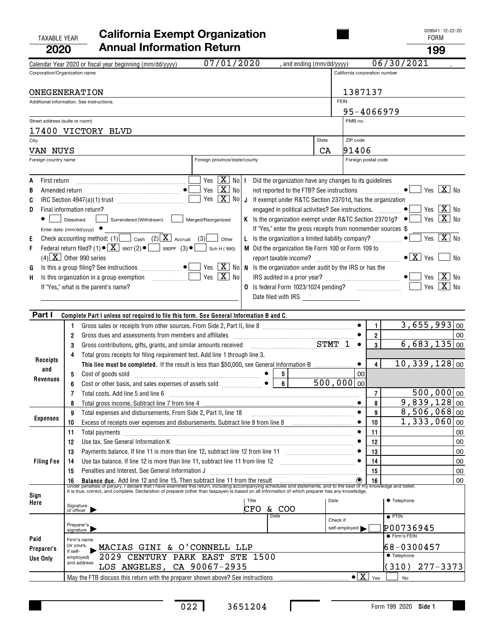028941 12-22-20

| TAXABLE YEAR | <b>California Exempt Organization</b> | 028941 1<br>FORM |
|--------------|---------------------------------------|------------------|
| 2020         | <b>Annual Information Return</b>      | 199              |

|                                  | Calendar Year 2020 or fiscal year beginning (mm/dd/yyyy)                                                                                                                                                                                                                                                                      | 07/01/2020                                                                                                                                                                                                     | , and ending (mm/dd/yyyy)                                         |             |                               |                | 06/30/2021                               |    |
|----------------------------------|-------------------------------------------------------------------------------------------------------------------------------------------------------------------------------------------------------------------------------------------------------------------------------------------------------------------------------|----------------------------------------------------------------------------------------------------------------------------------------------------------------------------------------------------------------|-------------------------------------------------------------------|-------------|-------------------------------|----------------|------------------------------------------|----|
| Corporation/Organization name    |                                                                                                                                                                                                                                                                                                                               |                                                                                                                                                                                                                |                                                                   |             | California corporation number |                |                                          |    |
|                                  |                                                                                                                                                                                                                                                                                                                               |                                                                                                                                                                                                                |                                                                   |             |                               |                |                                          |    |
|                                  | ONEGENERATION                                                                                                                                                                                                                                                                                                                 |                                                                                                                                                                                                                |                                                                   |             | 1387137                       |                |                                          |    |
|                                  | Additional information. See instructions.                                                                                                                                                                                                                                                                                     |                                                                                                                                                                                                                |                                                                   | <b>FEIN</b> |                               |                |                                          |    |
|                                  |                                                                                                                                                                                                                                                                                                                               |                                                                                                                                                                                                                |                                                                   |             | 95-4066979                    |                |                                          |    |
| Street address (suite or room)   |                                                                                                                                                                                                                                                                                                                               |                                                                                                                                                                                                                |                                                                   |             | PMB no.                       |                |                                          |    |
|                                  | 17400 VICTORY BLVD                                                                                                                                                                                                                                                                                                            |                                                                                                                                                                                                                |                                                                   | State       |                               |                |                                          |    |
| City                             |                                                                                                                                                                                                                                                                                                                               |                                                                                                                                                                                                                |                                                                   |             | ZIP code                      |                |                                          |    |
| VAN NUYS<br>Foreign country name |                                                                                                                                                                                                                                                                                                                               | Foreign province/state/county                                                                                                                                                                                  |                                                                   | CA          | 91406<br>Foreign postal code  |                |                                          |    |
|                                  |                                                                                                                                                                                                                                                                                                                               |                                                                                                                                                                                                                |                                                                   |             |                               |                |                                          |    |
| First return<br>A                |                                                                                                                                                                                                                                                                                                                               | Yes $\boxed{\mathbf{X}}$ No   I Did the organization have any changes to its guidelines                                                                                                                        |                                                                   |             |                               |                |                                          |    |
| B<br>Amended return              |                                                                                                                                                                                                                                                                                                                               | Yes $\boxed{\mathbf{X}}$ No                                                                                                                                                                                    |                                                                   |             |                               |                | $Yes$ $\boxed{\mathbf{X}}$ No            |    |
| C                                |                                                                                                                                                                                                                                                                                                                               | Yes $\boxed{\mathbf{X}}$ No $\boxed{\mathbf{J}}$ If exempt under R&TC Section 23701d, has the organization                                                                                                     |                                                                   |             |                               |                |                                          |    |
| D                                | Final information return?                                                                                                                                                                                                                                                                                                     |                                                                                                                                                                                                                | engaged in political activities? See instructions.                |             |                               |                | Yes $\boxed{\mathbf{X}}$ No<br>$\bullet$ |    |
|                                  | Dissolved<br>Surrendered (Withdrawn)                                                                                                                                                                                                                                                                                          | Merged/Reorganized                                                                                                                                                                                             | K Is the organization exempt under R&TC Section 23701g? $\bullet$ |             |                               |                | Yes $X$ No                               |    |
|                                  | Enter date: $(mm/dd/yyyy)$                                                                                                                                                                                                                                                                                                    |                                                                                                                                                                                                                | If "Yes," enter the gross receipts from nonmember sources \$      |             |                               |                |                                          |    |
| Е                                | Check accounting method: (1) Cash (2) $\boxed{\mathbf{X}}$ Accrual (3) Other                                                                                                                                                                                                                                                  |                                                                                                                                                                                                                | L Is the organization a limited liability company?                |             |                               |                | Yes $X$ No<br>$\bullet$                  |    |
| F                                | Federal return filed? (1) $\bullet$ $\boxed{\mathbf{X}}$ 990T (2) $\bullet$ $\boxed{\phantom{0}}$ 990PF (3) $\bullet$ $\boxed{\phantom{0}}$ Sch H (990)                                                                                                                                                                       |                                                                                                                                                                                                                | M Did the organization file Form 100 or Form 109 to               |             |                               |                |                                          |    |
|                                  | $(4)$ $\boxed{\text{X}}$ Other 990 series                                                                                                                                                                                                                                                                                     |                                                                                                                                                                                                                |                                                                   |             |                               |                |                                          | No |
| G                                | Is this a group filing? See instructions $\begin{picture}(16,17) \put(0,0){\line(1,0){155}} \put(0,0){\line(1,0){155}} \put(0,0){\line(1,0){155}} \put(0,0){\line(1,0){155}} \put(0,0){\line(1,0){155}} \put(0,0){\line(1,0){155}} \put(0,0){\line(1,0){155}} \put(0,0){\line(1,0){155}} \put(0,0){\line(1,0){155}} \put(0,0$ |                                                                                                                                                                                                                | N Is the organization under audit by the IRS or has the           |             |                               |                |                                          |    |
| H                                |                                                                                                                                                                                                                                                                                                                               | Yes $\boxed{\mathbf{X}}$ No                                                                                                                                                                                    |                                                                   |             |                               |                | Yes $\boxed{\mathbf{X}}$ No              |    |
|                                  | If "Yes," what is the parent's name?                                                                                                                                                                                                                                                                                          |                                                                                                                                                                                                                | O Is federal Form 1023/1024 pending?                              |             |                               |                | Yes $X$ No                               |    |
|                                  |                                                                                                                                                                                                                                                                                                                               |                                                                                                                                                                                                                |                                                                   |             |                               |                |                                          |    |
| Part I                           |                                                                                                                                                                                                                                                                                                                               |                                                                                                                                                                                                                |                                                                   |             |                               |                |                                          |    |
|                                  | Complete Part I unless not required to file this form. See General Information B and C.<br>1.                                                                                                                                                                                                                                 |                                                                                                                                                                                                                |                                                                   |             |                               | 1              | $3,655,993$ 00                           |    |
|                                  | Gross dues and assessments from members and affiliates [111] [12] contains the same and assessments from members and affiliates [11] [12] $\frac{1}{2}$<br>2                                                                                                                                                                  |                                                                                                                                                                                                                |                                                                   |             |                               | $\overline{2}$ |                                          | 00 |
|                                  | Gross contributions, gifts, grants, and similar amounts received<br>3                                                                                                                                                                                                                                                         |                                                                                                                                                                                                                | $STMT$ 1 $\bullet$                                                |             |                               | $\mathbf{3}$   | $6,683,135$ 00                           |    |
|                                  | Total gross receipts for filing requirement test. Add line 1 through line 3.<br>4                                                                                                                                                                                                                                             |                                                                                                                                                                                                                |                                                                   |             |                               |                |                                          |    |
| Receipts                         | This line must be completed. If the result is less than \$50,000, see General Information B                                                                                                                                                                                                                                   |                                                                                                                                                                                                                |                                                                   |             | $\bullet$                     | 4              | $10,339,128$ 00                          |    |
| and                              | 5                                                                                                                                                                                                                                                                                                                             |                                                                                                                                                                                                                |                                                                   |             | 00 <sup>1</sup>               |                |                                          |    |
| Revenues                         | 6                                                                                                                                                                                                                                                                                                                             |                                                                                                                                                                                                                | $6$ 500,000 00                                                    |             |                               |                |                                          |    |
|                                  | Total costs. Add line 5 and line 6 [11] manufacture contracts and line 5 and line 6 [11] manufacture contracts<br>7                                                                                                                                                                                                           |                                                                                                                                                                                                                |                                                                   |             |                               | $\overline{7}$ | $500,000$  00                            |    |
|                                  | Total gross income. Subtract line 7 from line 4 [11] manufactures in the state of the Subtract line 7 from line 4 [11] manufactures in the state of the Subtract line 7 from line 4 [11] manufactures in the state of the Subt<br>8                                                                                           |                                                                                                                                                                                                                |                                                                   |             |                               | 8              | $\overline{9,839,128 00}$                |    |
|                                  | 9                                                                                                                                                                                                                                                                                                                             |                                                                                                                                                                                                                |                                                                   |             | $\bullet$                     | 9              | $8,506,068$ 00                           |    |
| <b>Expenses</b>                  | Excess of receipts over expenses and disbursements. Subtract line 9 from line 8<br>10                                                                                                                                                                                                                                         |                                                                                                                                                                                                                |                                                                   |             |                               | 10             | $1,333,060$  00                          |    |
|                                  | 11<br>Total payments [111] results [11] results [12] results [12] results [12] results [12] results [12] results [12] results [12] results [12] results [12] results [12] results [12] results [12] results [12] results [12] result                                                                                          |                                                                                                                                                                                                                |                                                                   |             |                               | 11             |                                          | 00 |
|                                  | 12                                                                                                                                                                                                                                                                                                                            |                                                                                                                                                                                                                |                                                                   |             |                               | 12<br>13       |                                          | 00 |
|                                  | 13                                                                                                                                                                                                                                                                                                                            | Payments balance. If line 11 is more than line 12, subtract line 12 from line 11<br>Use tax balance. If line 12 is more than line 11, subtract line 11 from line 12 [11] [12] [11] Use tax balance. If line 12 |                                                                   |             |                               |                |                                          | 00 |
| <b>Filing Fee</b>                | 14                                                                                                                                                                                                                                                                                                                            |                                                                                                                                                                                                                |                                                                   |             | $\bullet$                     | 14             |                                          | 00 |
|                                  | Penalties and Interest. See General Information J<br>15                                                                                                                                                                                                                                                                       |                                                                                                                                                                                                                |                                                                   |             |                               | 15             |                                          | 00 |
|                                  | 16 Balance due. Add line 12 and line 15. Then subtract line 11 from the result<br>Under penalties of perjury, I declare that I have examined this return, including accompanying schedules and statements, and to the best of my                                                                                              |                                                                                                                                                                                                                |                                                                   |             |                               |                |                                          | 00 |
| Sign                             |                                                                                                                                                                                                                                                                                                                               | Title                                                                                                                                                                                                          |                                                                   | Date        |                               |                | ● Telephone                              |    |
| Here                             | Signature<br>of officer                                                                                                                                                                                                                                                                                                       | <b>CFO</b>                                                                                                                                                                                                     | & COO                                                             |             |                               |                |                                          |    |
|                                  |                                                                                                                                                                                                                                                                                                                               |                                                                                                                                                                                                                | Date                                                              | Check if    |                               |                | $\overline{\bullet}$ PTIN                |    |
|                                  | Preparer's<br>signature                                                                                                                                                                                                                                                                                                       |                                                                                                                                                                                                                |                                                                   |             | self-employed                 |                | P00736945                                |    |
| Paid                             | Firm's name                                                                                                                                                                                                                                                                                                                   |                                                                                                                                                                                                                |                                                                   |             |                               |                | ● Firm's FEIN                            |    |
| Preparer's                       | (or yours,<br>MACIAS GINI & O'CONNELL LLP<br>if self-                                                                                                                                                                                                                                                                         |                                                                                                                                                                                                                |                                                                   |             |                               |                | 68-0300457                               |    |
| Use Only                         | 2029 CENTURY PARK EAST STE 1500<br>employed)                                                                                                                                                                                                                                                                                  |                                                                                                                                                                                                                |                                                                   |             |                               |                | ● Telephone                              |    |
|                                  | and address<br>LOS ANGELES, CA 90067-2935                                                                                                                                                                                                                                                                                     |                                                                                                                                                                                                                |                                                                   |             |                               |                | $277 - 3373$<br>(310)                    |    |
|                                  |                                                                                                                                                                                                                                                                                                                               |                                                                                                                                                                                                                |                                                                   |             | $\bullet$ $\boxed{X}$         | Yes            | No                                       |    |

 $\Gamma$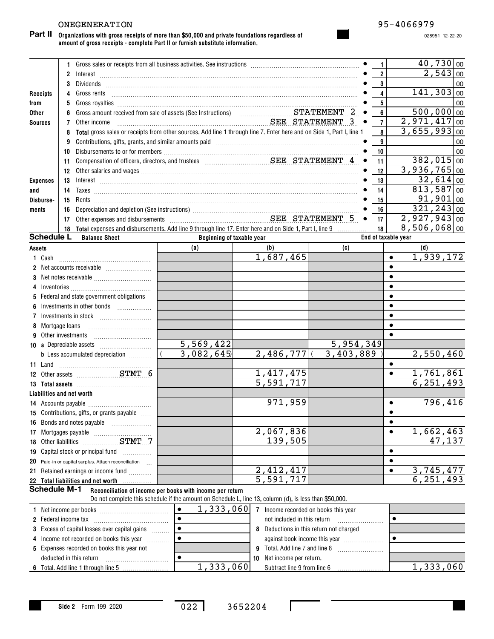## ONEGENERATION 95-4066979

**Organizations with gross receipts of more than \$50,000 and private foundations regardless of amount of gross receipts - complete Part II or furnish substitute information. Part II**

028951 12-22-20

|                 |                            | 1 Gross sales or receipts from all business activities. See instructions [11] Gross sales or receipts from all business activities. See instructions [11] Gross sales or receipts from all business activities. See instructio                                                                                                                           |                           |                                      |                                       | 1              |                     | 40,730 00                  |
|-----------------|----------------------------|----------------------------------------------------------------------------------------------------------------------------------------------------------------------------------------------------------------------------------------------------------------------------------------------------------------------------------------------------------|---------------------------|--------------------------------------|---------------------------------------|----------------|---------------------|----------------------------|
|                 | 2                          |                                                                                                                                                                                                                                                                                                                                                          |                           |                                      |                                       | $\overline{2}$ |                     | 2,543 00                   |
|                 | 3                          |                                                                                                                                                                                                                                                                                                                                                          |                           |                                      |                                       | $\mathbf{3}$   |                     | 00                         |
| Receipts        | 4                          | Gross rents                                                                                                                                                                                                                                                                                                                                              |                           |                                      |                                       | $\overline{4}$ |                     | 141, 303<br>00             |
| from            | 5                          |                                                                                                                                                                                                                                                                                                                                                          |                           |                                      |                                       | 5              |                     | 00                         |
| Other           | 6                          |                                                                                                                                                                                                                                                                                                                                                          |                           |                                      |                                       | 6              |                     | 500,000<br>$\overline{00}$ |
| <b>Sources</b>  | 7                          | Other income                                                                                                                                                                                                                                                                                                                                             | SEE STATEMENT             |                                      | -3<br>$\bullet$                       | $\overline{7}$ |                     | 2,971,417<br>00            |
|                 | 8                          | Total gross sales or receipts from other sources. Add line 1 through line 7. Enter here and on Side 1, Part I, line 1                                                                                                                                                                                                                                    |                           |                                      |                                       | 8              |                     | 3,655,993<br>00            |
|                 | 9                          | Contributions, gifts, grants, and similar amounts paid manufactured contract and contributions, gifts, grants,                                                                                                                                                                                                                                           |                           |                                      |                                       | 9              |                     | 00                         |
|                 | 10                         |                                                                                                                                                                                                                                                                                                                                                          |                           |                                      |                                       | 10             |                     | 00                         |
|                 | 11                         |                                                                                                                                                                                                                                                                                                                                                          |                           |                                      | $\bullet$                             | 11             |                     | 382,015<br>00              |
|                 | 12                         |                                                                                                                                                                                                                                                                                                                                                          |                           |                                      |                                       | 12             |                     | $\overline{3,936,765}$ 00  |
| <b>Expenses</b> | 13                         | $Interest \begin{array}{c} \rule{2.5cm}{0.15cm} \rule{2.5cm}{0.15cm} \rule{2.5cm}{0.15cm} \rule{2.5cm}{0.15cm} \rule{2.5cm}{0.15cm} \rule{2.5cm}{0.15cm} \rule{2.5cm}{0.15cm} \rule{2.5cm}{0.15cm} \rule{2.5cm}{0.15cm} \rule{2.5cm}{0.15cm} \rule{2.5cm}{0.15cm} \rule{2.5cm}{0.15cm} \rule{2.5cm}{0.15cm} \rule{2.5cm}{0.15cm} \rule{2.5cm}{0.15cm} \$ |                           |                                      |                                       | 13             |                     | $32,614$ 00                |
| and             | 14                         |                                                                                                                                                                                                                                                                                                                                                          |                           |                                      |                                       | 14             |                     | 813,587<br>00              |
| Disburse-       | 15                         |                                                                                                                                                                                                                                                                                                                                                          |                           |                                      |                                       | 15             |                     | 91,901<br>00               |
| ments           | 16                         |                                                                                                                                                                                                                                                                                                                                                          |                           |                                      |                                       | 16             |                     | 321, 243 00                |
|                 | 17                         | Depreciation and depletion (See instructions)<br>Other expenses and disbursements<br>SEE STATEMENT 5                                                                                                                                                                                                                                                     |                           |                                      |                                       | 17             |                     | $2,927,943$ 00             |
|                 | 18                         | Total expenses and disbursements. Add line 9 through line 17. Enter here and on Side 1, Part I, line 9                                                                                                                                                                                                                                                   |                           |                                      |                                       | 18             |                     | $8,506,068$ 00             |
|                 | <b>Schedule L</b>          | <b>Balance Sheet</b>                                                                                                                                                                                                                                                                                                                                     | Beginning of taxable year |                                      |                                       |                | End of taxable year |                            |
| Assets          |                            |                                                                                                                                                                                                                                                                                                                                                          | (a)                       | (b)                                  | (c)                                   |                |                     | (d)                        |
| 1 Cash          |                            |                                                                                                                                                                                                                                                                                                                                                          |                           | 1,687,465                            |                                       |                | $\bullet$           | 1,939,172                  |
|                 |                            |                                                                                                                                                                                                                                                                                                                                                          |                           |                                      |                                       |                | ٠                   |                            |
|                 |                            |                                                                                                                                                                                                                                                                                                                                                          |                           |                                      |                                       |                |                     |                            |
| 4               |                            |                                                                                                                                                                                                                                                                                                                                                          |                           |                                      |                                       |                |                     |                            |
|                 |                            | 5 Federal and state government obligations                                                                                                                                                                                                                                                                                                               |                           |                                      |                                       |                |                     |                            |
| 6               |                            |                                                                                                                                                                                                                                                                                                                                                          |                           |                                      |                                       |                |                     |                            |
| 7               |                            | $Investments in stock$                                                                                                                                                                                                                                                                                                                                   |                           |                                      |                                       |                |                     |                            |
|                 | 8 Mortgage loans           |                                                                                                                                                                                                                                                                                                                                                          |                           |                                      |                                       |                |                     |                            |
|                 | <b>9</b> Other investments |                                                                                                                                                                                                                                                                                                                                                          |                           |                                      |                                       |                | $\bullet$           |                            |
|                 |                            |                                                                                                                                                                                                                                                                                                                                                          | 5,569,422                 |                                      | 5,954,349                             |                |                     |                            |
|                 |                            | <b>b</b> Less accumulated depreciation <i></i>                                                                                                                                                                                                                                                                                                           | 3,082,645                 | $2,486,777$ (                        | 3,403,889                             |                |                     | 2,550,460                  |
| 11 Land         |                            |                                                                                                                                                                                                                                                                                                                                                          |                           |                                      |                                       |                | ٠                   |                            |
|                 |                            | 12 Other assets STMT 6                                                                                                                                                                                                                                                                                                                                   |                           | 1,417,475                            |                                       |                | $\bullet$           | 1,761,861                  |
|                 |                            |                                                                                                                                                                                                                                                                                                                                                          |                           | 5,591,717                            |                                       |                |                     | 6, 251, 493                |
|                 | Liabilities and net worth  |                                                                                                                                                                                                                                                                                                                                                          |                           |                                      |                                       |                |                     |                            |
|                 |                            |                                                                                                                                                                                                                                                                                                                                                          |                           | 971,959                              |                                       |                | $\bullet$           | 796,416                    |
|                 |                            | 15 Contributions, gifts, or grants payable                                                                                                                                                                                                                                                                                                               |                           |                                      |                                       |                |                     |                            |
|                 |                            | 16 Bonds and notes payable                                                                                                                                                                                                                                                                                                                               |                           |                                      |                                       |                | ٠                   |                            |
|                 |                            |                                                                                                                                                                                                                                                                                                                                                          |                           | 2,067,836                            |                                       |                |                     | 1,662,463                  |
|                 |                            |                                                                                                                                                                                                                                                                                                                                                          |                           | 139,505                              |                                       |                |                     | 47,137                     |
|                 |                            | 19 Capital stock or principal fund                                                                                                                                                                                                                                                                                                                       |                           |                                      |                                       |                |                     |                            |
| 20              |                            | Paid-in or capital surplus. Attach reconciliation                                                                                                                                                                                                                                                                                                        |                           |                                      |                                       |                |                     |                            |
| 21              |                            | Retained earnings or income fund                                                                                                                                                                                                                                                                                                                         |                           | 2, 412, 417                          |                                       |                |                     | 3,745,477                  |
|                 |                            | 22 Total liabilities and net worth<br>.                                                                                                                                                                                                                                                                                                                  |                           | 5,591,717                            |                                       |                |                     | 6, 251, 493                |
|                 | <b>Schedule M-1</b>        | Reconciliation of income per books with income per return                                                                                                                                                                                                                                                                                                |                           |                                      |                                       |                |                     |                            |
|                 |                            | Do not complete this schedule if the amount on Schedule L, line 13, column (d), is less than \$50,000.                                                                                                                                                                                                                                                   |                           |                                      |                                       |                |                     |                            |
|                 |                            |                                                                                                                                                                                                                                                                                                                                                          | 1,333,060<br>$\bullet$    | 7 Income recorded on books this year |                                       |                |                     |                            |
|                 |                            |                                                                                                                                                                                                                                                                                                                                                          |                           | not included in this return          |                                       |                | $\bullet$           |                            |
|                 |                            | 3 Excess of capital losses over capital gains                                                                                                                                                                                                                                                                                                            | $\bullet$                 | 8                                    | Deductions in this return not charged |                |                     |                            |
|                 |                            | 4 Income not recorded on books this year                                                                                                                                                                                                                                                                                                                 | $\bullet$                 |                                      | against book income this year         |                | $\bullet$           |                            |
|                 |                            | 5 Expenses recorded on books this year not                                                                                                                                                                                                                                                                                                               |                           | 9 Total. Add line 7 and line 8       |                                       |                |                     |                            |

**Side 2** Form 199 2020

~~~~~~~~~~~

deducted in this return

**6** Total. Add line 1 through line 5

 $\bullet$ 

022 3652204

**10** Net income per return.

Subtract line 9 from line 6 1,333,060 1,333,060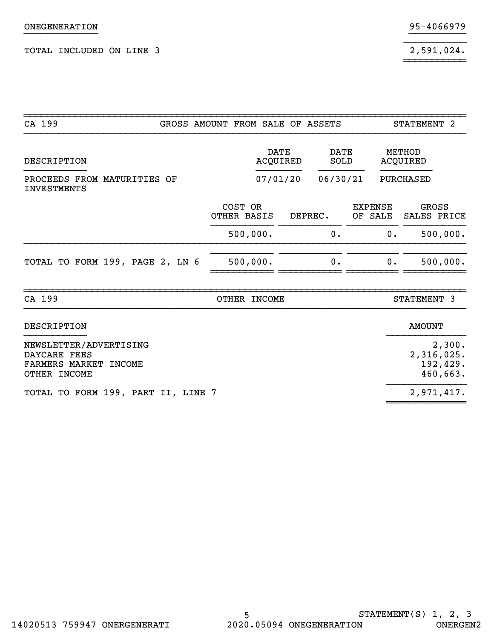$2,591,024.$ 

| CA 199                                                                          | GROSS AMOUNT FROM SALE OF ASSETS |                        |                         |         |                     |                           | STATEMENT 2          |                                              |
|---------------------------------------------------------------------------------|----------------------------------|------------------------|-------------------------|---------|---------------------|---------------------------|----------------------|----------------------------------------------|
| DESCRIPTION                                                                     |                                  |                        | <b>DATE</b><br>ACQUIRED |         | <b>DATE</b><br>SOLD |                           | METHOD<br>ACQUIRED   |                                              |
| PROCEEDS FROM MATURITIES OF<br><b>INVESTMENTS</b>                               |                                  |                        | 07/01/20                |         | 06/30/21            |                           | PURCHASED            |                                              |
|                                                                                 |                                  | COST OR<br>OTHER BASIS |                         | DEPREC. |                     | <b>EXPENSE</b><br>OF SALE | GROSS<br>SALES PRICE |                                              |
|                                                                                 |                                  | 500,000.               |                         |         | $0$ .               | 0.                        |                      | 500,000.                                     |
| TOTAL TO FORM 199, PAGE 2, LN 6                                                 |                                  | 500,000.               |                         |         | 0.                  | $0$ .                     |                      | 500,000.                                     |
| CA 199                                                                          |                                  | OTHER INCOME           |                         |         |                     |                           | STATEMENT 3          |                                              |
| DESCRIPTION                                                                     |                                  |                        |                         |         |                     |                           | <b>AMOUNT</b>        |                                              |
| NEWSLETTER/ADVERTISING<br>DAYCARE FEES<br>FARMERS MARKET INCOME<br>OTHER INCOME |                                  |                        |                         |         |                     |                           |                      | 2,300.<br>2,316,025.<br>192,429.<br>460,663. |
| TOTAL TO FORM 199, PART II, LINE 7                                              |                                  |                        |                         |         |                     |                           |                      | 2,971,417.                                   |

~~~~~~~~~~~

}}}}}}}}}}}}} }}}}}}}}}}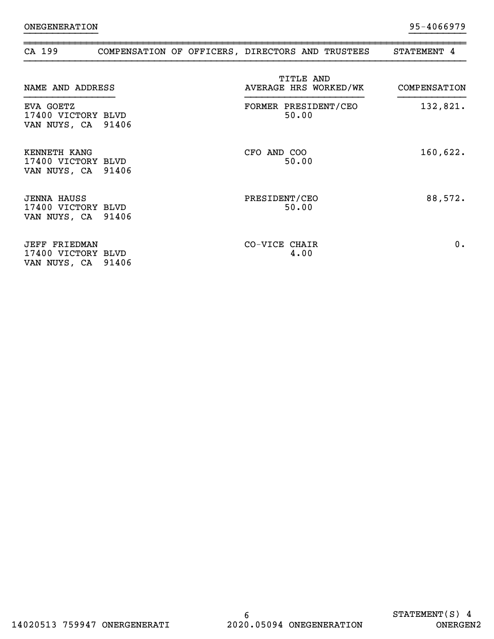| CA 199                                                     |       | COMPENSATION OF OFFICERS, DIRECTORS AND TRUSTEES | STATEMENT 4  |
|------------------------------------------------------------|-------|--------------------------------------------------|--------------|
| NAME AND ADDRESS                                           |       | TITLE AND<br>AVERAGE HRS WORKED/WK               | COMPENSATION |
| EVA GOETZ<br>17400 VICTORY BLVD<br>VAN NUYS, CA 91406      |       | FORMER PRESIDENT/CEO<br>50.00                    | 132,821.     |
| KENNETH KANG<br>17400 VICTORY BLVD<br>VAN NUYS, CA 91406   |       | CFO AND COO<br>50.00                             | 160,622.     |
| <b>JENNA HAUSS</b><br>17400 VICTORY BLVD<br>VAN NUYS, CA   | 91406 | PRESIDENT/CEO<br>50.00                           | 88,572.      |
| <b>JEFF FRIEDMAN</b><br>17400 VICTORY BLVD<br>VAN NUYS, CA | 91406 | CO-VICE CHAIR<br>4.00                            | 0.           |

}}}}}}}}}}}}} }}}}}}}}}}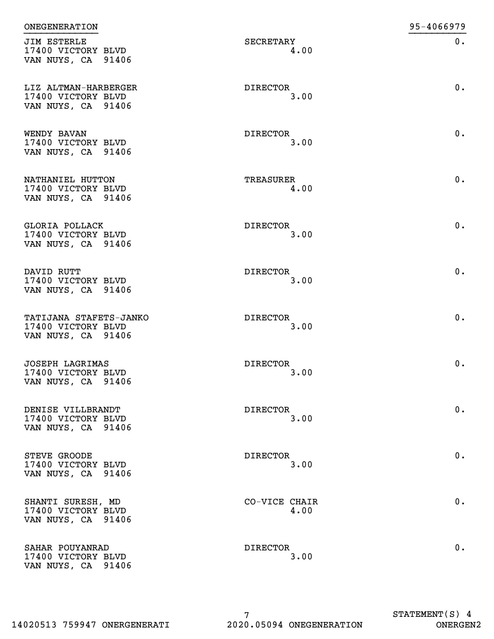| <b>ONEGENERATION</b>                                               |                         | 95-4066979 |
|--------------------------------------------------------------------|-------------------------|------------|
| JIM ESTERLE<br>17400 VICTORY BLVD<br>VAN NUYS, CA 91406            | SECRETARY<br>4.00       | $0$ .      |
| LIZ ALTMAN-HARBERGER<br>17400 VICTORY BLVD<br>VAN NUYS, CA 91406   | DIRECTOR<br>3.00        | 0.         |
| WENDY BAVAN<br>17400 VICTORY BLVD<br>VAN NUYS, CA 91406            | DIRECTOR<br>3.00        | $0$ .      |
| NATHANIEL HUTTON<br>17400 VICTORY BLVD<br>VAN NUYS, CA 91406       | TREASURER<br>4.00       | $0$ .      |
| <b>GLORIA POLLACK</b><br>17400 VICTORY BLVD<br>VAN NUYS, CA 91406  | <b>DIRECTOR</b><br>3.00 | 0.         |
| DAVID RUTT<br>17400 VICTORY BLVD<br>VAN NUYS, CA 91406             | <b>DIRECTOR</b><br>3.00 | 0.         |
| TATIJANA STAFETS-JANKO<br>17400 VICTORY BLVD<br>VAN NUYS, CA 91406 | <b>DIRECTOR</b><br>3.00 | 0.         |
| JOSEPH LAGRIMAS<br>17400 VICTORY BLVD<br>VAN NUYS, CA 91406        | <b>DIRECTOR</b><br>3.00 | 0.         |
| DENISE VILLBRANDT<br>17400 VICTORY BLVD<br>VAN NUYS, CA 91406      | DIRECTOR<br>3.00        | $0$ .      |
| STEVE GROODE<br>17400 VICTORY BLVD<br>VAN NUYS, CA 91406           | <b>DIRECTOR</b><br>3.00 | 0.         |
| SHANTI SURESH, MD<br>17400 VICTORY BLVD<br>VAN NUYS, CA 91406      | CO-VICE CHAIR<br>4.00   | 0.         |
| SAHAR POUYANRAD<br>17400 VICTORY BLVD<br>VAN NUYS, CA 91406        | DIRECTOR<br>3.00        | 0.         |

7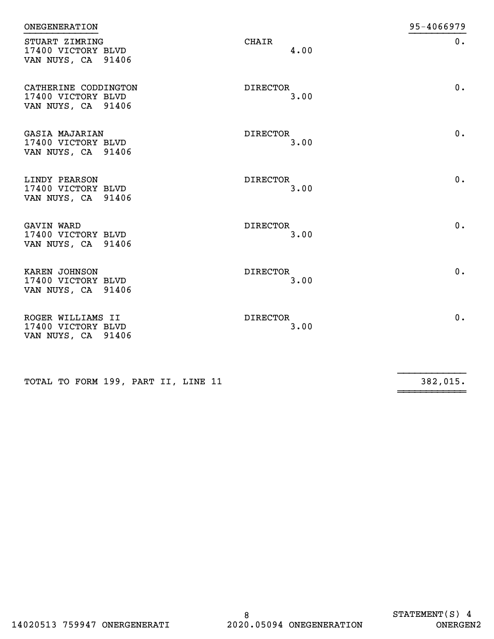| <b>ONEGENERATION</b>                                             |                         | 95-4066979 |
|------------------------------------------------------------------|-------------------------|------------|
| STUART ZIMRING<br>17400 VICTORY BLVD<br>VAN NUYS, CA 91406       | CHAIR<br>4.00           | $0$ .      |
| CATHERINE CODDINGTON<br>17400 VICTORY BLVD<br>VAN NUYS, CA 91406 | <b>DIRECTOR</b><br>3.00 | 0.         |
| GASIA MAJARIAN<br>17400 VICTORY BLVD<br>VAN NUYS, CA 91406       | DIRECTOR<br>3.00        | 0.         |
| LINDY PEARSON<br>17400 VICTORY BLVD<br>VAN NUYS, CA 91406        | <b>DIRECTOR</b><br>3.00 | 0.         |
| GAVIN WARD<br>17400 VICTORY BLVD<br>VAN NUYS, CA 91406           | <b>DIRECTOR</b><br>3.00 | 0.         |
| KAREN JOHNSON<br>17400 VICTORY BLVD<br>VAN NUYS, CA 91406        | <b>DIRECTOR</b><br>3.00 | 0.         |
| ROGER WILLIAMS II<br>17400 VICTORY BLVD<br>VAN NUYS, CA 91406    | <b>DIRECTOR</b><br>3.00 | 0.         |
|                                                                  |                         |            |

~~~~~~~~~~~~

TOTAL TO FORM 199, PART II, LINE 11

 $\frac{1}{382,015}$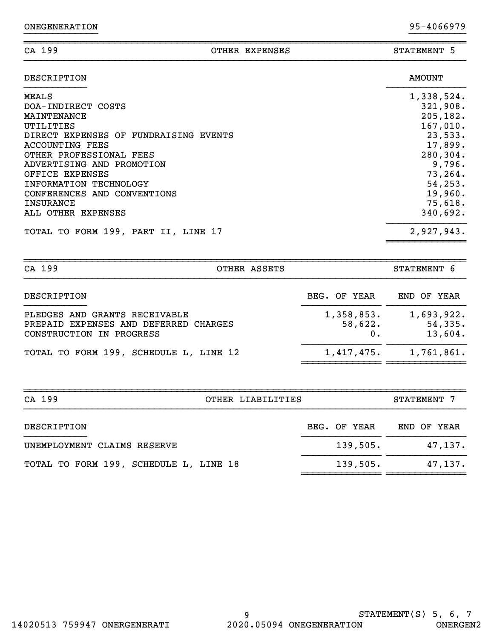| CA 199<br>OTHER EXPENSES              | STATEMENT 5           |
|---------------------------------------|-----------------------|
| DESCRIPTION                           | <b>AMOUNT</b>         |
| <b>MEALS</b>                          | 1,338,524.            |
| DOA-INDIRECT COSTS<br>MAINTENANCE     | 321,908.<br>205, 182. |
| UTILITIES                             | 167,010.              |
| DIRECT EXPENSES OF FUNDRAISING EVENTS | 23,533.               |
| ACCOUNTING FEES                       | 17,899.               |
| OTHER PROFESSIONAL FEES               | 280,304.              |
| ADVERTISING AND PROMOTION             | 9,796.                |
| OFFICE EXPENSES                       | 73,264.               |
| INFORMATION TECHNOLOGY                | 54, 253.              |
| CONFERENCES AND CONVENTIONS           | 19,960.               |
| <b>INSURANCE</b>                      | 75,618.               |
| ALL OTHER EXPENSES                    | 340,692.              |
| TOTAL TO FORM 199, PART II, LINE 17   | 2,927,943.            |

}}}}}}}}}}}}} }}}}}}}}}}

| CA 199<br>OTHER ASSETS                                                                             |                       | STATEMENT 6                      |
|----------------------------------------------------------------------------------------------------|-----------------------|----------------------------------|
| DESCRIPTION                                                                                        | BEG. OF YEAR          | END OF YEAR                      |
| PLEDGES AND GRANTS RECEIVABLE<br>PREPAID EXPENSES AND DEFERRED CHARGES<br>CONSTRUCTION IN PROGRESS | 1,358,853.<br>58,622. | 1,693,922.<br>54,335.<br>13,604. |
| TOTAL TO FORM 199, SCHEDULE L, LINE 12                                                             | 1,417,475.            | 1,761,861.                       |

| CA 199<br>OTHER LIABILITIES            |              | STATEMENT 7 |  |  |
|----------------------------------------|--------------|-------------|--|--|
| DESCRIPTION                            | BEG. OF YEAR | END OF YEAR |  |  |
| UNEMPLOYMENT CLAIMS RESERVE            | 139,505.     | 47,137.     |  |  |
| TOTAL TO FORM 199, SCHEDULE L, LINE 18 | 139,505.     | 47, 137.    |  |  |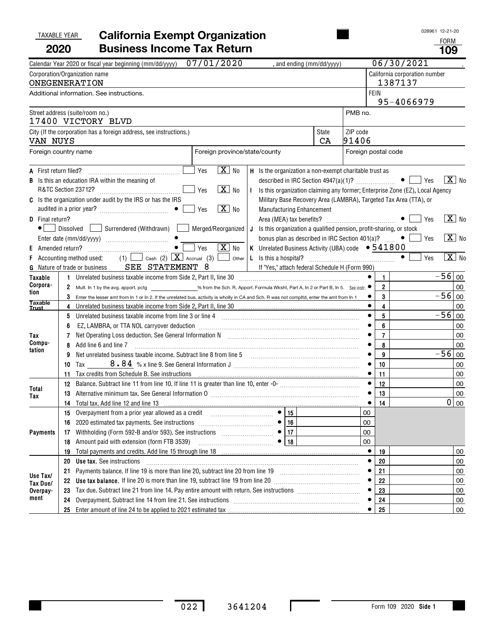#### TAXABLE YEAR **California Exempt Organization 2020Business Income Tax Return 109**

FORM

|                                                             | Calendar Year 2020 or fiscal year beginning (mm/dd/yyyy)                                                                                                                                                                                                                                                                                                                                                                                                                                                                                                                                                                            | 07/01/2020                                                     | , and ending (mm/dd/yyyy)                                                                                                                                                                                                                                                                                                                                                                      |                    |                        |                                               | 06/30/2021                               |                                                                               |
|-------------------------------------------------------------|-------------------------------------------------------------------------------------------------------------------------------------------------------------------------------------------------------------------------------------------------------------------------------------------------------------------------------------------------------------------------------------------------------------------------------------------------------------------------------------------------------------------------------------------------------------------------------------------------------------------------------------|----------------------------------------------------------------|------------------------------------------------------------------------------------------------------------------------------------------------------------------------------------------------------------------------------------------------------------------------------------------------------------------------------------------------------------------------------------------------|--------------------|------------------------|-----------------------------------------------|------------------------------------------|-------------------------------------------------------------------------------|
|                                                             | Corporation/Organization name<br><b>ONEGENERATION</b>                                                                                                                                                                                                                                                                                                                                                                                                                                                                                                                                                                               |                                                                |                                                                                                                                                                                                                                                                                                                                                                                                |                    |                        |                                               | California corporation number<br>1387137 |                                                                               |
|                                                             | Additional information. See instructions.                                                                                                                                                                                                                                                                                                                                                                                                                                                                                                                                                                                           |                                                                |                                                                                                                                                                                                                                                                                                                                                                                                |                    |                        | <b>FEIN</b>                                   | 95-4066979                               |                                                                               |
|                                                             | Street address (suite/room no.)<br>17400 VICTORY BLVD                                                                                                                                                                                                                                                                                                                                                                                                                                                                                                                                                                               |                                                                |                                                                                                                                                                                                                                                                                                                                                                                                |                    | PMB no.                |                                               |                                          |                                                                               |
| VAN NUYS                                                    | City (If the corporation has a foreign address, see instructions.)                                                                                                                                                                                                                                                                                                                                                                                                                                                                                                                                                                  |                                                                |                                                                                                                                                                                                                                                                                                                                                                                                | <b>State</b><br>CA | ZIP code<br>91406      |                                               |                                          |                                                                               |
|                                                             | Foreign country name                                                                                                                                                                                                                                                                                                                                                                                                                                                                                                                                                                                                                | Foreign province/state/county                                  |                                                                                                                                                                                                                                                                                                                                                                                                |                    | Foreign postal code    |                                               |                                          |                                                                               |
| <b>A</b> First return filed?<br>В<br><b>D</b> Final return? | Is this an education IRA within the meaning of<br>R&TC Section 23712?<br>C Is the organization under audit by the IRS or has the IRS<br>Dissolved Surrendered (Withdrawn)   Merged/Reorganized                                                                                                                                                                                                                                                                                                                                                                                                                                      | $\boxed{\text{X}}$ No<br>Yes<br>$X$ No<br>Yes<br>$X$ No<br>Yes | H Is the organization a non-exempt charitable trust as<br>I Is this organization claiming any former; Enterprise Zone (EZ), Local Agency<br>Military Base Recovery Area (LAMBRA), Targeted Tax Area (TTA), or<br>Manufacturing Enhancement<br>J Is this organization a qualified pension, profit-sharing, or stock<br>bonus plan as described in IRC Section 401(a)? $\ldots$ $\bullet$ $\Box$ |                    |                        |                                               | $\bullet$ $\Box$ Yes<br>Yes<br>Yes       | $\boxed{\mathbf{X}}$ No<br>$\boxed{\mathbf{X}}$ No<br>$\boxed{\mathbf{X}}$ No |
| <b>E</b> Amended return?                                    | $\bullet$<br>Accounting method used: (1) $\Box$ Cash (2) $\Box$ Accrual (3) $\Box$ Other<br>G Nature of trade or business SEE STATEMENT 8                                                                                                                                                                                                                                                                                                                                                                                                                                                                                           | $\sqrt{X}$ No<br>Yes                                           | K Unrelated Business Activity (UBA) code $\bullet$ 541800<br>If "Yes," attach federal Schedule H (Form 990)                                                                                                                                                                                                                                                                                    |                    |                        |                                               | $\bullet$<br>Yes                         | $\overline{\mathbf{X}}$ No                                                    |
| Taxable                                                     | 1 Unrelated business taxable income from Side 2, Part II, line 30 [11] [11] Unrelated business taxable income from Side 2, Part II, line 30                                                                                                                                                                                                                                                                                                                                                                                                                                                                                         |                                                                |                                                                                                                                                                                                                                                                                                                                                                                                |                    |                        | $\mathbf{1}$                                  |                                          | $-56$ 00                                                                      |
| Corpora-<br>tion<br><b>Taxable</b>                          | 2 Mult. In 1 by the avg. apport. pctg _________________% from the Sch. R, Apport. Formula Wksht, Part A, In 2 or Part B, In 5. See instr.<br>$3$ Enter the lesser amt from In 1 or In 2. If the unrelated bus. activity is wholly in CA and Sch. R was not compltd, enter the amt from In 1                                                                                                                                                                                                                                                                                                                                         |                                                                |                                                                                                                                                                                                                                                                                                                                                                                                |                    |                        | $\mathbf{2}$<br>3                             |                                          | 00<br>$-56$ 00                                                                |
| Trust<br>Tax<br>Compu-<br>tation                            | 5 Unrelated business taxable income from line 3 or line 4 [11] matter incommunications and the state income state in the 3 or line 4 [11] matter incommunications and the state of the state in the state of the state of the<br>6<br>Net Operating Loss deduction. See General Information N [11] [11] Matter Loss deduction. See General Information N<br>Add line 6 and line 7<br>8<br>Net unrelated business taxable income. Subtract line 8 from line 5 [11] [11] Matterian matterial matterial matterial matterial matterial matterial matterial matterial matterial matterial matterial matterial matterial matte<br>9<br>10 |                                                                |                                                                                                                                                                                                                                                                                                                                                                                                |                    | $\bullet$<br>$\bullet$ | 4<br>5<br>6<br>$\overline{7}$<br>8<br>9<br>10 |                                          | 00<br>$-56$ 00<br>00<br>00<br>00<br>$-56$ 00<br>00                            |
| Total<br>Tax                                                | 11 Tax credits from Schedule B. See instructions (1990) contained and the control of the control of the Schedule B. See instructions (1990) and the contained and the control of the control of the control of the control of<br>13 Alternative minimum tax. See General Information 0 [111] Martin Matterian Matterian Matterian Matterian Matterian Matterian Matterian Matterian Matterian Matterian Matterian Matterian Matterian Matterian Matterian Matte<br>14 Total tax. Add line 12 and line 13                                                                                                                            |                                                                |                                                                                                                                                                                                                                                                                                                                                                                                |                    |                        | 11<br>12<br>13<br>14                          |                                          | 00<br>00<br>00<br>0<br>l oo                                                   |
| <b>Payments</b>                                             | 15 Overpayment from a prior year allowed as a credit<br>Withholding (Form 592-B and/or 593). See instructions<br>17<br>Amount paid with extension (form FTB 3539)<br>18                                                                                                                                                                                                                                                                                                                                                                                                                                                             | $\bullet$                                                      | $\bullet$ 15<br>16<br>17<br>18                                                                                                                                                                                                                                                                                                                                                                 |                    | 00<br>00<br>00<br>00   |                                               |                                          |                                                                               |
| Use Tax/<br>Tax Due/<br>Overpay-                            | 19<br><b>Use tax.</b> See instructions<br>20<br>21<br>22<br>23                                                                                                                                                                                                                                                                                                                                                                                                                                                                                                                                                                      |                                                                |                                                                                                                                                                                                                                                                                                                                                                                                |                    | ٠                      | 19<br>20<br>21<br>22<br>23                    |                                          | 00<br>00<br>00<br>00<br>00                                                    |
| ment                                                        | Overpayment. Subtract line 14 from line 21. See instructions [11] contains the container container the containing over $\sim$<br>24<br>25                                                                                                                                                                                                                                                                                                                                                                                                                                                                                           |                                                                |                                                                                                                                                                                                                                                                                                                                                                                                |                    |                        | 24<br>25                                      |                                          | 00<br>00                                                                      |

 $\mathbf I$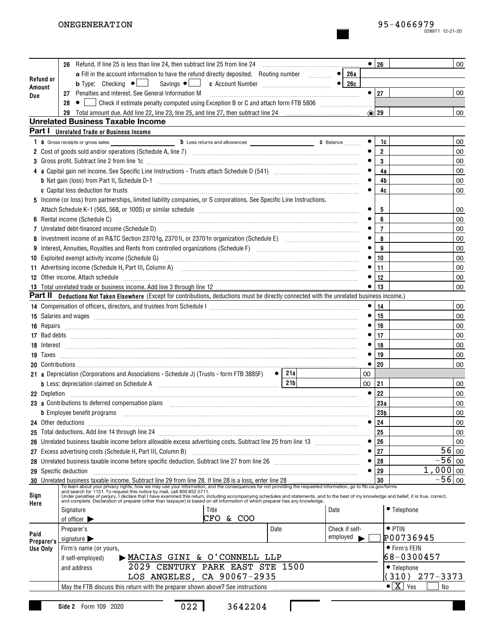|            |                                                                                                                                                                                                                                                      |    | $\bullet$ 26   | 00                                 |
|------------|------------------------------------------------------------------------------------------------------------------------------------------------------------------------------------------------------------------------------------------------------|----|----------------|------------------------------------|
|            | a Fill in the account information to have the refund directly deposited. Routing number<br>$\overline{\bullet}$ 26a                                                                                                                                  |    |                |                                    |
| Refund or  |                                                                                                                                                                                                                                                      |    |                |                                    |
| Amount     | 27 Penalties and interest. See General Information M [11] [11] Martin Martin Martin Martin Martin Martin Martin Martin Martin Martin Martin Martin Martin Martin Martin Martin Martin Martin Martin Martin Martin Martin Marti                       |    | $\bullet$   27 | 00                                 |
| Due        | 28<br>Check if estimate penalty computed using Exception B or C and attach form FTB 5806 [111] Check if estimate penalty computed using Exception B or C and attach form FTB 5806<br>$\bullet$                                                       |    |                |                                    |
|            |                                                                                                                                                                                                                                                      |    | $\odot$ 29     | 00                                 |
|            | <b>Unrelated Business Taxable Income</b>                                                                                                                                                                                                             |    |                |                                    |
|            | Part I Unrelated Trade or Business Income                                                                                                                                                                                                            |    |                |                                    |
|            |                                                                                                                                                                                                                                                      |    | 1c             | 00                                 |
|            |                                                                                                                                                                                                                                                      |    | $\overline{2}$ | 00                                 |
|            | 3 Gross profit. Subtract line 2 from line 1c [11] All and the content of the content of the content of the content of the content of the content of the content of the content of the content of the content of the content of                       |    | 3              | 00                                 |
|            |                                                                                                                                                                                                                                                      |    | 4a             | 00                                 |
|            |                                                                                                                                                                                                                                                      |    | 4b             | 00                                 |
|            | c Capital loss deduction for trusts                                                                                                                                                                                                                  |    | 4c             | 00                                 |
|            | 5 Income (or loss) from partnerships, limited liability companies, or S corporations. See Specific Line Instructions.                                                                                                                                |    |                |                                    |
|            |                                                                                                                                                                                                                                                      |    | 5              | 00                                 |
|            |                                                                                                                                                                                                                                                      |    | 6              | 00                                 |
|            |                                                                                                                                                                                                                                                      |    | 7              | 00                                 |
|            |                                                                                                                                                                                                                                                      |    | 8              | 00                                 |
|            |                                                                                                                                                                                                                                                      |    | 9              | 00                                 |
|            | 10 Exploited exempt activity income (Schedule G) manufactured contract the control of the set of the contract of the set of the set of the set of the set of the set of the set of the set of the set of the set of the set of                       |    | 10             | 00                                 |
|            | 11 Advertising income (Schedule H, Part III, Column A) [11] [2001] [2001] [2001] [2001] [2001] [2001] [2001] [                                                                                                                                       |    | 11             | 00                                 |
|            | 12 Other income. Attach schedule encourance and according to the contract of the schedule of the contract of the contract of the contract of the contract of the contract of the contract of the contract of the contract of t                       |    | 12             | 00                                 |
|            |                                                                                                                                                                                                                                                      |    | 13             | 00                                 |
|            | Part II Deductions Not Taken Elsewhere (Except for contributions, deductions must be directly connected with the unrelated business income.)                                                                                                         |    |                |                                    |
|            |                                                                                                                                                                                                                                                      |    | 14             | 00                                 |
|            |                                                                                                                                                                                                                                                      |    | 15             | 00                                 |
|            |                                                                                                                                                                                                                                                      |    | 16             | 00                                 |
|            |                                                                                                                                                                                                                                                      |    | 17             | 00                                 |
|            | 17 Bad debts <b>with a construction of the construction of the construction of the construction</b> of the construction of the construction of the construction of the construction of the construction of the construction of the                   |    | 18             | 00                                 |
|            |                                                                                                                                                                                                                                                      |    | 19             | 00                                 |
|            |                                                                                                                                                                                                                                                      |    | 20             | 00                                 |
|            | 21 a Depreciation (Corporations and Associations - Schedule J) (Trusts - form FTB 3885F) $\bullet$   21a                                                                                                                                             | 00 |                |                                    |
|            | 21 <sub>b</sub><br>b Less: depreciation claimed on Schedule A [11] [11] Less: depreciation claimed on Schedule A [11] [11] Less:                                                                                                                     | 00 | 21             | 00                                 |
|            |                                                                                                                                                                                                                                                      |    | 22             | 00                                 |
|            | 23 a Contributions to deferred compensation plans manufactured contracts and contributions to deferred compensation plans                                                                                                                            |    | 23a            | 00                                 |
|            |                                                                                                                                                                                                                                                      |    | 23b            | 00                                 |
|            | b Employee benefit programs informational contracts and contracts are the contract of the contracts of the contracts of the contracts of the contracts of the contracts of the contracts of the contracts of the contracts of<br>24 Other deductions |    | 24             | 00                                 |
|            |                                                                                                                                                                                                                                                      |    | 25             | 00                                 |
|            |                                                                                                                                                                                                                                                      |    | 26             | 00                                 |
|            | 27 Excess advertising costs (Schedule H, Part III, Column B)                                                                                                                                                                                         |    | 27             | 56<br>00                           |
|            | 28 Unrelated business taxable income before specific deduction. Subtract line 27 from line 26 [111] [11] University that income the US and the 28 [11] University that is a set of the US and the US and the US and the US and                       |    | 28             | $-56$<br>00                        |
|            | 29 Specific deduction                                                                                                                                                                                                                                |    | 29             | $1,000 _{00}$                      |
|            |                                                                                                                                                                                                                                                      |    |                | $-56$<br>  00                      |
| Here       | and complete. Declaration of preparer (other than taxpayer) is based on all information of which preparer has any knowledge.<br>Title<br>Signature<br>Date<br>CFO & COO                                                                              |    |                | • Telephone                        |
|            | of officer $\blacktriangleright$<br>Date<br>Check if self-                                                                                                                                                                                           |    |                | $\bullet$ PTIN                     |
| Paid       | Preparer's<br>employed                                                                                                                                                                                                                               |    |                | P00736945                          |
| Preparer's | signature $\blacktriangleright$                                                                                                                                                                                                                      |    |                | • Firm's FEIN                      |
| Use Only   | Firm's name (or yours,<br>MACIAS GINI & O'CONNELL LLP                                                                                                                                                                                                |    |                | 68-0300457                         |
|            | if self-employed)<br>2029 CENTURY PARK EAST STE 1500                                                                                                                                                                                                 |    |                |                                    |
|            | and address<br>LOS ANGELES, CA 90067-2935                                                                                                                                                                                                            |    |                | • Telephone<br>$(310)$ 277-3373    |
|            |                                                                                                                                                                                                                                                      |    |                | $\bullet$ $\boxed{\mathbf{X}}$ Yes |
|            | May the FTB discuss this return with the preparer shown above? See instructions                                                                                                                                                                      |    |                | No                                 |
|            | 022<br>3642204<br>Side 2 Form 109 2020                                                                                                                                                                                                               |    |                |                                    |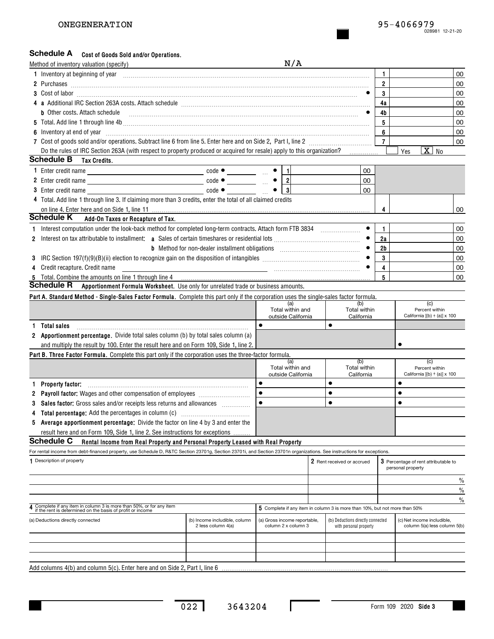### Schedule A cost of Goods Sold and/or Operations.

|              | Method of inventory valuation (specify)                                                                                                                                                                                              |                                                     | N/A                                                 |                                                                            |                |                   |                                                            |               |
|--------------|--------------------------------------------------------------------------------------------------------------------------------------------------------------------------------------------------------------------------------------|-----------------------------------------------------|-----------------------------------------------------|----------------------------------------------------------------------------|----------------|-------------------|------------------------------------------------------------|---------------|
|              | 1 Inventory at beginning of year encourance and account of the contract of the contract of the contract of the                                                                                                                       |                                                     |                                                     |                                                                            | 1              |                   |                                                            | 00            |
|              |                                                                                                                                                                                                                                      |                                                     |                                                     |                                                                            | $\overline{2}$ |                   |                                                            | 00            |
|              |                                                                                                                                                                                                                                      |                                                     |                                                     |                                                                            | 3              |                   |                                                            | 00            |
|              |                                                                                                                                                                                                                                      |                                                     |                                                     |                                                                            | 4a             |                   |                                                            | 00            |
|              | b Other costs. Attach schedule <b>construction and construction of the costs.</b> Attach schedule <b>costs.</b> Attach schedule                                                                                                      |                                                     |                                                     |                                                                            | 4b             |                   |                                                            | 00            |
|              |                                                                                                                                                                                                                                      |                                                     |                                                     |                                                                            | 5              |                   |                                                            | 00            |
|              | 6 Inventory at end of year <b>contract the contract of the contract of the contract of the contract of the contract of the contract of the contract of the contract of the contract of the contract of the contract of the contr</b> |                                                     |                                                     |                                                                            | 6              |                   |                                                            | 00            |
|              |                                                                                                                                                                                                                                      |                                                     |                                                     |                                                                            | 7 <sup>7</sup> |                   |                                                            | 00            |
|              | Do the rules of IRC Section 263A (with respect to property produced or acquired for resale) apply to this organization?                                                                                                              |                                                     |                                                     |                                                                            |                | Yes               | $\overline{X}$ No                                          |               |
|              | <b>Schedule B</b> Tax Credits.                                                                                                                                                                                                       |                                                     |                                                     |                                                                            |                |                   |                                                            |               |
|              |                                                                                                                                                                                                                                      |                                                     |                                                     | 00                                                                         |                |                   |                                                            |               |
|              |                                                                                                                                                                                                                                      |                                                     |                                                     | 00                                                                         |                |                   |                                                            |               |
|              | 3 Enter credit name                                                                                                                                                                                                                  | $code \bullet$                                      | $\overline{\mathbf{3}}$                             | 00                                                                         |                |                   |                                                            |               |
|              | 4 Total. Add line 1 through line 3. If claiming more than 3 credits, enter the total of all claimed credits                                                                                                                          |                                                     |                                                     |                                                                            |                |                   |                                                            |               |
|              |                                                                                                                                                                                                                                      |                                                     |                                                     |                                                                            | 4              |                   |                                                            | 00            |
|              | <b>Schedule K</b><br>Add-On Taxes or Recapture of Tax.                                                                                                                                                                               |                                                     |                                                     |                                                                            |                |                   |                                                            |               |
|              |                                                                                                                                                                                                                                      |                                                     |                                                     |                                                                            | 1.             |                   |                                                            | 00            |
| $\mathbf{2}$ |                                                                                                                                                                                                                                      |                                                     |                                                     |                                                                            | 2a             |                   |                                                            | 00            |
|              |                                                                                                                                                                                                                                      |                                                     |                                                     |                                                                            | 2 <sub>b</sub> |                   |                                                            | 00            |
| 3            |                                                                                                                                                                                                                                      |                                                     |                                                     |                                                                            | 3              |                   |                                                            | 00            |
| 4            | Credit recapture. Credit name                                                                                                                                                                                                        |                                                     |                                                     |                                                                            | 4              |                   |                                                            | 00            |
|              |                                                                                                                                                                                                                                      |                                                     |                                                     |                                                                            | 5              |                   |                                                            | 00            |
|              | <b>Schedule R</b> Apportionment Formula Worksheet. Use only for unrelated trade or business amounts.                                                                                                                                 |                                                     |                                                     |                                                                            |                |                   |                                                            |               |
|              | Part A. Standard Method - Single-Sales Factor Formula. Complete this part only if the corporation uses the single-sales factor formula.                                                                                              |                                                     |                                                     |                                                                            |                |                   |                                                            |               |
|              |                                                                                                                                                                                                                                      |                                                     | (a)<br>Total within and                             | (b)<br>Total within                                                        |                |                   | (c)<br>Percent within                                      |               |
|              |                                                                                                                                                                                                                                      |                                                     | outside California                                  | California                                                                 |                |                   | California [(b) ÷ (a)] x 100                               |               |
| 1.           | <b>Total sales</b>                                                                                                                                                                                                                   |                                                     | $\bullet$                                           | $\bullet$                                                                  |                |                   |                                                            |               |
|              | 2 <b>Apportionment percentage.</b> Divide total sales column (b) by total sales column (a)                                                                                                                                           |                                                     |                                                     |                                                                            |                |                   |                                                            |               |
|              | and multiply the result by 100. Enter the result here and on Form 109, Side 1, line 2.                                                                                                                                               |                                                     |                                                     |                                                                            |                | $\bullet$         |                                                            |               |
|              | Part B. Three Factor Formula. Complete this part only if the corporation uses the three-factor formula.                                                                                                                              |                                                     |                                                     |                                                                            |                |                   |                                                            |               |
|              |                                                                                                                                                                                                                                      |                                                     | (a)<br>Total within and                             | (b)<br>Total within                                                        |                |                   | (c)<br>Percent within                                      |               |
|              |                                                                                                                                                                                                                                      |                                                     | outside California                                  | California                                                                 |                |                   | California $[(b) \div (a)] \times 100$                     |               |
|              | Property factor:                                                                                                                                                                                                                     |                                                     | $\bullet$                                           | $\bullet$                                                                  |                | $\bullet$         |                                                            |               |
|              | 2 Payroll factor: Wages and other compensation of employees [111] Payroll factor: Wages and other compensation of employees [11] Payroll Factor:                                                                                     |                                                     |                                                     | $\bullet$                                                                  |                | $\bullet$         |                                                            |               |
|              | 3 Sales factor: Gross sales and/or receipts less returns and allowances                                                                                                                                                              |                                                     |                                                     | $\bullet$                                                                  |                | $\bullet$         |                                                            |               |
|              |                                                                                                                                                                                                                                      |                                                     |                                                     |                                                                            |                |                   |                                                            |               |
|              | 5 Average apportionment percentage: Divide the factor on line 4 by 3 and enter the                                                                                                                                                   |                                                     |                                                     |                                                                            |                |                   |                                                            |               |
|              | result here and on Form 109, Side 1, line 2. See instructions for exceptions                                                                                                                                                         |                                                     |                                                     |                                                                            |                |                   |                                                            |               |
|              | <b>Schedule C</b><br>Rental Income from Real Property and Personal Property Leased with Real Property                                                                                                                                |                                                     |                                                     |                                                                            |                |                   |                                                            |               |
|              | For rental income from debt-financed property, use Schedule D, R&TC Section 23701g, Section 23701i, and Section 23701n organizations. See instructions for exceptions.                                                               |                                                     |                                                     |                                                                            |                |                   |                                                            |               |
|              | 1 Description of property                                                                                                                                                                                                            |                                                     |                                                     | 2 Rent received or accrued                                                 |                | personal property | 3 Percentage of rent attributable to                       |               |
|              |                                                                                                                                                                                                                                      |                                                     |                                                     |                                                                            |                |                   |                                                            |               |
|              |                                                                                                                                                                                                                                      |                                                     |                                                     |                                                                            |                |                   |                                                            | $\%$          |
|              |                                                                                                                                                                                                                                      |                                                     |                                                     |                                                                            |                |                   |                                                            | $\%$          |
|              | 4 Complete if any item in column 3 is more than 50%, or for any item<br>if the rent is determined on the basis of profit or income                                                                                                   |                                                     |                                                     | 5 Complete if any item in column 3 is more than 10%, but not more than 50% |                |                   |                                                            | $\frac{0}{0}$ |
|              |                                                                                                                                                                                                                                      |                                                     |                                                     |                                                                            |                |                   |                                                            |               |
|              | (a) Deductions directly connected                                                                                                                                                                                                    | (b) Income includible, column<br>2 less column 4(a) | (a) Gross income reportable,<br>column 2 x column 3 | (b) Deductions directly connected<br>with personal property                |                |                   | (c) Net income includible,<br>column 5(a) less column 5(b) |               |
|              |                                                                                                                                                                                                                                      |                                                     |                                                     |                                                                            |                |                   |                                                            |               |
|              |                                                                                                                                                                                                                                      |                                                     |                                                     |                                                                            |                |                   |                                                            |               |
|              |                                                                                                                                                                                                                                      |                                                     |                                                     |                                                                            |                |                   |                                                            |               |
|              | Add columns $4(b)$ and column $5(c)$ . Enter here and on Side 2, Part I, line 6.                                                                                                                                                     |                                                     |                                                     |                                                                            |                |                   |                                                            |               |

 $\mathbf I$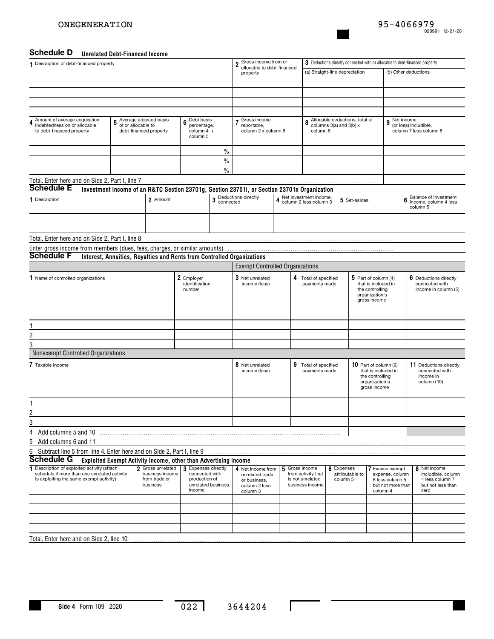#### **Unrelated Debt-Financed Income Schedule D**

|                                                                                             | <u>UNICIALCU DEDL-I MANGGU MUUMIC</u>                                  |                                      |                                       |                    |                                                                                             |   |                                                                             |                                |                 |                                              |                         |                                                 |
|---------------------------------------------------------------------------------------------|------------------------------------------------------------------------|--------------------------------------|---------------------------------------|--------------------|---------------------------------------------------------------------------------------------|---|-----------------------------------------------------------------------------|--------------------------------|-----------------|----------------------------------------------|-------------------------|-------------------------------------------------|
| 1 Description of debt-financed property                                                     |                                                                        |                                      |                                       |                    | 2 Gross income from or<br>allocable to debt-financed                                        |   | 3 Deductions directly connected with or allocable to debt-financed property |                                |                 |                                              |                         |                                                 |
|                                                                                             |                                                                        |                                      |                                       |                    | property                                                                                    |   |                                                                             | (a) Straight-line depreciation |                 |                                              | (b) Other deductions    |                                                 |
|                                                                                             |                                                                        |                                      |                                       |                    |                                                                                             |   |                                                                             |                                |                 |                                              |                         |                                                 |
|                                                                                             |                                                                        |                                      |                                       |                    |                                                                                             |   |                                                                             |                                |                 |                                              |                         |                                                 |
|                                                                                             |                                                                        |                                      |                                       |                    |                                                                                             |   |                                                                             |                                |                 |                                              |                         |                                                 |
|                                                                                             |                                                                        |                                      |                                       |                    |                                                                                             |   |                                                                             |                                |                 |                                              |                         |                                                 |
| Amount of average acquisition<br>4                                                          | 5 Average adjusted basis                                               |                                      | $6$ Debt basis                        |                    | Gross income<br>$\overline{7}$                                                              |   | 8                                                                           | Allocable deductions, total of |                 |                                              | 9 <sup>Net income</sup> |                                                 |
| indebtedness on or allocable<br>to debt-financed property                                   | of or allocable to<br>debt-financed property                           |                                      | percentage,<br>column 4 ÷             |                    | reportable,<br>column 2 x column 6                                                          |   | column 6                                                                    | columns 3(a) and 3(b) x        |                 |                                              |                         | (or loss) includible,<br>column 7 less column 8 |
|                                                                                             |                                                                        |                                      | column 5                              |                    |                                                                                             |   |                                                                             |                                |                 |                                              |                         |                                                 |
|                                                                                             |                                                                        |                                      |                                       | $\%$               |                                                                                             |   |                                                                             |                                |                 |                                              |                         |                                                 |
|                                                                                             |                                                                        |                                      |                                       | $\%$               |                                                                                             |   |                                                                             |                                |                 |                                              |                         |                                                 |
|                                                                                             |                                                                        |                                      |                                       | $\%$               |                                                                                             |   |                                                                             |                                |                 |                                              |                         |                                                 |
|                                                                                             |                                                                        |                                      |                                       |                    |                                                                                             |   |                                                                             |                                |                 |                                              |                         |                                                 |
| Total. Enter here and on Side 2, Part I, line 7<br><b>Schedule E</b>                        |                                                                        |                                      |                                       |                    |                                                                                             |   |                                                                             |                                |                 |                                              |                         |                                                 |
|                                                                                             |                                                                        |                                      |                                       |                    | Investment Income of an R&TC Section 23701g, Section 23701i, or Section 23701n Organization |   | Net investment income,                                                      |                                |                 |                                              |                         | Balance of investment                           |
| 1 Description                                                                               |                                                                        | 2 Amount                             |                                       |                    | 3 Deductions directly<br>connected                                                          |   | 4 Column 2 less column 3                                                    |                                | 5 Set-asides    |                                              |                         | 6 Baldrice of Million<br>column 5               |
|                                                                                             |                                                                        |                                      |                                       |                    |                                                                                             |   |                                                                             |                                |                 |                                              |                         |                                                 |
|                                                                                             |                                                                        |                                      |                                       |                    |                                                                                             |   |                                                                             |                                |                 |                                              |                         |                                                 |
| Total. Enter here and on Side 2, Part I, line 8                                             |                                                                        |                                      |                                       |                    |                                                                                             |   |                                                                             |                                |                 |                                              |                         |                                                 |
| Enter gross income from members (dues, fees, charges, or similar amounts)                   |                                                                        |                                      |                                       |                    |                                                                                             |   |                                                                             |                                |                 |                                              |                         |                                                 |
| <b>Schedule F</b>                                                                           | Interest, Annuities, Royalties and Rents from Controlled Organizations |                                      |                                       |                    |                                                                                             |   |                                                                             |                                |                 |                                              |                         |                                                 |
|                                                                                             |                                                                        |                                      |                                       |                    | <b>Exempt Controlled Organizations</b>                                                      |   |                                                                             |                                |                 |                                              |                         |                                                 |
| 1 Name of controlled organizations                                                          |                                                                        |                                      | 2 Employer                            |                    | 3 Net unrelated                                                                             |   | 4 Total of specified                                                        |                                |                 | $5$ Part of column (4)                       |                         | 6 Deductions directly                           |
|                                                                                             |                                                                        |                                      | identification<br>number              |                    | income (loss)                                                                               |   | payments made                                                               |                                |                 | that is included in<br>the controlling       |                         | connected with<br>income in column (5)          |
|                                                                                             |                                                                        |                                      |                                       |                    |                                                                                             |   |                                                                             |                                |                 | organization's                               |                         |                                                 |
|                                                                                             |                                                                        |                                      |                                       |                    |                                                                                             |   |                                                                             |                                |                 | gross income                                 |                         |                                                 |
|                                                                                             |                                                                        |                                      |                                       |                    |                                                                                             |   |                                                                             |                                |                 |                                              |                         |                                                 |
|                                                                                             |                                                                        |                                      |                                       |                    |                                                                                             |   |                                                                             |                                |                 |                                              |                         |                                                 |
| $\overline{\mathbf{c}}$                                                                     |                                                                        |                                      |                                       |                    |                                                                                             |   |                                                                             |                                |                 |                                              |                         |                                                 |
| 3                                                                                           |                                                                        |                                      |                                       |                    |                                                                                             |   |                                                                             |                                |                 |                                              |                         |                                                 |
| Nonexempt Controlled Organizations                                                          |                                                                        |                                      |                                       |                    |                                                                                             |   |                                                                             |                                |                 |                                              |                         |                                                 |
|                                                                                             |                                                                        |                                      |                                       |                    |                                                                                             |   |                                                                             |                                |                 |                                              |                         |                                                 |
| 7 Taxable income                                                                            |                                                                        |                                      |                                       |                    | 8 Net unrelated<br>income (loss)                                                            |   | 9 Total of specified<br>payments made                                       |                                |                 | 10 Part of column (9)<br>that is included in |                         | 11 Deductions directly<br>connected with        |
|                                                                                             |                                                                        |                                      |                                       |                    |                                                                                             |   |                                                                             |                                |                 | the controlling<br>organization's            |                         | income in<br>column (10)                        |
|                                                                                             |                                                                        |                                      |                                       |                    |                                                                                             |   |                                                                             |                                |                 | gross income                                 |                         |                                                 |
|                                                                                             |                                                                        |                                      |                                       |                    |                                                                                             |   |                                                                             |                                |                 |                                              |                         |                                                 |
|                                                                                             |                                                                        |                                      |                                       |                    |                                                                                             |   |                                                                             |                                |                 |                                              |                         |                                                 |
| $\overline{2}$                                                                              |                                                                        |                                      |                                       |                    |                                                                                             |   |                                                                             |                                |                 |                                              |                         |                                                 |
| $\overline{3}$                                                                              |                                                                        |                                      |                                       |                    |                                                                                             |   |                                                                             |                                |                 |                                              |                         |                                                 |
| 4<br>Add columns 5 and 10                                                                   |                                                                        |                                      |                                       |                    |                                                                                             |   |                                                                             |                                |                 |                                              |                         |                                                 |
| 5<br>Add columns 6 and 11                                                                   |                                                                        |                                      |                                       |                    |                                                                                             |   |                                                                             |                                |                 |                                              |                         |                                                 |
| Subtract line 5 from line 4. Enter here and on Side 2, Part I, line 9<br>6                  |                                                                        |                                      |                                       |                    |                                                                                             |   |                                                                             |                                |                 |                                              |                         |                                                 |
| Schedule G                                                                                  | Exploited Exempt Activity Income, other than Advertising Income        |                                      |                                       |                    |                                                                                             |   |                                                                             |                                |                 |                                              |                         |                                                 |
| 1 Description of exploited activity (attach<br>schedule if more than one unrelated activity |                                                                        | 2 Gross unrelated<br>business income | 3 Expenses directly<br>connected with |                    | 4 Net income from<br>unrelated trade                                                        | 5 | Gross income<br>from activity that                                          | 6 Expenses                     | attributable to | 7 Excess exempt<br>expense, column           |                         | 8 Net income<br>includible, column              |
| is exploiting the same exempt activity)                                                     |                                                                        | from trade or<br>business            | production of                         | unrelated business | or business,                                                                                |   | is not unrelated<br>business income                                         | column 5                       |                 | 6 less column 5<br>but not more than         |                         | 4 less column 7<br>but not less than            |
|                                                                                             |                                                                        |                                      | income                                |                    | column 2 less<br>column 3                                                                   |   |                                                                             |                                |                 | column 4                                     |                         | zero                                            |
|                                                                                             |                                                                        |                                      |                                       |                    |                                                                                             |   |                                                                             |                                |                 |                                              |                         |                                                 |
|                                                                                             |                                                                        |                                      |                                       |                    |                                                                                             |   |                                                                             |                                |                 |                                              |                         |                                                 |
|                                                                                             |                                                                        |                                      |                                       |                    |                                                                                             |   |                                                                             |                                |                 |                                              |                         |                                                 |
|                                                                                             |                                                                        |                                      |                                       |                    |                                                                                             |   |                                                                             |                                |                 |                                              |                         |                                                 |
| Total. Enter here and on Side 2, line 10                                                    |                                                                        |                                      |                                       |                    |                                                                                             |   |                                                                             |                                |                 |                                              |                         |                                                 |

 $\mathbf{I}$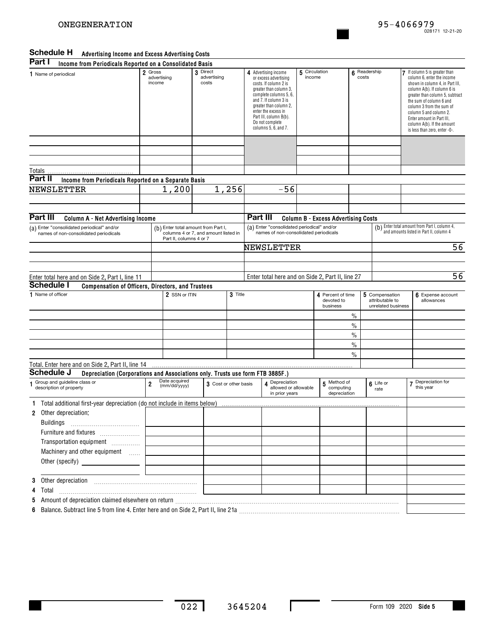### **Advertising Income and Excess Advertising Costs Schedule H**

| Part I<br>Income from Periodicals Reported on a Consolidated Basis                          |                                  |                               |                                                                             |         |                                                                                                                                                                                                                                                                           |  |                                             |               |                                                         |                                                                                                                                                                                                                                                                                                                                             |
|---------------------------------------------------------------------------------------------|----------------------------------|-------------------------------|-----------------------------------------------------------------------------|---------|---------------------------------------------------------------------------------------------------------------------------------------------------------------------------------------------------------------------------------------------------------------------------|--|---------------------------------------------|---------------|---------------------------------------------------------|---------------------------------------------------------------------------------------------------------------------------------------------------------------------------------------------------------------------------------------------------------------------------------------------------------------------------------------------|
| 1 Name of periodical                                                                        | 2 Gross<br>advertising<br>income |                               | 3 Direct<br>advertising<br>costs                                            |         | 4 Advertising income<br>or excess advertising<br>costs. If column 2 is<br>greater than column 3,<br>complete columns 5, 6,<br>and 7. If column 3 is<br>greater than column 2,<br>enter the excess in<br>Part III, column B(b).<br>Do not complete<br>columns 5, 6, and 7. |  | 5 Circulation<br>income                     | 6<br>costs    | Readership                                              | If column 5 is greater than<br>column 6, enter the income<br>shown in column 4, in Part III,<br>column A(b). If column 6 is<br>greater than column 5, subtract<br>the sum of column 6 and<br>column 3 from the sum of<br>column 5 and column 2.<br>Enter amount in Part III,<br>column A(b). If the amount<br>is less than zero, enter -0-. |
|                                                                                             |                                  |                               |                                                                             |         |                                                                                                                                                                                                                                                                           |  |                                             |               |                                                         |                                                                                                                                                                                                                                                                                                                                             |
| Totals                                                                                      |                                  |                               |                                                                             |         |                                                                                                                                                                                                                                                                           |  |                                             |               |                                                         |                                                                                                                                                                                                                                                                                                                                             |
| Part II<br>Income from Periodicals Reported on a Separate Basis                             |                                  |                               |                                                                             |         |                                                                                                                                                                                                                                                                           |  |                                             |               |                                                         |                                                                                                                                                                                                                                                                                                                                             |
| NEWSLETTER                                                                                  |                                  | 1,200                         |                                                                             | 1,256   | $-56$                                                                                                                                                                                                                                                                     |  |                                             |               |                                                         |                                                                                                                                                                                                                                                                                                                                             |
|                                                                                             |                                  |                               |                                                                             |         |                                                                                                                                                                                                                                                                           |  |                                             |               |                                                         |                                                                                                                                                                                                                                                                                                                                             |
|                                                                                             |                                  |                               |                                                                             |         |                                                                                                                                                                                                                                                                           |  |                                             |               |                                                         |                                                                                                                                                                                                                                                                                                                                             |
| Part III<br><b>Column A - Net Advertising Income</b>                                        |                                  |                               |                                                                             |         | Part III                                                                                                                                                                                                                                                                  |  | <b>Column B - Excess Advertising Costs</b>  |               |                                                         |                                                                                                                                                                                                                                                                                                                                             |
| (a) Enter "consolidated periodical" and/or<br>names of non-consolidated periodicals         |                                  |                               | (b) Enter total amount from Part I,<br>columns 4 or 7, and amount listed in |         | (a) Enter "consolidated periodical" and/or<br>names of non-consolidated periodicals                                                                                                                                                                                       |  |                                             |               |                                                         | (b) Enter total amount from Part I, column 4,<br>and amounts listed in Part II, column 4                                                                                                                                                                                                                                                    |
|                                                                                             | Part II, columns 4 or 7          |                               |                                                                             |         |                                                                                                                                                                                                                                                                           |  |                                             |               |                                                         |                                                                                                                                                                                                                                                                                                                                             |
|                                                                                             |                                  |                               |                                                                             |         | NEWSLETTER                                                                                                                                                                                                                                                                |  |                                             |               |                                                         | 56                                                                                                                                                                                                                                                                                                                                          |
|                                                                                             |                                  |                               |                                                                             |         |                                                                                                                                                                                                                                                                           |  |                                             |               |                                                         |                                                                                                                                                                                                                                                                                                                                             |
|                                                                                             |                                  |                               |                                                                             |         |                                                                                                                                                                                                                                                                           |  |                                             |               |                                                         |                                                                                                                                                                                                                                                                                                                                             |
| Enter total here and on Side 2, Part I, line 11                                             |                                  |                               |                                                                             |         | Enter total here and on Side 2, Part II, line 27                                                                                                                                                                                                                          |  |                                             |               |                                                         | 56                                                                                                                                                                                                                                                                                                                                          |
| <b>Schedule I</b><br>Compensation of Officers, Directors, and Trustees                      |                                  |                               |                                                                             |         |                                                                                                                                                                                                                                                                           |  |                                             |               |                                                         |                                                                                                                                                                                                                                                                                                                                             |
| 1 Name of officer                                                                           |                                  | 2 SSN or ITIN                 |                                                                             | 3 Title |                                                                                                                                                                                                                                                                           |  | 4 Percent of time<br>devoted to<br>business |               | 5 Compensation<br>attributable to<br>unrelated business | 6 Expense account<br>allowances                                                                                                                                                                                                                                                                                                             |
|                                                                                             |                                  |                               |                                                                             |         |                                                                                                                                                                                                                                                                           |  |                                             | $\%$          |                                                         |                                                                                                                                                                                                                                                                                                                                             |
|                                                                                             |                                  |                               |                                                                             |         |                                                                                                                                                                                                                                                                           |  |                                             | $\frac{0}{0}$ |                                                         |                                                                                                                                                                                                                                                                                                                                             |
|                                                                                             |                                  |                               |                                                                             |         |                                                                                                                                                                                                                                                                           |  |                                             | $\frac{0}{0}$ |                                                         |                                                                                                                                                                                                                                                                                                                                             |
|                                                                                             |                                  |                               |                                                                             |         |                                                                                                                                                                                                                                                                           |  |                                             | $\frac{0}{0}$ |                                                         |                                                                                                                                                                                                                                                                                                                                             |
|                                                                                             |                                  |                               |                                                                             |         |                                                                                                                                                                                                                                                                           |  |                                             | $\frac{0}{0}$ |                                                         |                                                                                                                                                                                                                                                                                                                                             |
| Total. Enter here and on Side 2, Part II, line 14                                           |                                  |                               |                                                                             |         |                                                                                                                                                                                                                                                                           |  |                                             |               |                                                         |                                                                                                                                                                                                                                                                                                                                             |
| Schedule J<br>Depreciation (Corporations and Associations only. Trusts use form FTB 3885F.) |                                  |                               |                                                                             |         |                                                                                                                                                                                                                                                                           |  |                                             |               |                                                         |                                                                                                                                                                                                                                                                                                                                             |
| Group and guideline class or<br>1<br>description of property                                | 2                                | Date acquired<br>(mm/dd/yyyy) | 3 Cost or other basis                                                       |         | A Depreciation<br>allowed or allowable<br>in prior vears                                                                                                                                                                                                                  |  | 5 Method of<br>computing<br>depreciation    |               | 6 Life or<br>rate                                       | 7 Depreciation for<br>this year                                                                                                                                                                                                                                                                                                             |
| Total additional first-year depreciation (do not include in items below)                    |                                  |                               |                                                                             |         |                                                                                                                                                                                                                                                                           |  |                                             |               |                                                         |                                                                                                                                                                                                                                                                                                                                             |
| Other depreciation:<br>$\mathbf{2}$                                                         |                                  |                               |                                                                             |         |                                                                                                                                                                                                                                                                           |  |                                             |               |                                                         |                                                                                                                                                                                                                                                                                                                                             |
| Buildings                                                                                   |                                  |                               |                                                                             |         |                                                                                                                                                                                                                                                                           |  |                                             |               |                                                         |                                                                                                                                                                                                                                                                                                                                             |
|                                                                                             |                                  |                               |                                                                             |         |                                                                                                                                                                                                                                                                           |  |                                             |               |                                                         |                                                                                                                                                                                                                                                                                                                                             |
| Transportation equipment                                                                    |                                  |                               |                                                                             |         |                                                                                                                                                                                                                                                                           |  |                                             |               |                                                         |                                                                                                                                                                                                                                                                                                                                             |
| Machinery and other equipment                                                               |                                  |                               |                                                                             |         |                                                                                                                                                                                                                                                                           |  |                                             |               |                                                         |                                                                                                                                                                                                                                                                                                                                             |
|                                                                                             |                                  |                               |                                                                             |         |                                                                                                                                                                                                                                                                           |  |                                             |               |                                                         |                                                                                                                                                                                                                                                                                                                                             |
|                                                                                             |                                  |                               |                                                                             |         |                                                                                                                                                                                                                                                                           |  |                                             |               |                                                         |                                                                                                                                                                                                                                                                                                                                             |
|                                                                                             |                                  |                               |                                                                             |         |                                                                                                                                                                                                                                                                           |  |                                             |               |                                                         |                                                                                                                                                                                                                                                                                                                                             |
|                                                                                             |                                  |                               |                                                                             |         |                                                                                                                                                                                                                                                                           |  |                                             |               |                                                         |                                                                                                                                                                                                                                                                                                                                             |
| 4 Total                                                                                     |                                  |                               |                                                                             |         |                                                                                                                                                                                                                                                                           |  |                                             |               |                                                         |                                                                                                                                                                                                                                                                                                                                             |
|                                                                                             |                                  |                               |                                                                             |         |                                                                                                                                                                                                                                                                           |  |                                             |               |                                                         |                                                                                                                                                                                                                                                                                                                                             |
| 6 Balance. Subtract line 5 from line 4. Enter here and on Side 2, Part II, line 21a         |                                  |                               |                                                                             |         |                                                                                                                                                                                                                                                                           |  |                                             |               |                                                         |                                                                                                                                                                                                                                                                                                                                             |

Ι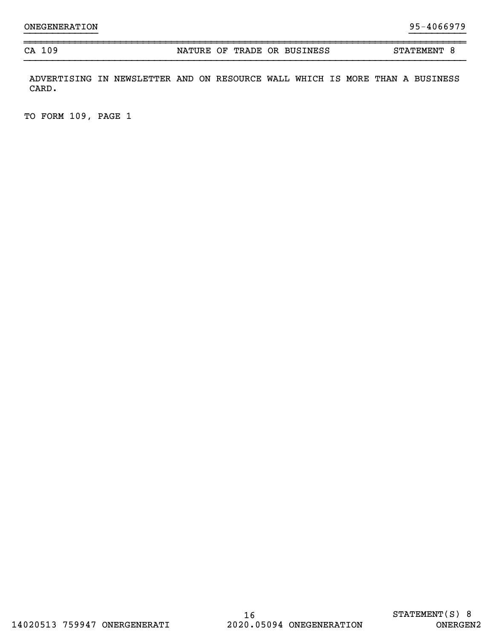CA 109 NATURE OF TRADE OR BUSINESS STATEMENT 8

ADVERTISING IN NEWSLETTER AND ON RESOURCE WALL WHICH IS MORE THAN A BUSINESS CARD.

}}}}}}}}}}}}} }}}}}}}}}}

~~~~~~~~~~~~~~~~~~~~~~~~~~~~~~~~~~~~~~~~~~~~~~~~~~~~~~~~~~~~~~~~~~~~~~~~~~~~~~

TO FORM 109, PAGE 1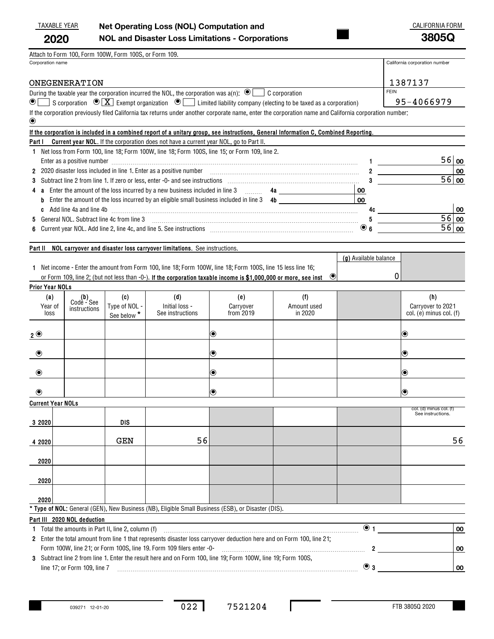| TAXABLE YEAR | Net Operating Loss (NOL) Computation and                | CALIFORNIA FORM |
|--------------|---------------------------------------------------------|-----------------|
| 2020         | <b>NOL and Disaster Loss Limitations - Corporations</b> | 3805Q           |

| Attach to Form 100, Form 100W, Form 100S, or Form 109. |  |  |  |
|--------------------------------------------------------|--|--|--|
|                                                        |  |  |  |

Corporation name California corporation number

| ONEGENERATION                                                                                                                                          | 1387137     |
|--------------------------------------------------------------------------------------------------------------------------------------------------------|-------------|
| During the taxable year the corporation incurred the NOL, the corporation was $a(n)$ : $\bigcirc$ $\Box$ C corporation                                 | <b>FEIN</b> |
| <b>●</b> S corporation $\odot$ <b>X</b> Exempt organization $\odot$ Limited liability company (electing to be taxed as a corporation)                  | 95-4066979  |
| If the corporation previously filed California tax returns under another corporate name, enter the corporation name and California corporation number: |             |

| $\circledbullet$                                                                                                                     |  |  |
|--------------------------------------------------------------------------------------------------------------------------------------|--|--|
| If the corporation is included in a combined report of a unitary group, see instructions, General Information C, Combined Reporting. |  |  |
| <b>Part I</b> Current year NOL. If the corporation does not have a current year NOL, go to Part II.                                  |  |  |
| 1 Net loss from Form 100, line 18; Form 100W, line 18; Form 100S, line 15; or Form 109, line 2.                                      |  |  |
| Enter as a positive number                                                                                                           |  |  |
|                                                                                                                                      |  |  |

| Enter as a positive number                                                                         |    | ⊃ ੦ ∣00 |           |
|----------------------------------------------------------------------------------------------------|----|---------|-----------|
| 2 2020 disaster loss included in line 1. Enter as a positive number                                |    |         | <b>00</b> |
|                                                                                                    |    |         | 0   00    |
| 4 a Enter the amount of the loss incurred by a new business included in line 3                     | 00 |         |           |
| <b>b</b> Enter the amount of the loss incurred by an eligible small business included in line 3 4b |    |         |           |
| <b>c</b> Add line 4a and line 4b                                                                   |    |         | 00        |
| 5 General NOL, Subtract line 4c from line 3                                                        |    |         | 6   00    |
| 6 Current year NOL. Add line 2, line 4c, and line 5. See instructions                              |    |         | 6∣00      |
|                                                                                                    |    |         |           |

### **Part II NOL carryover and disaster loss carryover limitations.**  See instructions.

|                                                                                                                            | (g) Available balance |  |
|----------------------------------------------------------------------------------------------------------------------------|-----------------------|--|
| Net income - Enter the amount from Form 100, line 18; Form 100W, line 18; Form 100S, line 15 less line 16;                 |                       |  |
| or Form 109, line 2; (but not less than -0-). If the corporation taxable income is \$1,000,000 or more, see inst $\bullet$ |                       |  |
| Prior Year NOLs                                                                                                            |                       |  |

| (a)<br>Year of<br>loss   | $\begin{array}{c} \textbf{(b)} \\ \textbf{Code} - \textbf{See} \end{array}$<br>instructions | (c)<br>Type of NOL -<br>See below $\star$ | (d)<br>Initial loss -<br>See instructions                                                                             | (e)<br>Carryover<br>from 2019 | (f)<br>Amount used<br>in 2020 |           | (h)<br>Carryover to 2021<br>$col.$ (e) minus $col.$ (f) |
|--------------------------|---------------------------------------------------------------------------------------------|-------------------------------------------|-----------------------------------------------------------------------------------------------------------------------|-------------------------------|-------------------------------|-----------|---------------------------------------------------------|
| 2 <sup>0</sup>           |                                                                                             |                                           |                                                                                                                       | $  \mathbf{O}  $              |                               |           | $\textcircled{\small{\bullet}}$                         |
| $\bullet$                |                                                                                             |                                           |                                                                                                                       | $  \mathbf{O}$                |                               |           | $\boldsymbol{\circledbullet}$                           |
| $\bullet$                |                                                                                             |                                           |                                                                                                                       | $  \mathbf{O}  $              |                               |           | $\textcircled{\small{\bullet}}$                         |
| $\circledcirc$           |                                                                                             |                                           |                                                                                                                       | $  \mathbf{O}  $              |                               |           | $\bullet$                                               |
| <b>Current Year NOLs</b> |                                                                                             |                                           |                                                                                                                       |                               |                               |           |                                                         |
| 3 2020                   |                                                                                             | <b>DIS</b>                                |                                                                                                                       |                               |                               |           | col. (d) minus col. (f)<br>See instructions.            |
| 4 2020                   |                                                                                             | <b>GEN</b>                                | 56                                                                                                                    |                               |                               |           | 56                                                      |
| 2020                     |                                                                                             |                                           |                                                                                                                       |                               |                               |           |                                                         |
| 2020                     |                                                                                             |                                           |                                                                                                                       |                               |                               |           |                                                         |
| 2020                     |                                                                                             |                                           |                                                                                                                       |                               |                               |           |                                                         |
|                          |                                                                                             |                                           | * Type of NOL: General (GEN), New Business (NB), Eligible Small Business (ESB), or Disaster (DIS).                    |                               |                               |           |                                                         |
|                          | Part III 2020 NOL deduction                                                                 |                                           |                                                                                                                       |                               |                               |           |                                                         |
|                          | 1 Total the amounts in Part II, line 2, column (f)                                          |                                           |                                                                                                                       |                               |                               | $\odot$ 1 | 00                                                      |
|                          |                                                                                             |                                           | 2 Enter the total amount from line 1 that represents disaster loss carryover deduction here and on Form 100, line 21; |                               |                               |           |                                                         |
|                          |                                                                                             |                                           | Form 100W, line 21; or Form 100S, line 19. Form 109 filers enter -0-                                                  |                               |                               | 2         | 00                                                      |

**3**Subtract line 2 from line 1. Enter the result here and on Form 100, line 19; Form 100W, line 19; Form 100S, **3** line 17; or Form 109, line 7 ~~~~~~~~~~~~~~~~~~~~~~~~~~~~~~~~~~~~~~~~~~ ¥ j

**00**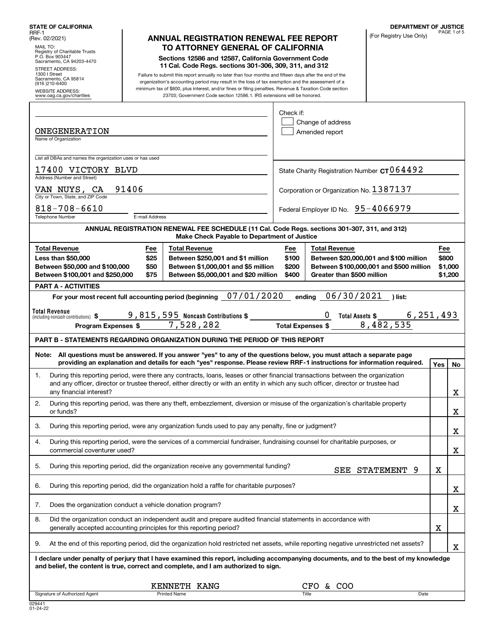| MAIL TO:                                                                                                                                                                                                                                                                                                                                                                                                                                                                                                                                                                                                                                                                                                                                                                                                                                                                                                                                                                                                                                                                                                                                                                                                                                                                                                                                                                                                                                                                                                                                                                                                                                                                                                                                                                                                                                                                                                                                                                                                                                                                                                                                                                                                                                                                                                                                                                                                                                                                                                                                                                                                                                                                                                                                                                                                                                                                                                                                                                                                                                                                                                                                                                                                                                                                                                                                                                                                                                                                                                                                                                                                                                                                                                                                                                                                                                                                                                                                         |  |                                                                                                                                                                                                                               |  |              | (For Registry Use Only) |  | PAGE 1 of 5 |
|--------------------------------------------------------------------------------------------------------------------------------------------------------------------------------------------------------------------------------------------------------------------------------------------------------------------------------------------------------------------------------------------------------------------------------------------------------------------------------------------------------------------------------------------------------------------------------------------------------------------------------------------------------------------------------------------------------------------------------------------------------------------------------------------------------------------------------------------------------------------------------------------------------------------------------------------------------------------------------------------------------------------------------------------------------------------------------------------------------------------------------------------------------------------------------------------------------------------------------------------------------------------------------------------------------------------------------------------------------------------------------------------------------------------------------------------------------------------------------------------------------------------------------------------------------------------------------------------------------------------------------------------------------------------------------------------------------------------------------------------------------------------------------------------------------------------------------------------------------------------------------------------------------------------------------------------------------------------------------------------------------------------------------------------------------------------------------------------------------------------------------------------------------------------------------------------------------------------------------------------------------------------------------------------------------------------------------------------------------------------------------------------------------------------------------------------------------------------------------------------------------------------------------------------------------------------------------------------------------------------------------------------------------------------------------------------------------------------------------------------------------------------------------------------------------------------------------------------------------------------------------------------------------------------------------------------------------------------------------------------------------------------------------------------------------------------------------------------------------------------------------------------------------------------------------------------------------------------------------------------------------------------------------------------------------------------------------------------------------------------------------------------------------------------------------------------------------------------------------------------------------------------------------------------------------------------------------------------------------------------------------------------------------------------------------------------------------------------------------------------------------------------------------------------------------------------------------------------------------------------------------------------------------------------------------------------------|--|-------------------------------------------------------------------------------------------------------------------------------------------------------------------------------------------------------------------------------|--|--------------|-------------------------|--|-------------|
| Registry of Charitable Trusts<br>P.O. Box 903447<br>Sacramento, CA 94203-4470<br><b>STREET ADDRESS:</b><br>1300   Street<br>Sacramento, CA 95814<br>(916) 210-6400                                                                                                                                                                                                                                                                                                                                                                                                                                                                                                                                                                                                                                                                                                                                                                                                                                                                                                                                                                                                                                                                                                                                                                                                                                                                                                                                                                                                                                                                                                                                                                                                                                                                                                                                                                                                                                                                                                                                                                                                                                                                                                                                                                                                                                                                                                                                                                                                                                                                                                                                                                                                                                                                                                                                                                                                                                                                                                                                                                                                                                                                                                                                                                                                                                                                                                                                                                                                                                                                                                                                                                                                                                                                                                                                                                               |  |                                                                                                                                                                                                                               |  |              |                         |  |             |
| <b>DEPARTMENT OF JUSTICE</b><br><b>STATE OF CALIFORNIA</b><br>RRF-1<br><b>ANNUAL REGISTRATION RENEWAL FEE REPORT</b><br>(Rev. 02/2021)<br>TO ATTORNEY GENERAL OF CALIFORNIA<br>Sections 12586 and 12587, California Government Code<br>11 Cal. Code Regs. sections 301-306, 309, 311, and 312<br>Failure to submit this report annually no later than four months and fifteen days after the end of the<br>organization's accounting period may result in the loss of tax exemption and the assessment of a<br>minimum tax of \$800, plus interest, and/or fines or filing penalties. Revenue & Taxation Code section<br><b>WEBSITE ADDRESS:</b><br>23703; Government Code section 12586.1. IRS extensions will be honored.<br>www.oag.ca.gov/charities<br>Check if:<br>Change of address<br><b>ONEGENERATION</b><br>Amended report<br>Name of Organization<br>List all DBAs and names the organization uses or has used<br>17400 VICTORY BLVD<br>State Charity Registration Number $cr$ 064492<br>Address (Number and Street)<br>VAN NUYS, CA<br>91406<br>Corporation or Organization No. 1387137<br>City or Town, State, and ZIP Code<br>$818 - 708 - 6610$<br>Federal Employer ID No. 95-4066979<br>Telephone Number<br>E-mail Address<br>ANNUAL REGISTRATION RENEWAL FEE SCHEDULE (11 Cal. Code Regs. sections 301-307, 311, and 312)<br>Make Check Payable to Department of Justice<br><b>Total Revenue</b><br><b>Total Revenue</b><br><b>Total Revenue</b><br>Fee<br>Fee<br>Fee<br>\$25<br>Less than \$50,000<br>Between \$250,001 and \$1 million<br>\$800<br>\$100<br>Between \$20,000,001 and \$100 million<br>Between \$50,000 and \$100,000<br>\$50<br>Between \$1,000,001 and \$5 million<br>\$200<br>Between \$100,000,001 and \$500 million<br>\$1,000<br>Between \$100,001 and \$250,000<br>Between \$5,000,001 and \$20 million<br>Greater than \$500 million<br>\$75<br>\$400<br>\$1,200<br><b>PART A - ACTIVITIES</b><br>For your most recent full accounting period (beginning 07/01/2020<br>ending $06/30/2021$<br>)list:<br>Total Revenue<br>$\underline{0}$ Total Assets \$<br>6,251,493<br>Program Expenses \$ 7,528,282 Total Expenses \$ 8,482,535<br><b>PART B - STATEMENTS REGARDING ORGANIZATION DURING THE PERIOD OF THIS REPORT</b><br>Note: All questions must be answered. If you answer "yes" to any of the questions below, you must attach a separate page<br>providing an explanation and details for each "yes" response. Please review RRF-1 instructions for information required.<br>Yes <sub>1</sub><br>During this reporting period, were there any contracts, loans, leases or other financial transactions between the organization<br>1.<br>and any officer, director or trustee thereof, either directly or with an entity in which any such officer, director or trustee had<br>any financial interest?<br>During this reporting period, was there any theft, embezzlement, diversion or misuse of the organization's charitable property<br>2.<br>or funds?<br>3.<br>During this reporting period, were any organization funds used to pay any penalty, fine or judgment?<br>During this reporting period, were the services of a commercial fundraiser, fundraising counsel for charitable purposes, or<br>4.<br>commercial coventurer used?<br>5.<br>During this reporting period, did the organization receive any governmental funding?<br>SEE STATEMENT<br>9<br>X<br>During this reporting period, did the organization hold a raffle for charitable purposes?<br>6.<br>Does the organization conduct a vehicle donation program?<br>7.<br>8.<br>Did the organization conduct an independent audit and prepare audited financial statements in accordance with<br>X<br>generally accepted accounting principles for this reporting period?<br>At the end of this reporting period, did the organization hold restricted net assets, while reporting negative unrestricted net assets?<br>9. |  |                                                                                                                                                                                                                               |  |              |                         |  |             |
|                                                                                                                                                                                                                                                                                                                                                                                                                                                                                                                                                                                                                                                                                                                                                                                                                                                                                                                                                                                                                                                                                                                                                                                                                                                                                                                                                                                                                                                                                                                                                                                                                                                                                                                                                                                                                                                                                                                                                                                                                                                                                                                                                                                                                                                                                                                                                                                                                                                                                                                                                                                                                                                                                                                                                                                                                                                                                                                                                                                                                                                                                                                                                                                                                                                                                                                                                                                                                                                                                                                                                                                                                                                                                                                                                                                                                                                                                                                                                  |  |                                                                                                                                                                                                                               |  |              |                         |  |             |
|                                                                                                                                                                                                                                                                                                                                                                                                                                                                                                                                                                                                                                                                                                                                                                                                                                                                                                                                                                                                                                                                                                                                                                                                                                                                                                                                                                                                                                                                                                                                                                                                                                                                                                                                                                                                                                                                                                                                                                                                                                                                                                                                                                                                                                                                                                                                                                                                                                                                                                                                                                                                                                                                                                                                                                                                                                                                                                                                                                                                                                                                                                                                                                                                                                                                                                                                                                                                                                                                                                                                                                                                                                                                                                                                                                                                                                                                                                                                                  |  |                                                                                                                                                                                                                               |  |              |                         |  |             |
|                                                                                                                                                                                                                                                                                                                                                                                                                                                                                                                                                                                                                                                                                                                                                                                                                                                                                                                                                                                                                                                                                                                                                                                                                                                                                                                                                                                                                                                                                                                                                                                                                                                                                                                                                                                                                                                                                                                                                                                                                                                                                                                                                                                                                                                                                                                                                                                                                                                                                                                                                                                                                                                                                                                                                                                                                                                                                                                                                                                                                                                                                                                                                                                                                                                                                                                                                                                                                                                                                                                                                                                                                                                                                                                                                                                                                                                                                                                                                  |  |                                                                                                                                                                                                                               |  |              |                         |  |             |
|                                                                                                                                                                                                                                                                                                                                                                                                                                                                                                                                                                                                                                                                                                                                                                                                                                                                                                                                                                                                                                                                                                                                                                                                                                                                                                                                                                                                                                                                                                                                                                                                                                                                                                                                                                                                                                                                                                                                                                                                                                                                                                                                                                                                                                                                                                                                                                                                                                                                                                                                                                                                                                                                                                                                                                                                                                                                                                                                                                                                                                                                                                                                                                                                                                                                                                                                                                                                                                                                                                                                                                                                                                                                                                                                                                                                                                                                                                                                                  |  |                                                                                                                                                                                                                               |  |              |                         |  |             |
|                                                                                                                                                                                                                                                                                                                                                                                                                                                                                                                                                                                                                                                                                                                                                                                                                                                                                                                                                                                                                                                                                                                                                                                                                                                                                                                                                                                                                                                                                                                                                                                                                                                                                                                                                                                                                                                                                                                                                                                                                                                                                                                                                                                                                                                                                                                                                                                                                                                                                                                                                                                                                                                                                                                                                                                                                                                                                                                                                                                                                                                                                                                                                                                                                                                                                                                                                                                                                                                                                                                                                                                                                                                                                                                                                                                                                                                                                                                                                  |  |                                                                                                                                                                                                                               |  |              |                         |  |             |
|                                                                                                                                                                                                                                                                                                                                                                                                                                                                                                                                                                                                                                                                                                                                                                                                                                                                                                                                                                                                                                                                                                                                                                                                                                                                                                                                                                                                                                                                                                                                                                                                                                                                                                                                                                                                                                                                                                                                                                                                                                                                                                                                                                                                                                                                                                                                                                                                                                                                                                                                                                                                                                                                                                                                                                                                                                                                                                                                                                                                                                                                                                                                                                                                                                                                                                                                                                                                                                                                                                                                                                                                                                                                                                                                                                                                                                                                                                                                                  |  |                                                                                                                                                                                                                               |  |              |                         |  |             |
|                                                                                                                                                                                                                                                                                                                                                                                                                                                                                                                                                                                                                                                                                                                                                                                                                                                                                                                                                                                                                                                                                                                                                                                                                                                                                                                                                                                                                                                                                                                                                                                                                                                                                                                                                                                                                                                                                                                                                                                                                                                                                                                                                                                                                                                                                                                                                                                                                                                                                                                                                                                                                                                                                                                                                                                                                                                                                                                                                                                                                                                                                                                                                                                                                                                                                                                                                                                                                                                                                                                                                                                                                                                                                                                                                                                                                                                                                                                                                  |  |                                                                                                                                                                                                                               |  |              |                         |  |             |
|                                                                                                                                                                                                                                                                                                                                                                                                                                                                                                                                                                                                                                                                                                                                                                                                                                                                                                                                                                                                                                                                                                                                                                                                                                                                                                                                                                                                                                                                                                                                                                                                                                                                                                                                                                                                                                                                                                                                                                                                                                                                                                                                                                                                                                                                                                                                                                                                                                                                                                                                                                                                                                                                                                                                                                                                                                                                                                                                                                                                                                                                                                                                                                                                                                                                                                                                                                                                                                                                                                                                                                                                                                                                                                                                                                                                                                                                                                                                                  |  |                                                                                                                                                                                                                               |  |              |                         |  |             |
|                                                                                                                                                                                                                                                                                                                                                                                                                                                                                                                                                                                                                                                                                                                                                                                                                                                                                                                                                                                                                                                                                                                                                                                                                                                                                                                                                                                                                                                                                                                                                                                                                                                                                                                                                                                                                                                                                                                                                                                                                                                                                                                                                                                                                                                                                                                                                                                                                                                                                                                                                                                                                                                                                                                                                                                                                                                                                                                                                                                                                                                                                                                                                                                                                                                                                                                                                                                                                                                                                                                                                                                                                                                                                                                                                                                                                                                                                                                                                  |  |                                                                                                                                                                                                                               |  |              |                         |  |             |
|                                                                                                                                                                                                                                                                                                                                                                                                                                                                                                                                                                                                                                                                                                                                                                                                                                                                                                                                                                                                                                                                                                                                                                                                                                                                                                                                                                                                                                                                                                                                                                                                                                                                                                                                                                                                                                                                                                                                                                                                                                                                                                                                                                                                                                                                                                                                                                                                                                                                                                                                                                                                                                                                                                                                                                                                                                                                                                                                                                                                                                                                                                                                                                                                                                                                                                                                                                                                                                                                                                                                                                                                                                                                                                                                                                                                                                                                                                                                                  |  |                                                                                                                                                                                                                               |  |              |                         |  |             |
|                                                                                                                                                                                                                                                                                                                                                                                                                                                                                                                                                                                                                                                                                                                                                                                                                                                                                                                                                                                                                                                                                                                                                                                                                                                                                                                                                                                                                                                                                                                                                                                                                                                                                                                                                                                                                                                                                                                                                                                                                                                                                                                                                                                                                                                                                                                                                                                                                                                                                                                                                                                                                                                                                                                                                                                                                                                                                                                                                                                                                                                                                                                                                                                                                                                                                                                                                                                                                                                                                                                                                                                                                                                                                                                                                                                                                                                                                                                                                  |  |                                                                                                                                                                                                                               |  |              |                         |  |             |
|                                                                                                                                                                                                                                                                                                                                                                                                                                                                                                                                                                                                                                                                                                                                                                                                                                                                                                                                                                                                                                                                                                                                                                                                                                                                                                                                                                                                                                                                                                                                                                                                                                                                                                                                                                                                                                                                                                                                                                                                                                                                                                                                                                                                                                                                                                                                                                                                                                                                                                                                                                                                                                                                                                                                                                                                                                                                                                                                                                                                                                                                                                                                                                                                                                                                                                                                                                                                                                                                                                                                                                                                                                                                                                                                                                                                                                                                                                                                                  |  |                                                                                                                                                                                                                               |  |              |                         |  | No          |
|                                                                                                                                                                                                                                                                                                                                                                                                                                                                                                                                                                                                                                                                                                                                                                                                                                                                                                                                                                                                                                                                                                                                                                                                                                                                                                                                                                                                                                                                                                                                                                                                                                                                                                                                                                                                                                                                                                                                                                                                                                                                                                                                                                                                                                                                                                                                                                                                                                                                                                                                                                                                                                                                                                                                                                                                                                                                                                                                                                                                                                                                                                                                                                                                                                                                                                                                                                                                                                                                                                                                                                                                                                                                                                                                                                                                                                                                                                                                                  |  |                                                                                                                                                                                                                               |  |              |                         |  | х           |
|                                                                                                                                                                                                                                                                                                                                                                                                                                                                                                                                                                                                                                                                                                                                                                                                                                                                                                                                                                                                                                                                                                                                                                                                                                                                                                                                                                                                                                                                                                                                                                                                                                                                                                                                                                                                                                                                                                                                                                                                                                                                                                                                                                                                                                                                                                                                                                                                                                                                                                                                                                                                                                                                                                                                                                                                                                                                                                                                                                                                                                                                                                                                                                                                                                                                                                                                                                                                                                                                                                                                                                                                                                                                                                                                                                                                                                                                                                                                                  |  |                                                                                                                                                                                                                               |  |              |                         |  | х           |
|                                                                                                                                                                                                                                                                                                                                                                                                                                                                                                                                                                                                                                                                                                                                                                                                                                                                                                                                                                                                                                                                                                                                                                                                                                                                                                                                                                                                                                                                                                                                                                                                                                                                                                                                                                                                                                                                                                                                                                                                                                                                                                                                                                                                                                                                                                                                                                                                                                                                                                                                                                                                                                                                                                                                                                                                                                                                                                                                                                                                                                                                                                                                                                                                                                                                                                                                                                                                                                                                                                                                                                                                                                                                                                                                                                                                                                                                                                                                                  |  |                                                                                                                                                                                                                               |  |              |                         |  | х           |
|                                                                                                                                                                                                                                                                                                                                                                                                                                                                                                                                                                                                                                                                                                                                                                                                                                                                                                                                                                                                                                                                                                                                                                                                                                                                                                                                                                                                                                                                                                                                                                                                                                                                                                                                                                                                                                                                                                                                                                                                                                                                                                                                                                                                                                                                                                                                                                                                                                                                                                                                                                                                                                                                                                                                                                                                                                                                                                                                                                                                                                                                                                                                                                                                                                                                                                                                                                                                                                                                                                                                                                                                                                                                                                                                                                                                                                                                                                                                                  |  |                                                                                                                                                                                                                               |  |              |                         |  | Х           |
|                                                                                                                                                                                                                                                                                                                                                                                                                                                                                                                                                                                                                                                                                                                                                                                                                                                                                                                                                                                                                                                                                                                                                                                                                                                                                                                                                                                                                                                                                                                                                                                                                                                                                                                                                                                                                                                                                                                                                                                                                                                                                                                                                                                                                                                                                                                                                                                                                                                                                                                                                                                                                                                                                                                                                                                                                                                                                                                                                                                                                                                                                                                                                                                                                                                                                                                                                                                                                                                                                                                                                                                                                                                                                                                                                                                                                                                                                                                                                  |  |                                                                                                                                                                                                                               |  |              |                         |  |             |
|                                                                                                                                                                                                                                                                                                                                                                                                                                                                                                                                                                                                                                                                                                                                                                                                                                                                                                                                                                                                                                                                                                                                                                                                                                                                                                                                                                                                                                                                                                                                                                                                                                                                                                                                                                                                                                                                                                                                                                                                                                                                                                                                                                                                                                                                                                                                                                                                                                                                                                                                                                                                                                                                                                                                                                                                                                                                                                                                                                                                                                                                                                                                                                                                                                                                                                                                                                                                                                                                                                                                                                                                                                                                                                                                                                                                                                                                                                                                                  |  |                                                                                                                                                                                                                               |  |              |                         |  | х           |
|                                                                                                                                                                                                                                                                                                                                                                                                                                                                                                                                                                                                                                                                                                                                                                                                                                                                                                                                                                                                                                                                                                                                                                                                                                                                                                                                                                                                                                                                                                                                                                                                                                                                                                                                                                                                                                                                                                                                                                                                                                                                                                                                                                                                                                                                                                                                                                                                                                                                                                                                                                                                                                                                                                                                                                                                                                                                                                                                                                                                                                                                                                                                                                                                                                                                                                                                                                                                                                                                                                                                                                                                                                                                                                                                                                                                                                                                                                                                                  |  |                                                                                                                                                                                                                               |  |              |                         |  | х           |
|                                                                                                                                                                                                                                                                                                                                                                                                                                                                                                                                                                                                                                                                                                                                                                                                                                                                                                                                                                                                                                                                                                                                                                                                                                                                                                                                                                                                                                                                                                                                                                                                                                                                                                                                                                                                                                                                                                                                                                                                                                                                                                                                                                                                                                                                                                                                                                                                                                                                                                                                                                                                                                                                                                                                                                                                                                                                                                                                                                                                                                                                                                                                                                                                                                                                                                                                                                                                                                                                                                                                                                                                                                                                                                                                                                                                                                                                                                                                                  |  |                                                                                                                                                                                                                               |  |              |                         |  |             |
|                                                                                                                                                                                                                                                                                                                                                                                                                                                                                                                                                                                                                                                                                                                                                                                                                                                                                                                                                                                                                                                                                                                                                                                                                                                                                                                                                                                                                                                                                                                                                                                                                                                                                                                                                                                                                                                                                                                                                                                                                                                                                                                                                                                                                                                                                                                                                                                                                                                                                                                                                                                                                                                                                                                                                                                                                                                                                                                                                                                                                                                                                                                                                                                                                                                                                                                                                                                                                                                                                                                                                                                                                                                                                                                                                                                                                                                                                                                                                  |  |                                                                                                                                                                                                                               |  |              |                         |  | X           |
|                                                                                                                                                                                                                                                                                                                                                                                                                                                                                                                                                                                                                                                                                                                                                                                                                                                                                                                                                                                                                                                                                                                                                                                                                                                                                                                                                                                                                                                                                                                                                                                                                                                                                                                                                                                                                                                                                                                                                                                                                                                                                                                                                                                                                                                                                                                                                                                                                                                                                                                                                                                                                                                                                                                                                                                                                                                                                                                                                                                                                                                                                                                                                                                                                                                                                                                                                                                                                                                                                                                                                                                                                                                                                                                                                                                                                                                                                                                                                  |  | I declare under penalty of perjury that I have examined this report, including accompanying documents, and to the best of my knowledge<br>and belief, the content is true, correct and complete, and I am authorized to sign. |  |              |                         |  |             |
|                                                                                                                                                                                                                                                                                                                                                                                                                                                                                                                                                                                                                                                                                                                                                                                                                                                                                                                                                                                                                                                                                                                                                                                                                                                                                                                                                                                                                                                                                                                                                                                                                                                                                                                                                                                                                                                                                                                                                                                                                                                                                                                                                                                                                                                                                                                                                                                                                                                                                                                                                                                                                                                                                                                                                                                                                                                                                                                                                                                                                                                                                                                                                                                                                                                                                                                                                                                                                                                                                                                                                                                                                                                                                                                                                                                                                                                                                                                                                  |  | KENNETH KANG                                                                                                                                                                                                                  |  | & COO<br>CFO |                         |  |             |
| Signature of Authorized Agent                                                                                                                                                                                                                                                                                                                                                                                                                                                                                                                                                                                                                                                                                                                                                                                                                                                                                                                                                                                                                                                                                                                                                                                                                                                                                                                                                                                                                                                                                                                                                                                                                                                                                                                                                                                                                                                                                                                                                                                                                                                                                                                                                                                                                                                                                                                                                                                                                                                                                                                                                                                                                                                                                                                                                                                                                                                                                                                                                                                                                                                                                                                                                                                                                                                                                                                                                                                                                                                                                                                                                                                                                                                                                                                                                                                                                                                                                                                    |  | <b>Printed Name</b>                                                                                                                                                                                                           |  | Title        | Date                    |  |             |